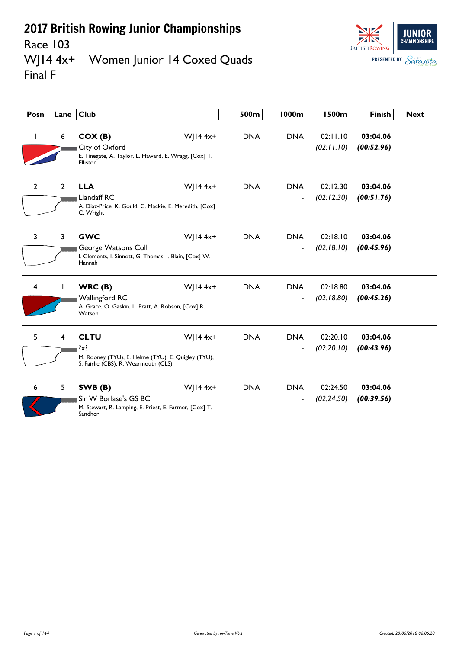Race 103<br>WJ14 4x+



Women Junior 14 Coxed Quads Final F

| Posn           | Lane           | <b>Club</b>                                                                                                                          | 500m       | <b>1000m</b>                 | <b>1500m</b>           | <b>Finish</b>          | <b>Next</b> |
|----------------|----------------|--------------------------------------------------------------------------------------------------------------------------------------|------------|------------------------------|------------------------|------------------------|-------------|
| I.             | 6              | $W$   14 4x+<br>COX(B)<br>City of Oxford<br>E. Tinegate, A. Taylor, L. Haward, E. Wragg, [Cox] T.<br>Elliston                        | <b>DNA</b> | <b>DNA</b><br>$\overline{a}$ | 02:11.10<br>(02:11.10) | 03:04.06<br>(00:52.96) |             |
| $\overline{2}$ | $2^{\circ}$    | <b>LLA</b><br>$W$   14 4x+<br>Llandaff RC<br>A. Diaz-Price, K. Gould, C. Mackie, E. Meredith, [Cox]<br>C. Wright                     | <b>DNA</b> | <b>DNA</b>                   | 02:12.30<br>(02:12.30) | 03:04.06<br>(00:51.76) |             |
| 3              | 3              | $W$   14 4x+<br><b>GWC</b><br>George Watsons Coll<br>I. Clements, I. Sinnott, G. Thomas, I. Blain, [Cox] W.<br>Hannah                | <b>DNA</b> | <b>DNA</b>                   | 02:18.10<br>(02:18.10) | 03:04.06<br>(00:45.96) |             |
| 4              |                | $W$   14 4x+<br>WRC(B)<br><b>Wallingford RC</b><br>A. Grace, O. Gaskin, L. Pratt, A. Robson, [Cox] R.<br>Watson                      | <b>DNA</b> | <b>DNA</b>                   | 02:18.80<br>(02:18.80) | 03:04.06<br>(00:45.26) |             |
| 5              | 4              | <b>CLTU</b><br>$W$   14 4x+<br>$\{x\}$<br>M. Rooney (TYU), E. Helme (TYU), E. Quigley (TYU),<br>S. Fairlie (CBS), R. Wearmouth (CLS) | <b>DNA</b> | <b>DNA</b>                   | 02:20.10<br>(02:20.10) | 03:04.06<br>(00:43.96) |             |
| 6              | 5 <sup>1</sup> | $W$   14 4x+<br>SWB(B)<br>Sir W Borlase's GS BC<br>M. Stewart, R. Lamping, E. Priest, E. Farmer, [Cox] T.<br>Sandher                 | <b>DNA</b> | <b>DNA</b>                   | 02:24.50<br>(02:24.50) | 03:04.06<br>(00:39.56) |             |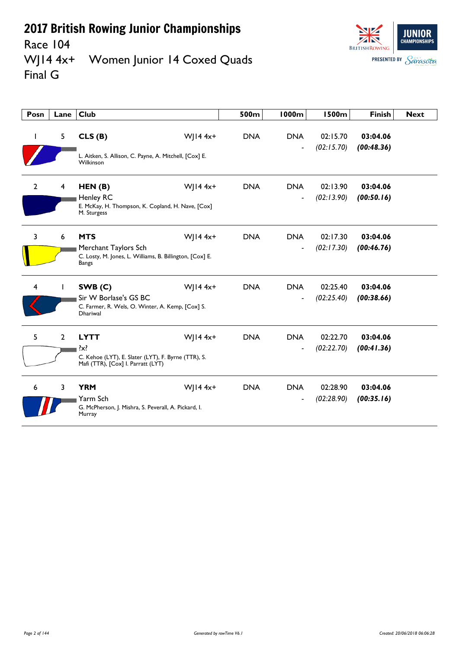

Race 104<br>WJ14 4x+ Women Junior 14 Coxed Quads Final G

| Posn           | Lane        | <b>Club</b>                                                                                                         |              | 500m       | <b>1000m</b>                           | <b>1500m</b>           | <b>Finish</b>          | <b>Next</b> |
|----------------|-------------|---------------------------------------------------------------------------------------------------------------------|--------------|------------|----------------------------------------|------------------------|------------------------|-------------|
|                | 5           | CLS(B)<br>L. Aitken, S. Allison, C. Payne, A. Mitchell, [Cox] E.<br>Wilkinson                                       | W  $14 4x+$  | <b>DNA</b> | <b>DNA</b>                             | 02:15.70<br>(02:15.70) | 03:04.06<br>(00:48.36) |             |
| $\overline{2}$ | 4           | HEN(B)<br><b>Henley RC</b><br>E. McKay, H. Thompson, K. Copland, H. Nave, [Cox]<br>M. Sturgess                      | $W$   14 4x+ | <b>DNA</b> | <b>DNA</b><br>$\overline{\phantom{a}}$ | 02:13.90<br>(02:13.90) | 03:04.06<br>(00:50.16) |             |
| $\overline{3}$ | 6           | <b>MTS</b><br>Merchant Taylors Sch<br>C. Losty, M. Jones, L. Williams, B. Billington, [Cox] E.<br><b>Bangs</b>      | $W$   14 4x+ | <b>DNA</b> | <b>DNA</b><br>$\overline{\phantom{a}}$ | 02:17.30<br>(02:17.30) | 03:04.06<br>(00:46.76) |             |
| 4              |             | SWB(C)<br>Sir W Borlase's GS BC<br>C. Farmer, R. Wels, O. Winter, A. Kemp, [Cox] S.<br><b>Dhariwal</b>              | W  $144x+$   | <b>DNA</b> | <b>DNA</b><br>$\overline{a}$           | 02:25.40<br>(02:25.40) | 03:04.06<br>(00:38.66) |             |
| 5              | $2^{\circ}$ | <b>LYTT</b><br>$\{x\}$<br>C. Kehoe (LYT), E. Slater (LYT), F. Byrne (TTR), S.<br>Mafi (TTR), [Cox] I. Parratt (LYT) | $W$   14 4x+ | <b>DNA</b> | <b>DNA</b>                             | 02:22.70<br>(02:22.70) | 03:04.06<br>(00:41.36) |             |
| 6              | 3           | <b>YRM</b><br>Yarm Sch<br>G. McPherson, J. Mishra, S. Peverall, A. Pickard, I.<br>Murray                            | $W$   14 4x+ | <b>DNA</b> | <b>DNA</b>                             | 02:28.90<br>(02:28.90) | 03:04.06<br>(00:35.16) |             |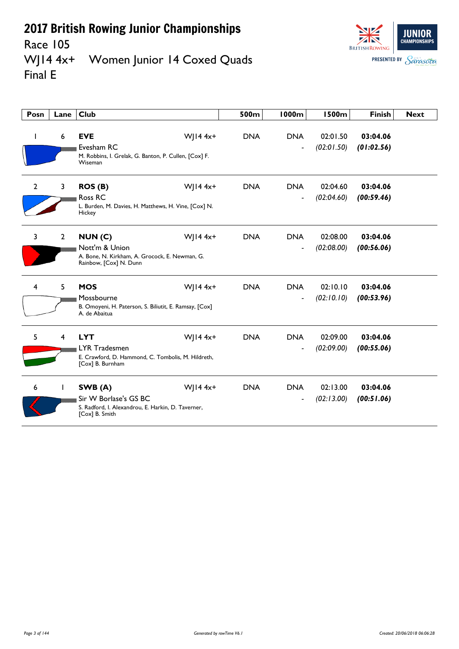Race 105



#### WJ14 4x+ Women Junior 14 Coxed Quads Final E

| Posn           | Lane           | Club                                                                                                                         | 500m       | 1000m                                  | <b>1500m</b>           | <b>Finish</b>          | <b>Next</b> |
|----------------|----------------|------------------------------------------------------------------------------------------------------------------------------|------------|----------------------------------------|------------------------|------------------------|-------------|
|                | 6              | <b>EVE</b><br>$W$   14 4x+<br>Evesham RC<br>M. Robbins, I. Grelak, G. Banton, P. Cullen, [Cox] F.<br>Wiseman                 | <b>DNA</b> | <b>DNA</b>                             | 02:01.50<br>(02:01.50) | 03:04.06<br>(01:02.56) |             |
| $\overline{2}$ | 3              | $W$   14 4x+<br>ROS(B)<br>Ross RC<br>L. Burden, M. Davies, H. Matthews, H. Vine, [Cox] N.<br>Hickey                          | <b>DNA</b> | <b>DNA</b><br>$\overline{\phantom{0}}$ | 02:04.60<br>(02:04.60) | 03:04.06<br>(00:59.46) |             |
| 3              | $\overline{2}$ | $W$   14 4x+<br>NUM(C)<br>Nott'm & Union<br>A. Bone, N. Kirkham, A. Grocock, E. Newman, G.<br>Rainbow, [Cox] N. Dunn         | <b>DNA</b> | <b>DNA</b><br>$\overline{a}$           | 02:08.00<br>(02:08.00) | 03:04.06<br>(00:56.06) |             |
| 4              | 5              | $W$   14 4x+<br><b>MOS</b><br>Mossbourne<br>B. Omoyeni, H. Paterson, S. Biliutit, E. Ramsay, [Cox]<br>A. de Abaitua          | <b>DNA</b> | <b>DNA</b><br>$\blacksquare$           | 02:10.10<br>(02:10.10) | 03:04.06<br>(00:53.96) |             |
| 5              | 4              | $W$   14 4x+<br><b>LYT</b><br><b>LYR Tradesmen</b><br>E. Crawford, D. Hammond, C. Tombolis, M. Hildreth,<br>[Cox] B. Burnham | <b>DNA</b> | <b>DNA</b>                             | 02:09.00<br>(02:09.00) | 03:04.06<br>(00:55.06) |             |
| 6              | $\mathbf{L}$   | $W$   14 4x+<br>SWB(A)<br>Sir W Borlase's GS BC<br>S. Radford, I. Alexandrou, E. Harkin, D. Taverner,<br>[Cox] B. Smith      | <b>DNA</b> | <b>DNA</b><br>÷                        | 02:13.00<br>(02:13.00) | 03:04.06<br>(00:51.06) |             |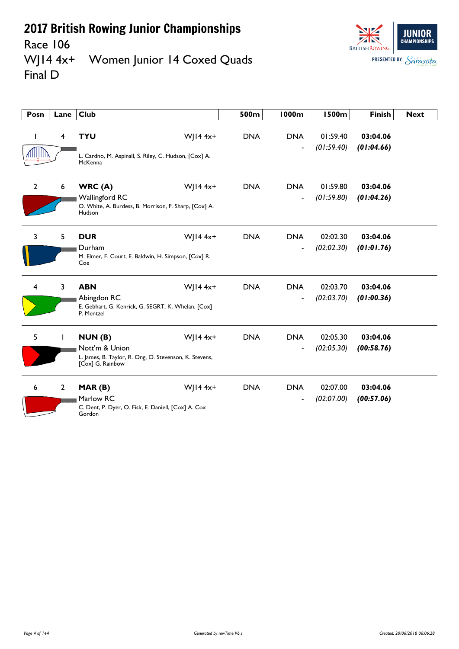

**JUNIOR CHAMPIONSHIPS BRITISH ROWING PRESENTED BY Sarasota** 

#### Race 106<br>WJ14 4x+ Women Junior 14 Coxed Quads Final D

| Posn         | Lane         | <b>Club</b>                                                                                            |              | 500m       | <b>1000m</b>                 | <b>1500m</b>           | <b>Finish</b>          | <b>Next</b> |
|--------------|--------------|--------------------------------------------------------------------------------------------------------|--------------|------------|------------------------------|------------------------|------------------------|-------------|
|              | 4            | <b>TYU</b><br>L. Cardno, M. Aspinall, S. Riley, C. Hudson, [Cox] A.<br>McKenna                         | $W$   14 4x+ | <b>DNA</b> | <b>DNA</b><br>$\overline{a}$ | 01:59.40<br>(01:59.40) | 03:04.06<br>(01:04.66) |             |
| $\mathbf{2}$ | 6            | WRC(A)<br><b>Wallingford RC</b><br>O. White, A. Burdess, B. Morrison, F. Sharp, [Cox] A.<br>Hudson     | $W$   14 4x+ | <b>DNA</b> | <b>DNA</b>                   | 01:59.80<br>(01:59.80) | 03:04.06<br>(01:04.26) |             |
| 3            | 5            | <b>DUR</b><br>Durham<br>M. Elmer, F. Court, E. Baldwin, H. Simpson, [Cox] R.<br>Coe                    | $W$   14 4x+ | <b>DNA</b> | <b>DNA</b><br>$\blacksquare$ | 02:02.30<br>(02:02.30) | 03:04.06<br>(01:01.76) |             |
| 4            | 3            | <b>ABN</b><br>Abingdon RC<br>E. Gebhart, G. Kenrick, G. SEGRT, K. Whelan, [Cox]<br>P. Mentzel          | $W$   14 4x+ | <b>DNA</b> | <b>DNA</b><br>$\blacksquare$ | 02:03.70<br>(02:03.70) | 03:04.06<br>(01:00.36) |             |
| 5            |              | NUN(B)<br>Nott'm & Union<br>L. James, B. Taylor, R. Ong, O. Stevenson, K. Stevens,<br>[Cox] G. Rainbow | $W$   14 4x+ | <b>DNA</b> | <b>DNA</b>                   | 02:05.30<br>(02:05.30) | 03:04.06<br>(00:58.76) |             |
| 6            | $\mathbf{2}$ | MAR(B)<br>Marlow RC<br>C. Dent, P. Dyer, O. Fisk, E. Daniell, [Cox] A. Cox<br>Gordon                   | $W$   14 4x+ | <b>DNA</b> | <b>DNA</b>                   | 02:07.00<br>(02:07.00) | 03:04.06<br>(00:57.06) |             |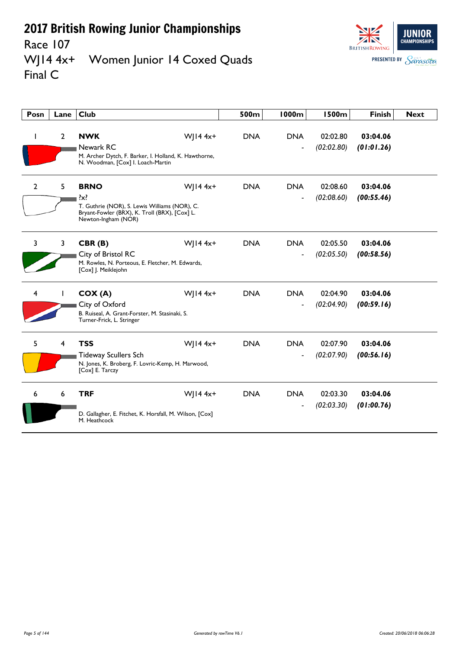Race 107<br>WJ14 4x+



Women Junior 14 Coxed Quads Final C

| Posn           | Lane           | <b>Club</b>                                                                                                                                     |              | 500m       | <b>1000m</b>                 | <b>1500m</b>           | <b>Finish</b>          | <b>Next</b> |
|----------------|----------------|-------------------------------------------------------------------------------------------------------------------------------------------------|--------------|------------|------------------------------|------------------------|------------------------|-------------|
|                | $\overline{2}$ | <b>NWK</b><br>Newark RC<br>M. Archer Dytch, F. Barker, I. Holland, K. Hawthorne,<br>N. Woodman, [Cox] I. Loach-Martin                           | $W$   14 4x+ | <b>DNA</b> | <b>DNA</b>                   | 02:02.80<br>(02:02.80) | 03:04.06<br>(01:01.26) |             |
| $\overline{2}$ | 5              | <b>BRNO</b><br>$\{x\}$<br>T. Guthrie (NOR), S. Lewis Williams (NOR), C.<br>Bryant-Fowler (BRX), K. Troll (BRX), [Cox] L.<br>Newton-Ingham (NOR) | $W$   14 4x+ | <b>DNA</b> | <b>DNA</b>                   | 02:08.60<br>(02:08.60) | 03:04.06<br>(00:55.46) |             |
| 3              | 3              | CBR(B)<br>City of Bristol RC<br>M. Rowles, N. Porteous, E. Fletcher, M. Edwards,<br>[Cox] J. Meiklejohn                                         | $W$   14 4x+ | <b>DNA</b> | <b>DNA</b><br>$\overline{a}$ | 02:05.50<br>(02:05.50) | 03:04.06<br>(00:58.56) |             |
| 4              |                | COX(A)<br>City of Oxford<br>B. Ruiseal, A. Grant-Forster, M. Stasinaki, S.<br>Turner-Frick, L. Stringer                                         | $W$ ] 14 4x+ | <b>DNA</b> | <b>DNA</b>                   | 02:04.90<br>(02:04.90) | 03:04.06<br>(00:59.16) |             |
| 5.             | 4              | <b>TSS</b><br><b>Tideway Scullers Sch</b><br>N. Jones, K. Broberg, F. Lovric-Kemp, H. Marwood,<br>[Cox] E. Tarczy                               | W  $14 4x+$  | <b>DNA</b> | <b>DNA</b>                   | 02:07.90<br>(02:07.90) | 03:04.06<br>(00:56.16) |             |
| 6              | 6              | <b>TRF</b><br>D. Gallagher, E. Fitchet, K. Horsfall, M. Wilson, [Cox]<br>M. Heathcock                                                           | $W$   14 4x+ | <b>DNA</b> | <b>DNA</b>                   | 02:03.30<br>(02:03.30) | 03:04.06<br>(01:00.76) |             |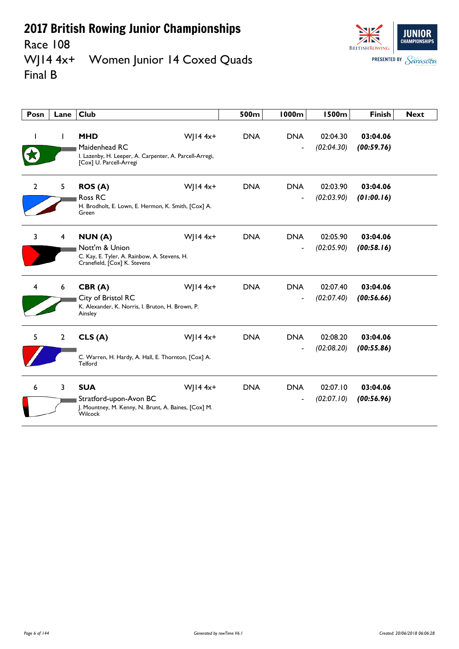Race 108<br>WJ14 4x+



Women Junior 14 Coxed Quads Final B

| Posn           | Lane           | Club                                                                                                                              | 500m       | <b>1000m</b>                 | <b>1500m</b>           | <b>Finish</b>          | <b>Next</b> |
|----------------|----------------|-----------------------------------------------------------------------------------------------------------------------------------|------------|------------------------------|------------------------|------------------------|-------------|
|                | $\mathbf{I}$   | <b>MHD</b><br>$W$   14 4x+<br>Maidenhead RC<br>I. Lazenby, H. Leeper, A. Carpenter, A. Parcell-Arregi,<br>[Cox] U. Parcell-Arregi | <b>DNA</b> | <b>DNA</b>                   | 02:04.30<br>(02:04.30) | 03:04.06<br>(00:59.76) |             |
| $\overline{2}$ | 5              | $W$   14 4x+<br><b>ROS (A)</b><br>Ross RC<br>H. Brodholt, E. Lown, E. Hermon, K. Smith, [Cox] A.<br>Green                         | <b>DNA</b> | <b>DNA</b><br>$\overline{a}$ | 02:03.90<br>(02:03.90) | 03:04.06<br>(01:00.16) |             |
| 3              | $\overline{4}$ | $W$   14 4x+<br>NUN(A)<br>Nott'm & Union<br>C. Kay, E. Tyler, A. Rainbow, A. Stevens, H.<br>Cranefield, [Cox] K. Stevens          | <b>DNA</b> | <b>DNA</b><br>$\overline{a}$ | 02:05.90<br>(02:05.90) | 03:04.06<br>(00:58.16) |             |
| 4              | 6              | $W$   14 4x+<br>CBR(A)<br>City of Bristol RC<br>K. Alexander, K. Norris, I. Bruton, H. Brown, P.<br>Ainsley                       | <b>DNA</b> | <b>DNA</b><br>÷              | 02:07.40<br>(02:07.40) | 03:04.06<br>(00:56.66) |             |
| 5              | $\overline{2}$ | CLS(A)<br>$W$   14 4x+<br>C. Warren, H. Hardy, A. Hall, E. Thornton, [Cox] A.<br>Telford                                          | <b>DNA</b> | <b>DNA</b>                   | 02:08.20<br>(02:08.20) | 03:04.06<br>(00:55.86) |             |
| 6              | 3              | <b>SUA</b><br>$W$   14 4x+<br>Stratford-upon-Avon BC<br>J. Mountney, M. Kenny, N. Brunt, A. Baines, [Cox] M.<br>Wilcock           | <b>DNA</b> | <b>DNA</b>                   | 02:07.10<br>(02:07.10) | 03:04.06<br>(00:56.96) |             |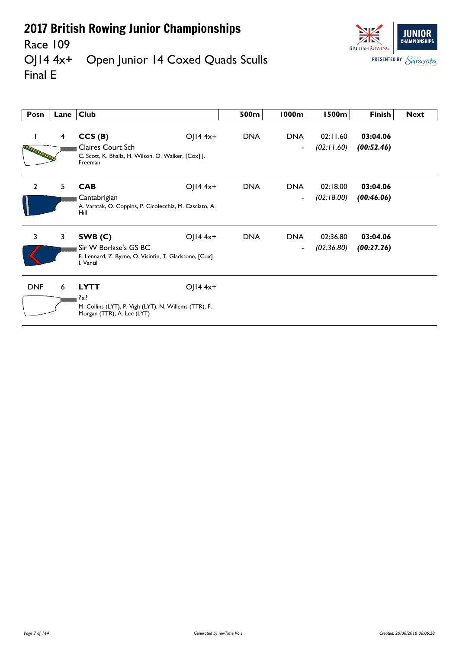

Race 109<br>OJ14 4x+ Open Junior 14 Coxed Quads Sculls Final E

| Posn           | Lane         | <b>Club</b>                                                                                                   |                         | 500m       | 1000m                                  | <b>1500m</b>           | Finish                 | <b>Next</b> |
|----------------|--------------|---------------------------------------------------------------------------------------------------------------|-------------------------|------------|----------------------------------------|------------------------|------------------------|-------------|
|                | 4            | CCS(B)<br><b>Claires Court Sch</b><br>C. Scott, K. Bhalla, H. Wilson, O. Walker, [Cox] J.<br>Freeman          | $O  4 4x+$              | <b>DNA</b> | <b>DNA</b><br>$\blacksquare$           | 02:11.60<br>(02:11.60) | 03:04.06<br>(00:52.46) |             |
| $\overline{2}$ | 5            | <b>CAB</b><br>Cantabrigian<br>A. Varatak, O. Coppins, P. Cicolecchia, M. Casciato, A.<br>Hill                 | $O  4 4x+$              | <b>DNA</b> | <b>DNA</b><br>$\overline{\phantom{a}}$ | 02:18.00<br>(02:18.00) | 03:04.06<br>(00:46.06) |             |
| 3              | $\mathbf{3}$ | SWB(C)<br>Sir W Borlase's GS BC<br>E. Lennard, Z. Byrne, O. Visintin, T. Gladstone, [Cox]<br>I. Vantil        | OJ $14$ 4x <sup>+</sup> | <b>DNA</b> | <b>DNA</b><br>$\blacksquare$           | 02:36.80<br>(02:36.80) | 03:04.06<br>(00:27.26) |             |
| <b>DNF</b>     | 6            | <b>LYTT</b><br>$\{x\}$<br>M. Collins (LYT), P. Vigh (LYT), N. Willems (TTR), F.<br>Morgan (TTR), A. Lee (LYT) | $O$   14 4x+            |            |                                        |                        |                        |             |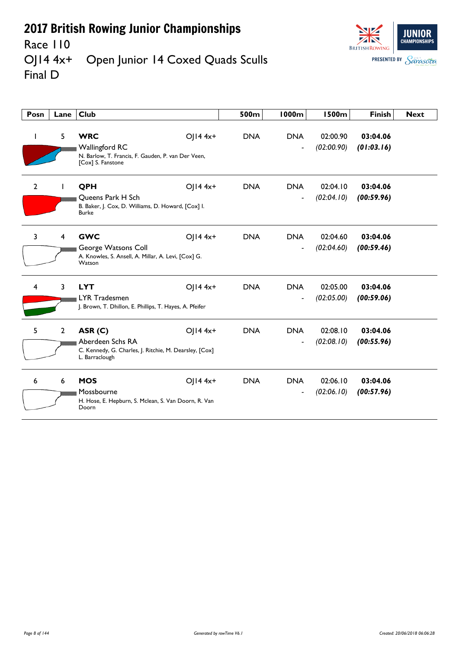

#### Race 110<br>OJ14 4x+ Open Junior 14 Coxed Quads Sculls Final D

| Posn           | Lane           | <b>Club</b>                                                                                                    |            | 500m       | <b>1000m</b>                           | <b>1500m</b>           | <b>Finish</b>          | <b>Next</b> |
|----------------|----------------|----------------------------------------------------------------------------------------------------------------|------------|------------|----------------------------------------|------------------------|------------------------|-------------|
|                | 5              | <b>WRC</b><br><b>Wallingford RC</b><br>N. Barlow, T. Francis, F. Gauden, P. van Der Veen,<br>[Cox] S. Fanstone | OJ14 4x+   | <b>DNA</b> | <b>DNA</b><br>$\blacksquare$           | 02:00.90<br>(02:00.90) | 03:04.06<br>(01:03.16) |             |
| $\overline{2}$ |                | QPH<br>Oueens Park H Sch<br>B. Baker, J. Cox, D. Williams, D. Howard, [Cox] I.<br><b>Burke</b>                 | $O  4 4x+$ | <b>DNA</b> | <b>DNA</b><br>$\blacksquare$           | 02:04.10<br>(02:04.10) | 03:04.06<br>(00:59.96) |             |
| 3              | 4              | <b>GWC</b><br>George Watsons Coll<br>A. Knowles, S. Ansell, A. Millar, A. Levi, [Cox] G.<br>Watson             | $O  4 4x+$ | <b>DNA</b> | <b>DNA</b><br>$\blacksquare$           | 02:04.60<br>(02:04.60) | 03:04.06<br>(00:59.46) |             |
| 4              | 3              | <b>LYT</b><br>LYR Tradesmen<br>J. Brown, T. Dhillon, E. Phillips, T. Hayes, A. Pfeifer                         | $O  4 4x+$ | <b>DNA</b> | <b>DNA</b><br>$\overline{\phantom{a}}$ | 02:05.00<br>(02:05.00) | 03:04.06<br>(00:59.06) |             |
| 5              | $\overline{2}$ | ASR (C)<br>Aberdeen Schs RA<br>C. Kennedy, G. Charles, J. Ritchie, M. Dearsley, [Cox]<br>L. Barraclough        | OJ14 4x+   | <b>DNA</b> | <b>DNA</b><br>$\blacksquare$           | 02:08.10<br>(02:08.10) | 03:04.06<br>(00:55.96) |             |
| 6              | 6              | <b>MOS</b><br>Mossbourne<br>H. Hose, E. Hepburn, S. Mclean, S. Van Doorn, R. Van<br>Doorn                      | OJ14 4x+   | <b>DNA</b> | <b>DNA</b>                             | 02:06.10<br>(02:06.10) | 03:04.06<br>(00:57.96) |             |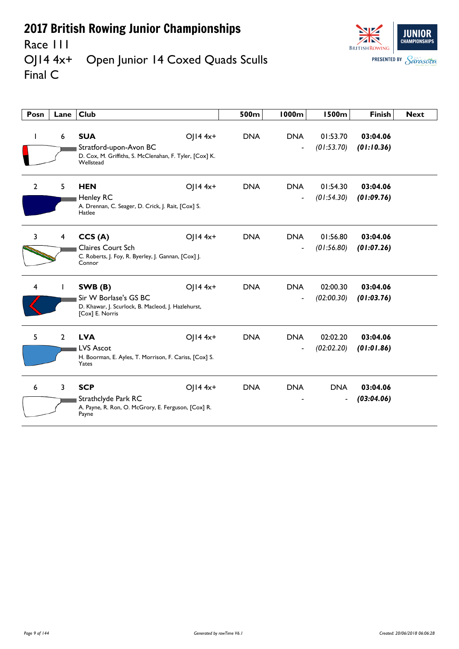

#### Race III<br>OJI4 4x+ Open Junior 14 Coxed Quads Sculls Final C

| Posn           | Lane           | <b>Club</b>                                                                                                  |            | 500m       | <b>1000m</b>                           | <b>1500m</b>                           | <b>Finish</b>          | <b>Next</b> |
|----------------|----------------|--------------------------------------------------------------------------------------------------------------|------------|------------|----------------------------------------|----------------------------------------|------------------------|-------------|
| L              | 6              | <b>SUA</b><br>Stratford-upon-Avon BC<br>D. Cox, M. Griffiths, S. McClenahan, F. Tyler, [Cox] K.<br>Wellstead | $O  4 4x+$ | <b>DNA</b> | <b>DNA</b><br>$\blacksquare$           | 01:53.70<br>(01:53.70)                 | 03:04.06<br>(01:10.36) |             |
| $\overline{2}$ | 5              | <b>HEN</b><br>Henley RC<br>A. Drennan, C. Seager, D. Crick, J. Rait, [Cox] S.<br>Hatlee                      | OJ14 4x+   | <b>DNA</b> | <b>DNA</b>                             | 01:54.30<br>(01:54.30)                 | 03:04.06<br>(01:09.76) |             |
| 3              | $\overline{4}$ | CCS(A)<br><b>Claires Court Sch</b><br>C. Roberts, J. Foy, R. Byerley, J. Gannan, [Cox] J.<br>Connor          | $OJI44x+$  | <b>DNA</b> | <b>DNA</b><br>$\blacksquare$           | 01:56.80<br>(01:56.80)                 | 03:04.06<br>(01:07.26) |             |
| 4              | Т              | SWB(B)<br>Sir W Borlase's GS BC<br>D. Khawar, J. Scurlock, B. Macleod, J. Hazlehurst,<br>[Cox] E. Norris     | $O  4 4x+$ | <b>DNA</b> | <b>DNA</b><br>$\overline{\phantom{a}}$ | 02:00.30<br>(02:00.30)                 | 03:04.06<br>(01:03.76) |             |
| 5              | $\overline{2}$ | <b>LVA</b><br><b>LVS Ascot</b><br>H. Boorman, E. Ayles, T. Morrison, F. Cariss, [Cox] S.<br>Yates            | $O  4 4x+$ | <b>DNA</b> | <b>DNA</b>                             | 02:02.20<br>(02:02.20)                 | 03:04.06<br>(01:01.86) |             |
| 6              | $\overline{3}$ | <b>SCP</b><br>Strathclyde Park RC<br>A. Payne, R. Ron, O. McGrory, E. Ferguson, [Cox] R.<br>Payne            | $O  4 4x+$ | <b>DNA</b> | <b>DNA</b>                             | <b>DNA</b><br>$\overline{\phantom{a}}$ | 03:04.06<br>(03:04.06) |             |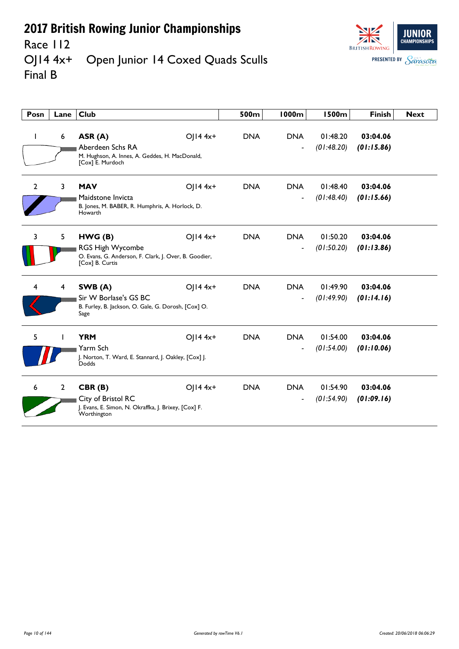

#### Race 112<br>OJ14 4x+ Open Junior 14 Coxed Quads Sculls Final B

| Posn           | Lane           | <b>Club</b>                                                                                                    |              | 500m       | 1000m                                  | 1500m                  | <b>Finish</b>          | <b>Next</b> |
|----------------|----------------|----------------------------------------------------------------------------------------------------------------|--------------|------------|----------------------------------------|------------------------|------------------------|-------------|
|                | 6              | ASR (A)<br>Aberdeen Schs RA<br>M. Hughson, A. Innes, A. Geddes, H. MacDonald,<br>[Cox] E. Murdoch              | $O$   14 4x+ | <b>DNA</b> | <b>DNA</b>                             | 01:48.20<br>(01:48.20) | 03:04.06<br>(01:15.86) |             |
| $\overline{2}$ | 3              | <b>MAV</b><br>Maidstone Invicta<br>B. Jones, M. BABER, R. Humphris, A. Horlock, D.<br>Howarth                  | $O  4 4x+$   | <b>DNA</b> | <b>DNA</b>                             | 01:48.40<br>(01:48.40) | 03:04.06<br>(01:15.66) |             |
| 3              | 5              | HWG (B)<br><b>RGS High Wycombe</b><br>O. Evans, G. Anderson, F. Clark, J. Over, B. Goodier,<br>[Cox] B. Curtis | $O  4 4x+$   | <b>DNA</b> | <b>DNA</b><br>$\overline{\phantom{a}}$ | 01:50.20<br>(01:50.20) | 03:04.06<br>(01:13.86) |             |
|                | 4              | SWB (A)<br>Sir W Borlase's GS BC<br>B. Furley, B. Jackson, O. Gale, G. Dorosh, [Cox] O.<br>Sage                | $O  4 4x+$   | <b>DNA</b> | <b>DNA</b><br>$\overline{\phantom{a}}$ | 01:49.90<br>(01:49.90) | 03:04.06<br>(01:14.16) |             |
| 5              |                | <b>YRM</b><br>Yarm Sch<br>J. Norton, T. Ward, E. Stannard, J. Oakley, [Cox] J.<br>Dodds                        | $O  4 4x+$   | <b>DNA</b> | <b>DNA</b>                             | 01:54.00<br>(01:54.00) | 03:04.06<br>(01:10.06) |             |
| 6              | $\overline{2}$ | CBR(B)<br>City of Bristol RC<br>J. Evans, E. Simon, N. Okraffka, J. Brixey, [Cox] F.<br>Worthington            | $O  4 4x+$   | <b>DNA</b> | <b>DNA</b>                             | 01:54.90<br>(01:54.90) | 03:04.06<br>(01:09.16) |             |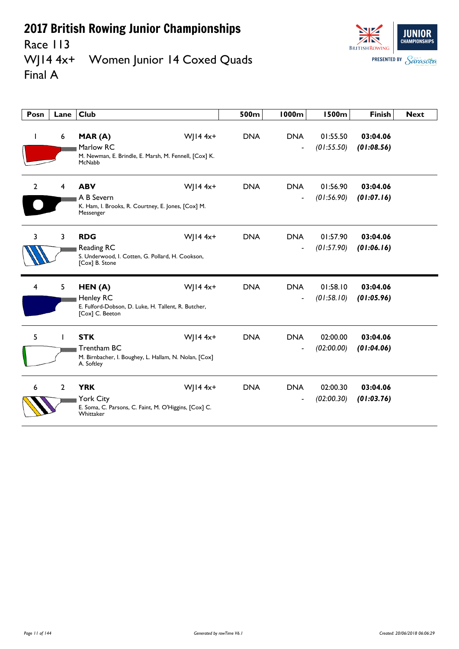

Race 113<br>WJ14 4x+ Women Junior 14 Coxed Quads Final A

| Posn         | Lane           | <b>Club</b>                                                                                          |              | 500m       | <b>1000m</b>                           | <b>1500m</b>           | <b>Finish</b>          | <b>Next</b> |
|--------------|----------------|------------------------------------------------------------------------------------------------------|--------------|------------|----------------------------------------|------------------------|------------------------|-------------|
|              | 6              | MAR(A)<br>Marlow RC<br>M. Newman, E. Brindle, E. Marsh, M. Fennell, [Cox] K.<br>McNabb               | $W$   14 4x+ | <b>DNA</b> | <b>DNA</b><br>$\blacksquare$           | 01:55.50<br>(01:55.50) | 03:04.06<br>(01:08.56) |             |
| $\mathbf{2}$ | $\overline{4}$ | <b>ABV</b><br>A B Severn<br>K. Ham, I. Brooks, R. Courtney, E. Jones, [Cox] M.<br>Messenger          | W  $14 4x+$  | <b>DNA</b> | <b>DNA</b><br>$\blacksquare$           | 01:56.90<br>(01:56.90) | 03:04.06<br>(01:07.16) |             |
| 3            | $\overline{3}$ | <b>RDG</b><br>Reading RC<br>S. Underwood, I. Cotten, G. Pollard, H. Cookson,<br>[Cox] B. Stone       | $W$   14 4x+ | <b>DNA</b> | <b>DNA</b><br>$\overline{\phantom{a}}$ | 01:57.90<br>(01:57.90) | 03:04.06<br>(01:06.16) |             |
| 4            | 5              | HEN(A)<br>Henley RC<br>E. Fulford-Dobson, D. Luke, H. Tallent, R. Butcher,<br>[Cox] C. Beeton        | $W$   14 4x+ | <b>DNA</b> | <b>DNA</b><br>$\blacksquare$           | 01:58.10<br>(01:58.10) | 03:04.06<br>(01:05.96) |             |
| 5            |                | <b>STK</b><br>Trentham BC<br>M. Birnbacher, I. Boughey, L. Hallam, N. Nolan, [Cox]<br>A. Softley     | $W$ ] 14 4x+ | <b>DNA</b> | <b>DNA</b>                             | 02:00.00<br>(02:00.00) | 03:04.06<br>(01:04.06) |             |
| 6            | $\overline{2}$ | <b>YRK</b><br><b>York City</b><br>E. Soma, C. Parsons, C. Faint, M. O'Higgins, [Cox] C.<br>Whittaker | $W$   14 4x+ | <b>DNA</b> | <b>DNA</b>                             | 02:00.30<br>(02:00.30) | 03:04.06<br>(01:03.76) |             |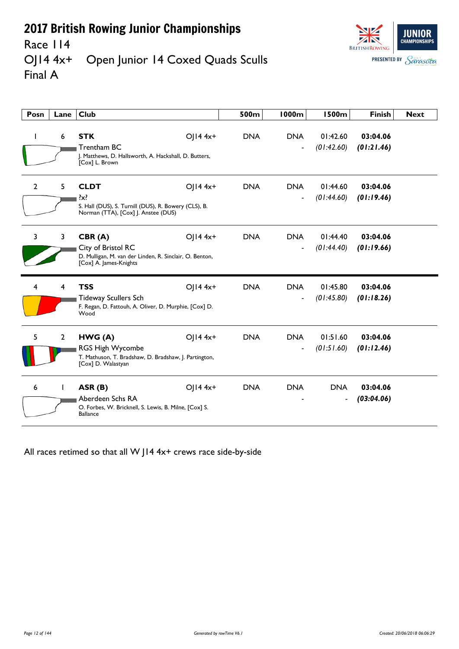

#### Race 114<br>OJ14 4x+ Open Junior 14 Coxed Quads Sculls Final A

| Posn           | Lane           | <b>Club</b>                                                                                                           |            | 500m       | <b>1000m</b>                           | <b>1500m</b>           | <b>Finish</b>          | <b>Next</b> |
|----------------|----------------|-----------------------------------------------------------------------------------------------------------------------|------------|------------|----------------------------------------|------------------------|------------------------|-------------|
| L              | 6              | <b>STK</b><br>Trentham BC<br>J. Matthews, D. Hallsworth, A. Hackshall, D. Butters,<br>[Cox] L. Brown                  | OJ14 4x+   | <b>DNA</b> | <b>DNA</b><br>$\overline{\phantom{a}}$ | 01:42.60<br>(01:42.60) | 03:04.06<br>(01:21.46) |             |
| $\overline{2}$ | 5              | <b>CLDT</b><br>$\{x\}$<br>S. Hall (DUS), S. Turnill (DUS), R. Bowery (CLS), B.<br>Norman (TTA), [Cox]  . Anstee (DUS) | OJ14 4x+   | <b>DNA</b> | <b>DNA</b>                             | 01:44.60<br>(01:44.60) | 03:04.06<br>(01:19.46) |             |
| 3              | $\overline{3}$ | CBR(A)<br>City of Bristol RC<br>D. Mulligan, M. van der Linden, R. Sinclair, O. Benton,<br>[Cox] A. James-Knights     | OJ14 4x+   | <b>DNA</b> | <b>DNA</b><br>$\blacksquare$           | 01:44.40<br>(01:44.40) | 03:04.06<br>(01:19.66) |             |
| 4              | 4              | <b>TSS</b><br><b>Tideway Scullers Sch</b><br>F. Regan, D. Fattouh, A. Oliver, D. Murphie, [Cox] D.<br>Wood            | OJ14 4x+   | <b>DNA</b> | <b>DNA</b><br>$\overline{\phantom{a}}$ | 01:45.80<br>(01:45.80) | 03:04.06<br>(01:18.26) |             |
| 5              | $\overline{2}$ | HWG(A)<br>RGS High Wycombe<br>T. Mathuson, T. Bradshaw, D. Bradshaw, J. Partington,<br>[Cox] D. Walastyan             | OJ14 4x+   | <b>DNA</b> | <b>DNA</b><br>$\blacksquare$           | 01:51.60<br>(01:51.60) | 03:04.06<br>(01:12.46) |             |
| 6              | $\mathbf{I}$   | ASR (B)<br>Aberdeen Schs RA<br>O. Forbes, W. Bricknell, S. Lewis, B. Milne, [Cox] S.<br><b>Ballance</b>               | $O  4 4x+$ | <b>DNA</b> | <b>DNA</b>                             | <b>DNA</b>             | 03:04.06<br>(03:04.06) |             |

All races retimed so that all W J14 4x+ crews race side-by-side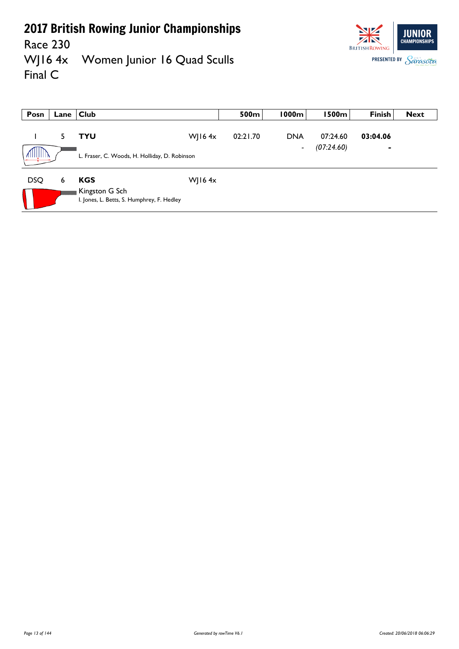**BRITISH ROWING** 

**JUNIOR CHAMPIONSHIPS** 

**PRESENTED BY Sarasota** 

Race 230<br>WJ16 4x Women Junior 16 Quad Sculls Final C

| Posn       | Lane | $ $ Club                                                                   |           | 500m     | 1000m                        | 1500m                  | <b>Finish</b>              | <b>Next</b> |
|------------|------|----------------------------------------------------------------------------|-----------|----------|------------------------------|------------------------|----------------------------|-------------|
|            | 5.   | TYU<br>L. Fraser, C. Woods, H. Holliday, D. Robinson                       | WJ16 $4x$ | 02:21.70 | <b>DNA</b><br>$\blacksquare$ | 07:24.60<br>(07:24.60) | 03:04.06<br>$\blacksquare$ |             |
| <b>DSQ</b> | 6    | <b>KGS</b><br>Kingston G Sch<br>I. Jones, L. Betts, S. Humphrey, F. Hedley | WJ16 $4x$ |          |                              |                        |                            |             |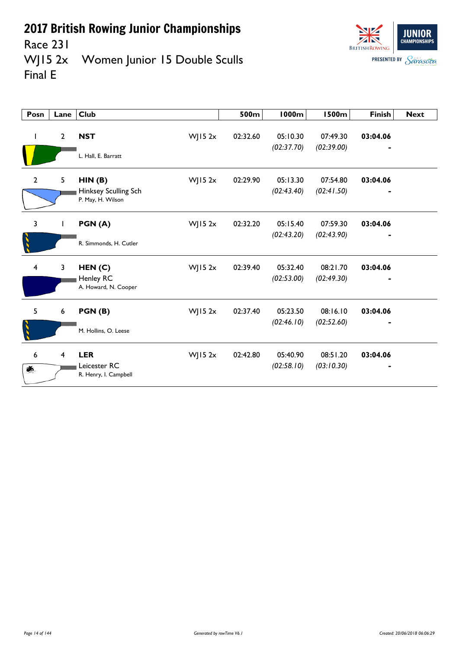

Race 231<br>WJ15 2x Women Junior 15 Double Sculls Final E

| Posn                    | Lane           | <b>Club</b>                               | 500m     | <b>1000m</b>           | <b>1500m</b>           | <b>Finish</b> | <b>Next</b> |
|-------------------------|----------------|-------------------------------------------|----------|------------------------|------------------------|---------------|-------------|
| $\mathbf{I}$            | $\overline{2}$ | <b>NST</b><br>$W$ JI5 2x                  | 02:32.60 | 05:10.30<br>(02:37.70) | 07:49.30<br>(02:39.00) | 03:04.06      |             |
|                         |                | L. Hall, E. Barratt                       |          |                        |                        |               |             |
| $\overline{2}$          | 5              | HIN(B)<br>$W$ JI5 2x                      | 02:29.90 | 05:13.30               | 07:54.80               | 03:04.06      |             |
|                         |                | Hinksey Sculling Sch<br>P. May, H. Wilson |          | (02:43.40)             | (02:41.50)             |               |             |
| $\overline{3}$          | $\mathbf{I}$   | $W$ JI5 2x<br>PGN(A)                      | 02:32.20 | 05:15.40               | 07:59.30               | 03:04.06      |             |
|                         |                | R. Simmonds, H. Cutler                    |          | (02:43.20)             | (02:43.90)             |               |             |
| $\overline{\mathbf{4}}$ | 3              | HEN(C)<br>WJ15 $2x$                       | 02:39.40 | 05:32.40               | 08:21.70               | 03:04.06      |             |
|                         |                | Henley RC<br>A. Howard, N. Cooper         |          | (02:53.00)             | (02:49.30)             |               |             |
| 5                       | 6              | $W$ JI5 2x<br>PGN(B)                      | 02:37.40 | 05:23.50               | 08:16.10               | 03:04.06      |             |
|                         |                | M. Hollins, O. Leese                      |          | (02:46.10)             | (02:52.60)             |               |             |
| 6                       | 4              | <b>LER</b><br>WJ15 $2x$                   | 02:42.80 | 05:40.90               | 08:51.20               | 03:04.06      |             |
| Øб.                     |                | Leicester RC<br>R. Henry, I. Campbell     |          | (02:58.10)             | (03:10.30)             |               |             |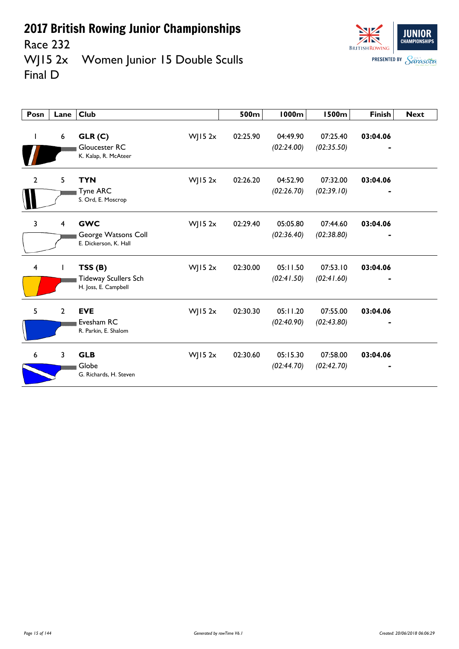



Race 232<br>WJ15 2x Women Junior 15 Double Sculls Final D

| Posn           | Lane             | <b>Club</b>                                                   | 500m                   | <b>1000m</b>           | <b>1500m</b>           | <b>Finish</b> | <b>Next</b> |
|----------------|------------------|---------------------------------------------------------------|------------------------|------------------------|------------------------|---------------|-------------|
|                | $\boldsymbol{6}$ | GLR(C)<br>Gloucester RC<br>K. Kalap, R. McAteer               | $W$ JI5 2x<br>02:25.90 | 04:49.90<br>(02:24.00) | 07:25.40<br>(02:35.50) | 03:04.06      |             |
| $\overline{2}$ | 5                | <b>TYN</b><br>Tyne ARC<br>S. Ord, E. Moscrop                  | WJ15 $2x$<br>02:26.20  | 04:52.90<br>(02:26.70) | 07:32.00<br>(02:39.10) | 03:04.06      |             |
| 3              | 4                | <b>GWC</b><br>George Watsons Coll<br>E. Dickerson, K. Hall    | $W$ JI5 2x<br>02:29.40 | 05:05.80<br>(02:36.40) | 07:44.60<br>(02:38.80) | 03:04.06      |             |
| 4              |                  | TSS(B)<br><b>Tideway Scullers Sch</b><br>H. Joss, E. Campbell | 02:30.00<br>$W$ JI5 2x | 05:11.50<br>(02:41.50) | 07:53.10<br>(02:41.60) | 03:04.06      |             |
| 5              | $\overline{2}$   | <b>EVE</b><br>Evesham RC<br>R. Parkin, E. Shalom              | 02:30.30<br>WJ15 $2x$  | 05:11.20<br>(02:40.90) | 07:55.00<br>(02:43.80) | 03:04.06      |             |
| 6              | $\overline{3}$   | <b>GLB</b><br>Globe<br>G. Richards, H. Steven                 | 02:30.60<br>WJ15 $2x$  | 05:15.30<br>(02:44.70) | 07:58.00<br>(02:42.70) | 03:04.06      |             |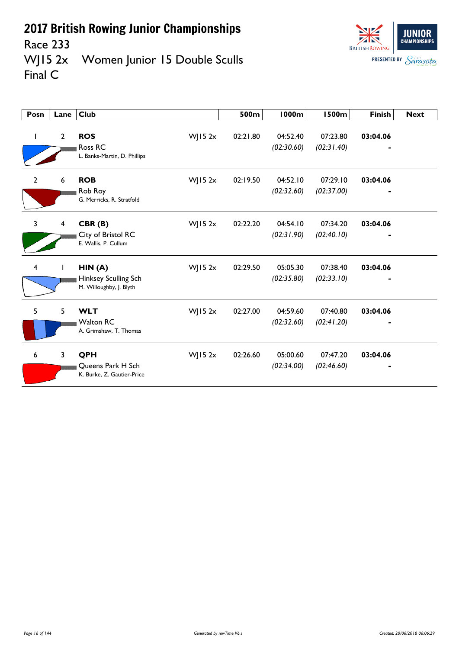

Race 233<br>WJ15 2x Women Junior 15 Double Sculls Final C

| Posn           | Lane           | <b>Club</b>                                               |            | 500m     | 1000m                  | <b>1500m</b>           | <b>Finish</b> | <b>Next</b> |
|----------------|----------------|-----------------------------------------------------------|------------|----------|------------------------|------------------------|---------------|-------------|
|                | $\overline{2}$ | <b>ROS</b><br>Ross RC<br>L. Banks-Martin, D. Phillips     | $W$ JI5 2x | 02:21.80 | 04:52.40<br>(02:30.60) | 07:23.80<br>(02:31.40) | 03:04.06      |             |
| $\mathbf{2}$   | 6              | <b>ROB</b><br>Rob Roy<br>G. Merricks, R. Stratfold        | $W$ JI5 2x | 02:19.50 | 04:52.10<br>(02:32.60) | 07:29.10<br>(02:37.00) | 03:04.06      |             |
| $\overline{3}$ | 4              | CBR(B)<br>City of Bristol RC<br>E. Wallis, P. Cullum      | WJ15 $2x$  | 02:22.20 | 04:54.10<br>(02:31.90) | 07:34.20<br>(02:40.10) | 03:04.06      |             |
| $\overline{4}$ |                | HIN(A)<br>Hinksey Sculling Sch<br>M. Willoughby, J. Blyth | WJ15 $2x$  | 02:29.50 | 05:05.30<br>(02:35.80) | 07:38.40<br>(02:33.10) | 03:04.06      |             |
| 5              | 5              | <b>WLT</b><br><b>Walton RC</b><br>A. Grimshaw, T. Thomas  | WJ15 $2x$  | 02:27.00 | 04:59.60<br>(02:32.60) | 07:40.80<br>(02:41.20) | 03:04.06      |             |
| 6              | $\mathbf{3}$   | QPH<br>Queens Park H Sch<br>K. Burke, Z. Gautier-Price    | WJ15 $2x$  | 02:26.60 | 05:00.60<br>(02:34.00) | 07:47.20<br>(02:46.60) | 03:04.06      |             |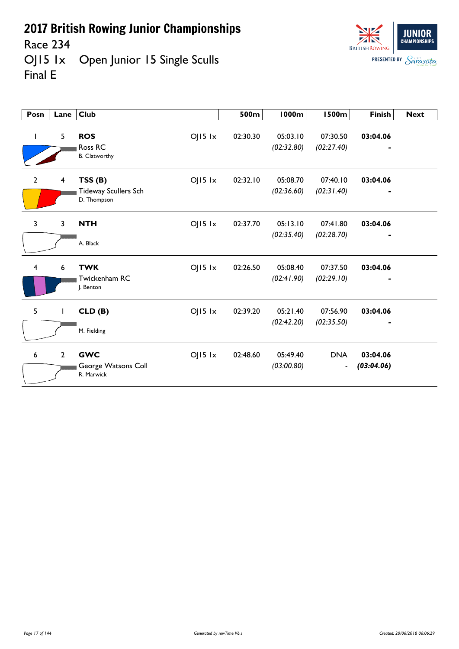Race 234

OJ15 1x Open Junior 15 Single Sculls Final E



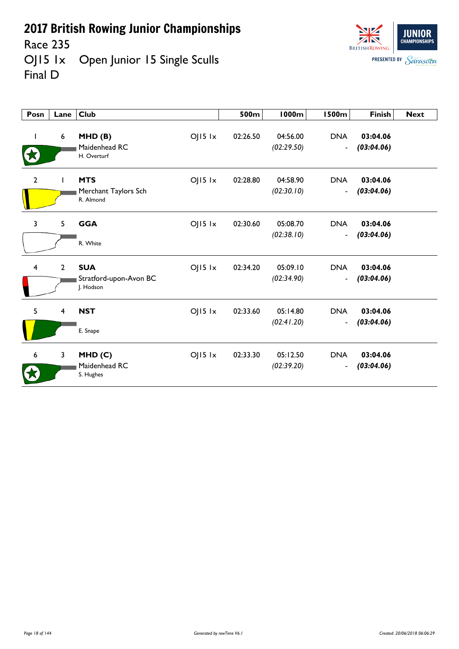Race 235

OJ15 1x Open Junior 15 Single Sculls Final D

| Posn                    | Lane $ $                | <b>Club</b>                                                      | 500m     | 1000m                  | 1500m                                      | <b>Finish</b>          | <b>Next</b> |
|-------------------------|-------------------------|------------------------------------------------------------------|----------|------------------------|--------------------------------------------|------------------------|-------------|
| $\mathbf{I}$            | $6\phantom{1}6$         | $OJI5$ $1x$<br>MHD(B)<br>Maidenhead RC<br>H. Overturf            | 02:26.50 | 04:56.00<br>(02:29.50) | <b>DNA</b><br>$\overline{\phantom{m}}$     | 03:04.06<br>(03:04.06) |             |
| $\mathbf{2}$            | $\mathbf{I}$            | <b>MTS</b><br>$OJ15$ $1x$<br>Merchant Taylors Sch<br>R. Almond   | 02:28.80 | 04:58.90<br>(02:30.10) | <b>DNA</b><br>$\qquad \qquad \blacksquare$ | 03:04.06<br>(03:04.06) |             |
| 3                       | 5                       | $OJI5$ $1x$<br><b>GGA</b><br>R. White                            | 02:30.60 | 05:08.70<br>(02:38.10) | <b>DNA</b><br>$\overline{\phantom{a}}$     | 03:04.06<br>(03:04.06) |             |
| $\overline{\mathbf{4}}$ | $\overline{2}$          | <b>SUA</b><br>$OJI5$ $1x$<br>Stratford-upon-Avon BC<br>J. Hodson | 02:34.20 | 05:09.10<br>(02:34.90) | <b>DNA</b><br>$\overline{\phantom{a}}$     | 03:04.06<br>(03:04.06) |             |
| 5                       | $\overline{\mathbf{4}}$ | <b>NST</b><br>$OJ15$ $1x$<br>E. Snape                            | 02:33.60 | 05:14.80<br>(02:41.20) | <b>DNA</b><br>$\overline{\phantom{a}}$     | 03:04.06<br>(03:04.06) |             |
| 6                       | 3                       | $O$   15 $1x$<br>MHD(C)<br>Maidenhead RC<br>S. Hughes            | 02:33.30 | 05:12.50<br>(02:39.20) | <b>DNA</b><br>$\overline{\phantom{a}}$     | 03:04.06<br>(03:04.06) |             |

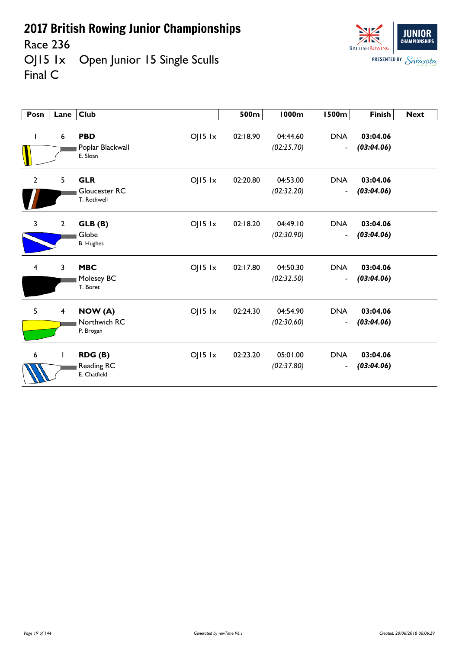Race 236

OJ15 1x Open Junior 15 Single Sculls Final C



| Posn           | Lane                    | Club                                                             | 500m     | <b>1000m</b>           | <b>1500m</b>                               | <b>Finish</b>          | <b>Next</b> |
|----------------|-------------------------|------------------------------------------------------------------|----------|------------------------|--------------------------------------------|------------------------|-------------|
|                | 6                       | <b>PBD</b><br>$O$   15 $1x$<br>Poplar Blackwall<br>E. Sloan      | 02:18.90 | 04:44.60<br>(02:25.70) | <b>DNA</b><br>$\blacksquare$               | 03:04.06<br>(03:04.06) |             |
| $\overline{2}$ | 5                       | <b>GLR</b><br>$OJI5$ $1x$<br><b>Gloucester RC</b><br>T. Rothwell | 02:20.80 | 04:53.00<br>(02:32.20) | <b>DNA</b><br>$\blacksquare$               | 03:04.06<br>(03:04.06) |             |
| 3              | $\overline{2}$          | $OJI5$ $1x$<br>GLB (B)<br>Globe<br><b>B.</b> Hughes              | 02:18.20 | 04:49.10<br>(02:30.90) | <b>DNA</b><br>$\blacksquare$               | 03:04.06<br>(03:04.06) |             |
| $\overline{4}$ | 3                       | <b>MBC</b><br>$O$   15 $1x$<br>Molesey BC<br>T. Boret            | 02:17.80 | 04:50.30<br>(02:32.50) | <b>DNA</b><br>$\overline{\phantom{a}}$     | 03:04.06<br>(03:04.06) |             |
| 5              | $\overline{\mathbf{4}}$ | $O$   15 $1x$<br>NOW (A)<br>Northwich RC<br>P. Brogan            | 02:24.30 | 04:54.90<br>(02:30.60) | <b>DNA</b><br>$\blacksquare$               | 03:04.06<br>(03:04.06) |             |
| 6              |                         | $OJI5$ $1x$<br>RDG(B)<br>Reading RC<br>E. Chatfield              | 02:23.20 | 05:01.00<br>(02:37.80) | <b>DNA</b><br>$\qquad \qquad \blacksquare$ | 03:04.06<br>(03:04.06) |             |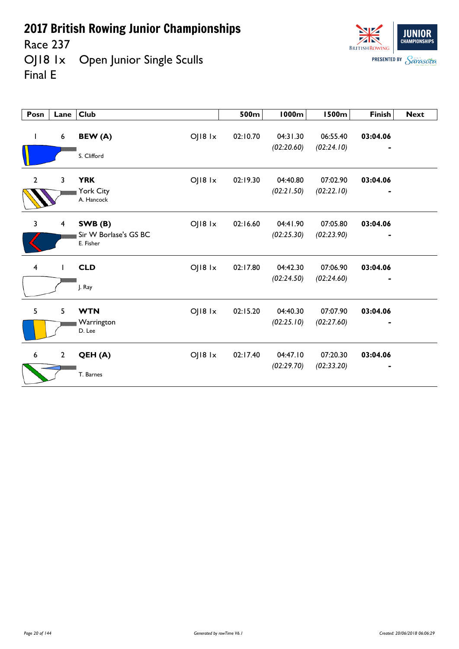Race 237<br>OJ18 1x Open Junior Single Sculls Final E



| Posn                    | Lane         | <b>Club</b>                                                     | 500m     | <b>1000m</b>           | <b>1500m</b>           | <b>Finish</b> | <b>Next</b> |
|-------------------------|--------------|-----------------------------------------------------------------|----------|------------------------|------------------------|---------------|-------------|
| $\mathbf{I}$            | 6            | OJ18 1x<br>BEW (A)<br>S. Clifford                               | 02:10.70 | 04:31.30<br>(02:20.60) | 06:55.40<br>(02:24.10) | 03:04.06      |             |
| $\overline{2}$          | 3            | <b>YRK</b><br>$O$   $18$ $1x$<br>York City<br>A. Hancock        | 02:19.30 | 04:40.80<br>(02:21.50) | 07:02.90<br>(02:22.10) | 03:04.06      |             |
| $\overline{3}$          | 4            | $O$   $18$ $1x$<br>SWB(B)<br>Sir W Borlase's GS BC<br>E. Fisher | 02:16.60 | 04:41.90<br>(02:25.30) | 07:05.80<br>(02:23.90) | 03:04.06<br>٠ |             |
| $\overline{\mathbf{4}}$ |              | $O$   $18$ $1x$<br><b>CLD</b><br>J. Ray                         | 02:17.80 | 04:42.30<br>(02:24.50) | 07:06.90<br>(02:24.60) | 03:04.06      |             |
| 5                       | 5            | OJ18 1x<br><b>WTN</b><br>Warrington<br>D. Lee                   | 02:15.20 | 04:40.30<br>(02:25.10) | 07:07.90<br>(02:27.60) | 03:04.06      |             |
| $\boldsymbol{6}$        | $\mathbf{2}$ | OJ18 1x<br>QEH (A)<br>T. Barnes                                 | 02:17.40 | 04:47.10<br>(02:29.70) | 07:20.30<br>(02:33.20) | 03:04.06      |             |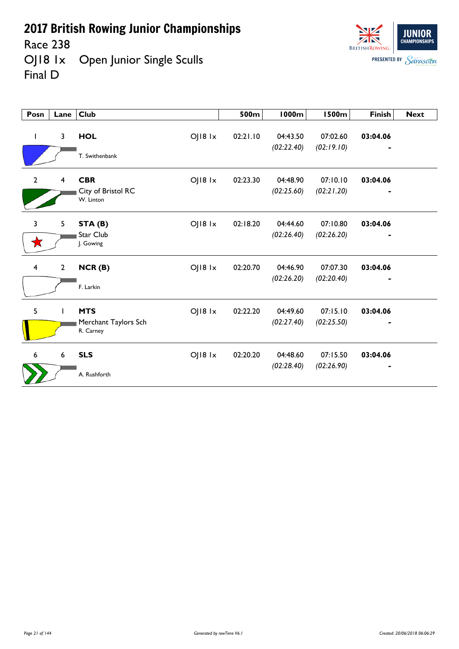Race 238<br>OJ18 1x Open Junior Single Sculls Final D



| Posn                    | Lane            | <b>Club</b>                                                        | 500m     | 1000m                  | <b>1500m</b>           | <b>Finish</b> | <b>Next</b> |
|-------------------------|-----------------|--------------------------------------------------------------------|----------|------------------------|------------------------|---------------|-------------|
| L                       | $\mathbf{3}$    | <b>HOL</b><br>$O$   $18$ $1x$<br>T. Swithenbank                    | 02:21.10 | 04:43.50<br>(02:22.40) | 07:02.60<br>(02:19.10) | 03:04.06<br>٠ |             |
| $\overline{2}$          | $\overline{4}$  | <b>CBR</b><br>OJ18 1x<br>City of Bristol RC<br>W. Linton           | 02:23.30 | 04:48.90<br>(02:25.60) | 07:10.10<br>(02:21.20) | 03:04.06      |             |
| 3<br>★                  | 5               | $O$   $18$ $1x$<br>STA (B)<br>Star Club<br>J. Gowing               | 02:18.20 | 04:44.60<br>(02:26.40) | 07:10.80<br>(02:26.20) | 03:04.06      |             |
| $\overline{\mathbf{4}}$ | $\overline{2}$  | $O$   $18$ $1x$<br>NCR(B)<br>F. Larkin                             | 02:20.70 | 04:46.90<br>(02:26.20) | 07:07.30<br>(02:20.40) | 03:04.06      |             |
| 5                       | $\mathbf{I}$    | <b>MTS</b><br>$O$   $18$ $1x$<br>Merchant Taylors Sch<br>R. Carney | 02:22.20 | 04:49.60<br>(02:27.40) | 07:15.10<br>(02:25.50) | 03:04.06      |             |
| 6                       | $6\phantom{.}6$ | <b>SLS</b><br>OJ18 1x<br>A. Rushforth                              | 02:20.20 | 04:48.60<br>(02:28.40) | 07:15.50<br>(02:26.90) | 03:04.06      |             |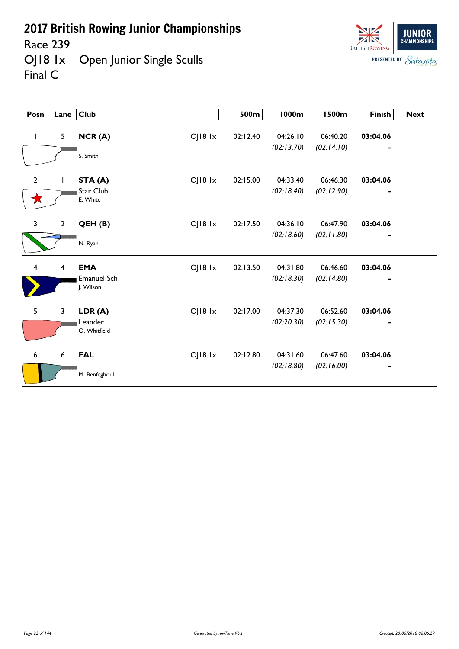Race 239

OJ18 1x Open Junior Single Sculls Final C

| Posn             | Lane                    | $ $ Club                                                 | 500m     | 1000m                  | 1500m                  | <b>Finish</b> | <b>Next</b> |
|------------------|-------------------------|----------------------------------------------------------|----------|------------------------|------------------------|---------------|-------------|
| L                | 5                       | NCR(A)<br>OJ18 1x<br>S. Smith                            | 02:12.40 | 04:26.10<br>(02:13.70) | 06:40.20<br>(02:14.10) | 03:04.06      |             |
| $\mathbf 2$<br>★ |                         | OJ18 1x<br>STA (A)<br>Star Club<br>E. White              | 02:15.00 | 04:33.40<br>(02:18.40) | 06:46.30<br>(02:12.90) | 03:04.06      |             |
| 3                | $\mathbf{2}$            | OJ18 1x<br>QEH(B)<br>N. Ryan                             | 02:17.50 | 04:36.10<br>(02:18.60) | 06:47.90<br>(02:11.80) | 03:04.06      |             |
| 4                | $\overline{\mathbf{4}}$ | <b>EMA</b><br>OJ18 1x<br><b>Emanuel Sch</b><br>J. Wilson | 02:13.50 | 04:31.80<br>(02:18.30) | 06:46.60<br>(02:14.80) | 03:04.06      |             |
| 5                | 3                       | OJ18 1x<br>LDR(A)<br>Leander<br>O. Whitfield             | 02:17.00 | 04:37.30<br>(02:20.30) | 06:52.60<br>(02:15.30) | 03:04.06      |             |
| 6                | 6                       | OJ18 1x<br><b>FAL</b><br>M. Benfeghoul                   | 02:12.80 | 04:31.60<br>(02:18.80) | 06:47.60<br>(02:16.00) | 03:04.06      |             |

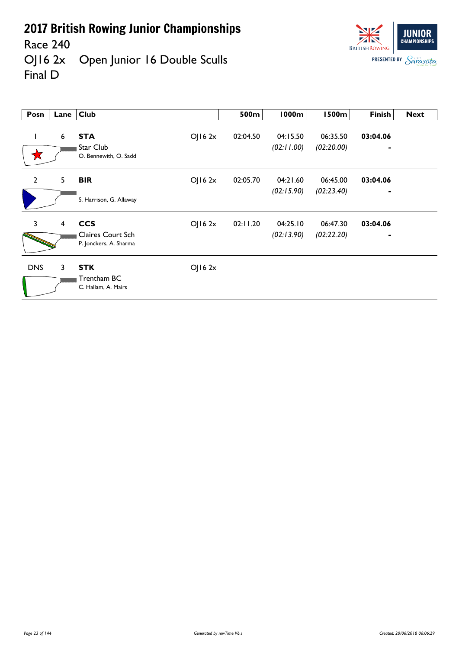Race 240<br>OJ16 2x Open Junior 16 Double Sculls Final D



| Posn           | Lane           | <b>Club</b>                                                         | 500m     | <b>1000m</b>           | <b>1500m</b>           | <b>Finish</b>              | <b>Next</b> |
|----------------|----------------|---------------------------------------------------------------------|----------|------------------------|------------------------|----------------------------|-------------|
|                | 6              | <b>STA</b><br>OJ162x<br>Star Club<br>O. Bennewith, O. Sadd          | 02:04.50 | 04:15.50<br>(02:11.00) | 06:35.50<br>(02:20.00) | 03:04.06<br>٠              |             |
| $\overline{2}$ | 5              | OJ162x<br><b>BIR</b><br>S. Harrison, G. Allaway                     | 02:05.70 | 04:21.60<br>(02:15.90) | 06:45.00<br>(02:23.40) | 03:04.06<br>$\blacksquare$ |             |
| $\overline{3}$ | $\overline{4}$ | <b>CCS</b><br>OJ162x<br>Claires Court Sch<br>P. Jonckers, A. Sharma | 02:11.20 | 04:25.10<br>(02:13.90) | 06:47.30<br>(02:22.20) | 03:04.06                   |             |
| <b>DNS</b>     | 3              | <b>STK</b><br>OJ162x<br>Trentham BC<br>C. Hallam, A. Mairs          |          |                        |                        |                            |             |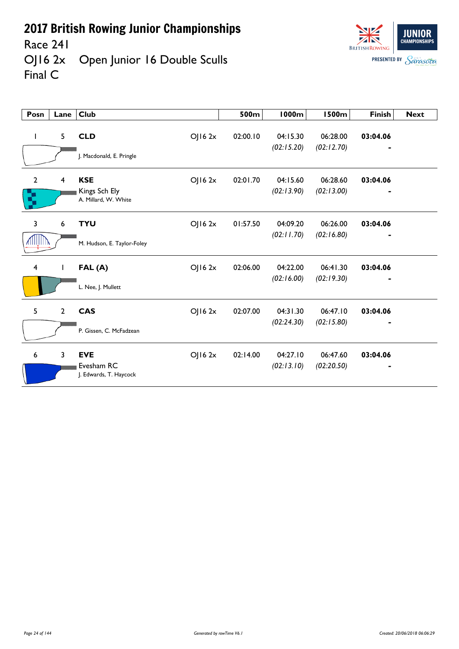

Race 241<br>OJ16 2x Open Junior 16 Double Sculls Final C



| Posn                | Lane                    | <b>Club</b>                                                    | 500m     | 1000m                  | <b>1500m</b>           | <b>Finish</b> | <b>Next</b> |
|---------------------|-------------------------|----------------------------------------------------------------|----------|------------------------|------------------------|---------------|-------------|
|                     | 5                       | <b>CLD</b><br>OJ162x<br>J. Macdonald, E. Pringle               | 02:00.10 | 04:15.30<br>(02:15.20) | 06:28.00<br>(02:12.70) | 03:04.06      |             |
| $\overline{2}$<br>ζ | $\overline{\mathbf{4}}$ | <b>KSE</b><br>OJ16 2x<br>Kings Sch Ely<br>A. Millard, W. White | 02:01.70 | 04:15.60<br>(02:13.90) | 06:28.60<br>(02:13.00) | 03:04.06      |             |
| 3<br>AHILIHIN       | 6                       | <b>TYU</b><br>OJ162x<br>M. Hudson, E. Taylor-Foley             | 01:57.50 | 04:09.20<br>(02:11.70) | 06:26.00<br>(02:16.80) | 03:04.06      |             |
| 4                   | L                       | OJ162x<br>FAL(A)<br>L. Nee, J. Mullett                         | 02:06.00 | 04:22.00<br>(02:16.00) | 06:41.30<br>(02:19.30) | 03:04.06      |             |
| 5                   | $\overline{2}$          | <b>CAS</b><br>OJ162x<br>P. Gissen, C. McFadzean                | 02:07.00 | 04:31.30<br>(02:24.30) | 06:47.10<br>(02:15.80) | 03:04.06      |             |
| 6                   | 3                       | <b>EVE</b><br>OJ162x<br>Evesham RC<br>J. Edwards, T. Haycock   | 02:14.00 | 04:27.10<br>(02:13.10) | 06:47.60<br>(02:20.50) | 03:04.06      |             |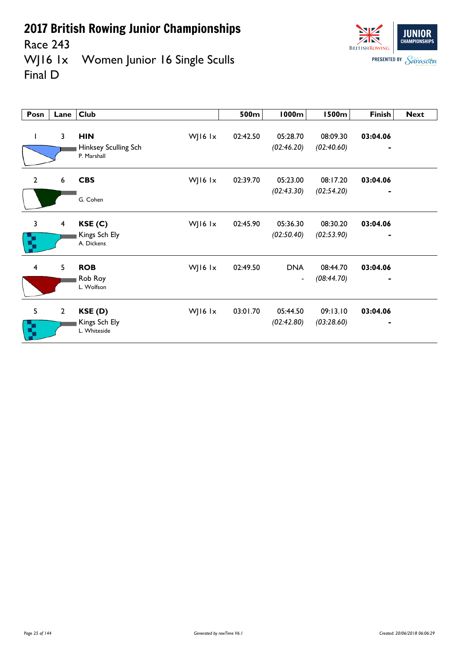Race 243



WJ16 1x Women Junior 16 Single Sculls Final D

| Posn                    | Lane                    | <b>Club</b>                                                    | 500m     | <b>1000m</b>             | <b>1500m</b>           | <b>Finish</b>              | <b>Next</b> |
|-------------------------|-------------------------|----------------------------------------------------------------|----------|--------------------------|------------------------|----------------------------|-------------|
|                         | 3                       | <b>HIN</b><br>WJ16 $1x$<br>Hinksey Sculling Sch<br>P. Marshall | 02:42.50 | 05:28.70<br>(02:46.20)   | 08:09.30<br>(02:40.60) | 03:04.06<br>$\blacksquare$ |             |
| $\overline{2}$          | 6                       | <b>CBS</b><br>WJ16 $1x$                                        | 02:39.70 | 05:23.00<br>(02:43.30)   | 08:17.20<br>(02:54.20) | 03:04.06<br>$\blacksquare$ |             |
|                         |                         | G. Cohen                                                       |          |                          |                        |                            |             |
| $\mathbf{3}$            | $\overline{\mathbf{4}}$ | WJ16 lx<br>KSE(C)                                              | 02:45.90 | 05:36.30                 | 08:30.20               | 03:04.06                   |             |
| R,                      |                         | Kings Sch Ely<br>A. Dickens                                    |          | (02:50.40)               | (02:53.90)             | $\blacksquare$             |             |
| $\overline{\mathbf{4}}$ | 5                       | <b>ROB</b><br>WJ16 lx                                          | 02:49.50 | <b>DNA</b>               | 08:44.70               | 03:04.06                   |             |
|                         |                         | Rob Roy<br>L. Wolfson                                          |          | $\overline{\phantom{a}}$ | (08:44.70)             | $\blacksquare$             |             |
| 5                       | $\mathbf{2}$            | WJ16 lx<br>KSE(D)                                              | 03:01.70 | 05:44.50                 | 09:13.10               | 03:04.06                   |             |
| ą                       |                         | Kings Sch Ely<br>L. Whiteside                                  |          | (02:42.80)               | (03:28.60)             | $\blacksquare$             |             |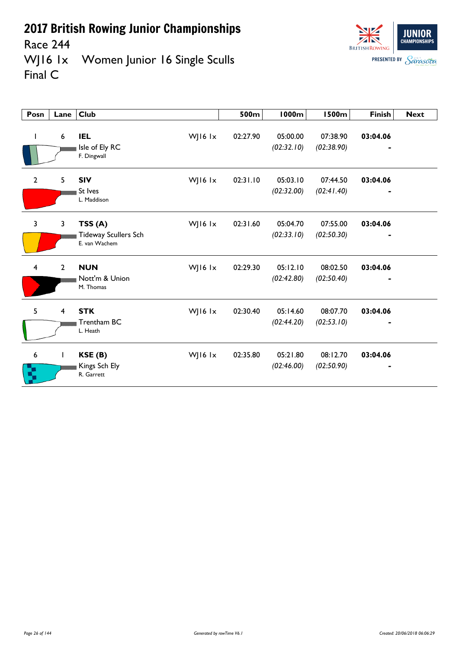

Race 244<br>WJ16 1x Women Junior 16 Single Sculls Final C

| Posn           | Lane             | <b>Club</b>                                                | 500m     | 1000m                  | <b>1500m</b>           | <b>Finish</b> | <b>Next</b> |
|----------------|------------------|------------------------------------------------------------|----------|------------------------|------------------------|---------------|-------------|
|                | $\boldsymbol{6}$ | <b>IEL</b><br>WJ16 lx<br>Isle of Ely RC<br>F. Dingwall     | 02:27.90 | 05:00.00<br>(02:32.10) | 07:38.90<br>(02:38.90) | 03:04.06      |             |
| $\mathbf{2}$   | 5                | <b>SIV</b><br>WJ16 lx<br>St Ives<br>L. Maddison            | 02:31.10 | 05:03.10<br>(02:32.00) | 07:44.50<br>(02:41.40) | 03:04.06      |             |
| $\overline{3}$ | 3                | TSS(A)<br>WJ16 lx<br>Tideway Scullers Sch<br>E. van Wachem | 02:31.60 | 05:04.70<br>(02:33.10) | 07:55.00<br>(02:50.30) | 03:04.06      |             |
| 4              | $\overline{2}$   | WJ16 lx<br><b>NUN</b><br>Nott'm & Union<br>M. Thomas       | 02:29.30 | 05:12.10<br>(02:42.80) | 08:02.50<br>(02:50.40) | 03:04.06      |             |
| 5              | $\overline{4}$   | <b>STK</b><br>WJ16 lx<br>Trentham BC<br>L. Heath           | 02:30.40 | 05:14.60<br>(02:44.20) | 08:07.70<br>(02:53.10) | 03:04.06      |             |
| 6              | $\mathbf{I}$     | WJ16 lx<br>KSE (B)<br>Kings Sch Ely<br>R. Garrett          | 02:35.80 | 05:21.80<br>(02:46.00) | 08:12.70<br>(02:50.90) | 03:04.06      |             |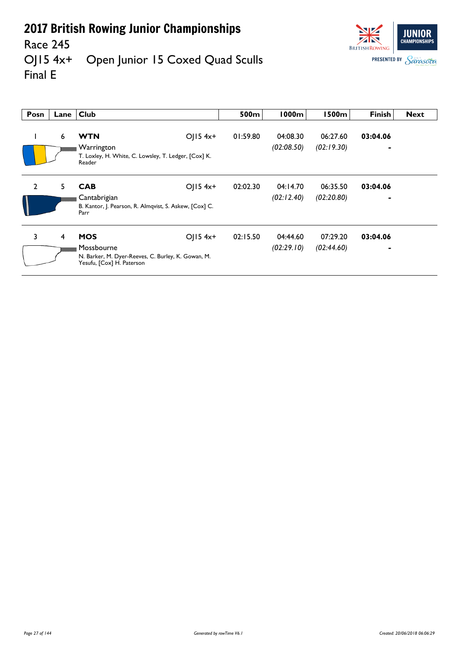

#### Race 245<br>OJ15 4x+ Open Junior 15 Coxed Quad Sculls Final E

| Posn                                                                           | Lane | <b>Club</b>                                                                     |              | 500m     | 1000m      | <b>1500m</b> | <b>Finish</b>            | <b>Next</b> |
|--------------------------------------------------------------------------------|------|---------------------------------------------------------------------------------|--------------|----------|------------|--------------|--------------------------|-------------|
|                                                                                | 6    | <b>WTN</b>                                                                      | $O$   15 4x+ | 01:59.80 | 04:08.30   | 06:27.60     | 03:04.06                 |             |
|                                                                                |      | Warrington                                                                      |              |          | (02:08.50) | (02:19.30)   | $\overline{\phantom{0}}$ |             |
|                                                                                |      | T. Loxley, H. White, C. Lowsley, T. Ledger, [Cox] K.<br>Reader                  |              |          |            |              |                          |             |
| $\overline{2}$                                                                 | 5    | <b>CAB</b>                                                                      | $O$   15 4x+ | 02:02.30 | 04:14.70   | 06:35.50     | 03:04.06                 |             |
| Cantabrigian<br>B. Kantor, J. Pearson, R. Almqvist, S. Askew, [Cox] C.<br>Parr |      |                                                                                 |              |          | (02:12.40) | (02:20.80)   | $\overline{\phantom{0}}$ |             |
| 3                                                                              | 4    | <b>MOS</b>                                                                      | $O(15.4x+$   | 02:15.50 | 04:44.60   | 07:29.20     | 03:04.06                 |             |
|                                                                                |      | Mossbourne                                                                      |              |          | (02:29.10) | (02:44.60)   |                          |             |
|                                                                                |      | N. Barker, M. Dyer-Reeves, C. Burley, K. Gowan, M.<br>Yesufu, [Cox] H. Paterson |              |          |            |              |                          |             |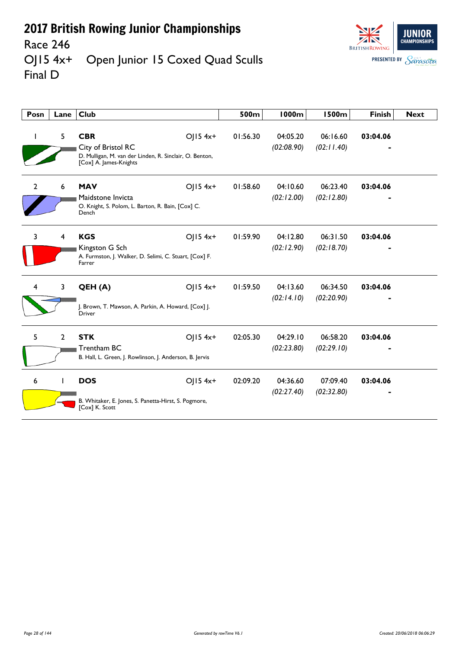

#### Race 246<br>OJ15 4x<sup>+</sup> Open Junior 15 Coxed Quad Sculls Final D

| Posn           | Lane           | <b>Club</b>                                                                                                                         | 500m     | <b>1000m</b>           | <b>1500m</b>           | <b>Finish</b> | <b>Next</b> |
|----------------|----------------|-------------------------------------------------------------------------------------------------------------------------------------|----------|------------------------|------------------------|---------------|-------------|
|                | 5              | <b>CBR</b><br>$OJ15$ 4x+<br>City of Bristol RC<br>D. Mulligan, M. van der Linden, R. Sinclair, O. Benton,<br>[Cox] A. James-Knights | 01:56.30 | 04:05.20<br>(02:08.90) | 06:16.60<br>(02:11.40) | 03:04.06      |             |
| $\overline{2}$ | 6              | $O  5 4x+$<br><b>MAV</b><br>Maidstone Invicta<br>O. Knight, S. Polom, L. Barton, R. Bain, [Cox] C.<br>Dench                         | 01:58.60 | 04:10.60<br>(02:12.00) | 06:23.40<br>(02:12.80) | 03:04.06      |             |
| 3              | 4              | <b>KGS</b><br>$O  5 4x+$<br>Kingston G Sch<br>A. Furmston, J. Walker, D. Selimi, C. Stuart, [Cox] F.<br>Farrer                      | 01:59.90 | 04:12.80<br>(02:12.90) | 06:31.50<br>(02:18.70) | 03:04.06      |             |
| 4              | $\mathbf{3}$   | QEH (A)<br>$O  5 4x+$<br>J. Brown, T. Mawson, A. Parkin, A. Howard, [Cox] J.<br><b>Driver</b>                                       | 01:59.50 | 04:13.60<br>(02:14.10) | 06:34.50<br>(02:20.90) | 03:04.06      |             |
| 5.             | $\overline{2}$ | <b>STK</b><br>$O  5 4x+$<br>Trentham BC<br>B. Hall, L. Green, J. Rowlinson, J. Anderson, B. Jervis                                  | 02:05.30 | 04:29.10<br>(02:23.80) | 06:58.20<br>(02:29.10) | 03:04.06      |             |
| 6              | -              | <b>DOS</b><br>$O  5 4x+$<br>B. Whitaker, E. Jones, S. Panetta-Hirst, S. Pogmore,<br>[Cox] K. Scott                                  | 02:09.20 | 04:36.60<br>(02:27.40) | 07:09.40<br>(02:32.80) | 03:04.06      |             |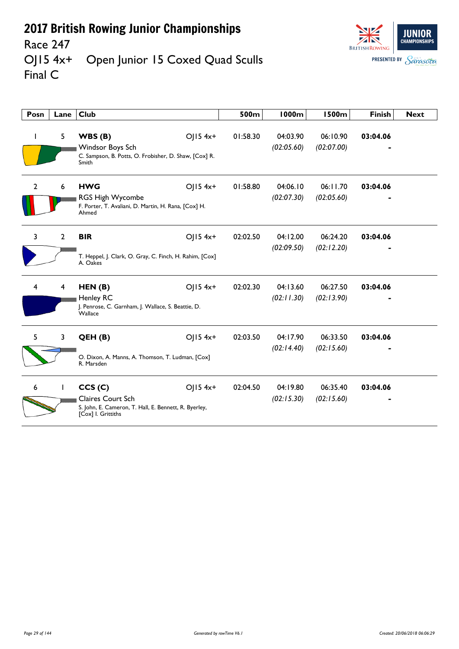

#### Race 247<br>OJ15 4x+ Open Junior 15 Coxed Quad Sculls Final C

| Posn           | Lane         | <b>Club</b>                                                                                                       |            | 500m     | <b>1000m</b>           | <b>1500m</b>           | <b>Finish</b> | <b>Next</b> |
|----------------|--------------|-------------------------------------------------------------------------------------------------------------------|------------|----------|------------------------|------------------------|---------------|-------------|
|                | 5            | WBS(B)<br>Windsor Boys Sch<br>C. Sampson, B. Potts, O. Frobisher, D. Shaw, [Cox] R.<br>Smith                      | $OJ15$ 4x+ | 01:58.30 | 04:03.90<br>(02:05.60) | 06:10.90<br>(02:07.00) | 03:04.06      |             |
| $\overline{2}$ | 6            | <b>HWG</b><br>RGS High Wycombe<br>F. Porter, T. Avaliani, D. Martin, H. Rana, [Cox] H.<br>Ahmed                   | $OJ15$ 4x+ | 01:58.80 | 04:06.10<br>(02:07.30) | 06:11.70<br>(02:05.60) | 03:04.06      |             |
| 3              | $\mathbf{2}$ | <b>BIR</b><br>T. Heppel, J. Clark, O. Gray, C. Finch, H. Rahim, [Cox]<br>A. Oakes                                 | OJ15 4x+   | 02:02.50 | 04:12.00<br>(02:09.50) | 06:24.20<br>(02:12.20) | 03:04.06      |             |
| 4              | 4            | HEN(B)<br>Henley RC<br>J. Penrose, C. Garnham, J. Wallace, S. Beattie, D.<br>Wallace                              | $O  5 4x+$ | 02:02.30 | 04:13.60<br>(02:11.30) | 06:27.50<br>(02:13.90) | 03:04.06      |             |
| 5              | $\mathbf{3}$ | QEH(B)<br>O. Dixon, A. Manns, A. Thomson, T. Ludman, [Cox]<br>R. Marsden                                          | $O  5 4x+$ | 02:03.50 | 04:17.90<br>(02:14.40) | 06:33.50<br>(02:15.60) | 03:04.06      |             |
| 6              | L            | CCS(C)<br><b>Claires Court Sch</b><br>S. John, E. Cameron, T. Hall, E. Bennett, R. Byerley,<br>[Cox] I. Grittiths | $O  5 4x+$ | 02:04.50 | 04:19.80<br>(02:15.30) | 06:35.40<br>(02:15.60) | 03:04.06      |             |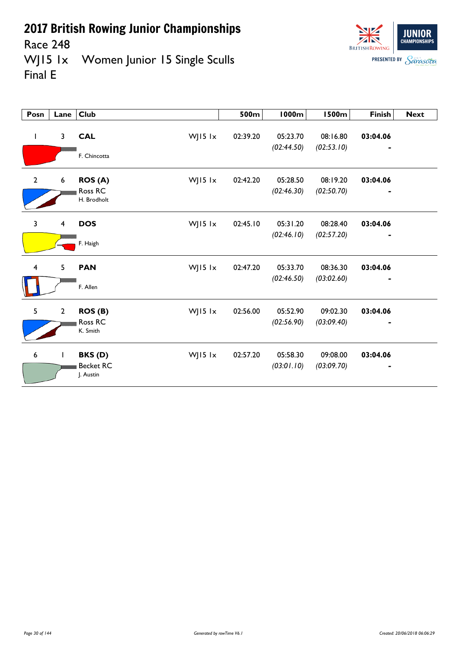



Race 248<br>WJ15 1x Women Junior 15 Single Sculls Final E

| Posn                    | Lane                    | <b>Club</b>                                             | 500m     | <b>1000m</b>           | <b>1500m</b>           | <b>Finish</b>              | <b>Next</b> |
|-------------------------|-------------------------|---------------------------------------------------------|----------|------------------------|------------------------|----------------------------|-------------|
| $\mathbf{I}$            | 3                       | WJ15 lx<br><b>CAL</b><br>F. Chincotta                   | 02:39.20 | 05:23.70<br>(02:44.50) | 08:16.80<br>(02:53.10) | 03:04.06<br>$\blacksquare$ |             |
| $\overline{2}$          | 6                       | ROS <sub>(A)</sub><br>WJ15 lx<br>Ross RC<br>H. Brodholt | 02:42.20 | 05:28.50<br>(02:46.30) | 08:19.20<br>(02:50.70) | 03:04.06                   |             |
| $\overline{3}$          | $\overline{\mathbf{4}}$ | WJ15 lx<br><b>DOS</b><br>F. Haigh                       | 02:45.10 | 05:31.20<br>(02:46.10) | 08:28.40<br>(02:57.20) | 03:04.06                   |             |
| $\overline{\mathbf{4}}$ | 5                       | <b>PAN</b><br>WJ15 lx<br>F. Allen                       | 02:47.20 | 05:33.70<br>(02:46.50) | 08:36.30<br>(03:02.60) | 03:04.06                   |             |
| 5                       | $\mathbf{2}$            | WJ15 lx<br>ROS(B)<br>Ross RC<br>K. Smith                | 02:56.00 | 05:52.90<br>(02:56.90) | 09:02.30<br>(03:09.40) | 03:04.06                   |             |
| 6                       | $\mathbf{I}$            | WJ15 lx<br>BKS(D)<br><b>Becket RC</b><br>J. Austin      | 02:57.20 | 05:58.30<br>(03:01.10) | 09:08.00<br>(03:09.70) | 03:04.06                   |             |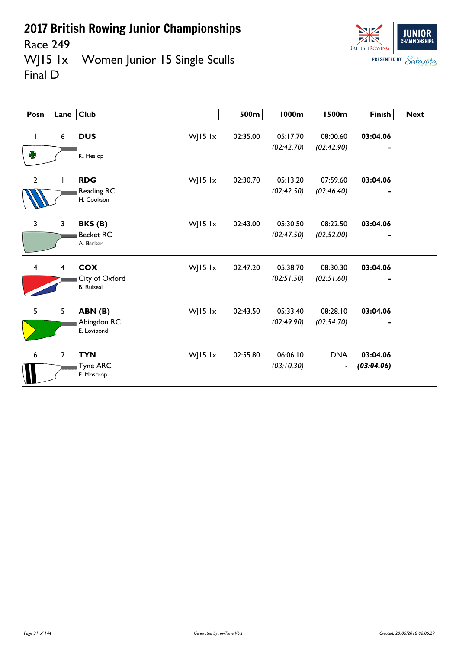

Race 249<br>WJ15 1x Women Junior 15 Single Sculls Final D

| Posn                    | Lane             | Club                                                         | 500m     | <b>1000m</b>           | <b>1500m</b>                           | <b>Finish</b>                            | <b>Next</b> |
|-------------------------|------------------|--------------------------------------------------------------|----------|------------------------|----------------------------------------|------------------------------------------|-------------|
| L<br>₩                  | $\boldsymbol{6}$ | <b>DUS</b><br>WJ15 lx<br>K. Heslop                           | 02:35.00 | 05:17.70<br>(02:42.70) | 08:00.60<br>(02:42.90)                 | 03:04.06<br>$\blacksquare$               |             |
| $\overline{2}$          |                  | <b>RDG</b><br>WJ15 lx<br>Reading RC<br>H. Cookson            | 02:30.70 | 05:13.20<br>(02:42.50) | 07:59.60<br>(02:46.40)                 | 03:04.06<br>$\qquad \qquad \blacksquare$ |             |
| $\overline{3}$          | 3                | BKS(B)<br>WJ15 $1x$<br><b>Becket RC</b><br>A. Barker         | 02:43.00 | 05:30.50<br>(02:47.50) | 08:22.50<br>(02:52.00)                 | 03:04.06                                 |             |
| $\overline{\mathbf{4}}$ | 4                | <b>COX</b><br>WJ15 lx<br>City of Oxford<br><b>B.</b> Ruiseal | 02:47.20 | 05:38.70<br>(02:51.50) | 08:30.30<br>(02:51.60)                 | 03:04.06                                 |             |
| 5                       | 5                | WJ15 lx<br>ABN(B)<br>Abingdon RC<br>E. Lovibond              | 02:43.50 | 05:33.40<br>(02:49.90) | 08:28.10<br>(02:54.70)                 | 03:04.06                                 |             |
| 6                       | $\overline{2}$   | <b>TYN</b><br>WJ15 lx<br>Tyne ARC<br>E. Moscrop              | 02:55.80 | 06:06.10<br>(03:10.30) | <b>DNA</b><br>$\overline{\phantom{a}}$ | 03:04.06<br>(03:04.06)                   |             |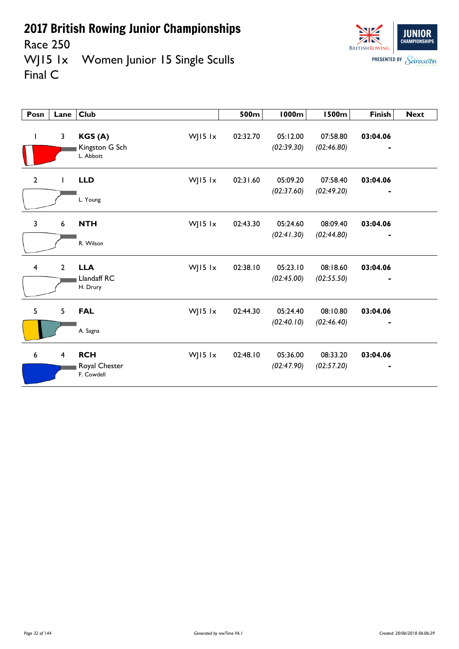

Race 250<br>WJ15 1x Women Junior 15 Single Sculls Final C

| Posn                    | Lane                    | <b>Club</b>                                            | 500m     | <b>1000m</b>           | <b>1500m</b>           | <b>Finish</b>              | <b>Next</b> |
|-------------------------|-------------------------|--------------------------------------------------------|----------|------------------------|------------------------|----------------------------|-------------|
| $\mathbf{I}$            | $\overline{\mathbf{3}}$ | WJ15 lx<br>KGS(A)<br>Kingston G Sch<br>L. Abbott       | 02:32.70 | 05:12.00<br>(02:39.30) | 07:58.80<br>(02:46.80) | 03:04.06<br>$\blacksquare$ |             |
| $\overline{2}$          |                         | <b>LLD</b><br>WJ15 lx<br>L. Young                      | 02:31.60 | 05:09.20<br>(02:37.60) | 07:58.40<br>(02:49.20) | 03:04.06<br>$\blacksquare$ |             |
| $\overline{3}$          | 6                       | <b>NTH</b><br>WJ15 $1x$<br>R. Wilson                   | 02:43.30 | 05:24.60<br>(02:41.30) | 08:09.40<br>(02:44.80) | 03:04.06                   |             |
| $\overline{\mathbf{4}}$ | $\overline{2}$          | <b>LLA</b><br>WJ15 lx<br>Llandaff RC<br>H. Drury       | 02:38.10 | 05:23.10<br>(02:45.00) | 08:18.60<br>(02:55.50) | 03:04.06                   |             |
| 5                       | 5                       | WJ15 lx<br><b>FAL</b><br>A. Sagna                      | 02:44.30 | 05:24.40<br>(02:40.10) | 08:10.80<br>(02:46.40) | 03:04.06                   |             |
| 6                       | $\overline{4}$          | <b>RCH</b><br>WJ15 $1x$<br>Royal Chester<br>F. Cowdell | 02:48.10 | 05:36.00<br>(02:47.90) | 08:33.20<br>(02:57.20) | 03:04.06                   |             |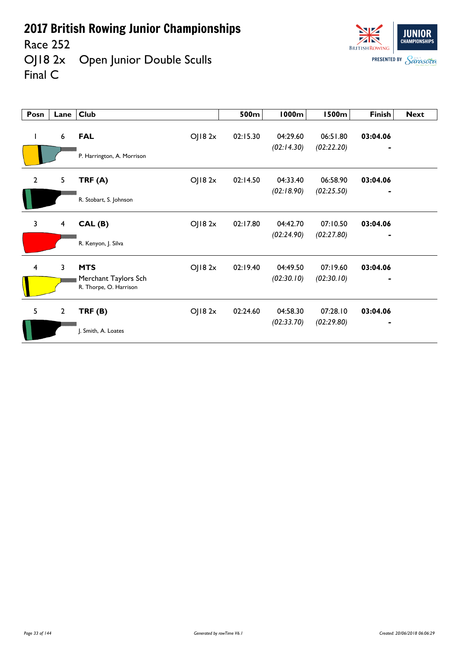Race 252

Final C

OJ18 2x Open Junior Double Sculls



**Posn Lane Club 500m 1000m 1500m Finish Next** 1 6 **FAL** OJ18 2x 02:15.30 04:29.60 06:51.80 **03:04.06** *(02:14.30) (02:22.20) -* P. Harrington, A. Morrison 2 5 **TRF (A)** OJ18 2x 02:14.50 04:33.40 06:58.90 **03:04.06** *(02:18.90) (02:25.50) -* R. Stobart, S. Johnson 3 4 **CAL (B)** OJ18 2x 02:17.80 04:42.70 07:10.50 **03:04.06** *(02:24.90) (02:27.80) -* R. Kenyon, J. Silva 4 3 **MTS** OJ18 2x 02:19.40 04:49.50 07:19.60 **03:04.06** Merchant Taylors Sch *(02:30.10) (02:30.10) -* R. Thorpe, O. Harrison 5 2 **TRF (B)** OJ18 2x 02:24.60 04:58.30 07:28.10 **03:04.06** *(02:33.70) (02:29.80) -* J. Smith, A. Loates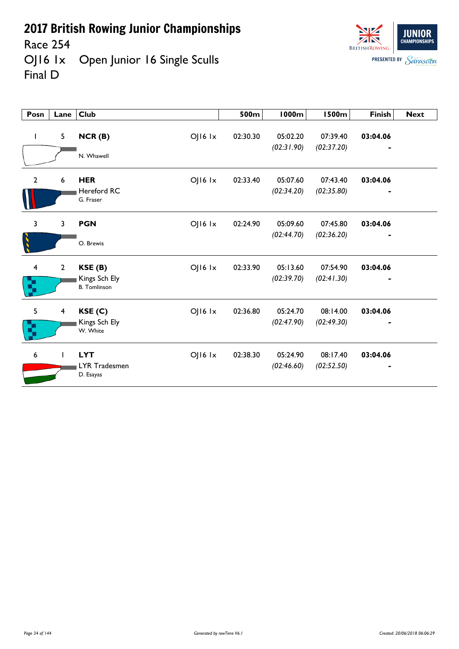Race 254

OJ16 1x Open Junior 16 Single Sculls Final D



| Posn                          | Lane             | <b>Club</b>                                                       | 500m     | <b>1000m</b>           | <b>1500m</b>           | <b>Finish</b>              | <b>Next</b> |
|-------------------------------|------------------|-------------------------------------------------------------------|----------|------------------------|------------------------|----------------------------|-------------|
| $\mathbf{I}$                  | 5                | NCR(B)<br>$O$   $16$ $1x$<br>N. Whawell                           | 02:30.30 | 05:02.20<br>(02:31.90) | 07:39.40<br>(02:37.20) | 03:04.06                   |             |
| $\overline{2}$                | $\boldsymbol{6}$ | <b>HER</b><br>OJ16 1x<br><b>Hereford RC</b><br>G. Fraser          | 02:33.40 | 05:07.60<br>(02:34.20) | 07:43.40<br>(02:35.80) | 03:04.06<br>$\blacksquare$ |             |
| 3                             | 3                | OJ16 1x<br><b>PGN</b><br>O. Brewis                                | 02:24.90 | 05:09.60<br>(02:44.70) | 07:45.80<br>(02:36.20) | 03:04.06                   |             |
| $\overline{\mathbf{4}}$<br>R, | $\overline{2}$   | $O$   $16$ $1x$<br>KSE(B)<br>Kings Sch Ely<br><b>B.</b> Tomlinson | 02:33.90 | 05:13.60<br>(02:39.70) | 07:54.90<br>(02:41.30) | 03:04.06                   |             |
| 5<br>Ŋ                        | $\overline{4}$   | $OJI6$ $1x$<br>KSE(C)<br>Kings Sch Ely<br>W. White                | 02:36.80 | 05:24.70<br>(02:47.90) | 08:14.00<br>(02:49.30) | 03:04.06                   |             |
| 6                             | $\mathbf{L}$     | <b>LYT</b><br>$OJI6$ $1x$<br>LYR Tradesmen<br>D. Esayas           | 02:38.30 | 05:24.90<br>(02:46.60) | 08:17.40<br>(02:52.50) | 03:04.06                   |             |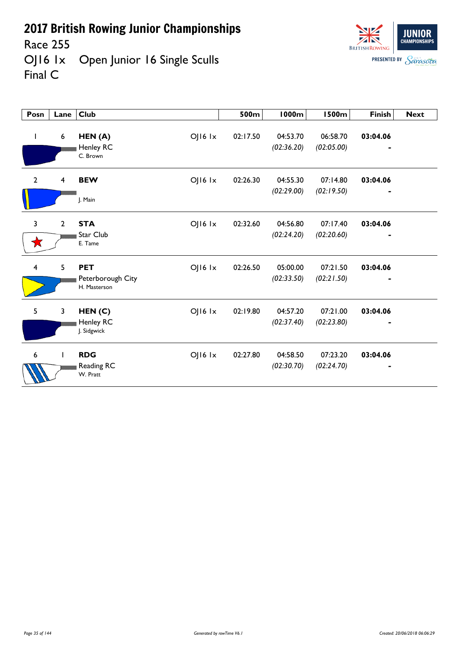Race 255

OJ16 1x Open Junior 16 Single Sculls Final C

| Posn           | Lane                    | Club              |             | 500m     | <b>1000m</b> | <b>1500m</b> | Finish   | <b>Next</b> |
|----------------|-------------------------|-------------------|-------------|----------|--------------|--------------|----------|-------------|
|                |                         |                   |             |          |              |              |          |             |
| ı              | 6                       | HEN(A)            | OJ16 1x     | 02:17.50 | 04:53.70     | 06:58.70     | 03:04.06 |             |
|                |                         | Henley RC         |             |          | (02:36.20)   | (02:05.00)   |          |             |
|                |                         | C. Brown          |             |          |              |              |          |             |
| $\overline{2}$ | $\overline{\mathbf{4}}$ | <b>BEW</b>        | OJ16 Ix     | 02:26.30 | 04:55.30     | 07:14.80     | 03:04.06 |             |
|                |                         |                   |             |          | (02:29.00)   | (02:19.50)   |          |             |
|                |                         | J. Main           |             |          |              |              |          |             |
| 3              | $\mathbf{2}$            | <b>STA</b>        | OJ16 1x     | 02:32.60 | 04:56.80     | 07:17.40     | 03:04.06 |             |
|                |                         | Star Club         |             |          | (02:24.20)   | (02:20.60)   |          |             |
|                |                         | E. Tame           |             |          |              |              |          |             |
| $\overline{4}$ | 5                       | <b>PET</b>        | OJ16 1x     | 02:26.50 | 05:00.00     | 07:21.50     | 03:04.06 |             |
|                |                         | Peterborough City |             |          | (02:33.50)   | (02:21.50)   |          |             |
|                |                         | H. Masterson      |             |          |              |              |          |             |
| 5              | 3                       | HEN(C)            | OJ16 Ix     | 02:19.80 | 04:57.20     | 07:21.00     | 03:04.06 |             |
|                |                         | Henley RC         |             |          | (02:37.40)   | (02:23.80)   |          |             |
|                |                         | J. Sidgwick       |             |          |              |              |          |             |
| 6              | L                       | <b>RDG</b>        | $OJI6$ $1x$ | 02:27.80 | 04:58.50     | 07:23.20     | 03:04.06 |             |
|                |                         | Reading RC        |             |          | (02:30.70)   | (02:24.70)   |          |             |
|                |                         | W. Pratt          |             |          |              |              |          |             |

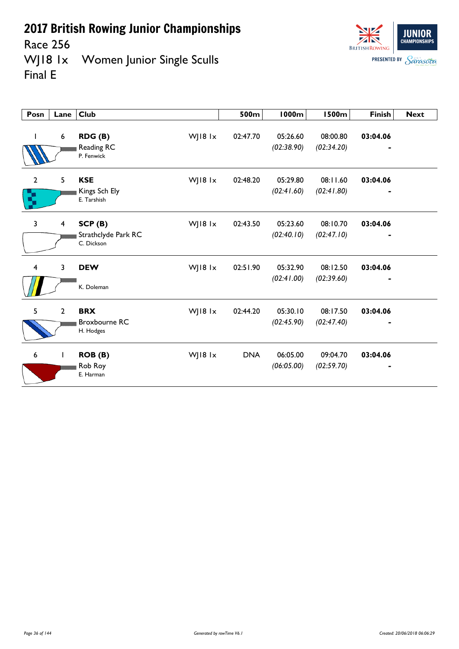Race 256

WJ18 1x Women Junior Single Sculls Final E

| Posn              | Lane             | Club                                            |         | 500m       | <b>1000m</b>           | <b>1500m</b>           | <b>Finish</b> | <b>Next</b> |
|-------------------|------------------|-------------------------------------------------|---------|------------|------------------------|------------------------|---------------|-------------|
|                   | $\boldsymbol{6}$ | RDG (B)<br>Reading RC<br>P. Fenwick             | WJ18 1x | 02:47.70   | 05:26.60<br>(02:38.90) | 08:00.80<br>(02:34.20) | 03:04.06      |             |
| $\mathbf{2}$<br>χ | 5                | <b>KSE</b><br>Kings Sch Ely<br>E. Tarshish      | WJ18 1x | 02:48.20   | 05:29.80<br>(02:41.60) | 08:11.60<br>(02:41.80) | 03:04.06      |             |
| 3                 | $\overline{4}$   | SCP(B)<br>Strathclyde Park RC<br>C. Dickson     | WJ18 1x | 02:43.50   | 05:23.60<br>(02:40.10) | 08:10.70<br>(02:47.10) | 03:04.06      |             |
| $\overline{4}$    | 3                | <b>DEW</b><br>K. Doleman                        | WJ18 1x | 02:51.90   | 05:32.90<br>(02:41.00) | 08:12.50<br>(02:39.60) | 03:04.06      |             |
| 5                 | $\overline{2}$   | <b>BRX</b><br><b>Broxbourne RC</b><br>H. Hodges | WJ18 1x | 02:44.20   | 05:30.10<br>(02:45.90) | 08:17.50<br>(02:47.40) | 03:04.06      |             |
| 6                 | $\mathbf{I}$     | ROB (B)<br>Rob Roy<br>E. Harman                 | WJ18 1x | <b>DNA</b> | 06:05.00<br>(06:05.00) | 09:04.70<br>(02:59.70) | 03:04.06      |             |

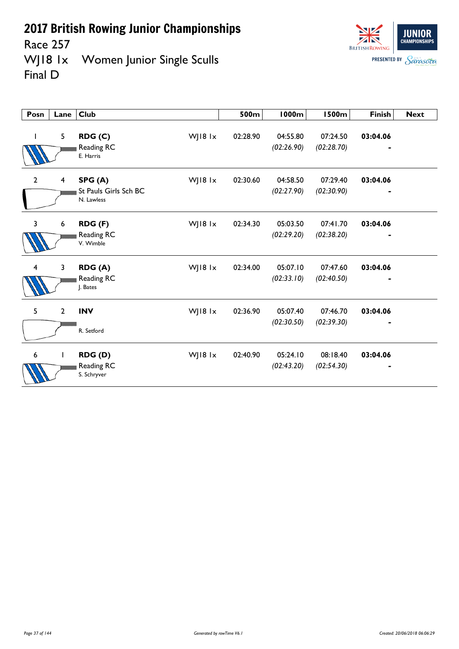Race 257

**Posn Lane Club** 

1 5 **RDG (C)** 

Reading RC *(02:26.90) (02:28.70) -*

WJ18 1x Women Junior Singl Final D

| e Sculls |          |          |              | $\sqrt{2}$<br><b>BRITISH ROWING</b><br><b>PRESENTED BY</b> | <b><i>UNAMPIUNSHIPS</i></b><br>Parasota |
|----------|----------|----------|--------------|------------------------------------------------------------|-----------------------------------------|
|          |          |          |              |                                                            |                                         |
|          |          |          |              |                                                            |                                         |
|          |          |          |              |                                                            |                                         |
|          | 500m     | 1000m    | <b>1500m</b> | <b>Finish</b>                                              | <b>Next</b>                             |
| WJ18 1x  | 02:28.90 | 04:55.80 | 07:24.50     | 03:04.06                                                   |                                         |

**JUNIOR** 

 $\frac{1}{\sqrt{2}}$ 

|                         |                | Reading RC<br>E. Harris             |         |          | (02:26.90) | (02:28.70) |          |  |
|-------------------------|----------------|-------------------------------------|---------|----------|------------|------------|----------|--|
| $\overline{2}$          | 4              | SPG(A)                              | WJ18 1x | 02:30.60 | 04:58.50   | 07:29.40   | 03:04.06 |  |
|                         |                | St Pauls Girls Sch BC<br>N. Lawless |         |          | (02:27.90) | (02:30.90) |          |  |
| 3                       | 6              | RDG (F)                             | WJ18 1x | 02:34.30 | 05:03.50   | 07:41.70   | 03:04.06 |  |
|                         |                | Reading RC<br>V. Wimble             |         |          | (02:29.20) | (02:38.20) |          |  |
| $\overline{\mathbf{4}}$ | 3              | RDG (A)                             | WJ18 1x | 02:34.00 | 05:07.10   | 07:47.60   | 03:04.06 |  |
|                         |                | Reading RC<br>J. Bates              |         |          | (02:33.10) | (02:40.50) |          |  |
| 5                       | $\overline{2}$ | <b>INV</b>                          | WJ18 1x | 02:36.90 | 05:07.40   | 07:46.70   | 03:04.06 |  |
|                         |                | R. Setford                          |         |          | (02:30.50) | (02:39.30) |          |  |
| 6                       | $\mathbf{I}$   | RDG(D)                              | WJ18 1x | 02:40.90 | 05:24.10   | 08:18.40   | 03:04.06 |  |
|                         |                | Reading RC<br>S. Schryver           |         |          | (02:43.20) | (02:54.30) |          |  |

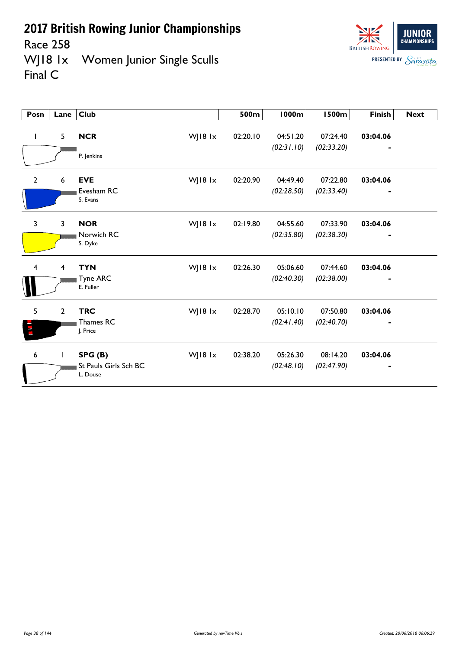Race 258<br>WJ18 1x Women Junior Single Sculls Final C



| Posn           | Lane           | <b>Club</b>                                 |         | 500m     | 1000m                  | <b>1500m</b>           | <b>Finish</b> | <b>Next</b> |
|----------------|----------------|---------------------------------------------|---------|----------|------------------------|------------------------|---------------|-------------|
| $\mathbf{I}$   | 5              | <b>NCR</b><br>P. Jenkins                    | WJ18 1x | 02:20.10 | 04:51.20<br>(02:31.10) | 07:24.40<br>(02:33.20) | 03:04.06      |             |
| $\overline{2}$ | 6              | <b>EVE</b><br>Evesham RC<br>S. Evans        | WJ18 1x | 02:20.90 | 04:49.40<br>(02:28.50) | 07:22.80<br>(02:33.40) | 03:04.06<br>٠ |             |
| $\overline{3}$ | 3              | <b>NOR</b><br>Norwich RC<br>S. Dyke         | WJ18 1x | 02:19.80 | 04:55.60<br>(02:35.80) | 07:33.90<br>(02:38.30) | 03:04.06      |             |
| 4              | 4              | <b>TYN</b><br><b>Tyne ARC</b><br>E. Fuller  | WJ18 1x | 02:26.30 | 05:06.60<br>(02:40.30) | 07:44.60<br>(02:38.00) | 03:04.06      |             |
| 5              | $\overline{2}$ | <b>TRC</b><br>Thames RC<br>J. Price         | WJ18 1x | 02:28.70 | 05:10.10<br>(02:41.40) | 07:50.80<br>(02:40.70) | 03:04.06      |             |
| 6              | $\mathbf{I}$   | SPG(B)<br>St Pauls Girls Sch BC<br>L. Douse | WJ18 1x | 02:38.20 | 05:26.30<br>(02:48.10) | 08:14.20<br>(02:47.90) | 03:04.06      |             |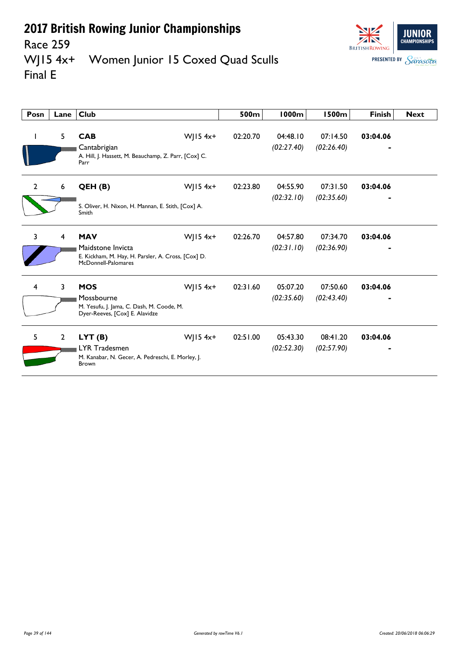

#### Race 259<br>WJ15 4x+ Women Junior 15 Coxed Quad Sculls Final E

| Posn           | Lane           | <b>Club</b>                                                                                                  |              | 500m     | <b>1000m</b>           | <b>1500m</b>           | <b>Finish</b> | <b>Next</b> |
|----------------|----------------|--------------------------------------------------------------------------------------------------------------|--------------|----------|------------------------|------------------------|---------------|-------------|
| $\mathbf{I}$   | 5              | <b>CAB</b><br>Cantabrigian<br>A. Hill, J. Hassett, M. Beauchamp, Z. Parr, [Cox] C.<br>Parr                   | WJ15 $4x+$   | 02:20.70 | 04:48.10<br>(02:27.40) | 07:14.50<br>(02:26.40) | 03:04.06      |             |
| $\overline{2}$ | 6              | QEH (B)<br>S. Oliver, H. Nixon, H. Mannan, E. Stith, [Cox] A.<br>Smith                                       | WJ15 $4x+$   | 02:23.80 | 04:55.90<br>(02:32.10) | 07:31.50<br>(02:35.60) | 03:04.06      |             |
| 3              | 4              | <b>MAV</b><br>Maidstone Invicta<br>E. Kickham, M. Hay, H. Parsler, A. Cross, [Cox] D.<br>McDonnell-Palomares | WJ15 $4x+$   | 02:26.70 | 04:57.80<br>(02:31.10) | 07:34.70<br>(02:36.90) | 03:04.06      |             |
| $\overline{4}$ | $\overline{3}$ | <b>MOS</b><br>Mossbourne<br>M. Yesufu, J. Jama, C. Dash, M. Coode, M.<br>Dyer-Reeves, [Cox] E. Alavidze      | $W$   15 4x+ | 02:31.60 | 05:07.20<br>(02:35.60) | 07:50.60<br>(02:43.40) | 03:04.06      |             |
| 5              | $\overline{2}$ | LYT(B)<br><b>LYR Tradesmen</b><br>M. Kanabar, N. Gecer, A. Pedreschi, E. Morley, J.<br><b>Brown</b>          | WJ15 $4x+$   | 02:51.00 | 05:43.30<br>(02:52.30) | 08:41.20<br>(02:57.90) | 03:04.06      |             |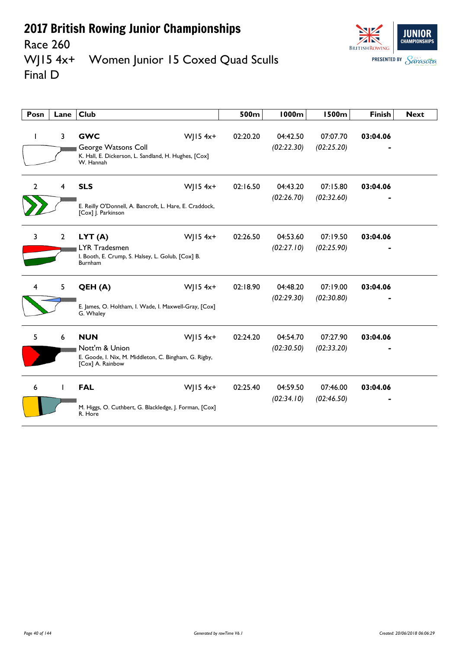

#### Race 260<br>WJ15 4x+ Women Junior 15 Coxed Quad Sculls Final D

| Posn         | Lane           | Club                                                                                                                      | 500m     | 1000m                  | <b>1500m</b>           | <b>Finish</b> | <b>Next</b> |
|--------------|----------------|---------------------------------------------------------------------------------------------------------------------------|----------|------------------------|------------------------|---------------|-------------|
|              | 3              | <b>GWC</b><br>$W$ JI54x+<br>George Watsons Coll<br>K. Hall, E. Dickerson, L. Sandland, H. Hughes, [Cox]<br>W. Hannah      | 02:20.20 | 04:42.50<br>(02:22.30) | 07:07.70<br>(02:25.20) | 03:04.06      |             |
| $\mathbf{2}$ | 4              | <b>SLS</b><br>$W$ JI54x <sup>+</sup><br>E. Reilly O'Donnell, A. Bancroft, L. Hare, E. Craddock,<br>[Cox] J. Parkinson     | 02:16.50 | 04:43.20<br>(02:26.70) | 07:15.80<br>(02:32.60) | 03:04.06      |             |
| $\mathbf{3}$ | $\overline{2}$ | WJ15 $4x+$<br>LYT(A)<br><b>LYR Tradesmen</b><br>I. Booth, E. Crump, S. Halsey, L. Golub, [Cox] B.<br>Burnham              | 02:26.50 | 04:53.60<br>(02:27.10) | 07:19.50<br>(02:25.90) | 03:04.06      |             |
| 4            | 5              | $W$   15 4x+<br>QEH (A)<br>E. James, O. Holtham, I. Wade, I. Maxwell-Gray, [Cox]<br>G. Whaley                             | 02:18.90 | 04:48.20<br>(02:29.30) | 07:19.00<br>(02:30.80) | 03:04.06      |             |
| 5            | 6              | $W$   15 4x+<br><b>NUN</b><br>Nott'm & Union<br>E. Goode, I. Nix, M. Middleton, C. Bingham, G. Rigby,<br>[Cox] A. Rainbow | 02:24.20 | 04:54.70<br>(02:30.50) | 07:27.90<br>(02:33.20) | 03:04.06      |             |
| 6            | Ш              | $W$   15 4x+<br><b>FAL</b><br>M. Higgs, O. Cuthbert, G. Blackledge, J. Forman, [Cox]<br>R. Hore                           | 02:25.40 | 04:59.50<br>(02:34.10) | 07:46.00<br>(02:46.50) | 03:04.06      |             |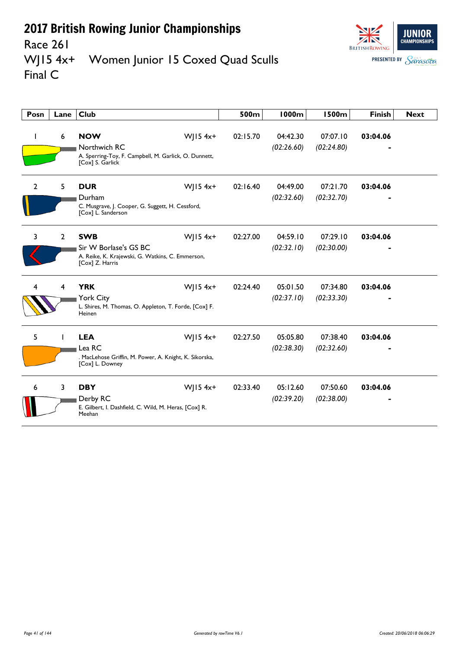

#### Race 261<br>WJ15 4x+ Women Junior 15 Coxed Quad Sculls Final C

| Posn           | Lane           | <b>Club</b>                                                                                                              | 500m     | <b>1000m</b>           | <b>1500m</b>           | <b>Finish</b> | <b>Next</b> |
|----------------|----------------|--------------------------------------------------------------------------------------------------------------------------|----------|------------------------|------------------------|---------------|-------------|
| ı              | 6              | <b>NOW</b><br>WJ15 $4x+$<br>Northwich RC<br>A. Sperring-Toy, F. Campbell, M. Garlick, O. Dunnett,<br>[Cox] S. Garlick    | 02:15.70 | 04:42.30<br>(02:26.60) | 07:07.10<br>(02:24.80) | 03:04.06      |             |
| $\overline{2}$ | 5              | WJ15 $4x+$<br><b>DUR</b><br>Durham<br>C. Musgrave, J. Cooper, G. Suggett, H. Cessford,<br>[Cox] L. Sanderson             | 02:16.40 | 04:49.00<br>(02:32.60) | 07:21.70<br>(02:32.70) | 03:04.06      |             |
| 3              | $\overline{2}$ | <b>SWB</b><br>WJ15 $4x+$<br>Sir W Borlase's GS BC<br>A. Reike, K. Krajewski, G. Watkins, C. Emmerson,<br>[Cox] Z. Harris | 02:27.00 | 04:59.10<br>(02:32.10) | 07:29.10<br>(02:30.00) | 03:04.06      |             |
|                | 4              | <b>YRK</b><br>WJ15 $4x+$<br>York City<br>L. Shires, M. Thomas, O. Appleton, T. Forde, [Cox] F.<br>Heinen                 | 02:24.40 | 05:01.50<br>(02:37.10) | 07:34.80<br>(02:33.30) | 03:04.06      |             |
| 5              |                | <b>LEA</b><br>WJ15 $4x+$<br>Lea RC<br>. MacLehose Griffin, M. Power, A. Knight, K. Sikorska,<br>[Cox] L. Downey          | 02:27.50 | 05:05.80<br>(02:38.30) | 07:38.40<br>(02:32.60) | 03:04.06      |             |
| 6              | 3              | <b>DBY</b><br>WJ15 $4x+$<br>Derby RC<br>E. Gilbert, I. Dashfield, C. Wild, M. Heras, [Cox] R.<br>Meehan                  | 02:33.40 | 05:12.60<br>(02:39.20) | 07:50.60<br>(02:38.00) | 03:04.06      |             |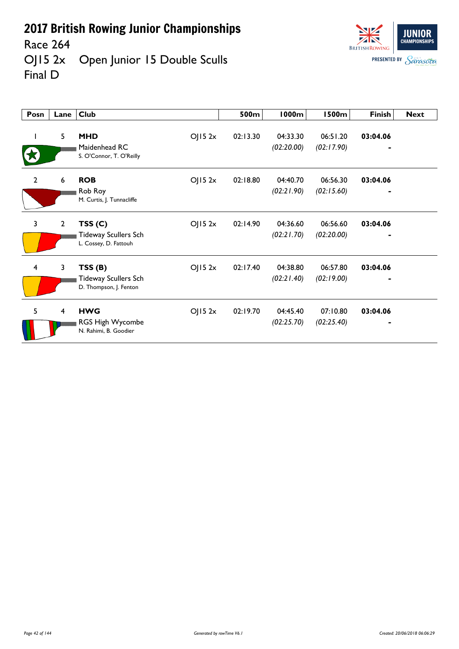Race 264<br>OJ15 2x Open Junior 15 Double Sculls Final D

| Posn                    | Lane         | <b>Club</b>                                                              | 500m     | 1000m                  | <b>1500m</b>           | <b>Finish</b>              | <b>Next</b> |
|-------------------------|--------------|--------------------------------------------------------------------------|----------|------------------------|------------------------|----------------------------|-------------|
|                         | 5            | <b>MHD</b><br>OJ152x<br>Maidenhead RC<br>S. O'Connor, T. O'Reilly        | 02:13.30 | 04:33.30<br>(02:20.00) | 06:51.20<br>(02:17.90) | 03:04.06                   |             |
| $\mathbf{2}$            | 6            | OJ152x<br><b>ROB</b><br>Rob Roy<br>M. Curtis, J. Tunnacliffe             | 02:18.80 | 04:40.70<br>(02:21.90) | 06:56.30<br>(02:15.60) | 03:04.06<br>$\blacksquare$ |             |
| 3                       | $\mathbf{2}$ | TSS(C)<br>OJ152x<br><b>Tideway Scullers Sch</b><br>L. Cossey, D. Fattouh | 02:14.90 | 04:36.60<br>(02:21.70) | 06:56.60<br>(02:20.00) | 03:04.06                   |             |
| $\overline{\mathbf{4}}$ | 3            | TSS(B)<br>OJ152x<br>Tideway Scullers Sch<br>D. Thompson, J. Fenton       | 02:17.40 | 04:38.80<br>(02:21.40) | 06:57.80<br>(02:19.00) | 03:04.06                   |             |
| 5                       | 4            | <b>HWG</b><br>OJ152x<br>RGS High Wycombe<br>N. Rahimi, B. Goodier        | 02:19.70 | 04:45.40<br>(02:25.70) | 07:10.80<br>(02:25.40) | 03:04.06                   |             |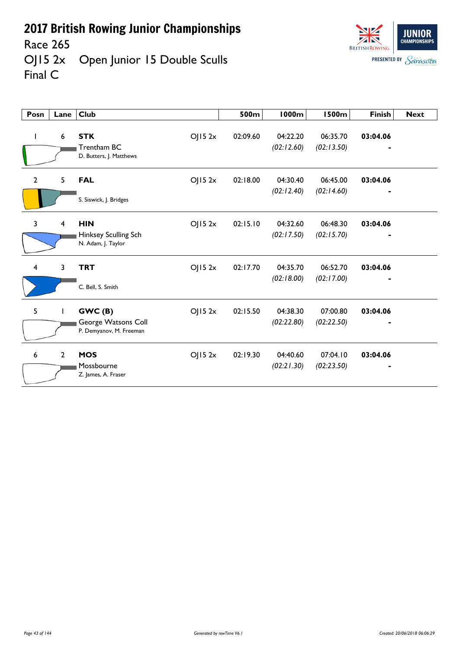Race 265

OJ15 2x Open Junior 15 Double Sculls Final C



| Posn                    | Lane           | <b>Club</b>                                                        | 500m     | <b>1000m</b>           | <b>1500m</b>           | <b>Finish</b> | <b>Next</b> |
|-------------------------|----------------|--------------------------------------------------------------------|----------|------------------------|------------------------|---------------|-------------|
|                         | 6              | <b>STK</b><br>OJ152x<br>Trentham BC<br>D. Butters, J. Matthews     | 02:09.60 | 04:22.20<br>(02:12.60) | 06:35.70<br>(02:13.50) | 03:04.06      |             |
| $\overline{2}$          | 5              | OJ152x<br><b>FAL</b><br>S. Siswick, J. Bridges                     | 02:18.00 | 04:30.40<br>(02:12.40) | 06:45.00<br>(02:14.60) | 03:04.06      |             |
| 3                       | 4              | <b>HIN</b><br>OJ152x<br>Hinksey Sculling Sch<br>N. Adam, J. Taylor | 02:15.10 | 04:32.60<br>(02:17.50) | 06:48.30<br>(02:15.70) | 03:04.06      |             |
| $\overline{\mathbf{4}}$ | 3              | <b>TRT</b><br>OJ152x<br>C. Bell, S. Smith                          | 02:17.70 | 04:35.70<br>(02:18.00) | 06:52.70<br>(02:17.00) | 03:04.06      |             |
| 5                       |                | GWC(B)<br>OJ152x<br>George Watsons Coll<br>P. Demyanov, M. Freeman | 02:15.50 | 04:38.30<br>(02:22.80) | 07:00.80<br>(02:22.50) | 03:04.06      |             |
| 6                       | $\overline{2}$ | <b>MOS</b><br>OJ152x<br>Mossbourne<br>Z. James, A. Fraser          | 02:19.30 | 04:40.60<br>(02:21.30) | 07:04.10<br>(02:23.50) | 03:04.06      |             |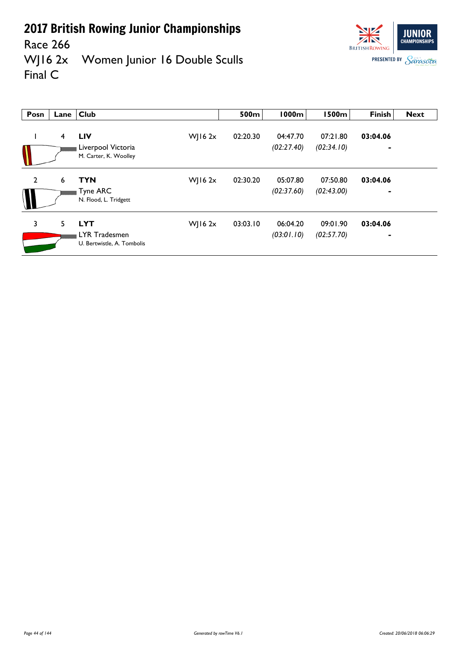

Race 266<br>WJ16 2x Women Junior 16 Double Sculls Final C

| Posn           | Lane $ $ | <b>Club</b>                                        |             | 500m     | <b>1000m</b> | <b>1500m</b> | Finish         | <b>Next</b> |
|----------------|----------|----------------------------------------------------|-------------|----------|--------------|--------------|----------------|-------------|
|                | 4        | <b>LIV</b>                                         | WJ16 $2x$   | 02:20.30 | 04:47.70     | 07:21.80     | 03:04.06       |             |
|                |          | Liverpool Victoria<br>M. Carter, K. Woolley        |             |          | (02:27.40)   | (02:34.10)   | -              |             |
| $\overline{2}$ | 6        | <b>TYN</b>                                         | $W$   16 2x | 02:30.20 | 05:07.80     | 07:50.80     | 03:04.06       |             |
|                |          | <b>Tyne ARC</b><br>N. Flood, L. Tridgett           |             |          | (02:37.60)   | (02:43.00)   | $\blacksquare$ |             |
| 3              | 5        | <b>LYT</b>                                         | WJ16 $2x$   | 03:03.10 | 06:04.20     | 09:01.90     | 03:04.06       |             |
|                |          | <b>LYR Tradesmen</b><br>U. Bertwistle, A. Tombolis |             |          | (03:01.10)   | (02:57.70)   | $\blacksquare$ |             |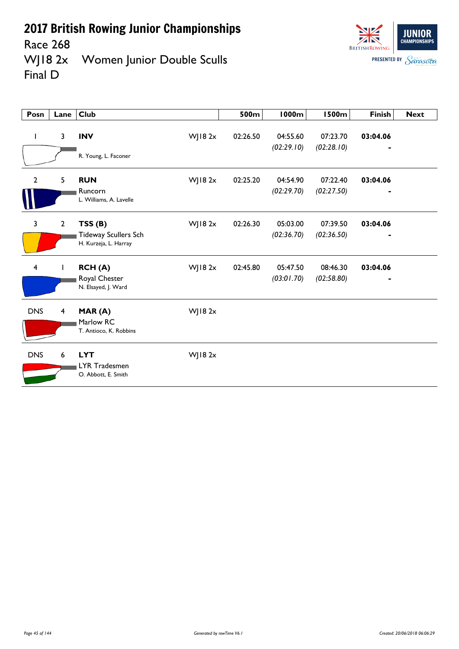Race 268

WJ18 2x Women Junior Double Sculls Final D



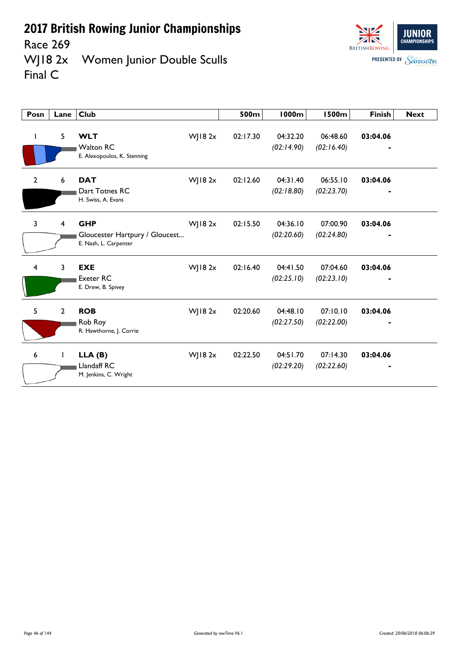Race 269<br>WJ18 2x Women Junior Double Sculls Final C

| Posn           | Lane                    | Club                                                                  |               | 500m     | 1000m                  | 1500m                  | <b>Finish</b> | <b>Next</b> |
|----------------|-------------------------|-----------------------------------------------------------------------|---------------|----------|------------------------|------------------------|---------------|-------------|
| ı              | 5                       | <b>WLT</b><br><b>Walton RC</b><br>E. Alexopoulos, K. Stenning         | $W$   182 $x$ | 02:17.30 | 04:32.20<br>(02:14.90) | 06:48.60<br>(02:16.40) | 03:04.06      |             |
| $\overline{2}$ | 6                       | <b>DAT</b><br>Dart Totnes RC<br>H. Swiss, A. Evans                    | $W$   182 $x$ | 02:12.60 | 04:31.40<br>(02:18.80) | 06:55.10<br>(02:23.70) | 03:04.06      |             |
| 3              | $\overline{\mathbf{4}}$ | <b>GHP</b><br>Gloucester Hartpury / Gloucest<br>E. Nash, L. Carpenter | $W$   182 $x$ | 02:15.50 | 04:36.10<br>(02:20.60) | 07:00.90<br>(02:24.80) | 03:04.06      |             |
| 4              | 3                       | <b>EXE</b><br><b>Exeter RC</b><br>E. Drew, B. Spivey                  | $W$   182 $x$ | 02:16.40 | 04:41.50<br>(02:25.10) | 07:04.60<br>(02:23.10) | 03:04.06      |             |
| 5              | $\overline{2}$          | <b>ROB</b><br>Rob Roy<br>R. Hawthorne, J. Corrie                      | $W$   182 $x$ | 02:20.60 | 04:48.10<br>(02:27.50) | 07:10.10<br>(02:22.00) | 03:04.06      |             |
| 6              | L                       | LLA(B)<br>Llandaff RC<br>M. Jenkins, C. Wright                        | $W$   182 $x$ | 02:22.50 | 04:51.70<br>(02:29.20) | 07:14.30<br>(02:22.60) | 03:04.06      |             |

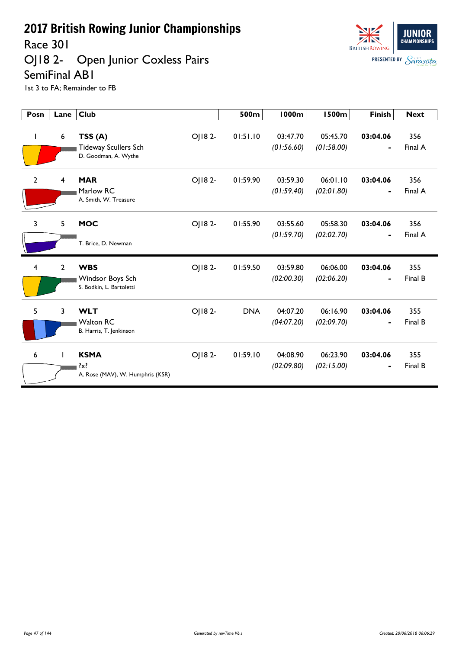Race 301

#### OJ18 2- Open Junior Coxless Pairs SemiFinal AB1



| Posn | Lane           | <b>Club</b>                                                   |        | 500m       | 1000m                  | <b>1500m</b>           | <b>Finish</b>              | <b>Next</b>    |
|------|----------------|---------------------------------------------------------------|--------|------------|------------------------|------------------------|----------------------------|----------------|
| L    | 6              | TSS(A)<br><b>Tideway Scullers Sch</b><br>D. Goodman, A. Wythe | OJ182- | 01:51.10   | 03:47.70<br>(01:56.60) | 05:45.70<br>(01:58.00) | 03:04.06<br>$\blacksquare$ | 356<br>Final A |
| 2    | 4              | <b>MAR</b><br>Marlow RC<br>A. Smith, W. Treasure              | OJ182- | 01:59.90   | 03:59.30<br>(01:59.40) | 06:01.10<br>(02:01.80) | 03:04.06<br>$\blacksquare$ | 356<br>Final A |
| 3    | 5              | <b>MOC</b><br>T. Brice, D. Newman                             | OJ182- | 01:55.90   | 03:55.60<br>(01:59.70) | 05:58.30<br>(02:02.70) | 03:04.06                   | 356<br>Final A |
| 4    | $\overline{2}$ | <b>WBS</b><br>Windsor Boys Sch<br>S. Bodkin, L. Bartoletti    | OJ182- | 01:59.50   | 03:59.80<br>(02:00.30) | 06:06.00<br>(02:06.20) | 03:04.06                   | 355<br>Final B |
| 5    | 3              | <b>WLT</b><br><b>Walton RC</b><br>B. Harris, T. Jenkinson     | OJ182- | <b>DNA</b> | 04:07.20<br>(04:07.20) | 06:16.90<br>(02:09.70) | 03:04.06<br>-              | 355<br>Final B |
| 6    |                | <b>KSMA</b><br>$\{x\}$<br>A. Rose (MAV), W. Humphris (KSR)    | OJ182- | 01:59.10   | 04:08.90<br>(02:09.80) | 06:23.90<br>(02:15.00) | 03:04.06                   | 355<br>Final B |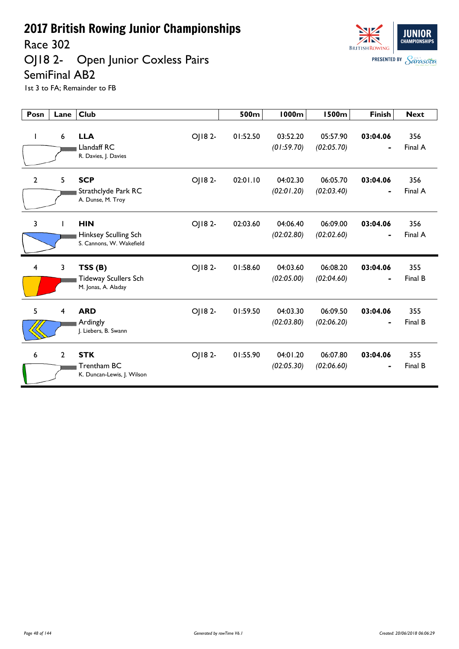Race 302

OJ18 2- Open Junior Coxless Pairs SemiFinal AB2



| Posn           | Lane           | <b>Club</b>                                                              | 500m     | <b>1000m</b>           | <b>1500m</b>           | <b>Finish</b>              | <b>Next</b>    |
|----------------|----------------|--------------------------------------------------------------------------|----------|------------------------|------------------------|----------------------------|----------------|
| L              | 6              | OJ182-<br><b>LLA</b><br>Llandaff RC<br>R. Davies, J. Davies              | 01:52.50 | 03:52.20<br>(01:59.70) | 05:57.90<br>(02:05.70) | 03:04.06<br>$\blacksquare$ | 356<br>Final A |
| $\overline{2}$ | 5              | <b>SCP</b><br>OJ182-<br>Strathclyde Park RC<br>A. Dunse, M. Troy         | 02:01.10 | 04:02.30<br>(02:01.20) | 06:05.70<br>(02:03.40) | 03:04.06<br>$\blacksquare$ | 356<br>Final A |
| 3              | I.             | OJ182-<br><b>HIN</b><br>Hinksey Sculling Sch<br>S. Cannons, W. Wakefield | 02:03.60 | 04:06.40<br>(02:02.80) | 06:09.00<br>(02:02.60) | 03:04.06                   | 356<br>Final A |
| 4              | 3              | OJ182-<br>TSS(B)<br><b>Tideway Scullers Sch</b><br>M. Jonas, A. Aladay   | 01:58.60 | 04:03.60<br>(02:05.00) | 06:08.20<br>(02:04.60) | 03:04.06                   | 355<br>Final B |
| 5              | $\overline{4}$ | <b>ARD</b><br>OJ182-<br>Ardingly<br>J. Liebers, B. Swann                 | 01:59.50 | 04:03.30<br>(02:03.80) | 06:09.50<br>(02:06.20) | 03:04.06                   | 355<br>Final B |
| 6              | $\overline{2}$ | <b>STK</b><br>OJ18 2-<br>Trentham BC<br>K. Duncan-Lewis, J. Wilson       | 01:55.90 | 04:01.20<br>(02:05.30) | 06:07.80<br>(02:06.60) | 03:04.06<br>$\blacksquare$ | 355<br>Final B |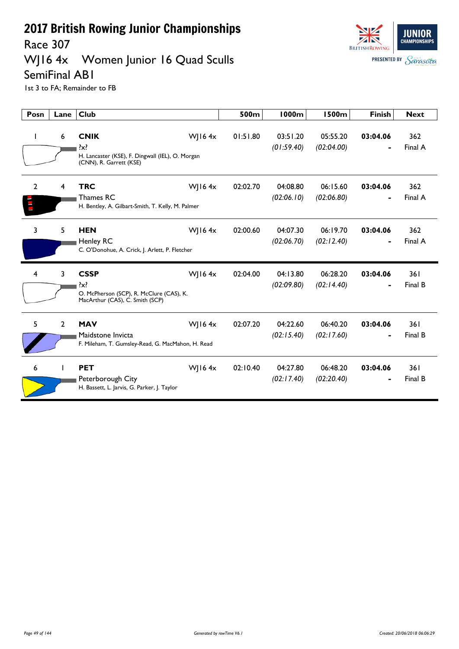Race 307

#### WJ16 4x Women Junior 16 Quad Sculls



SemiFinal AB1

| Posn           | Lane           | <b>Club</b>                                                                                           |           | 500m     | <b>1000m</b>           | <b>1500m</b>           | <b>Finish</b> | <b>Next</b>    |
|----------------|----------------|-------------------------------------------------------------------------------------------------------|-----------|----------|------------------------|------------------------|---------------|----------------|
| I.             | 6              | <b>CNIK</b><br>?x?<br>H. Lancaster (KSE), F. Dingwall (IEL), O. Morgan<br>(CNN), R. Garrett (KSE)     | WJ16 $4x$ | 01:51.80 | 03:51.20<br>(01:59.40) | 05:55.20<br>(02:04.00) | 03:04.06      | 362<br>Final A |
| $\overline{2}$ | 4              | <b>TRC</b><br>Thames RC<br>H. Bentley, A. Gilbart-Smith, T. Kelly, M. Palmer                          | WJ16 $4x$ | 02:02.70 | 04:08.80<br>(02:06.10) | 06:15.60<br>(02:06.80) | 03:04.06      | 362<br>Final A |
| 3              | 5              | <b>HEN</b><br>Henley RC<br>C. O'Donohue, A. Crick, J. Arlett, P. Fletcher                             | WJ16 $4x$ | 02:00.60 | 04:07.30<br>(02:06.70) | 06:19.70<br>(02:12.40) | 03:04.06      | 362<br>Final A |
| 4              | 3              | <b>CSSP</b><br>$\{x\}$<br>O. McPherson (SCP), R. McClure (CAS), K.<br>MacArthur (CAS), C. Smith (SCP) | WJ16 $4x$ | 02:04.00 | 04:13.80<br>(02:09.80) | 06:28.20<br>(02:14.40) | 03:04.06      | 361<br>Final B |
| 5              | $\overline{2}$ | <b>MAV</b><br>Maidstone Invicta<br>F. Mileham, T. Gumsley-Read, G. MacMahon, H. Read                  | WJ16 $4x$ | 02:07.20 | 04:22.60<br>(02:15.40) | 06:40.20<br>(02:17.60) | 03:04.06      | 361<br>Final B |
| 6              |                | <b>PET</b><br>Peterborough City<br>H. Bassett, L. Jarvis, G. Parker, J. Taylor                        | WJ16 $4x$ | 02:10.40 | 04:27.80<br>(02:17.40) | 06:48.20<br>(02:20.40) | 03:04.06      | 361<br>Final B |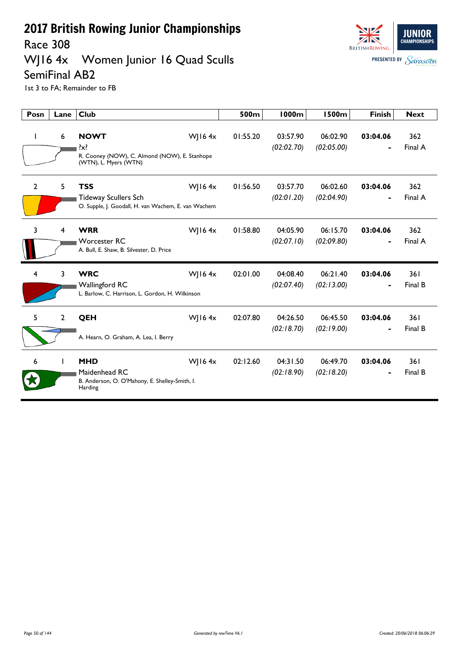Race 308

#### WJ16 4x Women Junior 16 Quad Sculls



SemiFinal AB2

| Posn           | Lane           | <b>Club</b>                                                                                      |           | 500m     | <b>1000m</b>           | <b>1500m</b>           | <b>Finish</b> | <b>Next</b>     |
|----------------|----------------|--------------------------------------------------------------------------------------------------|-----------|----------|------------------------|------------------------|---------------|-----------------|
| $\mathbf{I}$   | 6              | <b>NOWT</b><br>$\{x\}$<br>R. Cooney (NOW), C. Almond (NOW), E. Stanhope<br>(WTN), L. Myers (WTN) | WJ16 $4x$ | 01:55.20 | 03:57.90<br>(02:02.70) | 06:02.90<br>(02:05.00) | 03:04.06      | 362<br>Final A  |
| $\overline{2}$ | 5              | <b>TSS</b><br><b>Tideway Scullers Sch</b><br>O. Supple, J. Goodall, H. van Wachem, E. van Wachem | WJ16 $4x$ | 01:56.50 | 03:57.70<br>(02:01.20) | 06:02.60<br>(02:04.90) | 03:04.06      | 362<br>Final A  |
| 3              | 4              | <b>WRR</b><br><b>Worcester RC</b><br>A. Bull, E. Shaw, B. Silvester, D. Price                    | WJ16 $4x$ | 01:58.80 | 04:05.90<br>(02:07.10) | 06:15.70<br>(02:09.80) | 03:04.06      | 362<br>Final A  |
| 4              | 3              | <b>WRC</b><br>Wallingford RC<br>L. Barlow, C. Harrison, L. Gordon, H. Wilkinson                  | WJ16 $4x$ | 02:01.00 | 04:08.40<br>(02:07.40) | 06:21.40<br>(02:13.00) | 03:04.06      | 361<br>Final B  |
| 5              | $\overline{2}$ | QEH<br>A. Hearn, O. Graham, A. Lea, I. Berry                                                     | WJ16 $4x$ | 02:07.80 | 04:26.50<br>(02:18.70) | 06:45.50<br>(02:19.00) | 03:04.06      | 361<br>Final B  |
| 6              |                | <b>MHD</b><br>Maidenhead RC<br>B. Anderson, O. O'Mahony, E. Shelley-Smith, I.<br>Harding         | WJ16 $4x$ | 02:12.60 | 04:31.50<br>(02:18.90) | 06:49.70<br>(02:18.20) | 03:04.06      | 36 I<br>Final B |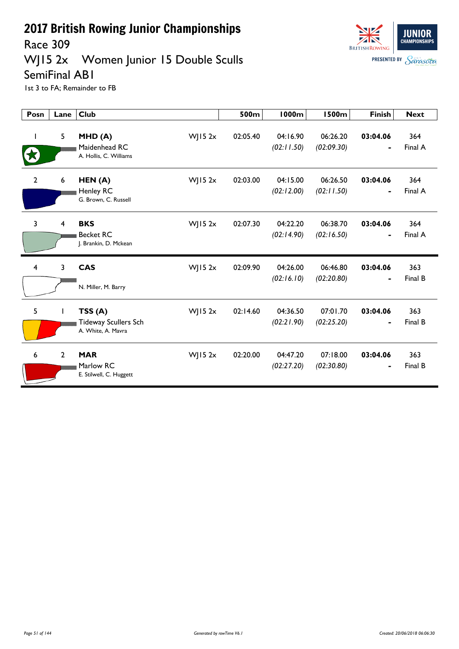Race 309

### WJ15 2x Women Junior 15 Double Sculls



SemiFinal AB1

| Posn           | Lane           | <b>Club</b>                                                 |                | 500m     | <b>1000m</b>           | <b>1500m</b>           | <b>Finish</b>              | <b>Next</b>    |
|----------------|----------------|-------------------------------------------------------------|----------------|----------|------------------------|------------------------|----------------------------|----------------|
|                | 5              | MHD(A)<br>Maidenhead RC<br>A. Hollis, C. Williams           | $W$ JI5 2x     | 02:05.40 | 04:16.90<br>(02:11.50) | 06:26.20<br>(02:09.30) | 03:04.06                   | 364<br>Final A |
| $\mathbf{2}$   | 6              | HEN(A)<br>Henley RC<br>G. Brown, C. Russell                 | WJ15 $2x$      | 02:03.00 | 04:15.00<br>(02:12.00) | 06:26.50<br>(02:11.50) | 03:04.06<br>$\blacksquare$ | 364<br>Final A |
| $\overline{3}$ | 4              | <b>BKS</b><br><b>Becket RC</b><br>J. Brankin, D. Mckean     | WJ15 $2x$      | 02:07.30 | 04:22.20<br>(02:14.90) | 06:38.70<br>(02:16.50) | 03:04.06                   | 364<br>Final A |
| 4              | 3              | <b>CAS</b><br>N. Miller, M. Barry                           | $W$   15 2 $x$ | 02:09.90 | 04:26.00<br>(02:16.10) | 06:46.80<br>(02:20.80) | 03:04.06                   | 363<br>Final B |
| 5              | T              | TSS(A)<br><b>Tideway Scullers Sch</b><br>A. White, A. Mavra | WJ15 $2x$      | 02:14.60 | 04:36.50<br>(02:21.90) | 07:01.70<br>(02:25.20) | 03:04.06                   | 363<br>Final B |
| 6              | $\overline{2}$ | <b>MAR</b><br>Marlow RC<br>E. Stilwell, C. Huggett          | $W$ JI5 2x     | 02:20.00 | 04:47.20<br>(02:27.20) | 07:18.00<br>(02:30.80) | 03:04.06<br>$\blacksquare$ | 363<br>Final B |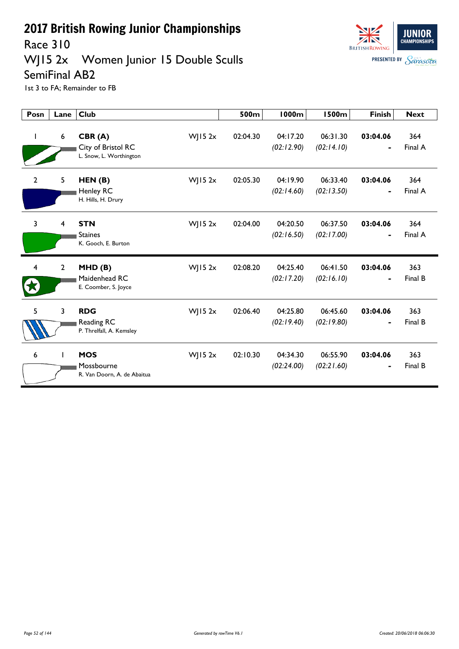

#### **JUNIOR CHAMPIONSHIPS BRITISH ROWING PRESENTED BY Sarasota**

WJ15 2x Women Junior 15 Double Sculls SemiFinal AB2

Race 310

| Posn           | Lane           | <b>Club</b>                                             |            | 500m     | <b>1000m</b>           | <b>1500m</b>           | <b>Finish</b>              | <b>Next</b>    |
|----------------|----------------|---------------------------------------------------------|------------|----------|------------------------|------------------------|----------------------------|----------------|
| $\mathbf{I}$   | 6              | CBR(A)<br>City of Bristol RC<br>L. Snow, L. Worthington | $W$ JI5 2x | 02:04.30 | 04:17.20<br>(02:12.90) | 06:31.30<br>(02:14.10) | 03:04.06                   | 364<br>Final A |
| $\overline{2}$ | 5              | HEN(B)<br>Henley RC<br>H. Hills, H. Drury               | $W$ JI5 2x | 02:05.30 | 04:19.90<br>(02:14.60) | 06:33.40<br>(02:13.50) | 03:04.06                   | 364<br>Final A |
| 3              | 4              | <b>STN</b><br><b>Staines</b><br>K. Gooch, E. Burton     | WJ15 $2x$  | 02:04.00 | 04:20.50<br>(02:16.50) | 06:37.50<br>(02:17.00) | 03:04.06<br>$\blacksquare$ | 364<br>Final A |
| $\overline{4}$ | $\overline{2}$ | MHD(B)<br>Maidenhead RC<br>E. Coomber, S. Joyce         | $W$ JI5 2x | 02:08.20 | 04:25.40<br>(02:17.20) | 06:41.50<br>(02:16.10) | 03:04.06                   | 363<br>Final B |
| 5              | 3              | <b>RDG</b><br>Reading RC<br>P. Threlfall, A. Kemsley    | $W$ JI5 2x | 02:06.40 | 04:25.80<br>(02:19.40) | 06:45.60<br>(02:19.80) | 03:04.06                   | 363<br>Final B |
| 6              |                | <b>MOS</b><br>Mossbourne<br>R. Van Doorn, A. de Abaitua | WJ15 $2x$  | 02:10.30 | 04:34.30<br>(02:24.00) | 06:55.90<br>(02:21.60) | 03:04.06                   | 363<br>Final B |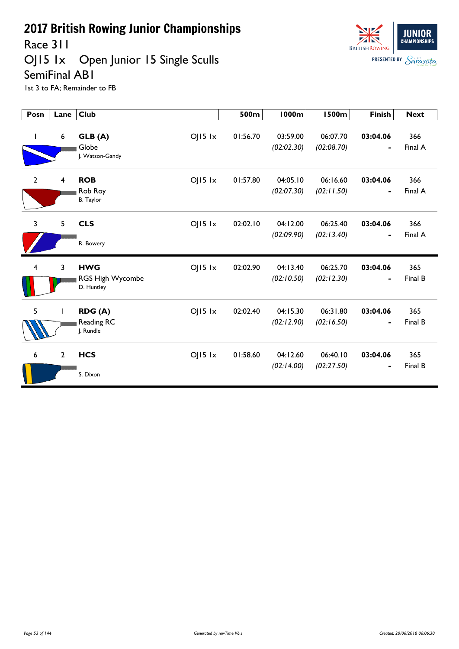

Race 311

# OJ15 1x Open Junior 15 Single Sculls SemiFinal AB1

| Posn                    | Lane           | <b>Club</b>                                                   | 500m     | <b>1000m</b>           | <b>1500m</b>           | <b>Finish</b>                            | <b>Next</b>    |
|-------------------------|----------------|---------------------------------------------------------------|----------|------------------------|------------------------|------------------------------------------|----------------|
| L                       | 6              | $OJI5$ $1x$<br>GLB (A)<br>Globe<br>J. Watson-Gandy            | 01:56.70 | 03:59.00<br>(02:02.30) | 06:07.70<br>(02:08.70) | 03:04.06                                 | 366<br>Final A |
| $\overline{2}$          | 4              | <b>ROB</b><br>$OJI5$ $1x$<br>Rob Roy<br><b>B.</b> Taylor      | 01:57.80 | 04:05.10<br>(02:07.30) | 06:16.60<br>(02:11.50) | 03:04.06<br>$\blacksquare$               | 366<br>Final A |
| 3                       | 5              | <b>CLS</b><br>$OJI5$ $1x$<br>R. Bowery                        | 02:02.10 | 04:12.00<br>(02:09.90) | 06:25.40<br>(02:13.40) | 03:04.06<br>$\qquad \qquad \blacksquare$ | 366<br>Final A |
| $\overline{\mathbf{4}}$ | 3              | <b>HWG</b><br>$O$   15 $1x$<br>RGS High Wycombe<br>D. Huntley | 02:02.90 | 04:13.40<br>(02:10.50) | 06:25.70<br>(02:12.30) | 03:04.06<br>$\qquad \qquad \blacksquare$ | 365<br>Final B |
| 5                       |                | $O$   15 $1x$<br>RDG (A)<br>Reading RC<br>J. Rundle           | 02:02.40 | 04:15.30<br>(02:12.90) | 06:31.80<br>(02:16.50) | 03:04.06<br>$\blacksquare$               | 365<br>Final B |
| 6                       | $\overline{2}$ | <b>HCS</b><br>$OJI5$ $1x$<br>S. Dixon                         | 01:58.60 | 04:12.60<br>(02:14.00) | 06:40.10<br>(02:27.50) | 03:04.06                                 | 365<br>Final B |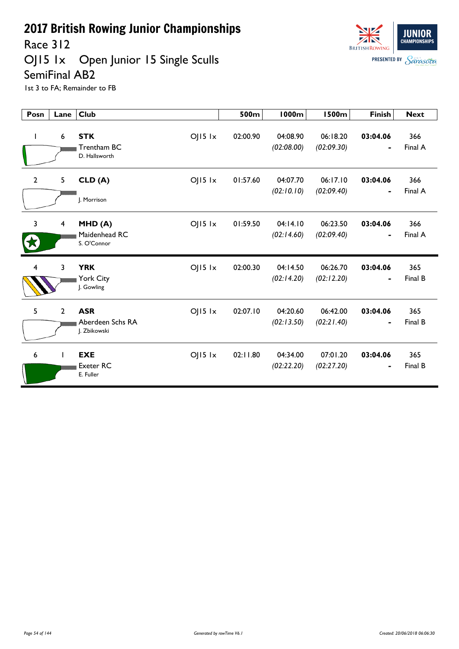Race 312

OJ15 1x Open Junior 15 Single Sculls SemiFinal AB2



| Posn           | Lane           | <b>Club</b>                                                   | 500m     | <b>1000m</b>           | <b>1500m</b>           | <b>Finish</b>                            | <b>Next</b>    |
|----------------|----------------|---------------------------------------------------------------|----------|------------------------|------------------------|------------------------------------------|----------------|
| L              | 6              | <b>STK</b><br>$OJI5$ $1x$<br>Trentham BC<br>D. Hallsworth     | 02:00.90 | 04:08.90<br>(02:08.00) | 06:18.20<br>(02:09.30) | 03:04.06                                 | 366<br>Final A |
| $\overline{2}$ | 5              | $OJI5$ $1x$<br>CLD(A)<br>I. Morrison                          | 01:57.60 | 04:07.70<br>(02:10.10) | 06:17.10<br>(02:09.40) | 03:04.06<br>$\blacksquare$               | 366<br>Final A |
| $\overline{3}$ | 4              | $OJI5$ $1x$<br>MHD(A)<br>Maidenhead RC<br>S. O'Connor         | 01:59.50 | 04:14.10<br>(02:14.60) | 06:23.50<br>(02:09.40) | 03:04.06<br>$\qquad \qquad \blacksquare$ | 366<br>Final A |
| 4              | 3              | <b>YRK</b><br>$O$   $15$ $1x$<br>York City<br>J. Gowling      | 02:00.30 | 04:14.50<br>(02:14.20) | 06:26.70<br>(02:12.20) | 03:04.06                                 | 365<br>Final B |
| 5              | $\overline{2}$ | <b>ASR</b><br>$OJ15$ $1x$<br>Aberdeen Schs RA<br>J. Zbikowski | 02:07.10 | 04:20.60<br>(02:13.50) | 06:42.00<br>(02:21.40) | 03:04.06                                 | 365<br>Final B |
| 6              |                | <b>EXE</b><br>$OJI5$ $1x$<br><b>Exeter RC</b><br>E. Fuller    | 02:11.80 | 04:34.00<br>(02:22.20) | 07:01.20<br>(02:27.20) | 03:04.06                                 | 365<br>Final B |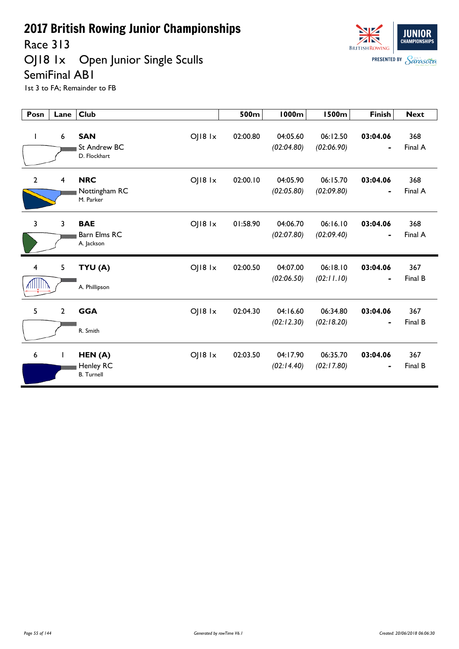Race 313

OJ18 1x Open Junior Single Sculls SemiFinal AB1



| Posn                        | Lane                    | <b>Club</b>                                                          | 500m     | <b>1000m</b>           | <b>1500m</b>           | <b>Finish</b>              | <b>Next</b>    |
|-----------------------------|-------------------------|----------------------------------------------------------------------|----------|------------------------|------------------------|----------------------------|----------------|
| L                           | 6                       | $O$   $18$ $1x$<br><b>SAN</b><br><b>St Andrew BC</b><br>D. Flockhart | 02:00.80 | 04:05.60<br>(02:04.80) | 06:12.50<br>(02:06.90) | 03:04.06<br>$\blacksquare$ | 368<br>Final A |
| $\overline{2}$              | $\overline{\mathbf{4}}$ | <b>NRC</b><br>$O$   $18$ $1x$<br>Nottingham RC<br>M. Parker          | 02:00.10 | 04:05.90<br>(02:05.80) | 06:15.70<br>(02:09.80) | 03:04.06<br>$\blacksquare$ | 368<br>Final A |
| 3                           | $\overline{3}$          | <b>BAE</b><br>$O$   $18$ $1x$<br><b>Barn Elms RC</b><br>A. Jackson   | 01:58.90 | 04:06.70<br>(02:07.80) | 06:16.10<br>(02:09.40) | 03:04.06<br>$\blacksquare$ | 368<br>Final A |
| $\overline{4}$<br>VIIIIIIIV | 5                       | TYU (A)<br>$O$   $18$ $1x$<br>A. Phillipson                          | 02:00.50 | 04:07.00<br>(02:06.50) | 06:18.10<br>(02:11.10) | 03:04.06                   | 367<br>Final B |
| 5                           | $\overline{2}$          | <b>GGA</b><br>$O$   $18$ $1x$<br>R. Smith                            | 02:04.30 | 04:16.60<br>(02:12.30) | 06:34.80<br>(02:18.20) | 03:04.06                   | 367<br>Final B |
| 6                           | $\mathbf{I}$            | OJ18 1x<br>HEN(A)<br>Henley RC<br><b>B.</b> Turnell                  | 02:03.50 | 04:17.90<br>(02:14.40) | 06:35.70<br>(02:17.80) | 03:04.06<br>$\blacksquare$ | 367<br>Final B |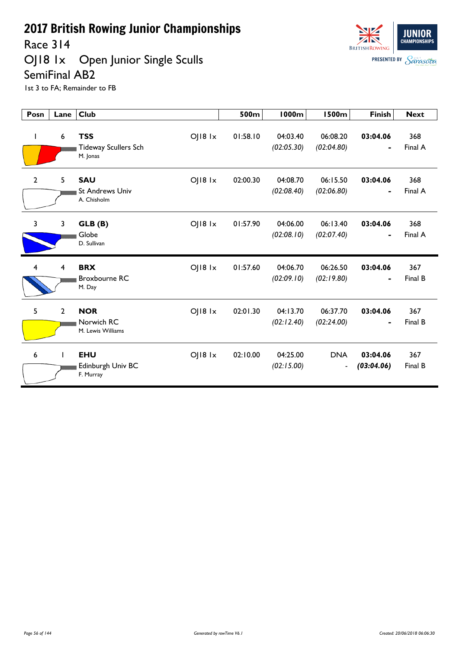Race 314

#### OJ18 1x Open Junior Single Sculls SemiFinal AB2



| Posn         | Lane           | <b>Club</b>                                                              | 500m     | <b>1000m</b>           | <b>1500m</b>                           | <b>Finish</b>                        | <b>Next</b>    |
|--------------|----------------|--------------------------------------------------------------------------|----------|------------------------|----------------------------------------|--------------------------------------|----------------|
| L            | 6              | <b>TSS</b><br>$O$   $18$ $1x$<br><b>Tideway Scullers Sch</b><br>M. Jonas | 01:58.10 | 04:03.40<br>(02:05.30) | 06:08.20<br>(02:04.80)                 | 03:04.06                             | 368<br>Final A |
| $\mathbf{2}$ | 5              | $O$   $18$ $1x$<br><b>SAU</b><br><b>St Andrews Univ</b><br>A. Chisholm   | 02:00.30 | 04:08.70<br>(02:08.40) | 06:15.50<br>(02:06.80)                 | 03:04.06<br>$\blacksquare$           | 368<br>Final A |
| 3            | 3              | $O$   $18$ $1x$<br>GLB (B)<br>Globe<br>D. Sullivan                       | 01:57.90 | 04:06.00<br>(02:08.10) | 06:13.40<br>(02:07.40)                 | 03:04.06<br>$\overline{\phantom{0}}$ | 368<br>Final A |
| 4            | 4              | <b>BRX</b><br>$O$   $18$ $1x$<br><b>Broxbourne RC</b><br>M. Day          | 01:57.60 | 04:06.70<br>(02:09.10) | 06:26.50<br>(02:19.80)                 | 03:04.06                             | 367<br>Final B |
| 5            | $\overline{2}$ | <b>NOR</b><br>$O$   $18$ $1x$<br>Norwich RC<br>M. Lewis Williams         | 02:01.30 | 04:13.70<br>(02:12.40) | 06:37.70<br>(02:24.00)                 | 03:04.06                             | 367<br>Final B |
| 6            |                | <b>EHU</b><br>OJ18 1x<br>Edinburgh Univ BC<br>F. Murray                  | 02:10.00 | 04:25.00<br>(02:15.00) | <b>DNA</b><br>$\overline{\phantom{a}}$ | 03:04.06<br>(03:04.06)               | 367<br>Final B |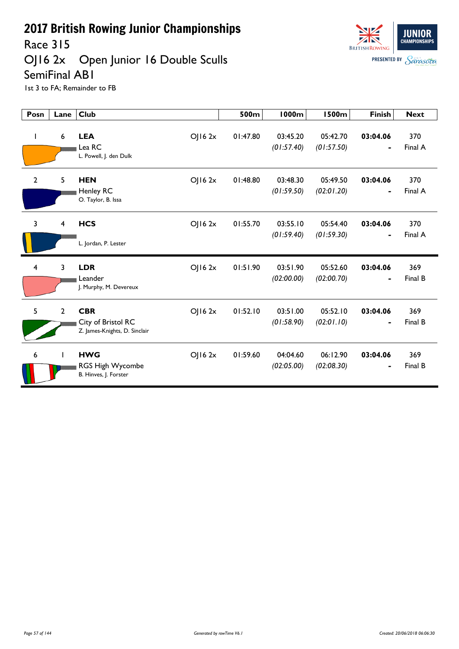

Race 315

# OJ16 2x Open Junior 16 Double Sculls

SemiFinal AB1

| Posn           | Lane           | <b>Club</b>                                                                 | 500m     | <b>1000m</b>           | <b>1500m</b>           | <b>Finish</b>              | <b>Next</b>    |
|----------------|----------------|-----------------------------------------------------------------------------|----------|------------------------|------------------------|----------------------------|----------------|
| $\mathbf{I}$   | 6              | <b>LEA</b><br>OJ162x<br>Lea RC<br>L. Powell, J. den Dulk                    | 01:47.80 | 03:45.20<br>(01:57.40) | 05:42.70<br>(01:57.50) | 03:04.06<br>$\blacksquare$ | 370<br>Final A |
| $\mathbf{2}$   | 5              | <b>HEN</b><br>OJ162x<br>Henley RC<br>O. Taylor, B. Issa                     | 01:48.80 | 03:48.30<br>(01:59.50) | 05:49.50<br>(02:01.20) | 03:04.06<br>$\blacksquare$ | 370<br>Final A |
| $\overline{3}$ | $\overline{4}$ | <b>HCS</b><br>OJ162x<br>L. Jordan, P. Lester                                | 01:55.70 | 03:55.10<br>(01:59.40) | 05:54.40<br>(01:59.30) | 03:04.06<br>$\blacksquare$ | 370<br>Final A |
| 4              | 3              | <b>LDR</b><br>OJ162x<br>Leander<br>J. Murphy, M. Devereux                   | 01:51.90 | 03:51.90<br>(02:00.00) | 05:52.60<br>(02:00.70) | 03:04.06<br>$\blacksquare$ | 369<br>Final B |
| 5              | $\overline{2}$ | <b>CBR</b><br>OJ162x<br>City of Bristol RC<br>Z. James-Knights, D. Sinclair | 01:52.10 | 03:51.00<br>(01:58.90) | 05:52.10<br>(02:01.10) | 03:04.06                   | 369<br>Final B |
| 6              | $\mathbf{I}$   | <b>HWG</b><br>OJ162x<br>RGS High Wycombe<br>B. Hinves, J. Forster           | 01:59.60 | 04:04.60<br>(02:05.00) | 06:12.90<br>(02:08.30) | 03:04.06                   | 369<br>Final B |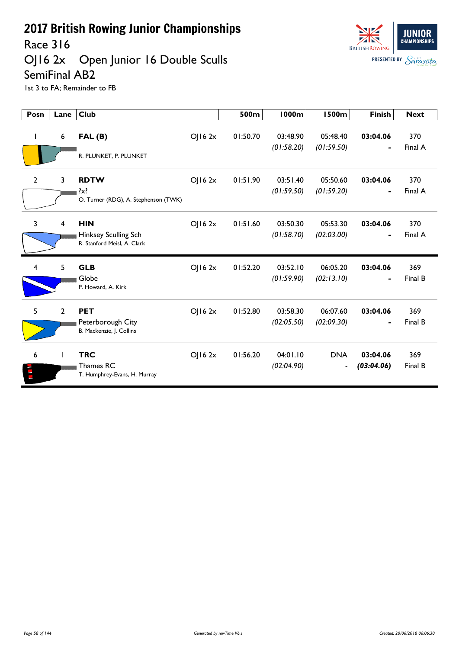

OJ16 2x Open Junior 16 Double Sculls SemiFinal AB2



| Posn           | Lane           | <b>Club</b>                                                       |        | 500m     | <b>1000m</b>           | <b>1500m</b>                 | <b>Finish</b>              | <b>Next</b>    |
|----------------|----------------|-------------------------------------------------------------------|--------|----------|------------------------|------------------------------|----------------------------|----------------|
|                | 6              | FAL(B)<br>R. PLUNKET, P. PLUNKET                                  | OJ162x | 01:50.70 | 03:48.90<br>(01:58.20) | 05:48.40<br>(01:59.50)       | 03:04.06                   | 370<br>Final A |
| $\overline{2}$ | 3              | <b>RDTW</b><br>$\{x\}$<br>O. Turner (RDG), A. Stephenson (TWK)    | OJ162x | 01:51.90 | 03:51.40<br>(01:59.50) | 05:50.60<br>(01:59.20)       | 03:04.06<br>$\blacksquare$ | 370<br>Final A |
| 3              | 4              | <b>HIN</b><br>Hinksey Sculling Sch<br>R. Stanford Meisl, A. Clark | OJ162x | 01:51.60 | 03:50.30<br>(01:58.70) | 05:53.30<br>(02:03.00)       | 03:04.06<br>$\blacksquare$ | 370<br>Final A |
| $\overline{4}$ | 5              | <b>GLB</b><br>Globe<br>P. Howard, A. Kirk                         | OJ162x | 01:52.20 | 03:52.10<br>(01:59.90) | 06:05.20<br>(02:13.10)       | 03:04.06                   | 369<br>Final B |
| 5              | $\overline{2}$ | <b>PET</b><br>Peterborough City<br>B. Mackenzie, J. Collins       | OJ162x | 01:52.80 | 03:58.30<br>(02:05.50) | 06:07.60<br>(02:09.30)       | 03:04.06<br>$\blacksquare$ | 369<br>Final B |
| 6              | $\mathbf{I}$   | <b>TRC</b><br>Thames RC<br>T. Humphrey-Evans, H. Murray           | OJ162x | 01:56.20 | 04:01.10<br>(02:04.90) | <b>DNA</b><br>$\blacksquare$ | 03:04.06<br>(03:04.06)     | 369<br>Final B |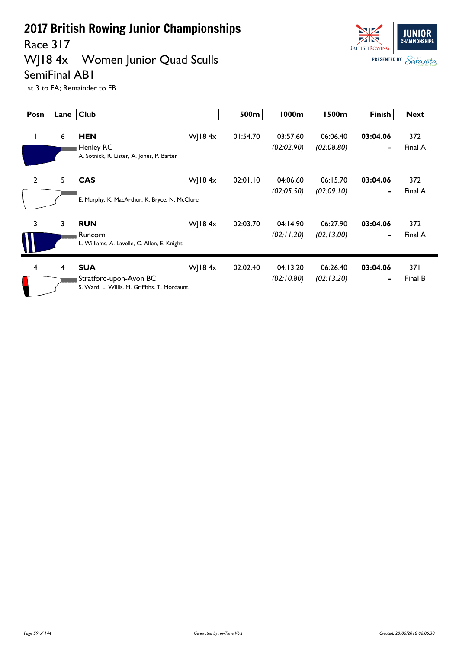Race 317

## WJ18 4x Women Junior Quad Sculls SemiFinal AB1



| Posn           | Lane | <b>Club</b>                                                                           |           | 500m     | 1000m                  | 1500m                  | <b>Finish</b>              | <b>Next</b>     |
|----------------|------|---------------------------------------------------------------------------------------|-----------|----------|------------------------|------------------------|----------------------------|-----------------|
| н.             | 6    | <b>HEN</b><br>Henley RC<br>A. Sotnick, R. Lister, A. Jones, P. Barter                 | WJ18 $4x$ | 01:54.70 | 03:57.60<br>(02:02.90) | 06:06.40<br>(02:08.80) | 03:04.06                   | 372<br>Final A  |
| $\overline{2}$ | 5    | <b>CAS</b><br>E. Murphy, K. MacArthur, K. Bryce, N. McClure                           | WJ18 $4x$ | 02:01.10 | 04:06.60<br>(02:05.50) | 06:15.70<br>(02:09.10) | 03:04.06<br>$\blacksquare$ | 372<br>Final A  |
| 3              | 3    | <b>RUN</b><br>Runcorn<br>L. Williams, A. Lavelle, C. Allen, E. Knight                 | WJ18 $4x$ | 02:03.70 | 04:14.90<br>(02:11.20) | 06:27.90<br>(02:13.00) | 03:04.06                   | 372<br>Final A  |
| 4              | 4    | <b>SUA</b><br>Stratford-upon-Avon BC<br>S. Ward, L. Willis, M. Griffiths, T. Mordaunt | WJ18 $4x$ | 02:02.40 | 04:13.20<br>(02:10.80) | 06:26.40<br>(02:13.20) | 03:04.06                   | 37 I<br>Final B |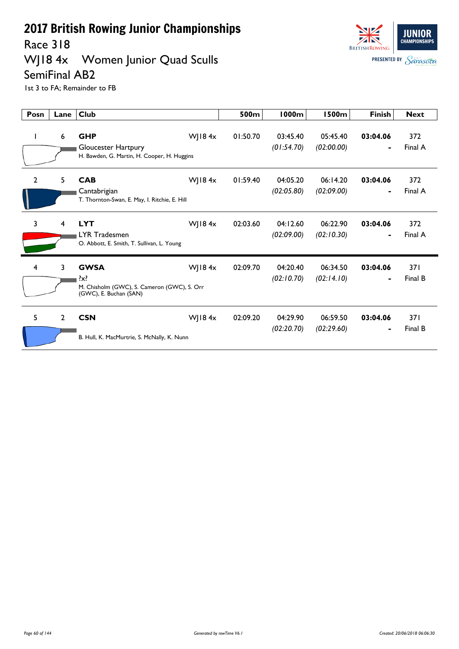Race 318

# WJ18 4x Women Junior Quad Sculls



SemiFinal AB2 1st 3 to FA; Remainder to FB

| Posn           | Lane           | <b>Club</b>                                                                                 |           | 500m     | 1000m                  | <b>1500m</b>           | <b>Finish</b> | <b>Next</b>    |
|----------------|----------------|---------------------------------------------------------------------------------------------|-----------|----------|------------------------|------------------------|---------------|----------------|
|                | 6              | <b>GHP</b><br>Gloucester Hartpury<br>H. Bawden, G. Martin, H. Cooper, H. Huggins            | WJ18 $4x$ | 01:50.70 | 03:45.40<br>(01:54.70) | 05:45.40<br>(02:00.00) | 03:04.06      | 372<br>Final A |
| $\overline{2}$ | 5              | <b>CAB</b><br>Cantabrigian<br>T. Thornton-Swan, E. May, I. Ritchie, E. Hill                 | WJ18 $4x$ | 01:59.40 | 04:05.20<br>(02:05.80) | 06:14.20<br>(02:09.00) | 03:04.06      | 372<br>Final A |
| 3              | 4              | <b>LYT</b><br><b>LYR Tradesmen</b><br>O. Abbott, E. Smith, T. Sullivan, L. Young            | WJ18 $4x$ | 02:03.60 | 04:12.60<br>(02:09.00) | 06:22.90<br>(02:10.30) | 03:04.06      | 372<br>Final A |
| 4              | 3              | <b>GWSA</b><br>?x?<br>M. Chisholm (GWC), S. Cameron (GWC), S. Orr<br>(GWC), E. Buchan (SAN) | WJ18 $4x$ | 02:09.70 | 04:20.40<br>(02:10.70) | 06:34.50<br>(02:14.10) | 03:04.06      | 371<br>Final B |
| 5              | $\overline{2}$ | <b>CSN</b><br>B. Hull, K. MacMurtrie, S. McNally, K. Nunn                                   | WJ18 $4x$ | 02:09.20 | 04:29.90<br>(02:20.70) | 06:59.50<br>(02:29.60) | 03:04.06      | 371<br>Final B |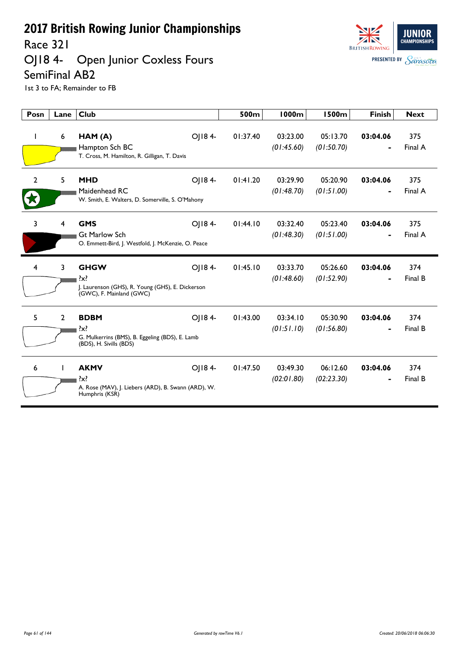Race 321

OJ18 4- Open Junior Coxless Fours SemiFinal AB2



| Posn           | Lane           | <b>Club</b>                                                                                                      | 500m     | 1000m                  | <b>1500m</b>           | <b>Finish</b> | <b>Next</b>    |
|----------------|----------------|------------------------------------------------------------------------------------------------------------------|----------|------------------------|------------------------|---------------|----------------|
|                | 6              | OJ184-<br>HAM (A)<br>Hampton Sch BC<br>T. Cross, M. Hamilton, R. Gilligan, T. Davis                              | 01:37.40 | 03:23.00<br>(01:45.60) | 05:13.70<br>(01:50.70) | 03:04.06      | 375<br>Final A |
| $\mathbf{2}$   | 5              | OJ184-<br><b>MHD</b><br>Maidenhead RC<br>W. Smith, E. Walters, D. Somerville, S. O'Mahony                        | 01:41.20 | 03:29.90<br>(01:48.70) | 05:20.90<br>(01:51.00) | 03:04.06      | 375<br>Final A |
| 3              | $\overline{4}$ | OJ184-<br><b>GMS</b><br><b>Gt Marlow Sch</b><br>O. Emmett-Bird, J. Westfold, J. McKenzie, O. Peace               | 01:44.10 | 03:32.40<br>(01:48.30) | 05:23.40<br>(01:51.00) | 03:04.06      | 375<br>Final A |
| $\overline{4}$ | $\overline{3}$ | OJ184-<br><b>GHGW</b><br>$\{x\}$<br>J. Laurenson (GHS), R. Young (GHS), E. Dickerson<br>(GWC), F. Mainland (GWC) | 01:45.10 | 03:33.70<br>(01:48.60) | 05:26.60<br>(01:52.90) | 03:04.06      | 374<br>Final B |
| 5              | $\overline{2}$ | OJ184-<br><b>BDBM</b><br>G. Mulkerrins (BMS), B. Eggeling (BDS), E. Lamb<br>(BDS), H. Sivills (BDS)              | 01:43.00 | 03:34.10<br>(01:51.10) | 05:30.90<br>(01:56.80) | 03:04.06      | 374<br>Final B |
| 6              |                | OJ184-<br><b>AKMV</b><br>?x?<br>A. Rose (MAV), J. Liebers (ARD), B. Swann (ARD), W.<br>Humphris (KSR)            | 01:47.50 | 03:49.30<br>(02:01.80) | 06:12.60<br>(02:23.30) | 03:04.06      | 374<br>Final B |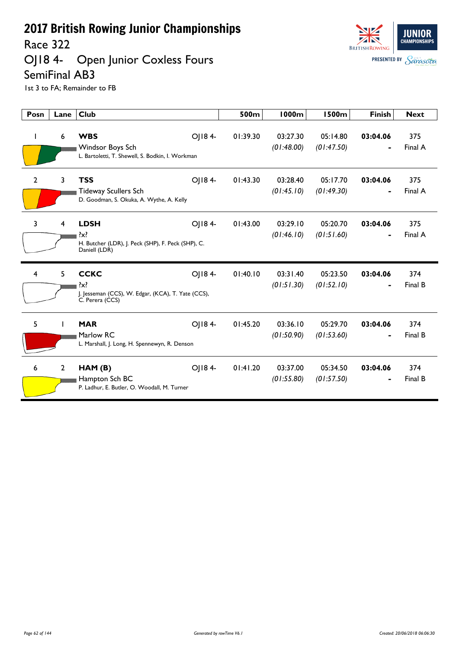Race 322

#### OJ18 4- Open Junior Coxless Fours SemiFinal AB3



| Posn           | Lane         | <b>Club</b>                                                                                     |        | 500m     | <b>1000m</b>           | <b>1500m</b>           | <b>Finish</b>              | <b>Next</b>    |
|----------------|--------------|-------------------------------------------------------------------------------------------------|--------|----------|------------------------|------------------------|----------------------------|----------------|
| L              | 6            | <b>WBS</b><br>Windsor Boys Sch<br>L. Bartoletti, T. Shewell, S. Bodkin, I. Workman              | OJ184- | 01:39.30 | 03:27.30<br>(01:48.00) | 05:14.80<br>(01:47.50) | 03:04.06<br>$\blacksquare$ | 375<br>Final A |
| $\mathbf{2}$   | $\mathbf{3}$ | <b>TSS</b><br><b>Tideway Scullers Sch</b><br>D. Goodman, S. Okuka, A. Wythe, A. Kelly           | OJ184- | 01:43.30 | 03:28.40<br>(01:45.10) | 05:17.70<br>(01:49.30) | 03:04.06                   | 375<br>Final A |
| 3              | 4            | <b>LDSH</b><br>$\{x\}$<br>H. Butcher (LDR), J. Peck (SHP), F. Peck (SHP), C.<br>Daniell (LDR)   | OJ184- | 01:43.00 | 03:29.10<br>(01:46.10) | 05:20.70<br>(01:51.60) | 03:04.06                   | 375<br>Final A |
| $\overline{4}$ | 5            | <b>CCKC</b><br>$\{x\}$<br>J. Jesseman (CCS), W. Edgar, (KCA), T. Yate (CCS),<br>C. Perera (CCS) | OJ184- | 01:40.10 | 03:31.40<br>(01:51.30) | 05:23.50<br>(01:52.10) | 03:04.06                   | 374<br>Final B |
| 5              |              | <b>MAR</b><br>Marlow RC<br>L. Marshall, J. Long, H. Spennewyn, R. Denson                        | OJ184- | 01:45.20 | 03:36.10<br>(01:50.90) | 05:29.70<br>(01:53.60) | 03:04.06                   | 374<br>Final B |
| 6              | $\mathbf{2}$ | HAM (B)<br>Hampton Sch BC<br>P. Ladhur, E. Butler, O. Woodall, M. Turner                        | OJ184- | 01:41.20 | 03:37.00<br>(01:55.80) | 05:34.50<br>(01:57.50) | 03:04.06                   | 374<br>Final B |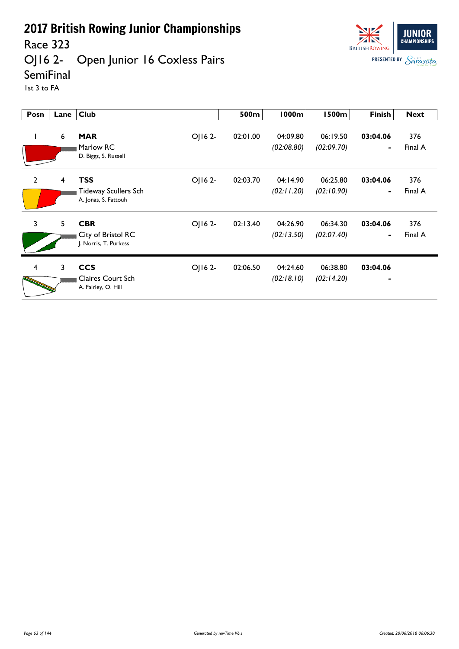Race 323

#### OJ16 2- Open Junior 16 Coxless Pairs



**SemiFinal** 

1st 3 to FA

| Posn           | Lane | <b>Club</b>                                                                  | 500m     | 1000m                  | <b>1500m</b>           | <b>Finish</b>  | <b>Next</b>    |
|----------------|------|------------------------------------------------------------------------------|----------|------------------------|------------------------|----------------|----------------|
| $\mathbf{I}$   | 6    | OJ16 2-<br><b>MAR</b><br>Marlow RC<br>D. Biggs, S. Russell                   | 02:01.00 | 04:09.80<br>(02:08.80) | 06:19.50<br>(02:09.70) | 03:04.06       | 376<br>Final A |
| $\overline{2}$ | 4    | <b>TSS</b><br>OJ16 2-<br><b>Tideway Scullers Sch</b><br>A. Jonas, S. Fattouh | 02:03.70 | 04:14.90<br>(02:11.20) | 06:25.80<br>(02:10.90) | 03:04.06       | 376<br>Final A |
| 3              | 5    | <b>CBR</b><br>OJ16 2-<br>City of Bristol RC<br>J. Norris, T. Purkess         | 02:13.40 | 04:26.90<br>(02:13.50) | 06:34.30<br>(02:07.40) | 03:04.06<br>٠. | 376<br>Final A |
| $\overline{4}$ | 3    | <b>CCS</b><br>OJ16 2-<br><b>Claires Court Sch</b><br>A. Fairley, O. Hill     | 02:06.50 | 04:24.60<br>(02:18.10) | 06:38.80<br>(02:14.20) | 03:04.06       |                |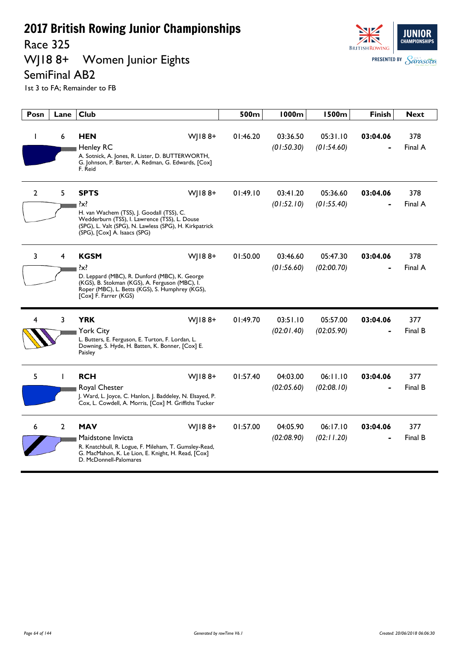#### Race 325<br>WJ18 8+ Women Junior Eights





| Posn | Lane           | <b>Club</b>                                                                                                                                                                                                              | 500m     | <b>1000m</b>           | <b>1500m</b>           | <b>Finish</b> | <b>Next</b>    |
|------|----------------|--------------------------------------------------------------------------------------------------------------------------------------------------------------------------------------------------------------------------|----------|------------------------|------------------------|---------------|----------------|
|      | 6              | <b>HEN</b><br>$W$   188+<br><b>Henley RC</b><br>A. Sotnick, A. Jones, R. Lister, D. BUTTERWORTH,<br>G. Johnson, P. Barter, A. Redman, G. Edwards, [Cox]<br>F. Reid                                                       | 01:46.20 | 03:36.50<br>(01:50.30) | 05:31.10<br>(01:54.60) | 03:04.06      | 378<br>Final A |
| 2    | 5              | <b>SPTS</b><br>WJ188+<br>$\{x\}$<br>H. van Wachem (TSS), J. Goodall (TSS), C.<br>Wedderburn (TSS), I. Lawrence (TSS), L. Douse<br>(SPG), L. Valt (SPG), N. Lawless (SPG), H. Kirkpatrick<br>(SPG), [Cox] A. Isaacs (SPG) | 01:49.10 | 03:41.20<br>(01:52.10) | 05:36.60<br>(01:55.40) | 03:04.06      | 378<br>Final A |
| 3    | 4              | WJ188+<br><b>KGSM</b><br>$\{x\}$<br>D. Leppard (MBC), R. Dunford (MBC), K. George<br>(KGS), B. Stokman (KGS), A. Ferguson (MBC), I.<br>Roper (MBC), L. Betts (KGS), S. Humphrey (KGS),<br>[Cox] F. Farrer (KGS)          | 01:50.00 | 03:46.60<br>(01:56.60) | 05:47.30<br>(02:00.70) | 03:04.06      | 378<br>Final A |
| 4    | 3              | <b>YRK</b><br>WJ188+<br><b>York City</b><br>L. Butters, E. Ferguson, E. Turton, F. Lordan, L.<br>Downing, S. Hyde, H. Batten, K. Bonner, [Cox] E.<br>Paisley                                                             | 01:49.70 | 03:51.10<br>(02:01.40) | 05:57.00<br>(02:05.90) | 03:04.06      | 377<br>Final B |
| 5    |                | WJ188+<br><b>RCH</b><br>Royal Chester<br>J. Ward, L. Joyce, C. Hanlon, J. Baddeley, N. Elsayed, P.<br>Cox, L. Cowdell, A. Morris, [Cox] M. Griffiths Tucker                                                              | 01:57.40 | 04:03.00<br>(02:05.60) | 06:11.10<br>(02:08.10) | 03:04.06      | 377<br>Final B |
| 6    | $\overline{2}$ | <b>MAV</b><br>W 188+<br>Maidstone Invicta<br>R. Knatchbull, R. Logue, F. Mileham, T. Gumsley-Read,<br>G. MacMahon, K. Le Lion, E. Knight, H. Read, [Cox]<br>D. McDonnell-Palomares                                       | 01:57.00 | 04:05.90<br>(02:08.90) | 06:17.10<br>(02:11.20) | 03:04.06      | 377<br>Final B |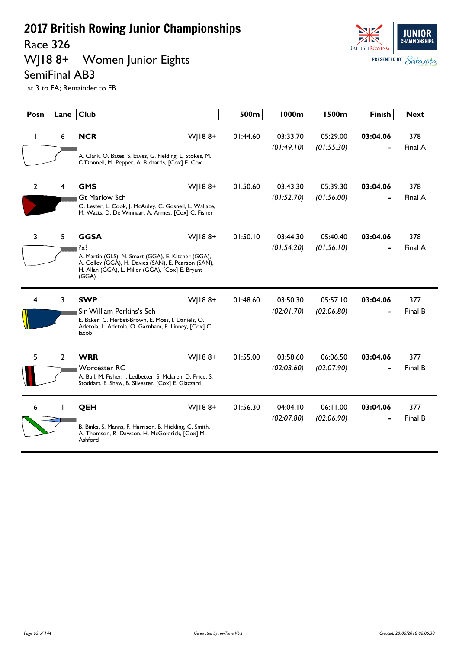Race 326

#### WJ18 8+ Women Junior Eights SemiFinal AB3



| Posn           | Lane        | <b>Club</b>                                                                                                                                                                                                | 500m     | <b>1000m</b>           | <b>1500m</b>           | <b>Finish</b> | <b>Next</b>    |
|----------------|-------------|------------------------------------------------------------------------------------------------------------------------------------------------------------------------------------------------------------|----------|------------------------|------------------------|---------------|----------------|
| ı              | 6           | <b>NCR</b><br>WJ188+<br>A. Clark, O. Bates, S. Eaves, G. Fielding, L. Stokes, M.<br>O'Donnell, M. Pepper, A. Richards, [Cox] E. Cox                                                                        | 01:44.60 | 03:33.70<br>(01:49.10) | 05:29.00<br>(01:55.30) | 03:04.06      | 378<br>Final A |
| $\overline{2}$ | 4           | WJ188+<br><b>GMS</b><br><b>Gt Marlow Sch</b><br>O. Lester, L. Cook, J. McAuley, C. Gosnell, L. Wallace,<br>M. Watts, D. De Winnaar, A. Armes, [Cox] C. Fisher                                              | 01:50.60 | 03:43.30<br>(01:52.70) | 05:39.30<br>(01:56.00) | 03:04.06      | 378<br>Final A |
| 3              | 5           | <b>GGSA</b><br>WJ188+<br>$\{x\}$<br>A. Martin (GLS), N. Smart (GGA), E. Kitcher (GGA),<br>A. Colley (GGA), H. Davies (SAN), E. Pearson (SAN),<br>H. Allan (GGA), L. Miller (GGA), [Cox] E. Bryant<br>(GGA) | 01:50.10 | 03:44.30<br>(01:54.20) | 05:40.40<br>(01:56.10) | 03:04.06      | 378<br>Final A |
| 4              | 3           | WJ188+<br><b>SWP</b><br>Sir William Perkins's Sch<br>E. Baker, C. Herbet-Brown, E. Moss, I. Daniels, O.<br>Adetola, L. Adetola, O. Garnham, E. Linney, [Cox] C.<br>lacob                                   | 01:48.60 | 03:50.30<br>(02:01.70) | 05:57.10<br>(02:06.80) | 03:04.06      | 377<br>Final B |
| 5              | $2^{\circ}$ | <b>WRR</b><br>$W$   188+<br><b>Worcester RC</b><br>A. Bull, M. Fisher, I. Ledbetter, S. Mclaren, D. Price, S.<br>Stoddart, E. Shaw, B. Silvester, [Cox] E. Glazzard                                        | 01:55.00 | 03:58.60<br>(02:03.60) | 06:06.50<br>(02:07.90) | 03:04.06      | 377<br>Final B |
| 6              |             | WJ188+<br>QEH<br>B. Binks, S. Manns, F. Harrison, B. Hickling, C. Smith,<br>A. Thomson, R. Dawson, H. McGoldrick, [Cox] M.<br>Ashford                                                                      | 01:56.30 | 04:04.10<br>(02:07.80) | 06:11.00<br>(02:06.90) | 03:04.06      | 377<br>Final B |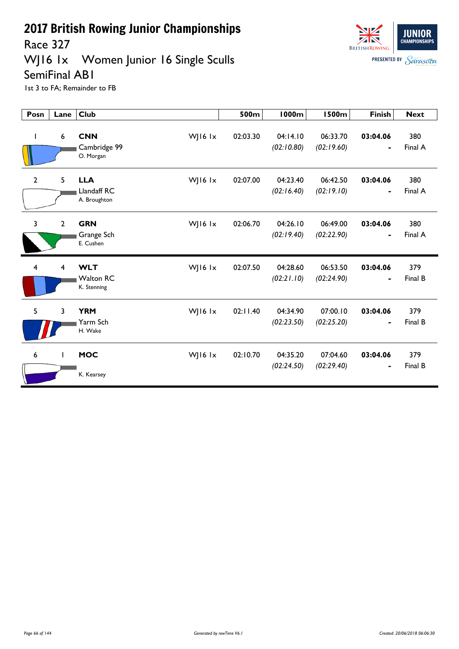Race 327

#### WJ16 1x Women Junior 16 Single Sculls





| Posn           | Lane                    | <b>Club</b>                                              | 500m     | <b>1000m</b>           | <b>1500m</b>           | <b>Finish</b>                            | <b>Next</b>    |
|----------------|-------------------------|----------------------------------------------------------|----------|------------------------|------------------------|------------------------------------------|----------------|
| $\mathbf{I}$   | 6                       | <b>CNN</b><br>WJ16 lx<br>Cambridge 99<br>O. Morgan       | 02:03.30 | 04:14.10<br>(02:10.80) | 06:33.70<br>(02:19.60) | 03:04.06                                 | 380<br>Final A |
| $\overline{2}$ | 5                       | WJ16 lx<br><b>LLA</b><br>Llandaff RC<br>A. Broughton     | 02:07.00 | 04:23.40<br>(02:16.40) | 06:42.50<br>(02:19.10) | 03:04.06                                 | 380<br>Final A |
| $\overline{3}$ | $\overline{2}$          | <b>GRN</b><br>WJ16 $1x$<br>Grange Sch<br>E. Cushen       | 02:06.70 | 04:26.10<br>(02:19.40) | 06:49.00<br>(02:22.90) | 03:04.06<br>$\qquad \qquad \blacksquare$ | 380<br>Final A |
| $\overline{4}$ | $\overline{\mathbf{4}}$ | <b>WLT</b><br>WJ16 lx<br><b>Walton RC</b><br>K. Stenning | 02:07.50 | 04:28.60<br>(02:21.10) | 06:53.50<br>(02:24.90) | 03:04.06                                 | 379<br>Final B |
| 5              | 3                       | <b>YRM</b><br>WJ16 lx<br>Yarm Sch<br>H. Wake             | 02:11.40 | 04:34.90<br>(02:23.50) | 07:00.10<br>(02:25.20) | 03:04.06                                 | 379<br>Final B |
| 6              | $\mathbf{I}$            | <b>MOC</b><br>WJ16 $1x$<br>K. Kearsey                    | 02:10.70 | 04:35.20<br>(02:24.50) | 07:04.60<br>(02:29.40) | 03:04.06                                 | 379<br>Final B |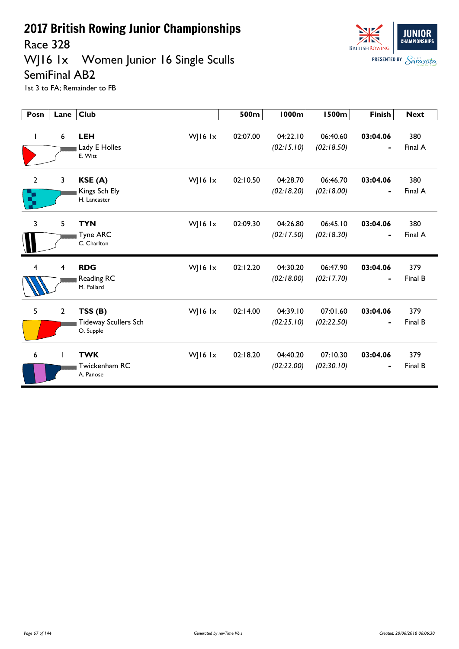Race 328

#### WJ16 1x Women Junior 16 Single Sculls



**JUNIOR CHAMPIONSH BRITISH ROWING PRESENTED BY Sarasota** 

| Posn                | Lane           | <b>Club</b>                                        |           | 500m     | <b>1000m</b>           | <b>1500m</b>           | <b>Finish</b>              | <b>Next</b>    |
|---------------------|----------------|----------------------------------------------------|-----------|----------|------------------------|------------------------|----------------------------|----------------|
| J.                  | 6              | <b>LEH</b><br>Lady E Holles<br>E. Witt             | WJ16 lx   | 02:07.00 | 04:22.10<br>(02:15.10) | 06:40.60<br>(02:18.50) | 03:04.06                   | 380<br>Final A |
| $\overline{2}$<br>ς | 3              | KSE(A)<br>Kings Sch Ely<br>H. Lancaster            | WJ16 lx   | 02:10.50 | 04:28.70<br>(02:18.20) | 06:46.70<br>(02:18.00) | 03:04.06<br>$\blacksquare$ | 380<br>Final A |
| 3                   | 5              | <b>TYN</b><br><b>Tyne ARC</b><br>C. Charlton       | WJ16 $1x$ | 02:09.30 | 04:26.80<br>(02:17.50) | 06:45.10<br>(02:18.30) | 03:04.06<br>$\blacksquare$ | 380<br>Final A |
| $\overline{4}$      | 4              | <b>RDG</b><br>Reading RC<br>M. Pollard             | WJ16 lx   | 02:12.20 | 04:30.20<br>(02:18.00) | 06:47.90<br>(02:17.70) | 03:04.06                   | 379<br>Final B |
| 5                   | $\overline{2}$ | TSS(B)<br><b>Tideway Scullers Sch</b><br>O. Supple | WJ16 lx   | 02:14.00 | 04:39.10<br>(02:25.10) | 07:01.60<br>(02:22.50) | 03:04.06                   | 379<br>Final B |
| 6                   |                | <b>TWK</b><br>Twickenham RC<br>A. Panose           | WJ16 $1x$ | 02:18.20 | 04:40.20<br>(02:22.00) | 07:10.30<br>(02:30.10) | 03:04.06                   | 379<br>Final B |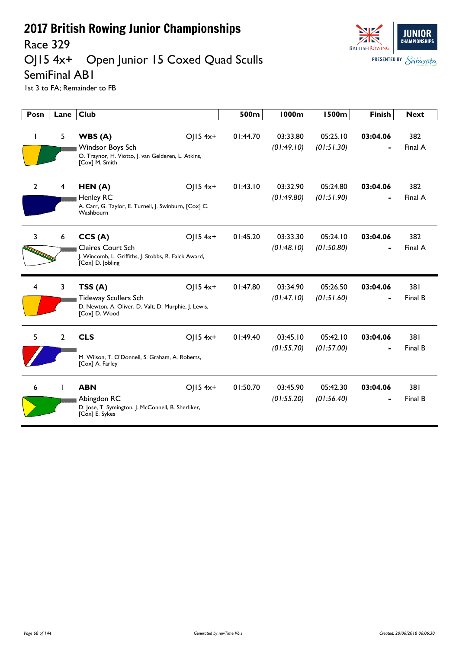

# Race 329<br>OJ15 4x+ Open Junior 15 Coxed Quad Sculls

SemiFinal AB1

| Posn           | Lane           | <b>Club</b>                                                                                                                    | 500m     | <b>1000m</b>           | <b>1500m</b>           | <b>Finish</b> | <b>Next</b>    |
|----------------|----------------|--------------------------------------------------------------------------------------------------------------------------------|----------|------------------------|------------------------|---------------|----------------|
|                | 5              | WBS(A)<br>OJ15 4x+<br>Windsor Boys Sch<br>O. Traynor, H. Viotto, J. van Gelderen, L. Atkins,<br>[Cox] M. Smith                 | 01:44.70 | 03:33.80<br>(01:49.10) | 05:25.10<br>(01:51.30) | 03:04.06      | 382<br>Final A |
| $\overline{2}$ | 4              | $O$   15 4x+<br>HEN(A)<br><b>Henley RC</b><br>A. Carr, G. Taylor, E. Turnell, J. Swinburn, [Cox] C.<br>Washbourn               | 01:43.10 | 03:32.90<br>(01:49.80) | 05:24.80<br>(01:51.90) | 03:04.06      | 382<br>Final A |
| 3              | 6              | $O$   15 4x+<br>CCS(A)<br><b>Claires Court Sch</b><br>J. Wincomb, L. Griffiths, J. Stobbs, R. Falck Award,<br>[Cox] D. Jobling | 01:45.20 | 03:33.30<br>(01:48.10) | 05:24.10<br>(01:50.80) | 03:04.06      | 382<br>Final A |
| 4              | $\mathbf{3}$   | $O  5 4x+$<br>TSS(A)<br><b>Tideway Scullers Sch</b><br>D. Newton, A. Oliver, D. Valt, D. Murphie, J. Lewis,<br>[Cox] D. Wood   | 01:47.80 | 03:34.90<br>(01:47.10) | 05:26.50<br>(01:51.60) | 03:04.06      | 381<br>Final B |
| 5              | $\overline{2}$ | <b>CLS</b><br>$O  5 4x+$<br>M. Wilson, T. O'Donnell, S. Graham, A. Roberts,<br>[Cox] A. Farley                                 | 01:49.40 | 03:45.10<br>(01:55.70) | 05:42.10<br>(01:57.00) | 03:04.06      | 381<br>Final B |
| 6              |                | $O$   15 4x+<br><b>ABN</b><br>Abingdon RC<br>D. Jose, T. Symington, J. McConnell, B. Sherliker,<br>[Cox] E. Sykes              | 01:50.70 | 03:45.90<br>(01:55.20) | 05:42.30<br>(01:56.40) | 03:04.06      | 381<br>Final B |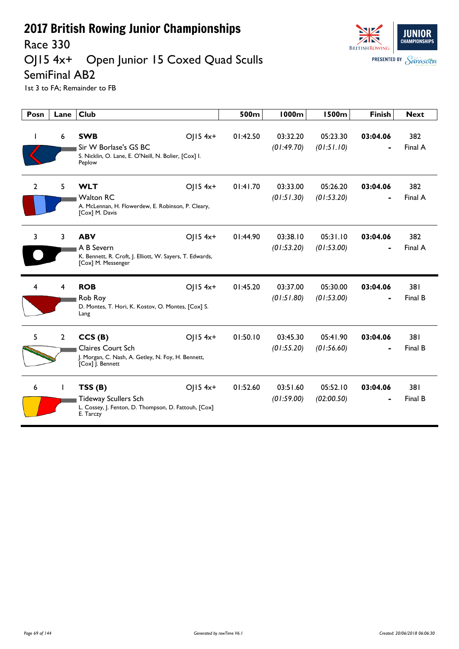

#### Race 330<br>OJ15 4x+ Open Junior 15 Coxed Quad Sculls



SemiFinal AB2 1st 3 to FA; Remainder to FB

| Posn           | Lane           | <b>Club</b>                                                                                                                | 500m     | 1000m                  | <b>1500m</b>           | <b>Finish</b> | <b>Next</b>    |
|----------------|----------------|----------------------------------------------------------------------------------------------------------------------------|----------|------------------------|------------------------|---------------|----------------|
|                | 6              | <b>SWB</b><br>$O  5 4x+$<br>Sir W Borlase's GS BC<br>S. Nicklin, O. Lane, E. O'Neill, N. Bolier, [Cox] I.<br>Peplow        | 01:42.50 | 03:32.20<br>(01:49.70) | 05:23.30<br>(01:51.10) | 03:04.06      | 382<br>Final A |
| $\mathbf{2}$   | 5.             | <b>WLT</b><br>$O  5 4x+$<br><b>Walton RC</b><br>A. McLennan, H. Flowerdew, E. Robinson, P. Cleary,<br>[Cox] M. Davis       | 01:41.70 | 03:33.00<br>(01:51.30) | 05:26.20<br>(01:53.20) | 03:04.06      | 382<br>Final A |
| 3              | 3              | <b>ABV</b><br>$O  5 4x+$<br>A B Severn<br>K. Bennett, R. Croft, J. Elliott, W. Sayers, T. Edwards,<br>[Cox] M. Messenger   | 01:44.90 | 03:38.10<br>(01:53.20) | 05:31.10<br>(01:53.00) | 03:04.06      | 382<br>Final A |
| $\overline{4}$ | 4              | <b>ROB</b><br>$O  5 4x+$<br>Rob Roy<br>D. Montes, T. Hori, K. Kostov, O. Montes, [Cox] S.<br>Lang                          | 01:45.20 | 03:37.00<br>(01:51.80) | 05:30.00<br>(01:53.00) | 03:04.06      | 381<br>Final B |
| 5              | $\overline{2}$ | CCS(B)<br>$O(15.4x+$<br><b>Claires Court Sch</b><br>J. Morgan, C. Nash, A. Getley, N. Foy, H. Bennett,<br>[Cox] J. Bennett | 01:50.10 | 03:45.30<br>(01:55.20) | 05:41.90<br>(01:56.60) | 03:04.06      | 381<br>Final B |
| 6              |                | TSS(B)<br>$O  5 4x+$<br><b>Tideway Scullers Sch</b><br>L. Cossey, J. Fenton, D. Thompson, D. Fattouh, [Cox]<br>E. Tarczy   | 01:52.60 | 03:51.60<br>(01:59.00) | 05:52.10<br>(02:00.50) | 03:04.06      | 381<br>Final B |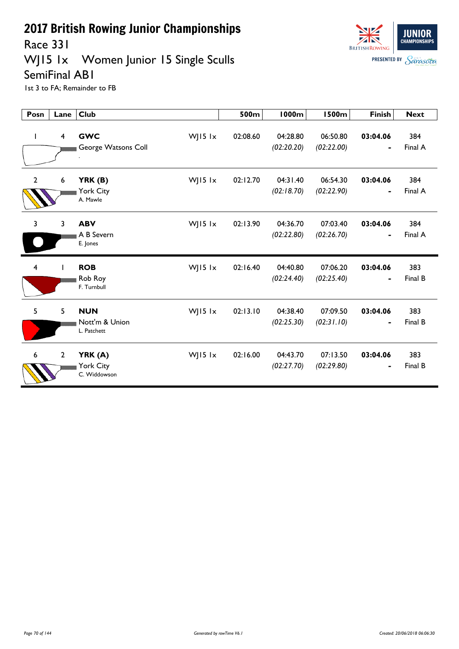

Race 331

#### WJ15 1x Women Junior 15 Single Sculls

#### SemiFinal AB1



| Posn                    | Lane           | <b>Club</b>                                            | 500m     | <b>1000m</b>           | <b>1500m</b>           | <b>Finish</b>                            | <b>Next</b>    |
|-------------------------|----------------|--------------------------------------------------------|----------|------------------------|------------------------|------------------------------------------|----------------|
| L                       | $\overline{4}$ | <b>GWC</b><br>WJ15 lx<br>George Watsons Coll           | 02:08.60 | 04:28.80<br>(02:20.20) | 06:50.80<br>(02:22.00) | 03:04.06<br>$\blacksquare$               | 384<br>Final A |
| $\overline{2}$          | 6              | WJ15 lx<br>YRK (B)<br>York City<br>A. Mawle            | 02:12.70 | 04:31.40<br>(02:18.70) | 06:54.30<br>(02:22.90) | 03:04.06<br>$\blacksquare$               | 384<br>Final A |
| 3                       | 3              | <b>ABV</b><br>WJ15 lx<br>A B Severn<br>E. Jones        | 02:13.90 | 04:36.70<br>(02:22.80) | 07:03.40<br>(02:26.70) | 03:04.06                                 | 384<br>Final A |
| $\overline{\mathbf{4}}$ |                | <b>ROB</b><br>WJ15 lx<br>Rob Roy<br>F. Turnbull        | 02:16.40 | 04:40.80<br>(02:24.40) | 07:06.20<br>(02:25.40) | 03:04.06                                 | 383<br>Final B |
| 5                       | 5              | <b>NUN</b><br>WJ15 lx<br>Nott'm & Union<br>L. Patchett | 02:13.10 | 04:38.40<br>(02:25.30) | 07:09.50<br>(02:31.10) | 03:04.06<br>$\qquad \qquad \blacksquare$ | 383<br>Final B |
| 6                       | $2^{\circ}$    | WJ15 lx<br>YRK (A)<br>York City<br>C. Widdowson        | 02:16.00 | 04:43.70<br>(02:27.70) | 07:13.50<br>(02:29.80) | 03:04.06<br>$\blacksquare$               | 383<br>Final B |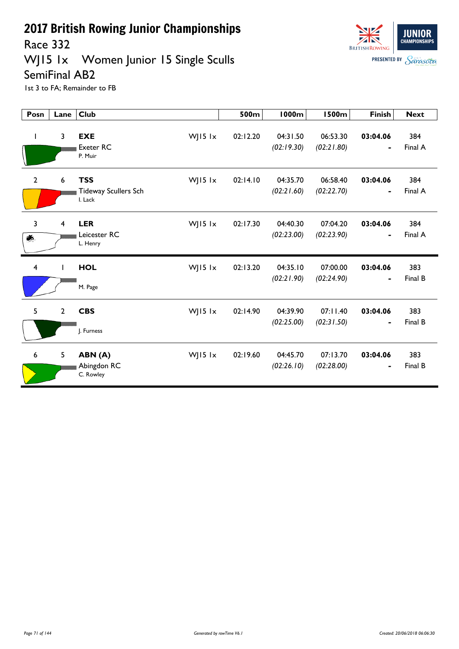Race 332

#### WJ15 1x Women Junior 15 Single Sculls



SemiFinal AB2 1st 3 to FA; Remainder to FB

| Posn           | Lane           | <b>Club</b>                                                     | 500m     | <b>1000m</b>           | <b>1500m</b>           | <b>Finish</b>              | <b>Next</b>    |
|----------------|----------------|-----------------------------------------------------------------|----------|------------------------|------------------------|----------------------------|----------------|
| L              | $\overline{3}$ | <b>EXE</b><br>WJ15 lx<br><b>Exeter RC</b><br>P. Muir            | 02:12.20 | 04:31.50<br>(02:19.30) | 06:53.30<br>(02:21.80) | 03:04.06<br>۰              | 384<br>Final A |
| $\overline{2}$ | 6              | <b>TSS</b><br>WJ15 lx<br><b>Tideway Scullers Sch</b><br>I. Lack | 02:14.10 | 04:35.70<br>(02:21.60) | 06:58.40<br>(02:22.70) | 03:04.06<br>-              | 384<br>Final A |
| 3<br>藝         | $\overline{4}$ | WJ15 lx<br><b>LER</b><br>Leicester RC<br>L. Henry               | 02:17.30 | 04:40.30<br>(02:23.00) | 07:04.20<br>(02:23.90) | 03:04.06<br>$\blacksquare$ | 384<br>Final A |
| $\overline{4}$ |                | <b>HOL</b><br>WJ15 lx<br>M. Page                                | 02:13.20 | 04:35.10<br>(02:21.90) | 07:00.00<br>(02:24.90) | 03:04.06<br>-              | 383<br>Final B |
| 5              | $\overline{2}$ | <b>CBS</b><br>WJ15 lx<br>J. Furness                             | 02:14.90 | 04:39.90<br>(02:25.00) | 07:11.40<br>(02:31.50) | 03:04.06                   | 383<br>Final B |
| 6              | 5              | WJ15 $1x$<br>ABN (A)<br>Abingdon RC<br>C. Rowley                | 02:19.60 | 04:45.70<br>(02:26.10) | 07:13.70<br>(02:28.00) | 03:04.06<br>-              | 383<br>Final B |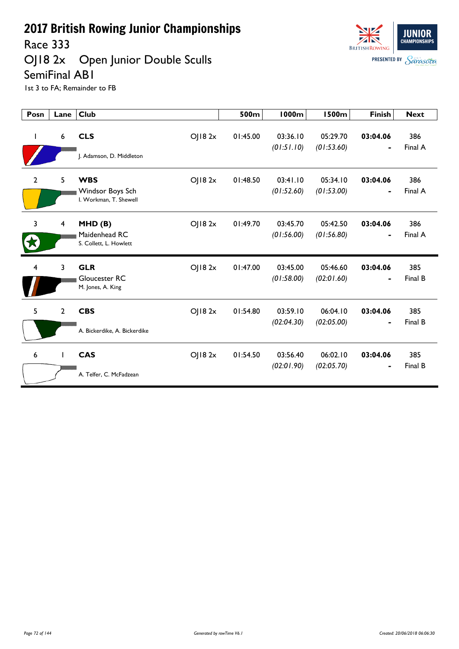Race 333

OJ18 2x Open Junior Double Sculls SemiFinal AB1



| Posn           | Lane                    | <b>Club</b>                                              |        | 500m     | <b>1000m</b>           | <b>1500m</b>           | <b>Finish</b>              | <b>Next</b>    |
|----------------|-------------------------|----------------------------------------------------------|--------|----------|------------------------|------------------------|----------------------------|----------------|
| $\mathbf{I}$   | 6                       | <b>CLS</b><br>J. Adamson, D. Middleton                   | OJ182x | 01:45.00 | 03:36.10<br>(01:51.10) | 05:29.70<br>(01:53.60) | 03:04.06<br>$\blacksquare$ | 386<br>Final A |
| 2              | 5                       | <b>WBS</b><br>Windsor Boys Sch<br>I. Workman, T. Shewell | OJ182x | 01:48.50 | 03:41.10<br>(01:52.60) | 05:34.10<br>(01:53.00) | 03:04.06<br>$\blacksquare$ | 386<br>Final A |
| $\overline{3}$ | $\overline{\mathbf{4}}$ | MHD(B)<br>Maidenhead RC<br>S. Collett, L. Howlett        | OJ182x | 01:49.70 | 03:45.70<br>(01:56.00) | 05:42.50<br>(01:56.80) | 03:04.06<br>$\blacksquare$ | 386<br>Final A |
| 4              | 3                       | <b>GLR</b><br>Gloucester RC<br>M. Jones, A. King         | OJ182x | 01:47.00 | 03:45.00<br>(01:58.00) | 05:46.60<br>(02:01.60) | 03:04.06<br>$\blacksquare$ | 385<br>Final B |
| 5              | $\overline{2}$          | <b>CBS</b><br>A. Bickerdike, A. Bickerdike               | OJ182x | 01:54.80 | 03:59.10<br>(02:04.30) | 06:04.10<br>(02:05.00) | 03:04.06                   | 385<br>Final B |
| 6              |                         | <b>CAS</b><br>A. Telfer, C. McFadzean                    | OJ182x | 01:54.50 | 03:56.40<br>(02:01.90) | 06:02.10<br>(02:05.70) | 03:04.06                   | 385<br>Final B |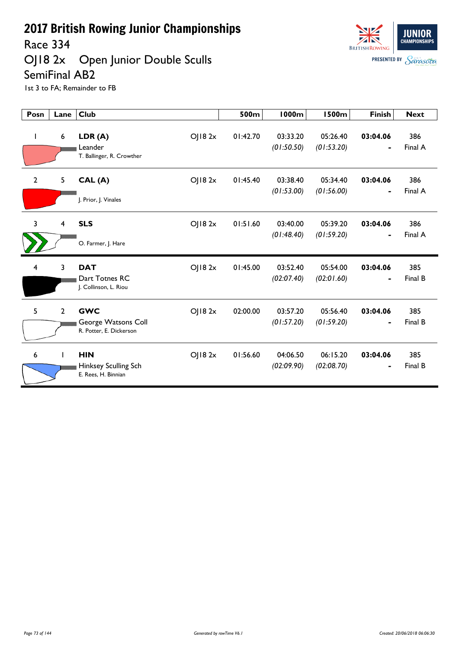Race 334

OJ18 2x Open Junior Double Sculls SemiFinal AB2



| Posn           | Lane           | <b>Club</b>                                                            | 500m     | <b>1000m</b>           | <b>1500m</b>           | <b>Finish</b>              | <b>Next</b>    |
|----------------|----------------|------------------------------------------------------------------------|----------|------------------------|------------------------|----------------------------|----------------|
| L              | 6              | OJ182x<br>LDR(A)<br>Leander<br>T. Ballinger, R. Crowther               | 01:42.70 | 03:33.20<br>(01:50.50) | 05:26.40<br>(01:53.20) | 03:04.06<br>$\blacksquare$ | 386<br>Final A |
| $\overline{2}$ | 5              | OJ182x<br>CAL(A)<br>J. Prior, J. Vinales                               | 01:45.40 | 03:38.40<br>(01:53.00) | 05:34.40<br>(01:56.00) | 03:04.06<br>$\blacksquare$ | 386<br>Final A |
| 3              | $\overline{4}$ | <b>SLS</b><br>OJ182x<br>O. Farmer, J. Hare                             | 01:51.60 | 03:40.00<br>(01:48.40) | 05:39.20<br>(01:59.20) | 03:04.06                   | 386<br>Final A |
| 4              | 3              | <b>DAT</b><br>OJ182x<br>Dart Totnes RC<br>J. Collinson, L. Riou        | 01:45.00 | 03:52.40<br>(02:07.40) | 05:54.00<br>(02:01.60) | 03:04.06                   | 385<br>Final B |
| 5              | $\overline{2}$ | <b>GWC</b><br>OJ182x<br>George Watsons Coll<br>R. Potter, E. Dickerson | 02:00.00 | 03:57.20<br>(01:57.20) | 05:56.40<br>(01:59.20) | 03:04.06                   | 385<br>Final B |
| 6              |                | <b>HIN</b><br>OJ182x<br>Hinksey Sculling Sch<br>E. Rees, H. Binnian    | 01:56.60 | 04:06.50<br>(02:09.90) | 06:15.20<br>(02:08.70) | 03:04.06                   | 385<br>Final B |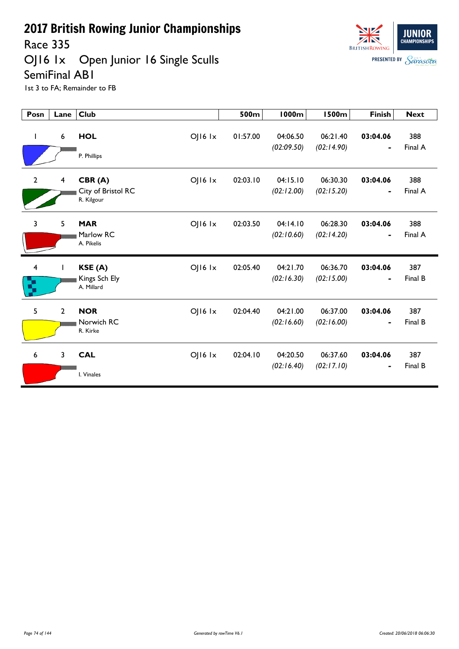Race 335

OJ16 1x Open Junior 16 Single Sculls SemiFinal AB1



| Posn                         | Lane                    | <b>Club</b>                                                   | 500m     | <b>1000m</b>           | <b>1500m</b>           | <b>Finish</b>              | <b>Next</b>    |
|------------------------------|-------------------------|---------------------------------------------------------------|----------|------------------------|------------------------|----------------------------|----------------|
| T                            | $6\phantom{1}6$         | <b>HOL</b><br>OJ16 Ix<br>P. Phillips                          | 01:57.00 | 04:06.50<br>(02:09.50) | 06:21.40<br>(02:14.90) | 03:04.06<br>$\blacksquare$ | 388<br>Final A |
| $\overline{2}$               | $\overline{\mathbf{4}}$ | $O$   $16$ $1x$<br>CBR(A)<br>City of Bristol RC<br>R. Kilgour | 02:03.10 | 04:15.10<br>(02:12.00) | 06:30.30<br>(02:15.20) | 03:04.06<br>$\blacksquare$ | 388<br>Final A |
| $\overline{3}$               | 5                       | <b>MAR</b><br>$OJI6$ $1x$<br>Marlow RC<br>A. Pikelis          | 02:03.50 | 04:14.10<br>(02:10.60) | 06:28.30<br>(02:14.20) | 03:04.06<br>$\blacksquare$ | 388<br>Final A |
| $\overline{\mathbf{4}}$<br>Ŋ |                         | KSE(A)<br>OJ16 Ix<br>Kings Sch Ely<br>A. Millard              | 02:05.40 | 04:21.70<br>(02:16.30) | 06:36.70<br>(02:15.00) | 03:04.06<br>$\blacksquare$ | 387<br>Final B |
| 5                            | $\overline{2}$          | <b>NOR</b><br>$O$   $16$ $1x$<br>Norwich RC<br>R. Kirke       | 02:04.40 | 04:21.00<br>(02:16.60) | 06:37.00<br>(02:16.00) | 03:04.06<br>$\blacksquare$ | 387<br>Final B |
| 6                            | 3                       | <b>CAL</b><br>OJ16 Ix<br>I. Vinales                           | 02:04.10 | 04:20.50<br>(02:16.40) | 06:37.60<br>(02:17.10) | 03:04.06                   | 387<br>Final B |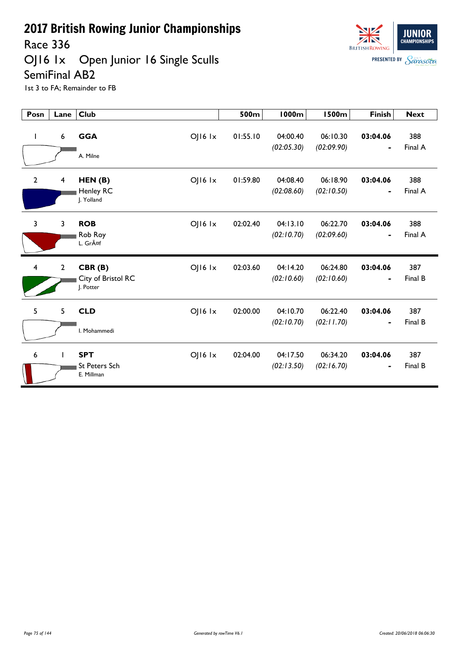Race 336

OJ16 1x Open Junior 16 Single Sculls SemiFinal AB2



| Posn           | Lane                    | <b>Club</b>                                                  | 500m     | <b>1000m</b>           | <b>1500m</b>           | <b>Finish</b>                            | <b>Next</b>    |
|----------------|-------------------------|--------------------------------------------------------------|----------|------------------------|------------------------|------------------------------------------|----------------|
| L              | 6                       | <b>GGA</b><br>OJ16 Ix<br>A. Milne                            | 01:55.10 | 04:00.40<br>(02:05.30) | 06:10.30<br>(02:09.90) | 03:04.06                                 | 388<br>Final A |
| $\overline{2}$ | $\overline{\mathbf{4}}$ | OJ16 lx<br>HEN(B)<br>Henley RC<br>J. Yolland                 | 01:59.80 | 04:08.40<br>(02:08.60) | 06:18.90<br>(02:10.50) | 03:04.06<br>-                            | 388<br>Final A |
| 3              | 3                       | <b>ROB</b><br>OJ16 Ix<br>Rob Roy<br>L. Gräf                  | 02:02.40 | 04:13.10<br>(02:10.70) | 06:22.70<br>(02:09.60) | 03:04.06<br>$\qquad \qquad \blacksquare$ | 388<br>Final A |
| $\overline{4}$ | $\overline{2}$          | $O$   $16$ $1x$<br>CBR(B)<br>City of Bristol RC<br>J. Potter | 02:03.60 | 04:14.20<br>(02:10.60) | 06:24.80<br>(02:10.60) | 03:04.06<br>$\blacksquare$               | 387<br>Final B |
| 5              | 5                       | $O$   $16$ $1x$<br><b>CLD</b><br>I. Mohammedi                | 02:00.00 | 04:10.70<br>(02:10.70) | 06:22.40<br>(02:11.70) | 03:04.06                                 | 387<br>Final B |
| 6              |                         | <b>SPT</b><br>OJ16 Ix<br><b>St Peters Sch</b><br>E. Millman  | 02:04.00 | 04:17.50<br>(02:13.50) | 06:34.20<br>(02:16.70) | 03:04.06<br>$\qquad \qquad \blacksquare$ | 387<br>Final B |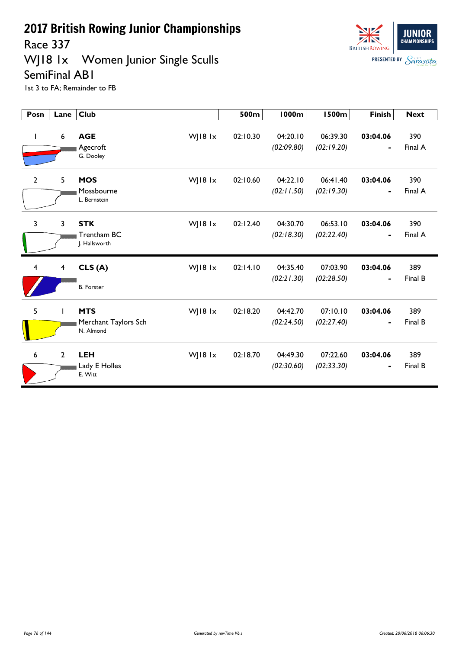Race 337

WJ18 1x Women Junior Single Sculls SemiFinal AB1



| Posn           | Lane                    | <b>Club</b>                                                | 500m     | <b>1000m</b>           | <b>1500m</b>           | <b>Finish</b>              | <b>Next</b>    |
|----------------|-------------------------|------------------------------------------------------------|----------|------------------------|------------------------|----------------------------|----------------|
| $\mathbf{I}$   | $6\phantom{1}6$         | <b>AGE</b><br>WJ18 1x<br>Agecroft<br>G. Dooley             | 02:10.30 | 04:20.10<br>(02:09.80) | 06:39.30<br>(02:19.20) | 03:04.06                   | 390<br>Final A |
| $\overline{2}$ | 5                       | <b>MOS</b><br>WJ18 1x<br>Mossbourne<br>L. Bernstein        | 02:10.60 | 04:22.10<br>(02:11.50) | 06:41.40<br>(02:19.30) | 03:04.06<br>$\blacksquare$ | 390<br>Final A |
| $\overline{3}$ | 3                       | <b>STK</b><br>WJ18 $1x$<br>Trentham BC<br>J. Hallsworth    | 02:12.40 | 04:30.70<br>(02:18.30) | 06:53.10<br>(02:22.40) | 03:04.06<br>$\blacksquare$ | 390<br>Final A |
| 4              | $\overline{\mathbf{4}}$ | WJ18 1x<br>CLS(A)<br><b>B.</b> Forster                     | 02:14.10 | 04:35.40<br>(02:21.30) | 07:03.90<br>(02:28.50) | 03:04.06                   | 389<br>Final B |
| 5              |                         | <b>MTS</b><br>WJ18 1x<br>Merchant Taylors Sch<br>N. Almond | 02:18.20 | 04:42.70<br>(02:24.50) | 07:10.10<br>(02:27.40) | 03:04.06                   | 389<br>Final B |
| 6              | $\overline{2}$          | <b>LEH</b><br>WJ18 1x<br>Lady E Holles<br>E. Witt          | 02:18.70 | 04:49.30<br>(02:30.60) | 07:22.60<br>(02:33.30) | 03:04.06                   | 389<br>Final B |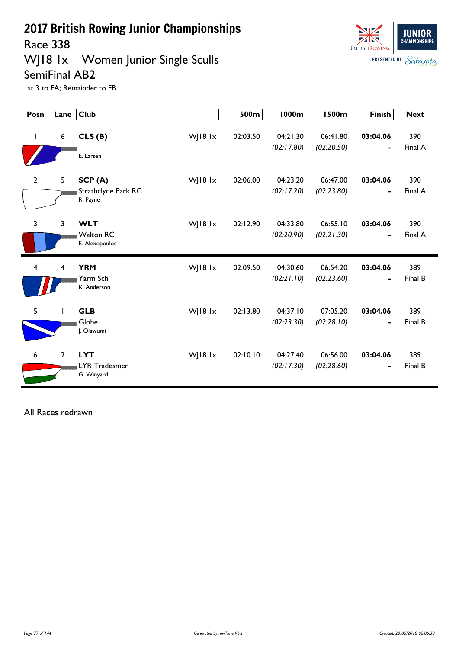Race 338

WJ18 1x Women Junior Single Sculls SemiFinal AB2



1st 3 to FA; Remainder to FB

| Posn           | Lane            | <b>Club</b>                                      |           | 500m     | <b>1000m</b>           | <b>1500m</b>           | <b>Finish</b>              | <b>Next</b>    |
|----------------|-----------------|--------------------------------------------------|-----------|----------|------------------------|------------------------|----------------------------|----------------|
| T              | $6\phantom{.}6$ | CLS(B)<br>E. Larsen                              | WJ18 1x   | 02:03.50 | 04:21.30<br>(02:17.80) | 06:41.80<br>(02:20.50) | 03:04.06                   | 390<br>Final A |
| $\mathbf{2}$   | 5               | SCP(A)<br>Strathclyde Park RC<br>R. Payne        | WJ18 1x   | 02:06.00 | 04:23.20<br>(02:17.20) | 06:47.00<br>(02:23.80) | 03:04.06<br>$\blacksquare$ | 390<br>Final A |
| 3              | 3               | <b>WLT</b><br><b>Walton RC</b><br>E. Alexopoulos | WJ18 $1x$ | 02:12.90 | 04:33.80<br>(02:20.90) | 06:55.10<br>(02:21.30) | 03:04.06<br>$\blacksquare$ | 390<br>Final A |
| $\overline{4}$ | 4               | <b>YRM</b><br>Yarm Sch<br>K. Anderson            | WJ18 lx   | 02:09.50 | 04:30.60<br>(02:21.10) | 06:54.20<br>(02:23.60) | 03:04.06<br>٠              | 389<br>Final B |
| 5              |                 | <b>GLB</b><br>Globe<br>J. Olawumi                | WJ18 lx   | 02:13.80 | 04:37.10<br>(02:23.30) | 07:05.20<br>(02:28.10) | 03:04.06<br>$\blacksquare$ | 389<br>Final B |
| 6              | $\overline{2}$  | <b>LYT</b><br>LYR Tradesmen<br>G. Winyard        | WJ18 lx   | 02:10.10 | 04:27.40<br>(02:17.30) | 06:56.00<br>(02:28.60) | 03:04.06<br>$\blacksquare$ | 389<br>Final B |

All Races redrawn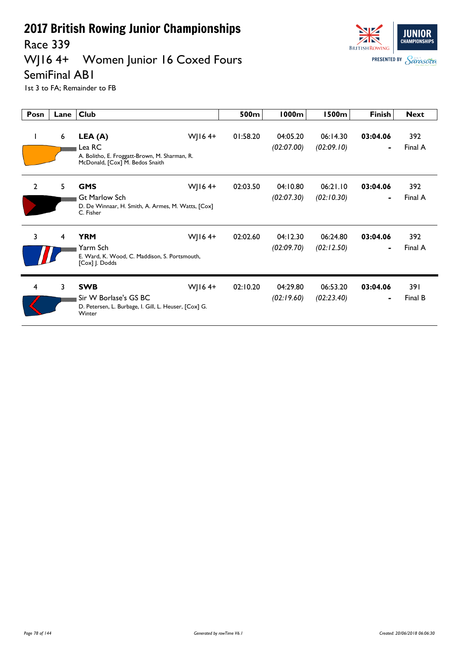Race 339

### WJ16 4+ Women Junior 16 Coxed Fours



SemiFinal AB1

| Posn           | Lane | <b>Club</b>                                                                                            |           | 500m     | <b>1000m</b>           | <b>1500m</b>           | <b>Finish</b>              | <b>Next</b>    |
|----------------|------|--------------------------------------------------------------------------------------------------------|-----------|----------|------------------------|------------------------|----------------------------|----------------|
| L              | 6    | LEA (A)<br>Lea RC<br>A. Bolitho, E. Froggatt-Brown, M. Sharman, R.<br>McDonald, [Cox] M. Bedos Snaith  | WJ16 $4+$ | 01:58.20 | 04:05.20<br>(02:07.00) | 06:14.30<br>(02:09.10) | 03:04.06<br>$\blacksquare$ | 392<br>Final A |
| $\overline{2}$ | 5    | <b>GMS</b><br><b>Gt Marlow Sch</b><br>D. De Winnaar, H. Smith, A. Armes, M. Watts, [Cox]<br>C. Fisher  | WJ16 $4+$ | 02:03.50 | 04:10.80<br>(02:07.30) | 06:21.10<br>(02:10.30) | 03:04.06<br>$\blacksquare$ | 392<br>Final A |
| 3              | 4    | <b>YRM</b><br>Yarm Sch<br>E. Ward, K. Wood, C. Maddison, S. Portsmouth,<br>[Cox] J. Dodds              | WJ16 $4+$ | 02:02.60 | 04:12.30<br>(02:09.70) | 06:24.80<br>(02:12.50) | 03:04.06<br>$\blacksquare$ | 392<br>Final A |
| $\overline{4}$ | 3    | <b>SWB</b><br>Sir W Borlase's GS BC<br>D. Petersen, L. Burbage, I. Gill, L. Heuser, [Cox] G.<br>Winter | WJ16 $4+$ | 02:10.20 | 04:29.80<br>(02:19.60) | 06:53.20<br>(02:23.40) | 03:04.06<br>$\blacksquare$ | 391<br>Final B |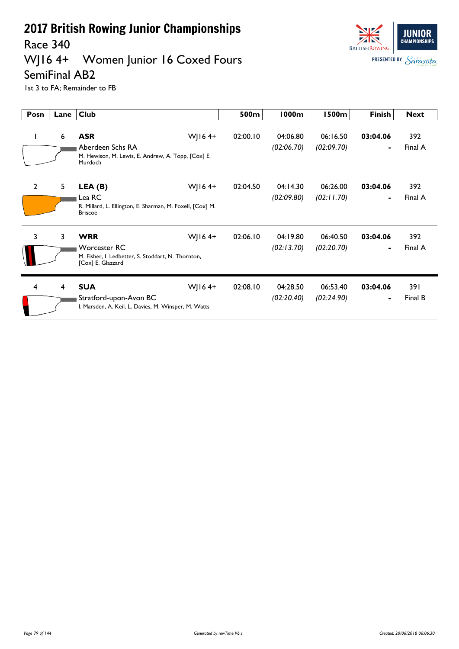#### Race 340<br>WJ16 4+ Women Junior 16 Coxed Fours



SemiFinal AB2

| Posn           | Lane           | <b>Club</b>                                                                                                               | 500m     | <b>1000m</b>           | <b>1500m</b>           | <b>Finish</b>              | <b>Next</b>    |
|----------------|----------------|---------------------------------------------------------------------------------------------------------------------------|----------|------------------------|------------------------|----------------------------|----------------|
| L              | 6              | <b>ASR</b><br>WJ16 $4+$<br>Aberdeen Schs RA<br>M. Hewison, M. Lewis, E. Andrew, A. Topp, [Cox] E.<br>Murdoch              | 02:00.10 | 04:06.80<br>(02:06.70) | 06:16.50<br>(02:09.70) | 03:04.06<br>$\blacksquare$ | 392<br>Final A |
| $\overline{2}$ | 5              | WJ16 $4+$<br>LEA (B)<br>Lea RC<br>R. Millard, L. Ellington, E. Sharman, M. Foxell, [Cox] M.<br><b>Briscoe</b>             | 02:04.50 | 04:14.30<br>(02:09.80) | 06:26.00<br>(02:11.70) | 03:04.06<br>$\blacksquare$ | 392<br>Final A |
| 3              | $\overline{3}$ | <b>WRR</b><br>WJ16 $4+$<br><b>Worcester RC</b><br>M. Fisher, I. Ledbetter, S. Stoddart, N. Thornton,<br>[Cox] E. Glazzard | 02:06.10 | 04:19.80<br>(02:13.70) | 06:40.50<br>(02:20.70) | 03:04.06<br>۰              | 392<br>Final A |
| $\overline{4}$ | $\overline{4}$ | <b>SUA</b><br>WJ16 $4+$<br>Stratford-upon-Avon BC<br>I. Marsden, A. Keil, L. Davies, M. Winsper, M. Watts                 | 02:08.10 | 04:28.50<br>(02:20.40) | 06:53.40<br>(02:24.90) | 03:04.06<br>$\blacksquare$ | 391<br>Final B |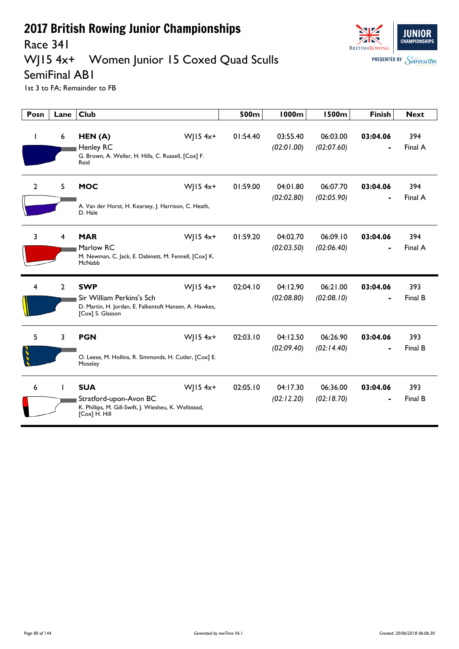

#### Race 341

## WJ15 4x+ Women Junior 15 Coxed Quad Sculls

SemiFinal AB1

| Posn         | Lane           | <b>Club</b>                                                                                                                         | 500m     | <b>1000m</b>           | <b>1500m</b>           | <b>Finish</b> | <b>Next</b>    |
|--------------|----------------|-------------------------------------------------------------------------------------------------------------------------------------|----------|------------------------|------------------------|---------------|----------------|
| $\mathbf{I}$ | 6              | HEN(A)<br>$W$   15 4x+<br><b>Henley RC</b><br>G. Brown, A. Weller, H. Hills, C. Russell, [Cox] F.<br>Reid                           | 01:54.40 | 03:55.40<br>(02:01.00) | 06:03.00<br>(02:07.60) | 03:04.06      | 394<br>Final A |
| $\mathbf{2}$ | 5              | <b>MOC</b><br>$W$   15 4x+<br>A. Van der Horst, H. Kearsey, J. Harrison, C. Heath,<br>D. Hale                                       | 01:59.00 | 04:01.80<br>(02:02.80) | 06:07.70<br>(02:05.90) | 03:04.06      | 394<br>Final A |
| 3            | 4              | <b>MAR</b><br>$W$ JI54x+<br>Marlow RC<br>M. Newman, C. Jack, E. Dabinett, M. Fennell, [Cox] K.<br>McNabb                            | 01:59.20 | 04:02.70<br>(02:03.50) | 06:09.10<br>(02:06.40) | 03:04.06      | 394<br>Final A |
| 4            | $\overline{2}$ | $W$ JI54x+<br><b>SWP</b><br>Sir William Perkins's Sch<br>D. Martin, H. Jordan, E. Falkentoft Hansen, A. Hawkes,<br>[Cox] S. Glasson | 02:04.10 | 04:12.90<br>(02:08.80) | 06:21.00<br>(02:08.10) | 03:04.06      | 393<br>Final B |
| 5            | 3              | <b>PGN</b><br>$W$   15 4x+<br>O. Leese, M. Hollins, R. Simmonds, H. Cutler, [Cox] E.<br>Moseley                                     | 02:03.10 | 04:12.50<br>(02:09.40) | 06:26.90<br>(02:14.40) | 03:04.06      | 393<br>Final B |
| 6            |                | $W$   15 4x+<br><b>SUA</b><br>Stratford-upon-Avon BC<br>K. Phillips, M. Gill-Swift, J. Wiesheu, K. Wellstead,<br>[Cox] H. Hill      | 02:05.10 | 04:17.30<br>(02:12.20) | 06:36.00<br>(02:18.70) | 03:04.06      | 393<br>Final B |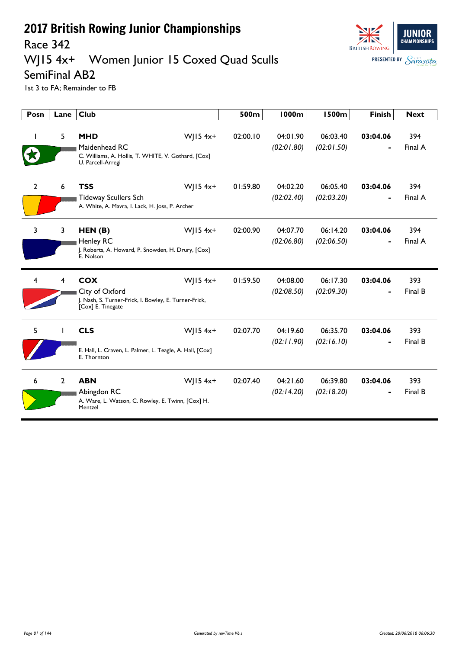

#### Race 342

### WJ15 4x+ Women Junior 15 Coxed Quad Sculls

SemiFinal AB2

| Posn           | Lane           | <b>Club</b>                                                                                                                | 500m     | <b>1000m</b>           | <b>1500m</b>           | <b>Finish</b> | <b>Next</b>    |
|----------------|----------------|----------------------------------------------------------------------------------------------------------------------------|----------|------------------------|------------------------|---------------|----------------|
|                | 5              | <b>MHD</b><br>WJ15 4x+<br>Maidenhead RC<br>C. Williams, A. Hollis, T. WHITE, V. Gothard, [Cox]<br>U. Parcell-Arregi        | 02:00.10 | 04:01.90<br>(02:01.80) | 06:03.40<br>(02:01.50) | 03:04.06      | 394<br>Final A |
| $\overline{2}$ | 6              | <b>TSS</b><br>$W$ JI54x+<br><b>Tideway Scullers Sch</b><br>A. White, A. Mavra, I. Lack, H. Joss, P. Archer                 | 01:59.80 | 04:02.20<br>(02:02.40) | 06:05.40<br>(02:03.20) | 03:04.06      | 394<br>Final A |
| 3              | 3              | $W$ JI54x+<br>HEN(B)<br><b>Henley RC</b><br>J. Roberts, A. Howard, P. Snowden, H. Drury, [Cox]<br>E. Nolson                | 02:00.90 | 04:07.70<br>(02:06.80) | 06:14.20<br>(02:06.50) | 03:04.06      | 394<br>Final A |
| 4              | 4              | <b>COX</b><br>$W$   15 4x+<br>City of Oxford<br>J. Nash, S. Turner-Frick, I. Bowley, E. Turner-Frick,<br>[Cox] E. Tinegate | 01:59.50 | 04:08.00<br>(02:08.50) | 06:17.30<br>(02:09.30) | 03:04.06      | 393<br>Final B |
| 5              |                | <b>CLS</b><br>WJ15 4x+<br>E. Hall, L. Craven, L. Palmer, L. Teagle, A. Hall, [Cox]<br>E. Thornton                          | 02:07.70 | 04:19.60<br>(02:11.90) | 06:35.70<br>(02:16.10) | 03:04.06      | 393<br>Final B |
| 6              | $\overline{2}$ | $W$   15 4x+<br><b>ABN</b><br>Abingdon RC<br>A. Ware, L. Watson, C. Rowley, E. Twinn, [Cox] H.<br>Mentzel                  | 02:07.40 | 04:21.60<br>(02:14.20) | 06:39.80<br>(02:18.20) | 03:04.06      | 393<br>Final B |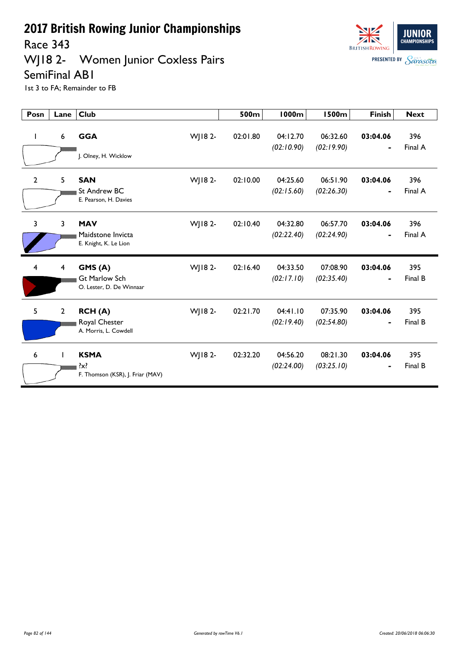Race 343

## WJ18 2- Women Junior Coxless Pairs SemiFinal AB1



| Posn                    | Lane           | <b>Club</b>                                                |         | 500m     | <b>1000m</b>           | <b>1500m</b>           | <b>Finish</b>              | <b>Next</b>    |
|-------------------------|----------------|------------------------------------------------------------|---------|----------|------------------------|------------------------|----------------------------|----------------|
| $\mathbf{I}$            | 6              | <b>GGA</b><br>J. Olney, H. Wicklow                         | WJ18 2- | 02:01.80 | 04:12.70<br>(02:10.90) | 06:32.60<br>(02:19.90) | 03:04.06<br>$\blacksquare$ | 396<br>Final A |
| 2                       | 5              | <b>SAN</b><br>St Andrew BC<br>E. Pearson, H. Davies        | WJ18 2- | 02:10.00 | 04:25.60<br>(02:15.60) | 06:51.90<br>(02:26.30) | 03:04.06<br>$\blacksquare$ | 396<br>Final A |
| $\overline{3}$          | 3              | <b>MAV</b><br>Maidstone Invicta<br>E. Knight, K. Le Lion   | WJ18 2- | 02:10.40 | 04:32.80<br>(02:22.40) | 06:57.70<br>(02:24.90) | 03:04.06<br>$\blacksquare$ | 396<br>Final A |
| $\overline{\mathbf{4}}$ | 4              | GMS(A)<br><b>Gt Marlow Sch</b><br>O. Lester, D. De Winnaar | WJ18 2- | 02:16.40 | 04:33.50<br>(02:17.10) | 07:08.90<br>(02:35.40) | 03:04.06<br>$\blacksquare$ | 395<br>Final B |
| 5                       | $\overline{2}$ | RCH(A)<br>Royal Chester<br>A. Morris, L. Cowdell           | WJ18 2- | 02:21.70 | 04:41.10<br>(02:19.40) | 07:35.90<br>(02:54.80) | 03:04.06                   | 395<br>Final B |
| 6                       |                | <b>KSMA</b><br>?x?<br>F. Thomson (KSR), J. Friar (MAV)     | WJ18 2- | 02:32.20 | 04:56.20<br>(02:24.00) | 08:21.30<br>(03:25.10) | 03:04.06                   | 395<br>Final B |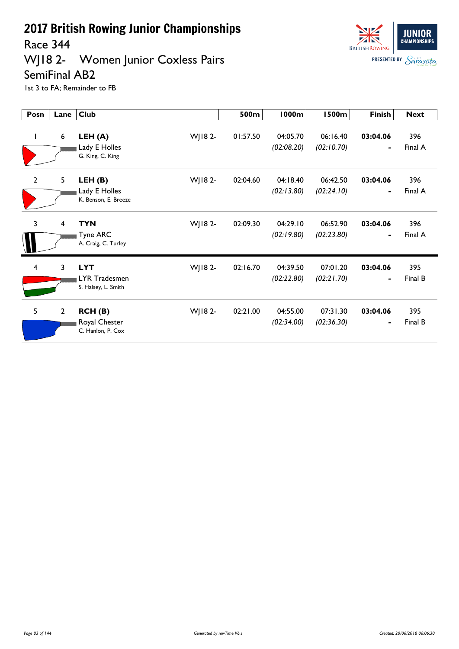Race 344

### WJ18 2- Women Junior Coxless Pairs SemiFinal AB2



| Posn           | Lane                    | <b>Club</b>                                                   | 500m     | <b>1000m</b>           | <b>1500m</b>           | <b>Finish</b>              | <b>Next</b>    |
|----------------|-------------------------|---------------------------------------------------------------|----------|------------------------|------------------------|----------------------------|----------------|
| L              | 6                       | WJ18 2-<br>LEH (A)<br>Lady E Holles<br>G. King, C. King       | 01:57.50 | 04:05.70<br>(02:08.20) | 06:16.40<br>(02:10.70) | 03:04.06<br>$\blacksquare$ | 396<br>Final A |
| $\mathbf{2}$   | 5                       | WJ18 2-<br>LEH(B)<br>Lady E Holles<br>K. Benson, E. Breeze    | 02:04.60 | 04:18.40<br>(02:13.80) | 06:42.50<br>(02:24.10) | 03:04.06<br>$\blacksquare$ | 396<br>Final A |
| 3              | $\overline{\mathbf{4}}$ | <b>TYN</b><br>WJ18 2-<br>Tyne ARC<br>A. Craig, C. Turley      | 02:09.30 | 04:29.10<br>(02:19.80) | 06:52.90<br>(02:23.80) | 03:04.06<br>$\blacksquare$ | 396<br>Final A |
| $\overline{4}$ | 3                       | <b>LYT</b><br>WJ18 2-<br>LYR Tradesmen<br>S. Halsey, L. Smith | 02:16.70 | 04:39.50<br>(02:22.80) | 07:01.20<br>(02:21.70) | 03:04.06<br>$\blacksquare$ | 395<br>Final B |
| 5              | $\mathbf{2}$            | WJ18 2-<br>RCH (B)<br>Royal Chester<br>C. Hanlon, P. Cox      | 02:21.00 | 04:55.00<br>(02:34.00) | 07:31.30<br>(02:36.30) | 03:04.06<br>$\blacksquare$ | 395<br>Final B |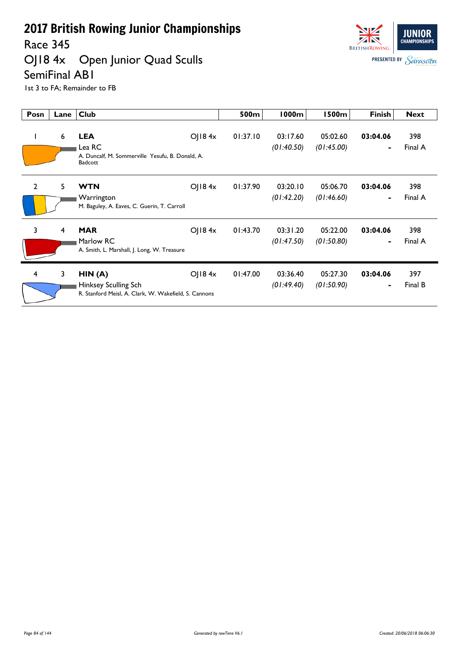Race 345

### OJ18 4x Open Junior Quad Sculls SemiFinal AB1



| Posn         | Lane | <b>Club</b>                                                                             |               | 500m     | 1000m                  | <b>1500m</b>           | <b>Finish</b>              | <b>Next</b>    |
|--------------|------|-----------------------------------------------------------------------------------------|---------------|----------|------------------------|------------------------|----------------------------|----------------|
|              | 6    | <b>LEA</b><br>Lea RC<br>A. Duncalf, M. Sommerville Yesufu, B. Donald, A.<br>Badcott     | $O$   184 $x$ | 01:37.10 | 03:17.60<br>(01:40.50) | 05:02.60<br>(01:45.00) | 03:04.06<br>$\blacksquare$ | 398<br>Final A |
| $\mathbf{2}$ | 5    | <b>WTN</b><br>Warrington<br>M. Baguley, A. Eaves, C. Guerin, T. Carroll                 | $O$   184 $x$ | 01:37.90 | 03:20.10<br>(01:42.20) | 05:06.70<br>(01:46.60) | 03:04.06<br>$\blacksquare$ | 398<br>Final A |
| 3            | 4    | <b>MAR</b><br>Marlow RC<br>A. Smith, L. Marshall, J. Long, W. Treasure                  | OJ184x        | 01:43.70 | 03:31.20<br>(01:47.50) | 05:22.00<br>(01:50.80) | 03:04.06<br>۰              | 398<br>Final A |
| 4            | 3    | HIN(A)<br>Hinksey Sculling Sch<br>R. Stanford Meisl, A. Clark, W. Wakefield, S. Cannons | $O$   184 $x$ | 01:47.00 | 03:36.40<br>(01:49.40) | 05:27.30<br>(01:50.90) | 03:04.06<br>$\blacksquare$ | 397<br>Final B |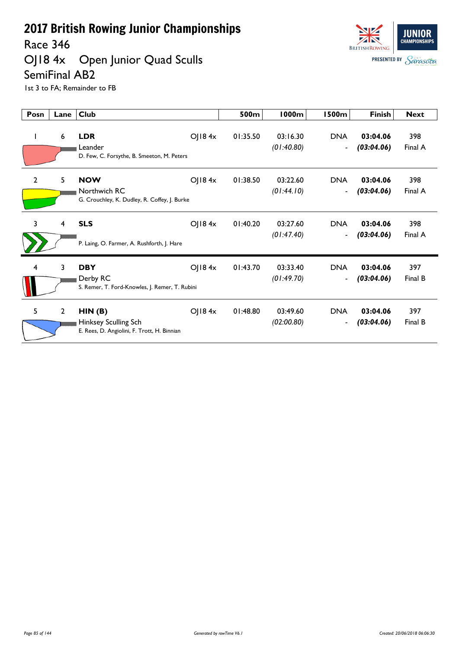Race 346

### OJ18 4x Open Junior Quad Sculls SemiFinal AB2



| Posn         | Lane           | <b>Club</b>                                                                   |        | 500m     | <b>1000m</b>           | <b>1500m</b>                           | <b>Finish</b>          | <b>Next</b>    |
|--------------|----------------|-------------------------------------------------------------------------------|--------|----------|------------------------|----------------------------------------|------------------------|----------------|
|              | 6              | <b>LDR</b><br>Leander<br>D. Few, C. Forsythe, B. Smeeton, M. Peters           | OJ184x | 01:35.50 | 03:16.30<br>(01:40.80) | <b>DNA</b><br>$\overline{\phantom{a}}$ | 03:04.06<br>(03:04.06) | 398<br>Final A |
| $\mathbf{2}$ | 5              | <b>NOW</b><br>Northwich RC<br>G. Crouchley, K. Dudley, R. Coffey, J. Burke    | OJ184x | 01:38.50 | 03:22.60<br>(01:44.10) | <b>DNA</b><br>$\overline{\phantom{a}}$ | 03:04.06<br>(03:04.06) | 398<br>Final A |
| 3            | 4              | <b>SLS</b><br>P. Laing, O. Farmer, A. Rushforth, J. Hare                      | OJ184x | 01:40.20 | 03:27.60<br>(01:47.40) | <b>DNA</b><br>$\overline{\phantom{a}}$ | 03:04.06<br>(03:04.06) | 398<br>Final A |
| 4            | 3              | <b>DBY</b><br>Derby RC<br>S. Remer, T. Ford-Knowles, J. Remer, T. Rubini      | OJ184x | 01:43.70 | 03:33.40<br>(01:49.70) | <b>DNA</b><br>$\blacksquare$           | 03:04.06<br>(03:04.06) | 397<br>Final B |
| 5            | $\overline{2}$ | HIN(B)<br>Hinksey Sculling Sch<br>E. Rees, D. Angiolini, F. Trott, H. Binnian | OJ184x | 01:48.80 | 03:49.60<br>(02:00.80) | <b>DNA</b><br>$\overline{\phantom{a}}$ | 03:04.06<br>(03:04.06) | 397<br>Final B |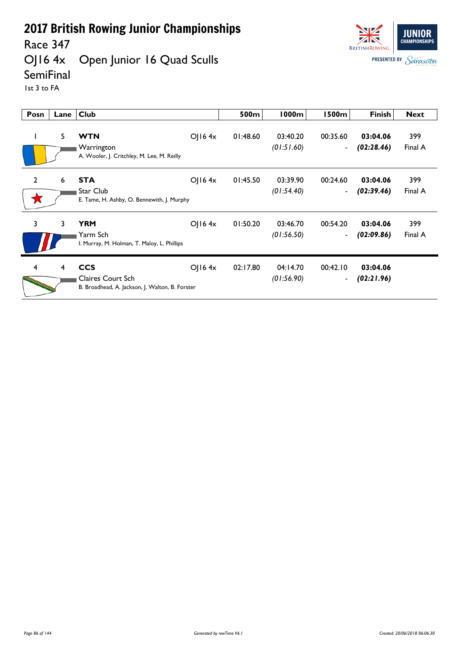### Race 347<br>OJ16 4x Open Junior 16 Quad Sculls



**SemiFinal** 

1st 3 to FA

| Posn           | Lane | <b>Club</b>                                                                               |                | 500m     | 1000m                  | I 500m                               | <b>Finish</b>          | <b>Next</b>    |
|----------------|------|-------------------------------------------------------------------------------------------|----------------|----------|------------------------|--------------------------------------|------------------------|----------------|
|                | 5    | <b>WTN</b><br>Warrington<br>A. Wooler, J. Critchley, M. Lee, M. Reilly                    | $O$   16 4 $x$ | 01:48.60 | 03:40.20<br>(01:51.60) | 00:35.60<br>$\blacksquare$           | 03:04.06<br>(02:28.46) | 399<br>Final A |
| $\overline{2}$ | 6    | <b>STA</b><br>Star Club<br>E. Tame, H. Ashby, O. Bennewith, J. Murphy                     | $O$   16 4x    | 01:45.50 | 03:39.90<br>(01:54.40) | 00:24.60<br>$\blacksquare$           | 03:04.06<br>(02:39.46) | 399<br>Final A |
| 3              | 3    | <b>YRM</b><br>Yarm Sch<br>I. Murray, M. Holman, T. Maloy, L. Phillips                     | $O$   16 4x    | 01:50.20 | 03:46.70<br>(01:56.50) | 00:54.20<br>$\overline{\phantom{a}}$ | 03:04.06<br>(02:09.86) | 399<br>Final A |
| 4              | 4    | <b>CCS</b><br><b>Claires Court Sch</b><br>B. Broadhead, A. Jackson, J. Walton, B. Forster | O(16.4x)       | 02:17.80 | 04:14.70<br>(01:56.90) | 00:42.10<br>$\blacksquare$           | 03:04.06<br>(02:21.96) |                |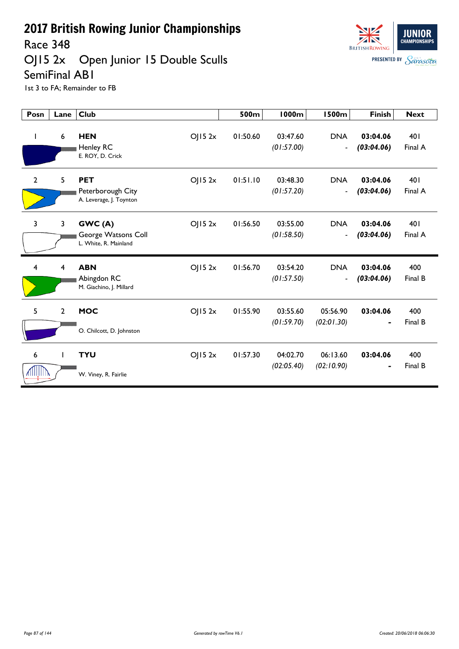Race 348

#### OJ15 2x Open Junior 15 Double Sculls SemiFinal AB1



| Posn               | Lane           | <b>Club</b>                                                          | 500m     | <b>1000m</b>           | <b>1500m</b>                           | <b>Finish</b>          | <b>Next</b>    |
|--------------------|----------------|----------------------------------------------------------------------|----------|------------------------|----------------------------------------|------------------------|----------------|
| L                  | 6              | <b>HEN</b><br>OJ152x<br>Henley RC<br>E. ROY, D. Crick                | 01:50.60 | 03:47.60<br>(01:57.00) | <b>DNA</b><br>$\overline{\phantom{a}}$ | 03:04.06<br>(03:04.06) | 401<br>Final A |
| $\overline{2}$     | 5              | <b>PET</b><br>OJ152x<br>Peterborough City<br>A. Leverage, J. Toynton | 01:51.10 | 03:48.30<br>(01:57.20) | <b>DNA</b><br>$\blacksquare$           | 03:04.06<br>(03:04.06) | 401<br>Final A |
| 3                  | $\overline{3}$ | GWC(A)<br>OJ152x<br>George Watsons Coll<br>L. White, R. Mainland     | 01:56.50 | 03:55.00<br>(01:58.50) | <b>DNA</b><br>$\blacksquare$           | 03:04.06<br>(03:04.06) | 401<br>Final A |
| $\overline{4}$     | $\overline{4}$ | <b>ABN</b><br>OJ152x<br>Abingdon RC<br>M. Giachino, J. Millard       | 01:56.70 | 03:54.20<br>(01:57.50) | <b>DNA</b><br>$\blacksquare$           | 03:04.06<br>(03:04.06) | 400<br>Final B |
| 5                  | $\overline{2}$ | <b>MOC</b><br>OJ152x<br>O. Chilcott, D. Johnston                     | 01:55.90 | 03:55.60<br>(01:59.70) | 05:56.90<br>(02:01.30)                 | 03:04.06               | 400<br>Final B |
| 6<br><b>Alliji</b> | $\mathbf{I}$   | <b>TYU</b><br>OJ152x<br>W. Viney, R. Fairlie                         | 01:57.30 | 04:02.70<br>(02:05.40) | 06:13.60<br>(02:10.90)                 | 03:04.06               | 400<br>Final B |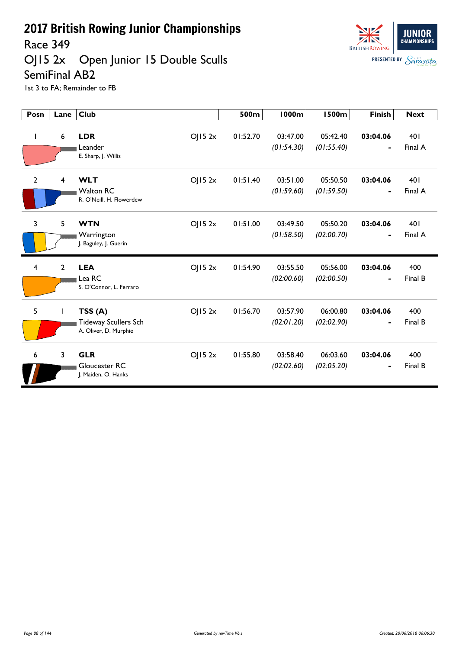Race 349

#### OJ15 2x Open Junior 15 Double Sculls SemiFinal AB2



| Posn           | Lane           | <b>Club</b>                                                              | 500m     | <b>1000m</b>           | <b>1500m</b>           | <b>Finish</b>              | <b>Next</b>    |
|----------------|----------------|--------------------------------------------------------------------------|----------|------------------------|------------------------|----------------------------|----------------|
| L              | 6              | <b>LDR</b><br>OJ152x<br>Leander<br>E. Sharp, J. Willis                   | 01:52.70 | 03:47.00<br>(01:54.30) | 05:42.40<br>(01:55.40) | 03:04.06                   | 401<br>Final A |
| $\overline{2}$ | 4              | <b>WLT</b><br>OJ152x<br><b>Walton RC</b><br>R. O'Neill, H. Flowerdew     | 01:51.40 | 03:51.00<br>(01:59.60) | 05:50.50<br>(01:59.50) | 03:04.06<br>$\blacksquare$ | 401<br>Final A |
| 3              | 5              | <b>WTN</b><br>OJ152x<br>Warrington<br>J. Baguley, J. Guerin              | 01:51.00 | 03:49.50<br>(01:58.50) | 05:50.20<br>(02:00.70) | 03:04.06<br>$\blacksquare$ | 401<br>Final A |
| 4              | $\overline{2}$ | <b>LEA</b><br>OJ152x<br>Lea RC<br>S. O'Connor, L. Ferraro                | 01:54.90 | 03:55.50<br>(02:00.60) | 05:56.00<br>(02:00.50) | 03:04.06                   | 400<br>Final B |
| 5              |                | TSS(A)<br>OJ152x<br><b>Tideway Scullers Sch</b><br>A. Oliver, D. Murphie | 01:56.70 | 03:57.90<br>(02:01.20) | 06:00.80<br>(02:02.90) | 03:04.06                   | 400<br>Final B |
| 6              | $\overline{3}$ | <b>GLR</b><br>OJ152x<br>Gloucester RC<br>J. Maiden, O. Hanks             | 01:55.80 | 03:58.40<br>(02:02.60) | 06:03.60<br>(02:05.20) | 03:04.06                   | 400<br>Final B |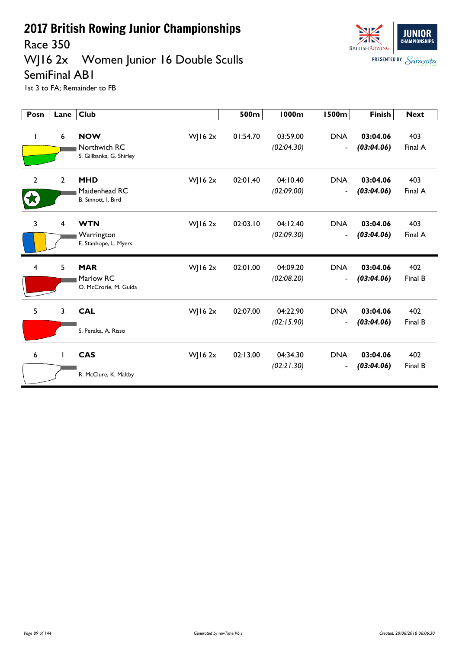

#### WJ16 2x Women Junior 16 Double Sculls SemiFinal AB1



| Posn                    | Lane | <b>Club</b>                                                            | 500m     | <b>1000m</b>           | <b>1500m</b>                               | <b>Finish</b>          | <b>Next</b>    |
|-------------------------|------|------------------------------------------------------------------------|----------|------------------------|--------------------------------------------|------------------------|----------------|
| $\mathbf{I}$            | 6    | <b>NOW</b><br>$W$ JI6 $2x$<br>Northwich RC<br>S. Gillbanks, G. Shirley | 01:54.70 | 03:59.00<br>(02:04.30) | <b>DNA</b><br>$\overline{\phantom{a}}$     | 03:04.06<br>(03:04.06) | 403<br>Final A |
| $\mathbf{2}$            | 2    | <b>MHD</b><br>WJ16 $2x$<br>Maidenhead RC<br>B. Sinnott, I. Bird        | 02:01.40 | 04:10.40<br>(02:09.00) | <b>DNA</b><br>$\overline{\phantom{a}}$     | 03:04.06<br>(03:04.06) | 403<br>Final A |
| $\overline{3}$          | 4    | <b>WTN</b><br>WJ16 $2x$<br>Warrington<br>E. Stanhope, L. Myers         | 02:03.10 | 04:12.40<br>(02:09.30) | <b>DNA</b><br>$\overline{\phantom{a}}$     | 03:04.06<br>(03:04.06) | 403<br>Final A |
| $\overline{\mathbf{4}}$ | 5    | <b>MAR</b><br>WJ16 $2x$<br>Marlow RC<br>O. McCrorie, M. Guida          | 02:01.00 | 04:09.20<br>(02:08.20) | <b>DNA</b><br>$\blacksquare$               | 03:04.06<br>(03:04.06) | 402<br>Final B |
| 5                       | 3    | <b>CAL</b><br>WJ16 $2x$<br>S. Peralta, A. Risso                        | 02:07.00 | 04:22.90<br>(02:15.90) | <b>DNA</b><br>$\qquad \qquad \blacksquare$ | 03:04.06<br>(03:04.06) | 402<br>Final B |
| 6                       | T    | <b>CAS</b><br>$W$ JI6 $2x$<br>R. McClure, K. Maltby                    | 02:13.00 | 04:34.30<br>(02:21.30) | <b>DNA</b><br>$\overline{\phantom{a}}$     | 03:04.06<br>(03:04.06) | 402<br>Final B |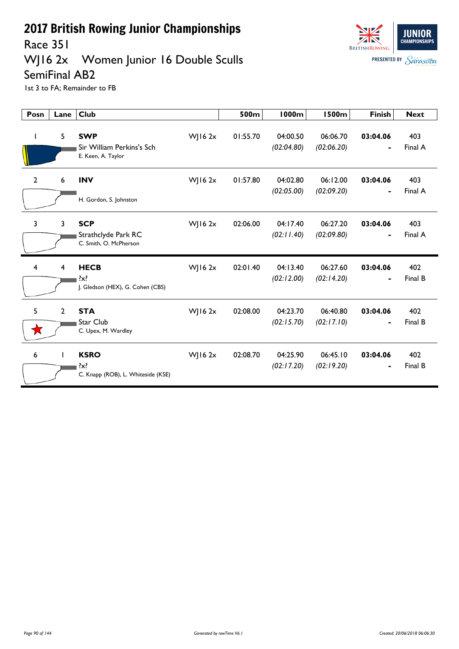

### Race 351<br>WJ16 2x Women Junior 16 Double Sculls



SemiFinal AB2 1st 3 to FA; Remainder to FB

| Posn           | Lane           | <b>Club</b>                                                   |              | 500m     | <b>1000m</b>           | <b>1500m</b>           | <b>Finish</b>              | <b>Next</b>    |
|----------------|----------------|---------------------------------------------------------------|--------------|----------|------------------------|------------------------|----------------------------|----------------|
| L              | 5              | <b>SWP</b><br>Sir William Perkins's Sch<br>E. Keen, A. Taylor | $W$ JI6 $2x$ | 01:55.70 | 04:00.50<br>(02:04.80) | 06:06.70<br>(02:06.20) | 03:04.06<br>-              | 403<br>Final A |
| $\overline{2}$ | 6              | <b>INV</b><br>H. Gordon, S. Johnston                          | $W$ ] 16 2x  | 01:57.80 | 04:02.80<br>(02:05.00) | 06:12.00<br>(02:09.20) | 03:04.06                   | 403<br>Final A |
| 3              | 3              | <b>SCP</b><br>Strathclyde Park RC<br>C. Smith, O. McPherson   | $W$ ] 16 2x  | 02:06.00 | 04:17.40<br>(02:11.40) | 06:27.20<br>(02:09.80) | 03:04.06<br>$\blacksquare$ | 403<br>Final A |
| $\overline{4}$ | 4              | <b>HECB</b><br>$\{x\}$<br>J. Gledson (HEX), G. Cohen (CBS)    | $W$   16 2x  | 02:01.40 | 04:13.40<br>(02:12.00) | 06:27.60<br>(02:14.20) | 03:04.06<br>٠              | 402<br>Final B |
| 5              | $\overline{2}$ | <b>STA</b><br>Star Club<br>C. Upex, M. Wardley                | $W$   16 2x  | 02:08.00 | 04:23.70<br>(02:15.70) | 06:40.80<br>(02:17.10) | 03:04.06                   | 402<br>Final B |
| 6              |                | <b>KSRO</b><br>$\{x\}$<br>C. Knapp (ROB), L. Whiteside (KSE)  | $W$ J 16 2x  | 02:08.70 | 04:25.90<br>(02:17.20) | 06:45.10<br>(02:19.20) | 03:04.06                   | 402<br>Final B |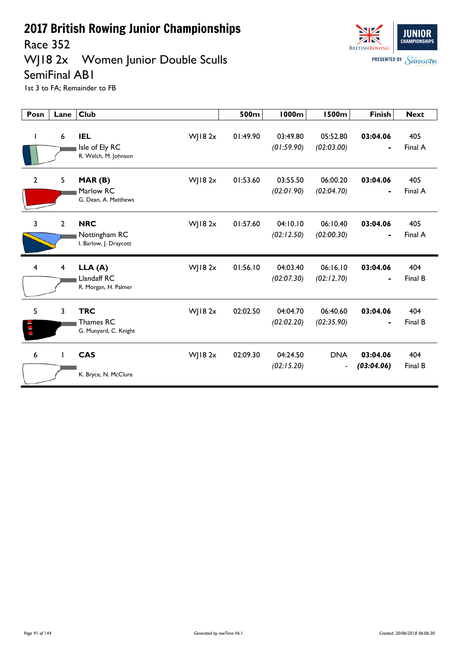Race 352

### WJ18 2x Women Junior Double Sculls SemiFinal AB1



| Posn           | Lane           | <b>Club</b>                                                         | 500m     | <b>1000m</b>           | <b>1500m</b>                           | <b>Finish</b>              | <b>Next</b>    |
|----------------|----------------|---------------------------------------------------------------------|----------|------------------------|----------------------------------------|----------------------------|----------------|
| $\mathbf{I}$   | 6              | <b>IEL</b><br>$W$ ] 18 2x<br>Isle of Ely RC<br>R. Welch, M. Johnson | 01:49.90 | 03:49.80<br>(01:59.90) | 05:52.80<br>(02:03.00)                 | 03:04.06<br>$\blacksquare$ | 405<br>Final A |
| $\mathbf{2}$   | 5              | $W$ JI8 2x<br>MAR(B)<br>Marlow RC<br>G. Dean, A. Matthews           | 01:53.60 | 03:55.50<br>(02:01.90) | 06:00.20<br>(02:04.70)                 | 03:04.06<br>$\blacksquare$ | 405<br>Final A |
| $\overline{3}$ | $\overline{2}$ | <b>NRC</b><br>$W$ JI8 2x<br>Nottingham RC<br>I. Barlow, J. Draycott | 01:57.60 | 04:10.10<br>(02:12.50) | 06:10.40<br>(02:00.30)                 | 03:04.06<br>$\blacksquare$ | 405<br>Final A |
| 4              | 4              | LLA(A)<br>$W$ JI8 $2x$<br>Llandaff RC<br>R. Morgan, H. Palmer       | 01:56.10 | 04:03.40<br>(02:07.30) | 06:16.10<br>(02:12.70)                 | 03:04.06                   | 404<br>Final B |
| 5              | 3              | <b>TRC</b><br>$W$ ] 18 2x<br>Thames RC<br>G. Munyard, C. Knight     | 02:02.50 | 04:04.70<br>(02:02.20) | 06:40.60<br>(02:35.90)                 | 03:04.06                   | 404<br>Final B |
| 6              | T              | <b>CAS</b><br>WJ18 2x<br>K. Bryce, N. McClure                       | 02:09.30 | 04:24.50<br>(02:15.20) | <b>DNA</b><br>$\overline{\phantom{a}}$ | 03:04.06<br>(03:04.06)     | 404<br>Final B |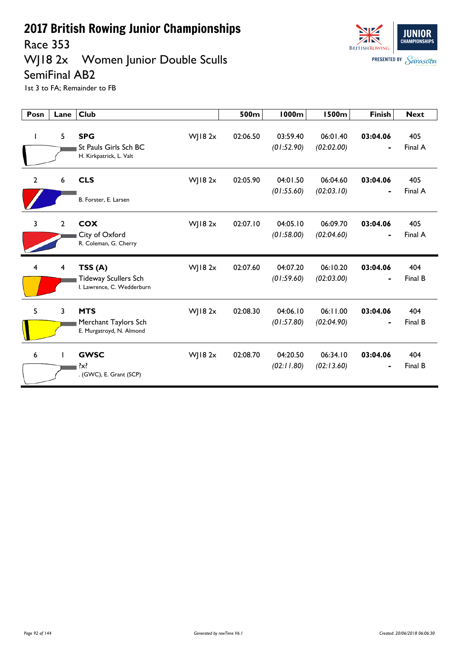Race 353

#### WJ18 2x Women Junior Double Sculls SemiFinal AB2



| Posn                    | Lane           | <b>Club</b>                                                                    | 500m     | <b>1000m</b>           | <b>1500m</b>           | <b>Finish</b>              | <b>Next</b>    |
|-------------------------|----------------|--------------------------------------------------------------------------------|----------|------------------------|------------------------|----------------------------|----------------|
| ı                       | 5              | <b>SPG</b><br>WJ18 2x<br>St Pauls Girls Sch BC<br>H. Kirkpatrick, L. Valt      | 02:06.50 | 03:59.40<br>(01:52.90) | 06:01.40<br>(02:02.00) | 03:04.06<br>$\blacksquare$ | 405<br>Final A |
| $\overline{2}$          | 6              | <b>CLS</b><br>WJ18 2x<br>B. Forster, E. Larsen                                 | 02:05.90 | 04:01.50<br>(01:55.60) | 06:04.60<br>(02:03.10) | 03:04.06<br>$\blacksquare$ | 405<br>Final A |
| $\overline{\mathbf{3}}$ | $\overline{2}$ | <b>COX</b><br>WJ18 $2x$<br>City of Oxford<br>R. Coleman, G. Cherry             | 02:07.10 | 04:05.10<br>(01:58.00) | 06:09.70<br>(02:04.60) | 03:04.06<br>$\blacksquare$ | 405<br>Final A |
| $\overline{4}$          | 4              | TSS(A)<br>WJ18 2x<br><b>Tideway Scullers Sch</b><br>I. Lawrence, C. Wedderburn | 02:07.60 | 04:07.20<br>(01:59.60) | 06:10.20<br>(02:03.00) | 03:04.06<br>$\blacksquare$ | 404<br>Final B |
| 5                       | 3              | <b>MTS</b><br>WJ18 2x<br>Merchant Taylors Sch<br>E. Murgatroyd, N. Almond      | 02:08.30 | 04:06.10<br>(01:57.80) | 06:11.00<br>(02:04.90) | 03:04.06                   | 404<br>Final B |
| 6                       |                | WJ18 $2x$<br><b>GWSC</b><br>. (GWC), E. Grant (SCP)                            | 02:08.70 | 04:20.50<br>(02:11.80) | 06:34.10<br>(02:13.60) | 03:04.06<br>$\blacksquare$ | 404<br>Final B |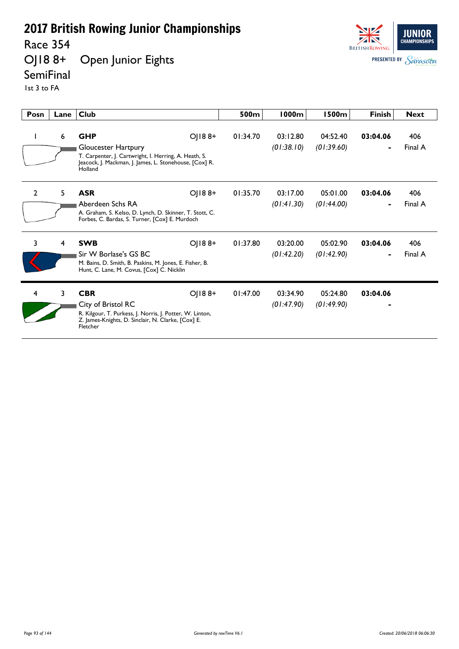Race 354<br>OJ18 8+

Open Junior Eights



#### **SemiFinal**

1st 3 to FA

| Posn           | Lane | <b>Club</b>                                                                                                                                                                     | 500m     | 1000m                  | 1500m                  | <b>Finish</b> | <b>Next</b>    |
|----------------|------|---------------------------------------------------------------------------------------------------------------------------------------------------------------------------------|----------|------------------------|------------------------|---------------|----------------|
| L              | 6    | $O(188+$<br><b>GHP</b><br>Gloucester Hartpury<br>T. Carpenter, J. Cartwright, I. Herring, A. Heath, S.<br>Jeacock, J. Mackman, J. James, L. Stonehouse, [Cox] R.<br>Holland     | 01:34.70 | 03:12.80<br>(01:38.10) | 04:52.40<br>(01:39.60) | 03:04.06      | 406<br>Final A |
| $\overline{2}$ | 5    | <b>ASR</b><br>$O(188+$<br>Aberdeen Schs RA<br>A. Graham, S. Kelso, D. Lynch, D. Skinner, T. Stott, C.<br>Forbes, C. Bardas, S. Turner, [Cox] E. Murdoch                         | 01:35.70 | 03:17.00<br>(01:41.30) | 05:01.00<br>(01:44.00) | 03:04.06      | 406<br>Final A |
| 3              | 4    | <b>SWB</b><br>$O(188+$<br>Sir W Borlase's GS BC<br>M. Bains, D. Smith, B. Paskins, M. Jones, E. Fisher, B.<br>Hunt, C. Lane, M. Covus, [Cox] C. Nicklin                         | 01:37.80 | 03:20.00<br>(01:42.20) | 05:02.90<br>(01:42.90) | 03:04.06      | 406<br>Final A |
| 4              | 3    | <b>CBR</b><br>$O$   $18.8+$<br>City of Bristol RC<br>R. Kilgour, T. Purkess, J. Norris, J. Potter, W. Linton,<br>Z. James-Knights, D. Sinclair, N. Clarke, [Cox] E.<br>Fletcher | 01:47.00 | 03:34.90<br>(01:47.90) | 05:24.80<br>(01:49.90) | 03:04.06      |                |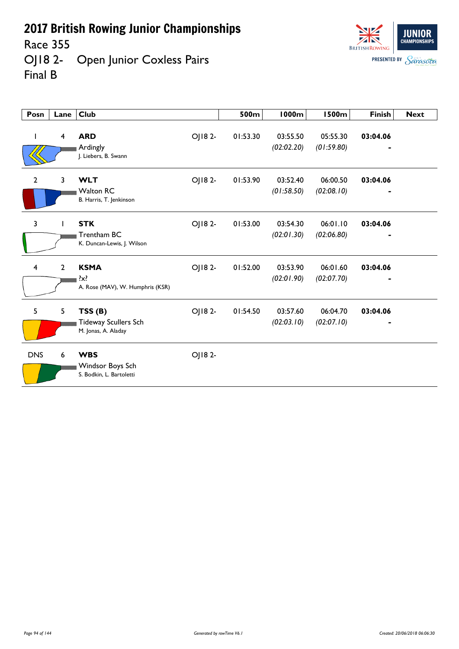Race 355

OJ18 2- Open Junior Coxless Pairs Final B



| Posn                    | Lane           | <b>Club</b>                                                |         | 500m     | <b>1000m</b>           | <b>1500m</b>           | <b>Finish</b> | <b>Next</b> |
|-------------------------|----------------|------------------------------------------------------------|---------|----------|------------------------|------------------------|---------------|-------------|
|                         | $\overline{4}$ | <b>ARD</b><br>Ardingly<br>J. Liebers, B. Swann             | OJ18 2- | 01:53.30 | 03:55.50<br>(02:02.20) | 05:55.30<br>(01:59.80) | 03:04.06      |             |
| $\overline{2}$          | 3              | <b>WLT</b><br><b>Walton RC</b><br>B. Harris, T. Jenkinson  | OJ182-  | 01:53.90 | 03:52.40<br>(01:58.50) | 06:00.50<br>(02:08.10) | 03:04.06      |             |
| 3                       |                | <b>STK</b><br>Trentham BC<br>K. Duncan-Lewis, J. Wilson    | OJ182-  | 01:53.00 | 03:54.30<br>(02:01.30) | 06:01.10<br>(02:06.80) | 03:04.06      |             |
| $\overline{\mathbf{4}}$ | $\overline{2}$ | <b>KSMA</b><br>$\{x\}$<br>A. Rose (MAV), W. Humphris (KSR) | OJ18 2- | 01:52.00 | 03:53.90<br>(02:01.90) | 06:01.60<br>(02:07.70) | 03:04.06      |             |
| 5                       | 5              | TSS(B)<br>Tideway Scullers Sch<br>M. Jonas, A. Aladay      | OJ18 2- | 01:54.50 | 03:57.60<br>(02:03.10) | 06:04.70<br>(02:07.10) | 03:04.06      |             |
| <b>DNS</b>              | 6              | <b>WBS</b><br>Windsor Boys Sch<br>S. Bodkin, L. Bartoletti | OJ182-  |          |                        |                        |               |             |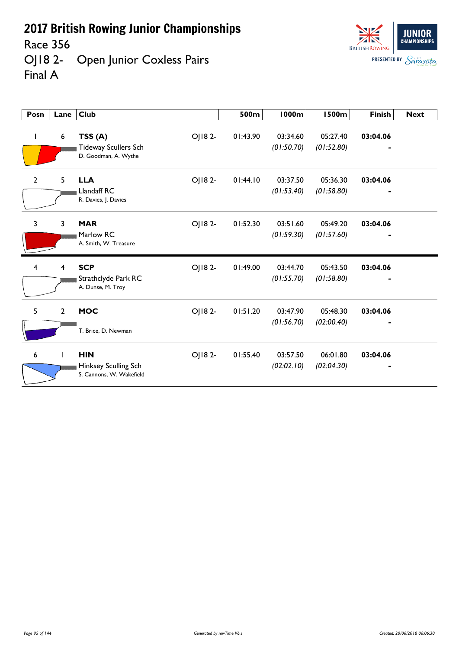Race 356

OJ18 2- Open Junior Coxless Pairs Final A



| Posn           | Lane           | <b>Club</b>                                                               | 500m     | <b>1000m</b>           | <b>1500m</b>           | <b>Finish</b>              | <b>Next</b> |
|----------------|----------------|---------------------------------------------------------------------------|----------|------------------------|------------------------|----------------------------|-------------|
| L              | 6              | OJ18 2-<br>TSS(A)<br><b>Tideway Scullers Sch</b><br>D. Goodman, A. Wythe  | 01:43.90 | 03:34.60<br>(01:50.70) | 05:27.40<br>(01:52.80) | 03:04.06<br>$\blacksquare$ |             |
| $\overline{2}$ | 5              | <b>LLA</b><br>OJ18 2-<br>Llandaff RC<br>R. Davies, J. Davies              | 01:44.10 | 03:37.50<br>(01:53.40) | 05:36.30<br>(01:58.80) | 03:04.06<br>٠              |             |
| 3              | 3              | <b>MAR</b><br>OJ18 2-<br>Marlow RC<br>A. Smith, W. Treasure               | 01:52.30 | 03:51.60<br>(01:59.30) | 05:49.20<br>(01:57.60) | 03:04.06                   |             |
| 4              | 4              | <b>SCP</b><br>OJ182-<br>Strathclyde Park RC<br>A. Dunse, M. Troy          | 01:49.00 | 03:44.70<br>(01:55.70) | 05:43.50<br>(01:58.80) | 03:04.06                   |             |
| 5              | $\overline{2}$ | <b>MOC</b><br>OJ182-<br>T. Brice, D. Newman                               | 01:51.20 | 03:47.90<br>(01:56.70) | 05:48.30<br>(02:00.40) | 03:04.06                   |             |
| 6              |                | <b>HIN</b><br>OJ18 2-<br>Hinksey Sculling Sch<br>S. Cannons, W. Wakefield | 01:55.40 | 03:57.50<br>(02:02.10) | 06:01.80<br>(02:04.30) | 03:04.06                   |             |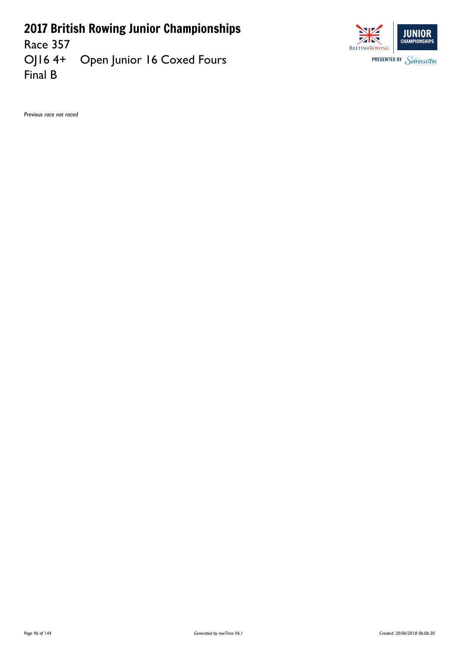Race 357<br>OJ16 4+ Open Junior 16 Coxed Fours Final B



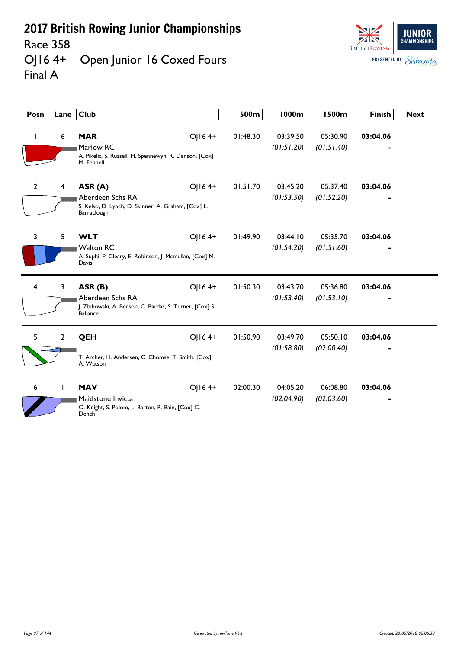Race 358<br>OJ16 4+ Open Junior 16 Coxed Fours Final A



| Posn           | Lane           | <b>Club</b>                                                                                                         | 500m     | <b>1000m</b>           | <b>1500m</b>           | <b>Finish</b> | <b>Next</b> |
|----------------|----------------|---------------------------------------------------------------------------------------------------------------------|----------|------------------------|------------------------|---------------|-------------|
| L              | 6              | <b>MAR</b><br>OJ164+<br>Marlow RC<br>A. Pikelis, S. Russell, H. Spennewyn, R. Denson, [Cox]<br>M. Fennell           | 01:48.30 | 03:39.50<br>(01:51.20) | 05:30.90<br>(01:51.40) | 03:04.06      |             |
| $\overline{2}$ | 4              | OJ164+<br>ASR (A)<br>Aberdeen Schs RA<br>S. Kelso, D. Lynch, D. Skinner, A. Graham, [Cox] L.<br>Barraclough         | 01:51.70 | 03:45.20<br>(01:53.50) | 05:37.40<br>(01:52.20) | 03:04.06      |             |
| 3              | 5              | <b>WLT</b><br>OJ164+<br><b>Walton RC</b><br>A. Suphi, P. Cleary, E. Robinson, J. Mcmullan, [Cox] M.<br>Davis        | 01:49.90 | 03:44.10<br>(01:54.20) | 05:35.70<br>(01:51.60) | 03:04.06      |             |
| 4              | 3              | OJ164+<br>ASR (B)<br>Aberdeen Schs RA<br>J. Zbikowski, A. Beeson, C. Bardas, S. Turner, [Cox] S.<br><b>Ballance</b> | 01:50.30 | 03:43.70<br>(01:53.40) | 05:36.80<br>(01:53.10) | 03:04.06      |             |
| 5.             | $\overline{2}$ | QEH<br>OJ164+<br>T. Archer, H. Andersen, C. Chomse, T. Smith, [Cox]<br>A. Watson                                    | 01:50.90 | 03:49.70<br>(01:58.80) | 05:50.10<br>(02:00.40) | 03:04.06      |             |
| 6              |                | OJ164+<br><b>MAV</b><br>Maidstone Invicta<br>O. Knight, S. Polom, L. Barton, R. Bain, [Cox] C.<br>Dench             | 02:00.30 | 04:05.20<br>(02:04.90) | 06:08.80<br>(02:03.60) | 03:04.06      |             |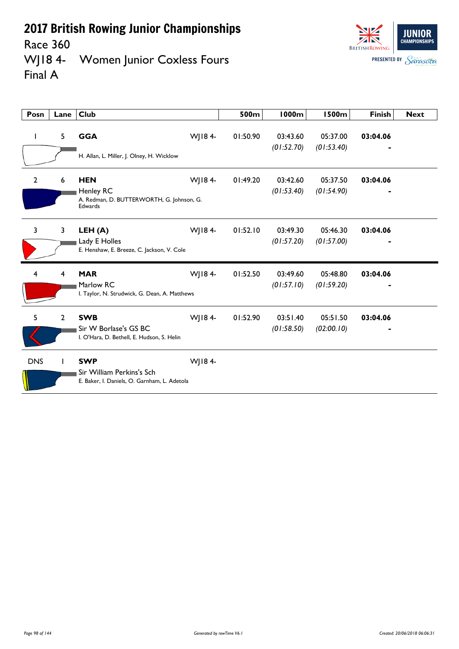



| Posn           | Lane         | <b>Club</b>                                                               |        | 500m     | <b>1000m</b>           | <b>1500m</b>           | <b>Finish</b> | <b>Next</b> |
|----------------|--------------|---------------------------------------------------------------------------|--------|----------|------------------------|------------------------|---------------|-------------|
| L              | 5            | <b>GGA</b>                                                                | WJ184- | 01:50.90 | 03:43.60               | 05:37.00               | 03:04.06      |             |
|                |              | H. Allan, L. Miller, J. Olney, H. Wicklow                                 |        |          | (01:52.70)             | (01:53.40)             |               |             |
| $\overline{2}$ | 6            | <b>HEN</b><br>Henley RC                                                   | WJ184- | 01:49.20 | 03:42.60<br>(01:53.40) | 05:37.50<br>(01:54.90) | 03:04.06      |             |
|                |              | A. Redman, D. BUTTERWORTH, G. Johnson, G.<br>Edwards                      |        |          |                        |                        |               |             |
| 3              | 3            | LEH (A)                                                                   | WJ184- | 01:52.10 | 03:49.30               | 05:46.30               | 03:04.06      |             |
|                |              | Lady E Holles<br>E. Henshaw, E. Breeze, C. Jackson, V. Cole               |        |          | (01:57.20)             | (01:57.00)             |               |             |
| 4              | 4            | <b>MAR</b>                                                                | WJ184- | 01:52.50 | 03:49.60               | 05:48.80               | 03:04.06      |             |
|                |              | Marlow RC<br>I. Taylor, N. Strudwick, G. Dean, A. Matthews                |        |          | (01:57.10)             | (01:59.20)             |               |             |
| 5              | $\mathbf{2}$ | <b>SWB</b>                                                                | WJ184- | 01:52.90 | 03:51.40               | 05:51.50               | 03:04.06      |             |
|                |              | Sir W Borlase's GS BC<br>I. O'Hara, D. Bethell, E. Hudson, S. Helin       |        |          | (01:58.50)             | (02:00.10)             |               |             |
| <b>DNS</b>     |              | <b>SWP</b>                                                                | WJ184- |          |                        |                        |               |             |
|                |              | Sir William Perkins's Sch<br>E. Baker, I. Daniels, O. Garnham, L. Adetola |        |          |                        |                        |               |             |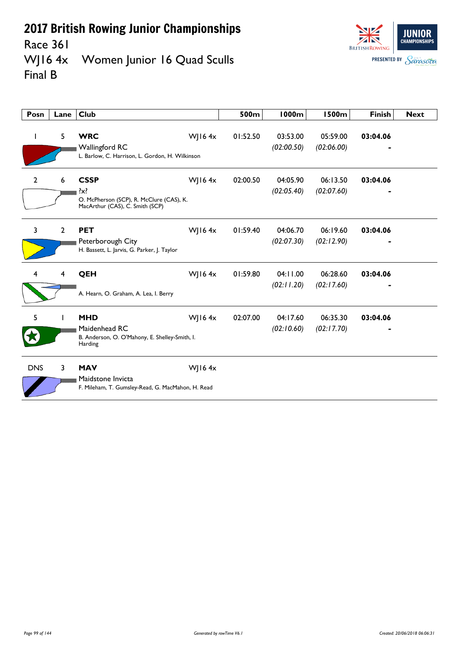

Race 361<br>WJ16 4x Women Junior 16 Quad Sculls Final B

| Posn           | Lane           | <b>Club</b>                                                                                           |           | 500m     | <b>1000m</b>           | <b>1500m</b>           | <b>Finish</b> | <b>Next</b> |
|----------------|----------------|-------------------------------------------------------------------------------------------------------|-----------|----------|------------------------|------------------------|---------------|-------------|
| I.             | 5              | <b>WRC</b><br><b>Wallingford RC</b><br>L. Barlow, C. Harrison, L. Gordon, H. Wilkinson                | WJ16 $4x$ | 01:52.50 | 03:53.00<br>(02:00.50) | 05:59.00<br>(02:06.00) | 03:04.06      |             |
| $\overline{2}$ | 6              | <b>CSSP</b><br>$\{x\}$<br>O. McPherson (SCP), R. McClure (CAS), K.<br>MacArthur (CAS), C. Smith (SCP) | WJ164x    | 02:00.50 | 04:05.90<br>(02:05.40) | 06:13.50<br>(02:07.60) | 03:04.06      |             |
| 3              | $\overline{2}$ | <b>PET</b><br>Peterborough City<br>H. Bassett, L. Jarvis, G. Parker, J. Taylor                        | W 164x    | 01:59.40 | 04:06.70<br>(02:07.30) | 06:19.60<br>(02:12.90) | 03:04.06      |             |
| 4              | 4              | QEH<br>A. Hearn, O. Graham, A. Lea, I. Berry                                                          | WJ16 $4x$ | 01:59.80 | 04:11.00<br>(02:11.20) | 06:28.60<br>(02:17.60) | 03:04.06      |             |
| 5              |                | <b>MHD</b><br>Maidenhead RC<br>B. Anderson, O. O'Mahony, E. Shelley-Smith, I.<br>Harding              | W 164x    | 02:07.00 | 04:17.60<br>(02:10.60) | 06:35.30<br>(02:17.70) | 03:04.06      |             |
| <b>DNS</b>     | 3              | <b>MAV</b><br>Maidstone Invicta<br>F. Mileham, T. Gumsley-Read, G. MacMahon, H. Read                  | WJ16 $4x$ |          |                        |                        |               |             |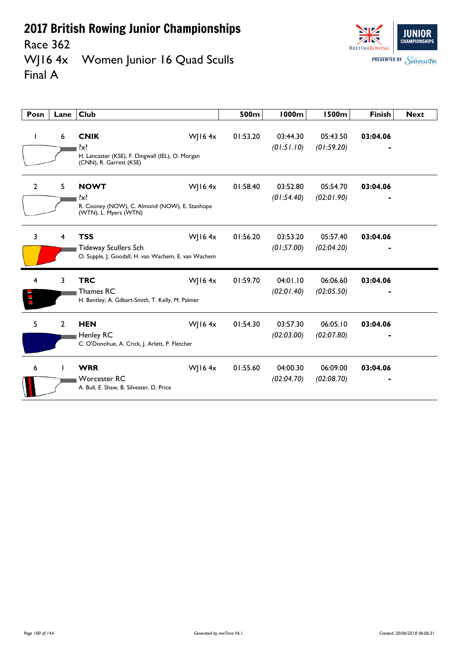Race 362<br>WJ16 4x Women Junior 16 Quad Sculls Final A



| Posn         | Lane           | <b>Club</b>                                                                                                    | 500m     | <b>1000m</b>           | <b>1500m</b>           | <b>Finish</b> | <b>Next</b> |
|--------------|----------------|----------------------------------------------------------------------------------------------------------------|----------|------------------------|------------------------|---------------|-------------|
| $\mathbf{I}$ | 6              | <b>CNIK</b><br>WJ16 $4x$<br>?x?<br>H. Lancaster (KSE), F. Dingwall (IEL), O. Morgan<br>(CNN), R. Garrett (KSE) | 01:53.20 | 03:44.30<br>(01:51.10) | 05:43.50<br>(01:59.20) | 03:04.06      |             |
| $\mathbf{2}$ | 5              | <b>NOWT</b><br>WJ16 $4x$<br>$\{x\}$<br>R. Cooney (NOW), C. Almond (NOW), E. Stanhope<br>(WTN), L. Myers (WTN)  | 01:58.40 | 03:52.80<br>(01:54.40) | 05:54.70<br>(02:01.90) | 03:04.06      |             |
| 3            | 4              | <b>TSS</b><br>WJ16 $4x$<br><b>Tideway Scullers Sch</b><br>O. Supple, J. Goodall, H. van Wachem, E. van Wachem  | 01:56.20 | 03:53.20<br>(01:57.00) | 05:57.40<br>(02:04.20) | 03:04.06      |             |
| 4            | 3              | <b>TRC</b><br><b>WJ164x</b><br>Thames RC<br>H. Bentley, A. Gilbart-Smith, T. Kelly, M. Palmer                  | 01:59.70 | 04:01.10<br>(02:01.40) | 06:06.60<br>(02:05.50) | 03:04.06      |             |
| 5            | $\overline{2}$ | WJ16 $4x$<br><b>HEN</b><br>Henley RC<br>C. O'Donohue, A. Crick, J. Arlett, P. Fletcher                         | 01:54.30 | 03:57.30<br>(02:03.00) | 06:05.10<br>(02:07.80) | 03:04.06      |             |
| 6            |                | <b>WRR</b><br>WJ16 $4x$<br><b>Worcester RC</b><br>A. Bull, E. Shaw, B. Silvester, D. Price                     | 01:55.60 | 04:00.30<br>(02:04.70) | 06:09.00<br>(02:08.70) | 03:04.06      |             |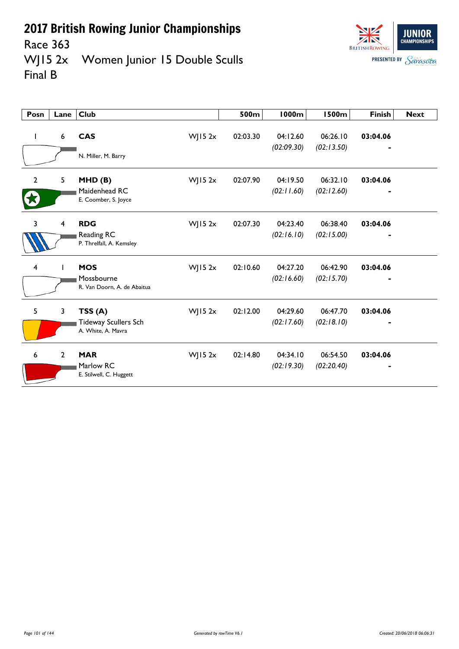



Race 363<br>WJ15 2x Women Junior 15 Double Sculls Final B

| Posn           | Lane             | <b>Club</b>                                                 |            | 500m     | <b>1000m</b>           | <b>1500m</b>           | <b>Finish</b> | <b>Next</b> |
|----------------|------------------|-------------------------------------------------------------|------------|----------|------------------------|------------------------|---------------|-------------|
|                | $\boldsymbol{6}$ | <b>CAS</b><br>N. Miller, M. Barry                           | $W$ JI5 2x | 02:03.30 | 04:12.60<br>(02:09.30) | 06:26.10<br>(02:13.50) | 03:04.06      |             |
| $\overline{2}$ | 5                | MHD(B)<br>Maidenhead RC<br>E. Coomber, S. Joyce             | $W$ JI5 2x | 02:07.90 | 04:19.50<br>(02:11.60) | 06:32.10<br>(02:12.60) | 03:04.06      |             |
| 3              | 4                | <b>RDG</b><br>Reading RC<br>P. Threlfall, A. Kemsley        | WJ15 $2x$  | 02:07.30 | 04:23.40<br>(02:16.10) | 06:38.40<br>(02:15.00) | 03:04.06      |             |
| 4              |                  | <b>MOS</b><br>Mossbourne<br>R. Van Doorn, A. de Abaitua     | $W$ JI5 2x | 02:10.60 | 04:27.20<br>(02:16.60) | 06:42.90<br>(02:15.70) | 03:04.06      |             |
| 5              | 3                | TSS(A)<br><b>Tideway Scullers Sch</b><br>A. White, A. Mavra | $W$ JI5 2x | 02:12.00 | 04:29.60<br>(02:17.60) | 06:47.70<br>(02:18.10) | 03:04.06      |             |
| 6              | $\overline{2}$   | <b>MAR</b><br>Marlow RC<br>E. Stilwell, C. Huggett          | $W$ JI5 2x | 02:14.80 | 04:34.10<br>(02:19.30) | 06:54.50<br>(02:20.40) | 03:04.06      |             |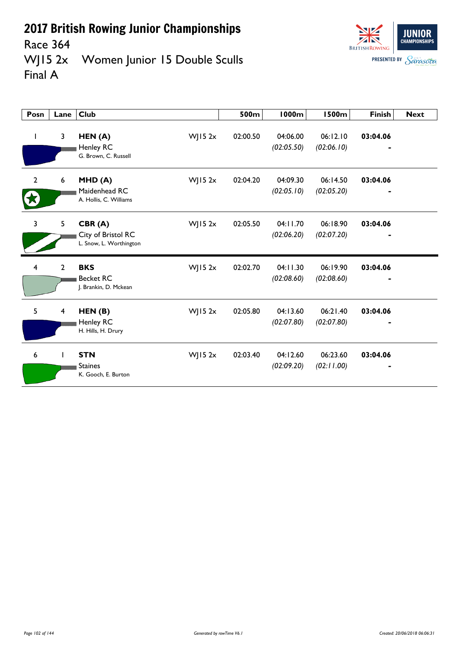

**JUNIOR CHAMPIONSHIPS** 

Race 364<br>WJ15 2x Women Junior 15 Double Sculls Final A

| Posn           | Lane                    | <b>Club</b>                                                           | 500m     | <b>1000m</b>           | <b>1500m</b>           | <b>Finish</b> | <b>Next</b> |
|----------------|-------------------------|-----------------------------------------------------------------------|----------|------------------------|------------------------|---------------|-------------|
| I.             | 3                       | HEN(A)<br>$W$ JI5 2x<br>Henley RC<br>G. Brown, C. Russell             | 02:00.50 | 04:06.00<br>(02:05.50) | 06:12.10<br>(02:06.10) | 03:04.06      |             |
| $\overline{2}$ | $\boldsymbol{6}$        | $W$ JI5 2x<br>MHD(A)<br>Maidenhead RC<br>A. Hollis, C. Williams       | 02:04.20 | 04:09.30<br>(02:05.10) | 06:14.50<br>(02:05.20) | 03:04.06      |             |
| $\overline{3}$ | 5                       | CBR(A)<br>$W$ JI5 2x<br>City of Bristol RC<br>L. Snow, L. Worthington | 02:05.50 | 04:11.70<br>(02:06.20) | 06:18.90<br>(02:07.20) | 03:04.06      |             |
| 4              | $\overline{2}$          | <b>BKS</b><br>$W$ JI5 2x<br><b>Becket RC</b><br>J. Brankin, D. Mckean | 02:02.70 | 04:11.30<br>(02:08.60) | 06:19.90<br>(02:08.60) | 03:04.06      |             |
| 5              | $\overline{\mathbf{4}}$ | $W$ JI5 2x<br>HEN(B)<br>Henley RC<br>H. Hills, H. Drury               | 02:05.80 | 04:13.60<br>(02:07.80) | 06:21.40<br>(02:07.80) | 03:04.06      |             |
| 6              | I.                      | <b>STN</b><br>$W$ JI5 2x<br><b>Staines</b><br>K. Gooch, E. Burton     | 02:03.40 | 04:12.60<br>(02:09.20) | 06:23.60<br>(02:11.00) | 03:04.06      |             |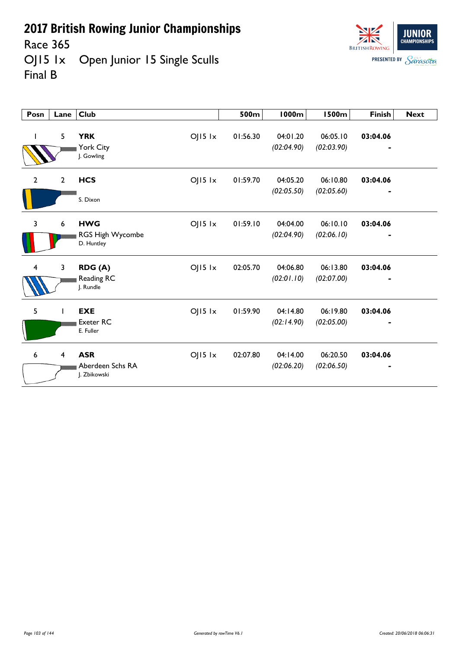Race 365<br>OJ15 1x Open Junior 15 Single Sculls Final B



| Posn                    | Lane           | <b>Club</b>                                                   | 500m     | 1000m                  | <b>1500m</b>           | <b>Finish</b>              | <b>Next</b> |
|-------------------------|----------------|---------------------------------------------------------------|----------|------------------------|------------------------|----------------------------|-------------|
|                         | 5              | <b>YRK</b><br>$OJI5$ $1x$<br>York City<br>J. Gowling          | 01:56.30 | 04:01.20<br>(02:04.90) | 06:05.10<br>(02:03.90) | 03:04.06<br>$\blacksquare$ |             |
| $\overline{2}$          | $\overline{2}$ | <b>HCS</b><br>$OJI5$ $1x$<br>S. Dixon                         | 01:59.70 | 04:05.20<br>(02:05.50) | 06:10.80<br>(02:05.60) | 03:04.06                   |             |
| 3                       | 6              | <b>HWG</b><br>$OJI5$ $1x$<br>RGS High Wycombe<br>D. Huntley   | 01:59.10 | 04:04.00<br>(02:04.90) | 06:10.10<br>(02:06.10) | 03:04.06                   |             |
| $\overline{\mathbf{4}}$ | 3              | $OJI5$ $1x$<br>RDG (A)<br>Reading RC<br>J. Rundle             | 02:05.70 | 04:06.80<br>(02:01.10) | 06:13.80<br>(02:07.00) | 03:04.06                   |             |
| 5                       |                | <b>EXE</b><br>$OJ15$ $1x$<br><b>Exeter RC</b><br>E. Fuller    | 01:59.90 | 04:14.80<br>(02:14.90) | 06:19.80<br>(02:05.00) | 03:04.06                   |             |
| 6                       | $\overline{4}$ | <b>ASR</b><br>$OJ15$ $1x$<br>Aberdeen Schs RA<br>J. Zbikowski | 02:07.80 | 04:14.00<br>(02:06.20) | 06:20.50<br>(02:06.50) | 03:04.06                   |             |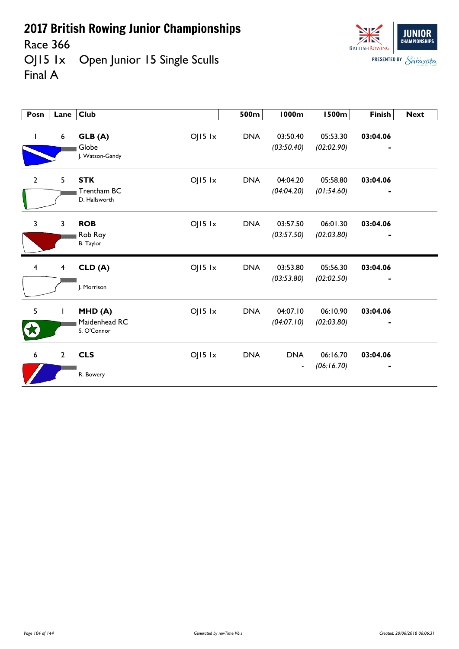Race 366<br>OJ15 1x Open Junior 15 Single Sculls Final A



| Posn           | Lane                    | <b>Club</b>                                               | 500m       | <b>1000m</b>                           | <b>1500m</b>           | <b>Finish</b>                            | <b>Next</b> |
|----------------|-------------------------|-----------------------------------------------------------|------------|----------------------------------------|------------------------|------------------------------------------|-------------|
|                | $\boldsymbol{6}$        | $OJI5$ $1x$<br>GLB (A)<br>Globe<br>J. Watson-Gandy        | <b>DNA</b> | 03:50.40<br>(03:50.40)                 | 05:53.30<br>(02:02.90) | 03:04.06<br>٠                            |             |
| $\overline{2}$ | 5                       | $OJI5$ $1x$<br><b>STK</b><br>Trentham BC<br>D. Hallsworth | <b>DNA</b> | 04:04.20<br>(04:04.20)                 | 05:58.80<br>(01:54.60) | 03:04.06<br>$\qquad \qquad \blacksquare$ |             |
| 3              | 3                       | <b>ROB</b><br>$OJI5$ $1x$<br>Rob Roy<br><b>B.</b> Taylor  | <b>DNA</b> | 03:57.50<br>(03:57.50)                 | 06:01.30<br>(02:03.80) | 03:04.06                                 |             |
| $\overline{4}$ | $\overline{\mathbf{4}}$ | $OJI5$ $1x$<br>CLD(A)<br>J. Morrison                      | <b>DNA</b> | 03:53.80<br>(03:53.80)                 | 05:56.30<br>(02:02.50) | 03:04.06                                 |             |
| 5              | T                       | $OJI5$ $1x$<br>MHD(A)<br>Maidenhead RC<br>S. O'Connor     | <b>DNA</b> | 04:07.10<br>(04:07.10)                 | 06:10.90<br>(02:03.80) | 03:04.06                                 |             |
| 6              | $\overline{2}$          | <b>CLS</b><br>$OJI5$ $1x$<br>R. Bowery                    | <b>DNA</b> | <b>DNA</b><br>$\overline{\phantom{a}}$ | 06:16.70<br>(06:16.70) | 03:04.06                                 |             |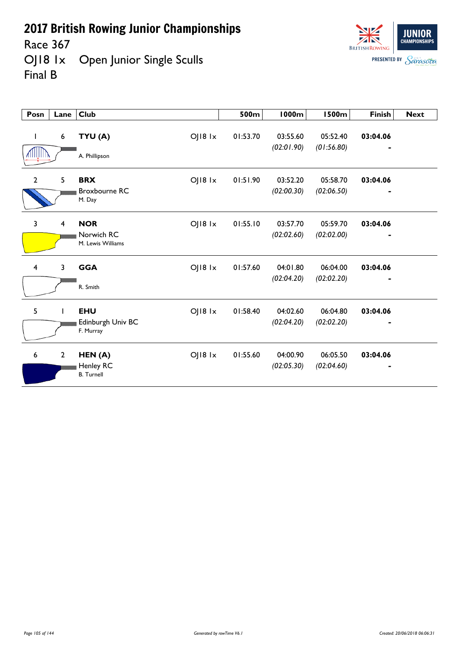Race 367<br>OJ18 1x Open Junior Single Sculls Final B

| <b>BRITISH ROWING</b> | JUNIOR<br><b>CHAMPIONSHIPS</b> |
|-----------------------|--------------------------------|
| <b>PRESENTED BY</b>   | Sarasota                       |

| Posn           | Lane            | <b>Club</b>                                                     | 500m     | <b>1000m</b>           | <b>1500m</b>           | <b>Finish</b>              | <b>Next</b> |
|----------------|-----------------|-----------------------------------------------------------------|----------|------------------------|------------------------|----------------------------|-------------|
| L              | $6\phantom{.}6$ | OJ18 1x<br>TYU (A)<br>A. Phillipson                             | 01:53.70 | 03:55.60<br>(02:01.90) | 05:52.40<br>(01:56.80) | 03:04.06                   |             |
| $\overline{2}$ | 5               | <b>BRX</b><br>$O$   $18$ $1x$<br><b>Broxbourne RC</b><br>M. Day | 01:51.90 | 03:52.20<br>(02:00.30) | 05:58.70<br>(02:06.50) | 03:04.06<br>$\blacksquare$ |             |
| 3              | $\overline{4}$  | <b>NOR</b><br>$OJ18$ $1x$<br>Norwich RC<br>M. Lewis Williams    | 01:55.10 | 03:57.70<br>(02:02.60) | 05:59.70<br>(02:02.00) | 03:04.06                   |             |
| $\overline{4}$ | 3               | <b>GGA</b><br>OJ18 1x<br>R. Smith                               | 01:57.60 | 04:01.80<br>(02:04.20) | 06:04.00<br>(02:02.20) | 03:04.06                   |             |
| 5              |                 | <b>EHU</b><br>OJ18 1x<br>Edinburgh Univ BC<br>F. Murray         | 01:58.40 | 04:02.60<br>(02:04.20) | 06:04.80<br>(02:02.20) | 03:04.06<br>٠              |             |
| 6              | $\overline{2}$  | $OJ18$ $1x$<br>HEN(A)<br>Henley RC<br><b>B.</b> Turnell         | 01:55.60 | 04:00.90<br>(02:05.30) | 06:05.50<br>(02:04.60) | 03:04.06                   |             |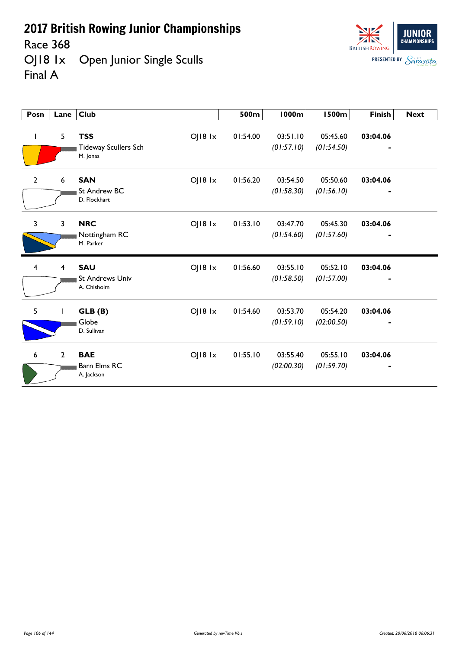Race 368<br>OJ18 1x Open Junior Single Sculls Final A



| Posn            | Lane           | <b>Club</b>                                                            | 500m     | 1000m                  | <b>1500m</b>           | <b>Finish</b>              | <b>Next</b> |
|-----------------|----------------|------------------------------------------------------------------------|----------|------------------------|------------------------|----------------------------|-------------|
| L               | 5              | <b>TSS</b><br>OJ18 1x<br><b>Tideway Scullers Sch</b><br>M. Jonas       | 01:54.00 | 03:51.10<br>(01:57.10) | 05:45.60<br>(01:54.50) | 03:04.06<br>$\blacksquare$ |             |
| $\overline{2}$  | 6              | <b>SAN</b><br>OJ18 1x<br><b>St Andrew BC</b><br>D. Flockhart           | 01:56.20 | 03:54.50<br>(01:58.30) | 05:50.60<br>(01:56.10) | 03:04.06                   |             |
| 3               | $\overline{3}$ | <b>NRC</b><br>OJ18 1x<br>Nottingham RC<br>M. Parker                    | 01:53.10 | 03:47.70<br>(01:54.60) | 05:45.30<br>(01:57.60) | 03:04.06                   |             |
| $\overline{4}$  | $\overline{4}$ | <b>SAU</b><br>$O$   $18$ $1x$<br><b>St Andrews Univ</b><br>A. Chisholm | 01:56.60 | 03:55.10<br>(01:58.50) | 05:52.10<br>(01:57.00) | 03:04.06                   |             |
| 5               |                | OJ18 1x<br>GLB (B)<br>Globe<br>D. Sullivan                             | 01:54.60 | 03:53.70<br>(01:59.10) | 05:54.20<br>(02:00.50) | 03:04.06                   |             |
| $6\phantom{1}6$ | $\overline{2}$ | <b>BAE</b><br>OJ18 1x<br>Barn Elms RC<br>A. Jackson                    | 01:55.10 | 03:55.40<br>(02:00.30) | 05:55.10<br>(01:59.70) | 03:04.06                   |             |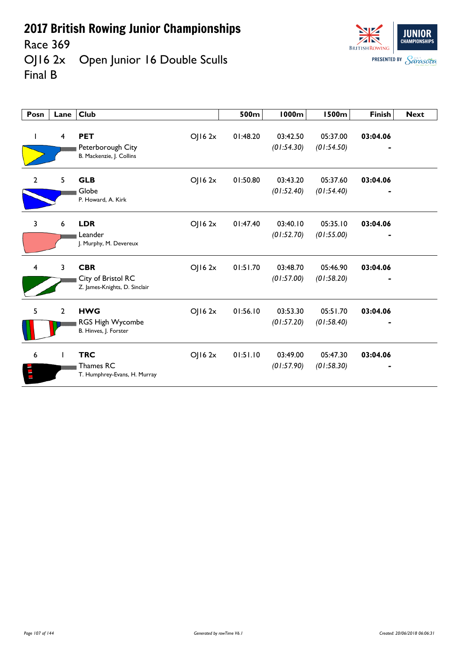Race 369<br>OJ16 2x Open Junior 16 Double Sculls Final B

| Posn           | Lane           | <b>Club</b>                                                                  | 500m     | 1000m                  | 1500m                  | <b>Finish</b> | <b>Next</b> |
|----------------|----------------|------------------------------------------------------------------------------|----------|------------------------|------------------------|---------------|-------------|
| I              | 4              | <b>PET</b><br>OJ16 2x<br>Peterborough City<br>B. Mackenzie, J. Collins       | 01:48.20 | 03:42.50<br>(01:54.30) | 05:37.00<br>(01:54.50) | 03:04.06      |             |
| $\mathbf{2}$   | 5              | <b>GLB</b><br>OJ162x<br>Globe<br>P. Howard, A. Kirk                          | 01:50.80 | 03:43.20<br>(01:52.40) | 05:37.60<br>(01:54.40) | 03:04.06      |             |
| 3              | 6              | <b>LDR</b><br>OJ162x<br>Leander<br>J. Murphy, M. Devereux                    | 01:47.40 | 03:40.10<br>(01:52.70) | 05:35.10<br>(01:55.00) | 03:04.06      |             |
| $\overline{4}$ | 3              | <b>CBR</b><br>OJ16 2x<br>City of Bristol RC<br>Z. James-Knights, D. Sinclair | 01:51.70 | 03:48.70<br>(01:57.00) | 05:46.90<br>(01:58.20) | 03:04.06      |             |
| 5              | $\overline{2}$ | <b>HWG</b><br>OJ162x<br>RGS High Wycombe<br>B. Hinves, J. Forster            | 01:56.10 | 03:53.30<br>(01:57.20) | 05:51.70<br>(01:58.40) | 03:04.06      |             |
| 6              |                | <b>TRC</b><br>OJ16 2x<br>Thames RC<br>T. Humphrey-Evans, H. Murray           | 01:51.10 | 03:49.00<br>(01:57.90) | 05:47.30<br>(01:58.30) | 03:04.06      |             |

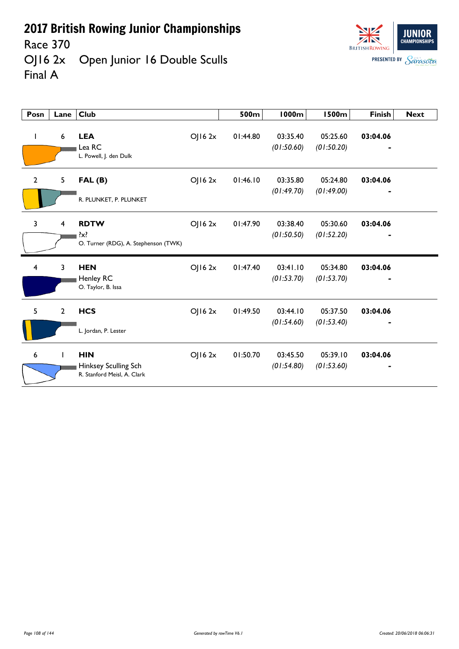



| Posn           | Lane                    | <b>Club</b>                                                       |         | 500m     | 1000m                  | <b>1500m</b>           | <b>Finish</b> | <b>Next</b> |
|----------------|-------------------------|-------------------------------------------------------------------|---------|----------|------------------------|------------------------|---------------|-------------|
| T              | 6                       | <b>LEA</b><br>Lea RC<br>L. Powell, J. den Dulk                    | OJ162x  | 01:44.80 | 03:35.40<br>(01:50.60) | 05:25.60<br>(01:50.20) | 03:04.06      |             |
| $\overline{2}$ | 5                       | FAL(B)<br>R. PLUNKET, P. PLUNKET                                  | OJ162x  | 01:46.10 | 03:35.80<br>(01:49.70) | 05:24.80<br>(01:49.00) | 03:04.06      |             |
| 3              | $\overline{\mathbf{4}}$ | <b>RDTW</b><br>$\{x\}$<br>O. Turner (RDG), A. Stephenson (TWK)    | OJ16 2x | 01:47.90 | 03:38.40<br>(01:50.50) | 05:30.60<br>(01:52.20) | 03:04.06      |             |
| 4              | 3                       | <b>HEN</b><br>Henley RC<br>O. Taylor, B. Issa                     | OJ162x  | 01:47.40 | 03:41.10<br>(01:53.70) | 05:34.80<br>(01:53.70) | 03:04.06      |             |
| 5              | $\overline{2}$          | <b>HCS</b><br>L. Jordan, P. Lester                                | OJ162x  | 01:49.50 | 03:44.10<br>(01:54.60) | 05:37.50<br>(01:53.40) | 03:04.06      |             |
| 6              |                         | <b>HIN</b><br>Hinksey Sculling Sch<br>R. Stanford Meisl, A. Clark | OJ162x  | 01:50.70 | 03:45.50<br>(01:54.80) | 05:39.10<br>(01:53.60) | 03:04.06      |             |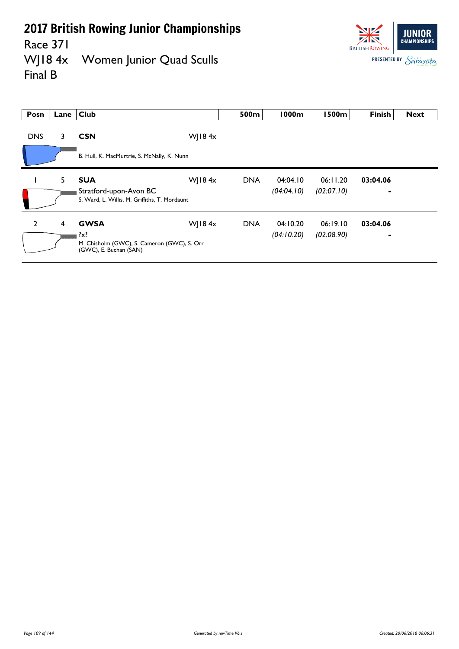Race 371<br>WJ18 4x



Women Junior Quad Sculls Final B

| Posn           | Lane | <b>Club</b>                                                                  |               | 500m       | 1000m      | 1500m      | <b>Finish</b>  | <b>Next</b> |
|----------------|------|------------------------------------------------------------------------------|---------------|------------|------------|------------|----------------|-------------|
| <b>DNS</b>     | 3.   | <b>CSN</b>                                                                   | WJ18 $4x$     |            |            |            |                |             |
|                |      | B. Hull, K. MacMurtrie, S. McNally, K. Nunn                                  |               |            |            |            |                |             |
|                | 5    | <b>SUA</b>                                                                   | WJ18 $4x$     | <b>DNA</b> | 04:04.10   | 06:11.20   | 03:04.06       |             |
|                |      | Stratford-upon-Avon BC<br>S. Ward, L. Willis, M. Griffiths, T. Mordaunt      |               |            | (04:04.10) | (02:07.10) |                |             |
| $\overline{2}$ | 4    | <b>GWSA</b>                                                                  | $W$ ] 184 $x$ | <b>DNA</b> | 04:10.20   | 06:19.10   | 03:04.06       |             |
|                |      | ?x?<br>M. Chisholm (GWC), S. Cameron (GWC), S. Orr<br>(GWC), E. Buchan (SAN) |               |            | (04:10.20) | (02:08.90) | $\overline{a}$ |             |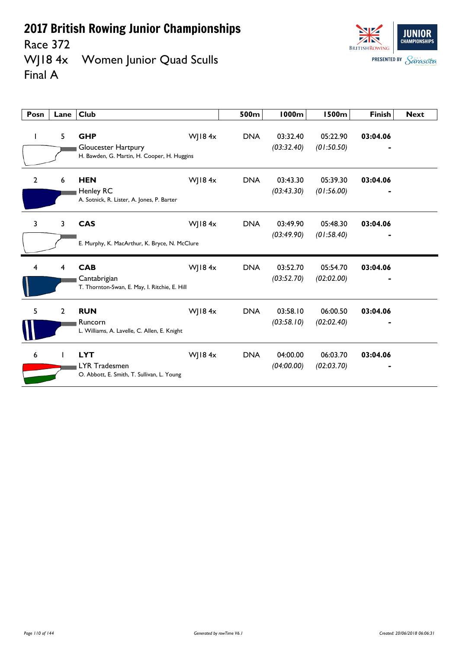

Race 372<br>WJ18 4x Women Junior Quad Sculls Final A

| Posn           | Lane           | <b>Club</b>                                                                      |           | 500m       | <b>1000m</b>           | <b>1500m</b>           | <b>Finish</b> | <b>Next</b> |
|----------------|----------------|----------------------------------------------------------------------------------|-----------|------------|------------------------|------------------------|---------------|-------------|
|                | 5              | <b>GHP</b><br>Gloucester Hartpury<br>H. Bawden, G. Martin, H. Cooper, H. Huggins | WJ18 $4x$ | <b>DNA</b> | 03:32.40<br>(03:32.40) | 05:22.90<br>(01:50.50) | 03:04.06      |             |
| $\overline{2}$ | 6              | <b>HEN</b><br>Henley RC<br>A. Sotnick, R. Lister, A. Jones, P. Barter            | WJ184x    | <b>DNA</b> | 03:43.30<br>(03:43.30) | 05:39.30<br>(01:56.00) | 03:04.06      |             |
| $\overline{3}$ | 3              | <b>CAS</b><br>E. Murphy, K. MacArthur, K. Bryce, N. McClure                      | WJ18 $4x$ | <b>DNA</b> | 03:49.90<br>(03:49.90) | 05:48.30<br>(01:58.40) | 03:04.06      |             |
| 4              | 4              | <b>CAB</b><br>Cantabrigian<br>T. Thornton-Swan, E. May, I. Ritchie, E. Hill      | WJ184x    | <b>DNA</b> | 03:52.70<br>(03:52.70) | 05:54.70<br>(02:02.00) | 03:04.06      |             |
| 5              | $\overline{2}$ | <b>RUN</b><br>Runcorn<br>L. Williams, A. Lavelle, C. Allen, E. Knight            | WJ184x    | <b>DNA</b> | 03:58.10<br>(03:58.10) | 06:00.50<br>(02:02.40) | 03:04.06      |             |
| 6              |                | <b>LYT</b><br><b>LYR Tradesmen</b><br>O. Abbott, E. Smith, T. Sullivan, L. Young | WJ184x    | <b>DNA</b> | 04:00.00<br>(04:00.00) | 06:03.70<br>(02:03.70) | 03:04.06      |             |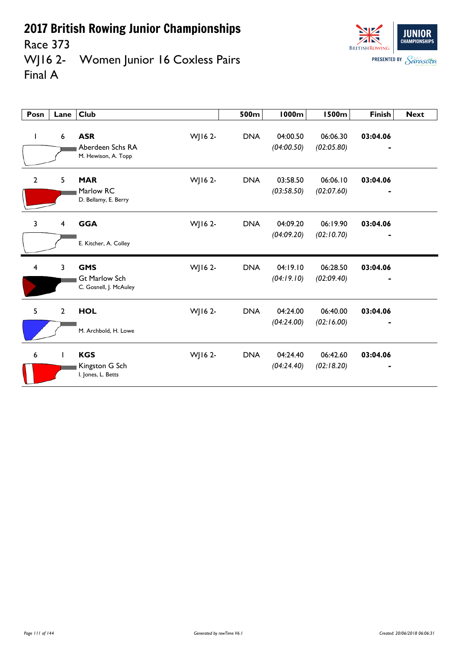

## Race 373<br>WJ16 2-Women Junior 16 Coxless Pairs Final A

| Posn           | Lane           | <b>Club</b>                                                  |         | 500m       | <b>1000m</b>           | <b>1500m</b>           | <b>Finish</b> | <b>Next</b> |
|----------------|----------------|--------------------------------------------------------------|---------|------------|------------------------|------------------------|---------------|-------------|
| $\mathbf{I}$   | 6              | <b>ASR</b><br>Aberdeen Schs RA<br>M. Hewison, A. Topp        | WJ16 2- | <b>DNA</b> | 04:00.50<br>(04:00.50) | 06:06.30<br>(02:05.80) | 03:04.06      |             |
| $\overline{2}$ | 5 <sup>5</sup> | <b>MAR</b><br>Marlow RC<br>D. Bellamy, E. Berry              | WJ16 2- | <b>DNA</b> | 03:58.50<br>(03:58.50) | 06:06.10<br>(02:07.60) | 03:04.06      |             |
| 3              | 4              | <b>GGA</b><br>E. Kitcher, A. Colley                          | WJ16 2- | <b>DNA</b> | 04:09.20<br>(04:09.20) | 06:19.90<br>(02:10.70) | 03:04.06      |             |
| 4              | 3              | <b>GMS</b><br><b>Gt Marlow Sch</b><br>C. Gosnell, J. McAuley | WJ16 2- | <b>DNA</b> | 04:19.10<br>(04:19.10) | 06:28.50<br>(02:09.40) | 03:04.06      |             |
| 5              | $\overline{2}$ | <b>HOL</b><br>M. Archbold, H. Lowe                           | WJ16 2- | <b>DNA</b> | 04:24.00<br>(04:24.00) | 06:40.00<br>(02:16.00) | 03:04.06      |             |
| 6              | $\mathbf{I}$   | <b>KGS</b><br>Kingston G Sch<br>I. Jones, L. Betts           | WJ16 2- | <b>DNA</b> | 04:24.40<br>(04:24.40) | 06:42.60<br>(02:18.20) | 03:04.06      |             |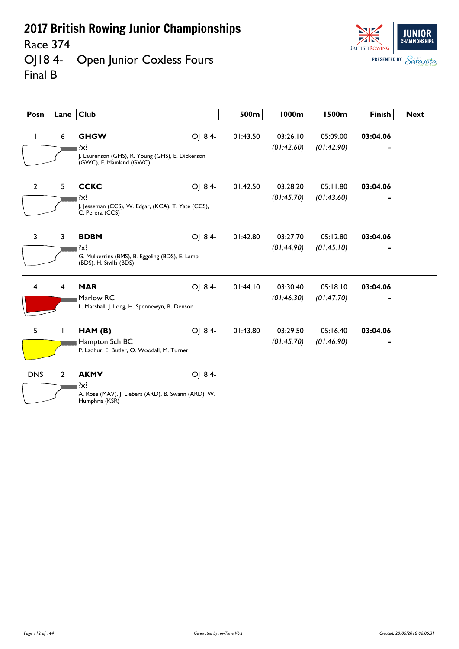Race 374

### OJ18 4- Open Junior Coxless Fours Final B



| Posn           | Lane           | <b>Club</b>                                                                                                      | 500m     | 1000m                  | <b>1500m</b>           | <b>Finish</b> | <b>Next</b> |
|----------------|----------------|------------------------------------------------------------------------------------------------------------------|----------|------------------------|------------------------|---------------|-------------|
| I.             | 6              | OJ184-<br><b>GHGW</b><br>$\{x\}$<br>J. Laurenson (GHS), R. Young (GHS), E. Dickerson<br>(GWC), F. Mainland (GWC) | 01:43.50 | 03:26.10<br>(01:42.60) | 05:09.00<br>(01:42.90) | 03:04.06      |             |
| $\mathbf{2}$   | 5              | <b>CCKC</b><br>OJ184-<br>$\{x\}$<br>J. Jesseman (CCS), W. Edgar, (KCA), T. Yate (CCS),<br>C. Perera (CCS)        | 01:42.50 | 03:28.20<br>(01:45.70) | 05:11.80<br>(01:43.60) | 03:04.06      |             |
| $\overline{3}$ | 3              | OJ184-<br><b>BDBM</b><br>$\{x\}$<br>G. Mulkerrins (BMS), B. Eggeling (BDS), E. Lamb<br>(BDS), H. Sivills (BDS)   | 01:42.80 | 03:27.70<br>(01:44.90) | 05:12.80<br>(01:45.10) | 03:04.06      |             |
| 4              | 4              | OJ184-<br><b>MAR</b><br>Marlow RC<br>L. Marshall, J. Long, H. Spennewyn, R. Denson                               | 01:44.10 | 03:30.40<br>(01:46.30) | 05:18.10<br>(01:47.70) | 03:04.06      |             |
| 5              |                | HAM (B)<br>OJ184-<br>Hampton Sch BC<br>P. Ladhur, E. Butler, O. Woodall, M. Turner                               | 01:43.80 | 03:29.50<br>(01:45.70) | 05:16.40<br>(01:46.90) | 03:04.06      |             |
| <b>DNS</b>     | $\overline{2}$ | OJ184-<br><b>AKMV</b><br>$\{x\}$<br>A. Rose (MAV), J. Liebers (ARD), B. Swann (ARD), W.<br>Humphris (KSR)        |          |                        |                        |               |             |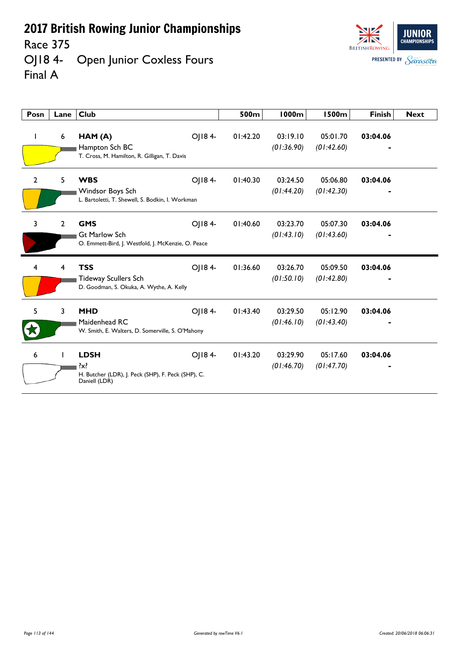Race 375

OJ18 4- Open Junior Coxless Fours Final A

| <b>BRITISH ROWING</b> | UNIOR<br><b>CHAMPIONSHIPS</b> |
|-----------------------|-------------------------------|
| <b>PRESENTED BY</b>   | Sarasota                      |

| Posn           | Lane           | <b>Club</b>                                                                               |        | 500m     | <b>1000m</b>           | <b>1500m</b>           | <b>Finish</b> | <b>Next</b> |
|----------------|----------------|-------------------------------------------------------------------------------------------|--------|----------|------------------------|------------------------|---------------|-------------|
| L              | 6              | HAM (A)<br>Hampton Sch BC<br>T. Cross, M. Hamilton, R. Gilligan, T. Davis                 | OJ184- | 01:42.20 | 03:19.10<br>(01:36.90) | 05:01.70<br>(01:42.60) | 03:04.06      |             |
| $\overline{2}$ | 5              | <b>WBS</b><br>Windsor Boys Sch<br>L. Bartoletti, T. Shewell, S. Bodkin, I. Workman        | OJ184- | 01:40.30 | 03:24.50<br>(01:44.20) | 05:06.80<br>(01:42.30) | 03:04.06      |             |
| 3              | $\overline{2}$ | <b>GMS</b><br><b>Gt Marlow Sch</b><br>O. Emmett-Bird, J. Westfold, J. McKenzie, O. Peace  | OJ184- | 01:40.60 | 03:23.70<br>(01:43.10) | 05:07.30<br>(01:43.60) | 03:04.06      |             |
| 4              | 4              | <b>TSS</b><br><b>Tideway Scullers Sch</b><br>D. Goodman, S. Okuka, A. Wythe, A. Kelly     | OJ184- | 01:36.60 | 03:26.70<br>(01:50.10) | 05:09.50<br>(01:42.80) | 03:04.06      |             |
| 5              | 3              | <b>MHD</b><br>Maidenhead RC<br>W. Smith, E. Walters, D. Somerville, S. O'Mahony           | OJ184- | 01:43.40 | 03:29.50<br>(01:46.10) | 05:12.90<br>(01:43.40) | 03:04.06      |             |
| 6              |                | <b>LDSH</b><br>?x?<br>H. Butcher (LDR), J. Peck (SHP), F. Peck (SHP), C.<br>Daniell (LDR) | OJ184- | 01:43.20 | 03:29.90<br>(01:46.70) | 05:17.60<br>(01:47.70) | 03:04.06      |             |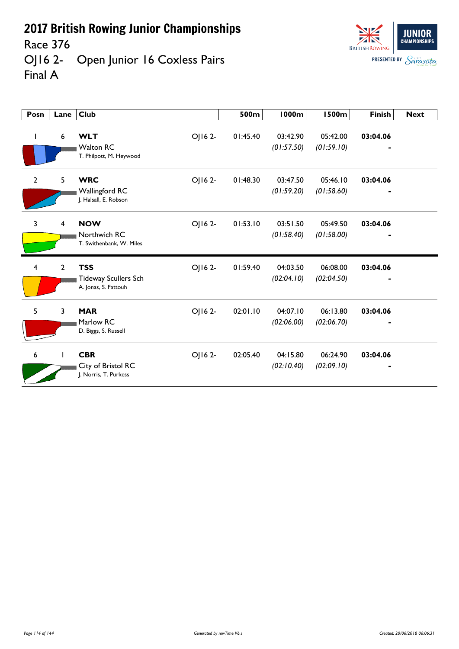Race 376

OJ16 2- Open Junior 16 Coxless Pairs Final A

| Posn           | Lane           | Club                                                                    | 500m     | 1000m                  | 1500m                  | <b>Finish</b> | <b>Next</b> |
|----------------|----------------|-------------------------------------------------------------------------|----------|------------------------|------------------------|---------------|-------------|
| T              | 6              | OJ162-<br><b>WLT</b><br><b>Walton RC</b><br>T. Philpott, M. Heywood     | 01:45.40 | 03:42.90<br>(01:57.50) | 05:42.00<br>(01:59.10) | 03:04.06      |             |
| $\overline{2}$ | 5              | <b>WRC</b><br>OJ16 2-<br><b>Wallingford RC</b><br>J. Halsall, E. Robson | 01:48.30 | 03:47.50<br>(01:59.20) | 05:46.10<br>(01:58.60) | 03:04.06      |             |
| 3              | 4              | <b>NOW</b><br>OJ16 2-<br>Northwich RC<br>T. Swithenbank, W. Miles       | 01:53.10 | 03:51.50<br>(01:58.40) | 05:49.50<br>(01:58.00) | 03:04.06      |             |
| 4              | $\overline{2}$ | <b>TSS</b><br>OJ162-<br>Tideway Scullers Sch<br>A. Jonas, S. Fattouh    | 01:59.40 | 04:03.50<br>(02:04.10) | 06:08.00<br>(02:04.50) | 03:04.06      |             |
| 5              | 3              | <b>MAR</b><br>OJ16 2-<br>Marlow RC<br>D. Biggs, S. Russell              | 02:01.10 | 04:07.10<br>(02:06.00) | 06:13.80<br>(02:06.70) | 03:04.06      |             |
| 6              |                | <b>CBR</b><br>OJ16 2-<br>City of Bristol RC<br>J. Norris, T. Purkess    | 02:05.40 | 04:15.80<br>(02:10.40) | 06:24.90<br>(02:09.10) | 03:04.06      |             |

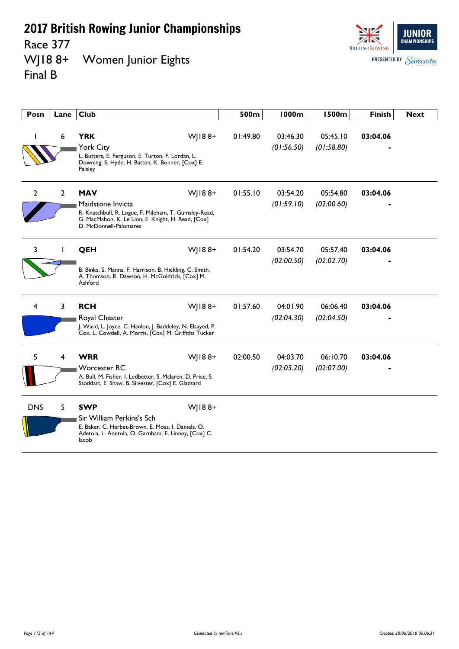Race 377<br>WJ18 8+ Women Junior Eights Final B

| Posn           | Lane           | <b>Club</b>                                                                                                                                                                            | 500m     | <b>1000m</b>           | <b>1500m</b>           | <b>Finish</b> | <b>Next</b> |
|----------------|----------------|----------------------------------------------------------------------------------------------------------------------------------------------------------------------------------------|----------|------------------------|------------------------|---------------|-------------|
|                | 6              | <b>YRK</b><br>$W$ ] $18.8+$<br>York City<br>L. Butters, E. Ferguson, E. Turton, F. Lordan, L.<br>Downing, S. Hyde, H. Batten, K. Bonner, [Cox] E.<br>Paisley                           | 01:49.80 | 03:46.30<br>(01:56.50) | 05:45.10<br>(01:58.80) | 03:04.06      |             |
| $\overline{2}$ | $\overline{2}$ | $W$   188+<br><b>MAV</b><br>Maidstone Invicta<br>R. Knatchbull, R. Logue, F. Mileham, T. Gumsley-Read,<br>G. MacMahon, K. Le Lion, E. Knight, H. Read, [Cox]<br>D. McDonnell-Palomares | 01:55.10 | 03:54.20<br>(01:59.10) | 05:54.80<br>(02:00.60) | 03:04.06      |             |
| 3              |                | QEH<br>$W$   188+<br>B. Binks, S. Manns, F. Harrison, B. Hickling, C. Smith,<br>A. Thomson, R. Dawson, H. McGoldrick, [Cox] M.<br>Ashford                                              | 01:54.20 | 03:54.70<br>(02:00.50) | 05:57.40<br>(02:02.70) | 03:04.06      |             |
| 4              | 3              | <b>RCH</b><br>WJ188+<br>Royal Chester<br>J. Ward, L. Joyce, C. Hanlon, J. Baddeley, N. Elsayed, P.<br>Cox, L. Cowdell, A. Morris, [Cox] M. Griffiths Tucker                            | 01:57.60 | 04:01.90<br>(02:04.30) | 06:06.40<br>(02:04.50) | 03:04.06      |             |
| 5              | 4              | <b>WRR</b><br>$W$   188+<br><b>Worcester RC</b><br>A. Bull, M. Fisher, I. Ledbetter, S. Mclaren, D. Price, S.<br>Stoddart, E. Shaw, B. Silvester, [Cox] E. Glazzard                    | 02:00.50 | 04:03.70<br>(02:03.20) | 06:10.70<br>(02:07.00) | 03:04.06      |             |
| <b>DNS</b>     | 5              | <b>SWP</b><br>WJ188+<br>Sir William Perkins's Sch<br>E. Baker, C. Herbet-Brown, E. Moss, I. Daniels, O.<br>Adetola, L. Adetola, O. Garnham, E. Linney, [Cox] C.<br>lacob               |          |                        |                        |               |             |

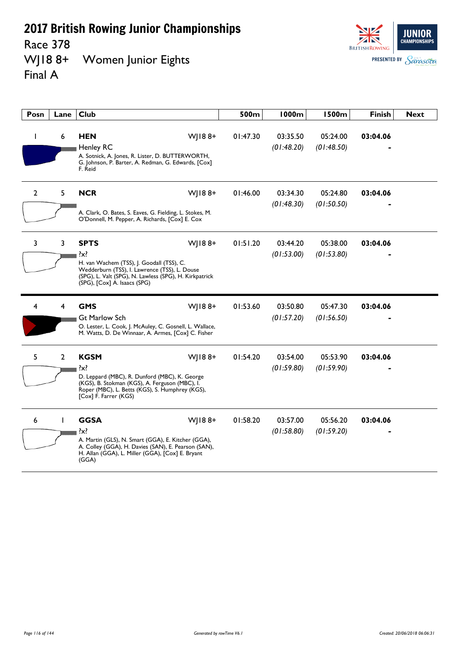Race 378<br>WJ18 8+ Women Junior Eights Final A



| Posn         | Lane           | <b>Club</b>                                                                                                                                                                                                                  | 500m     | 1000m                  | <b>1500m</b>           | <b>Finish</b> | <b>Next</b> |
|--------------|----------------|------------------------------------------------------------------------------------------------------------------------------------------------------------------------------------------------------------------------------|----------|------------------------|------------------------|---------------|-------------|
| I.           | 6              | <b>HEN</b><br>$W$   188+<br><b>Henley RC</b><br>A. Sotnick, A. Jones, R. Lister, D. BUTTERWORTH,<br>G. Johnson, P. Barter, A. Redman, G. Edwards, [Cox]<br>F. Reid                                                           | 01:47.30 | 03:35.50<br>(01:48.20) | 05:24.00<br>(01:48.50) | 03:04.06      |             |
| $\mathbf{2}$ | 5              | $W$   188+<br><b>NCR</b><br>A. Clark, O. Bates, S. Eaves, G. Fielding, L. Stokes, M.<br>O'Donnell, M. Pepper, A. Richards, [Cox] E. Cox                                                                                      | 01:46.00 | 03:34.30<br>(01:48.30) | 05:24.80<br>(01:50.50) | 03:04.06      |             |
| 3            | 3              | <b>SPTS</b><br>$W$   188+<br>$\{x\}$<br>H. van Wachem (TSS), J. Goodall (TSS), C.<br>Wedderburn (TSS), I. Lawrence (TSS), L. Douse<br>(SPG), L. Valt (SPG), N. Lawless (SPG), H. Kirkpatrick<br>(SPG), [Cox] A. Isaacs (SPG) | 01:51.20 | 03:44.20<br>(01:53.00) | 05:38.00<br>(01:53.80) | 03:04.06      |             |
| 4            | 4              | <b>GMS</b><br>$W$   188+<br><b>Gt Marlow Sch</b><br>O. Lester, L. Cook, J. McAuley, C. Gosnell, L. Wallace,<br>M. Watts, D. De Winnaar, A. Armes, [Cox] C. Fisher                                                            | 01:53.60 | 03:50.80<br>(01:57.20) | 05:47.30<br>(01:56.50) | 03:04.06      |             |
| 5            | $\overline{2}$ | <b>KGSM</b><br>$W$   188+<br>?x?<br>D. Leppard (MBC), R. Dunford (MBC), K. George<br>(KGS), B. Stokman (KGS), A. Ferguson (MBC), I.<br>Roper (MBC), L. Betts (KGS), S. Humphrey (KGS),<br>[Cox] F. Farrer (KGS)              | 01:54.20 | 03:54.00<br>(01:59.80) | 05:53.90<br>(01:59.90) | 03:04.06      |             |
| 6            | $\mathbf{I}$   | <b>GGSA</b><br>$W$   188+<br>$\{x\}$<br>A. Martin (GLS), N. Smart (GGA), E. Kitcher (GGA),<br>A. Colley (GGA), H. Davies (SAN), E. Pearson (SAN),<br>H. Allan (GGA), L. Miller (GGA), [Cox] E. Bryant<br>(GGA)               | 01:58.20 | 03:57.00<br>(01:58.80) | 05:56.20<br>(01:59.20) | 03:04.06      |             |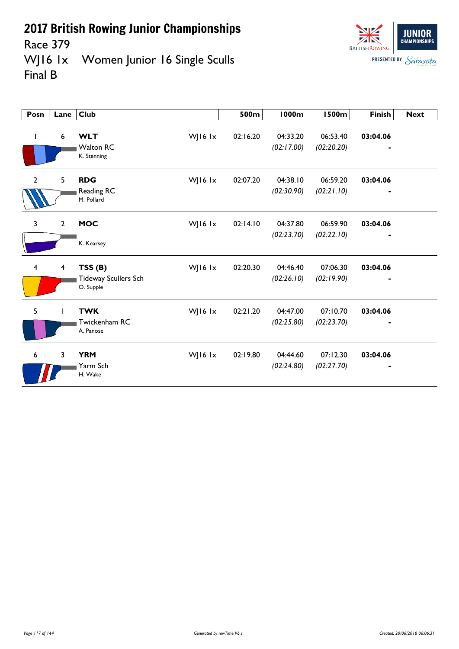

**JUNIOR CHAMPIONSHIPS BRITISH ROWING PRESENTED BY Sarasota** 

Race 379<br>WJ16 1x Women Junior 16 Single Sculls Final B

| Posn           | Lane           | <b>Club</b>                                        |           | 500m     | <b>1000m</b>           | <b>1500m</b>           | <b>Finish</b> | <b>Next</b> |
|----------------|----------------|----------------------------------------------------|-----------|----------|------------------------|------------------------|---------------|-------------|
| $\mathbf{I}$   | 6              | <b>WLT</b><br><b>Walton RC</b><br>K. Stenning      | WJ16 lx   | 02:16.20 | 04:33.20<br>(02:17.00) | 06:53.40<br>(02:20.20) | 03:04.06      |             |
| $\overline{2}$ | 5              | <b>RDG</b><br>Reading RC<br>M. Pollard             | WJ16 $1x$ | 02:07.20 | 04:38.10<br>(02:30.90) | 06:59.20<br>(02:21.10) | 03:04.06      |             |
| 3              | $\overline{2}$ | <b>MOC</b><br>K. Kearsey                           | WJ16 $1x$ | 02:14.10 | 04:37.80<br>(02:23.70) | 06:59.90<br>(02:22.10) | 03:04.06      |             |
| $\overline{4}$ | $\overline{4}$ | TSS(B)<br><b>Tideway Scullers Sch</b><br>O. Supple | WJ16 lx   | 02:20.30 | 04:46.40<br>(02:26.10) | 07:06.30<br>(02:19.90) | 03:04.06      |             |
| 5              |                | <b>TWK</b><br>Twickenham RC<br>A. Panose           | WJ16 lx   | 02:21.20 | 04:47.00<br>(02:25.80) | 07:10.70<br>(02:23.70) | 03:04.06      |             |
| 6              | $\overline{3}$ | <b>YRM</b><br>Yarm Sch<br>H. Wake                  | WJ16 lx   | 02:19.80 | 04:44.60<br>(02:24.80) | 07:12.30<br>(02:27.70) | 03:04.06      |             |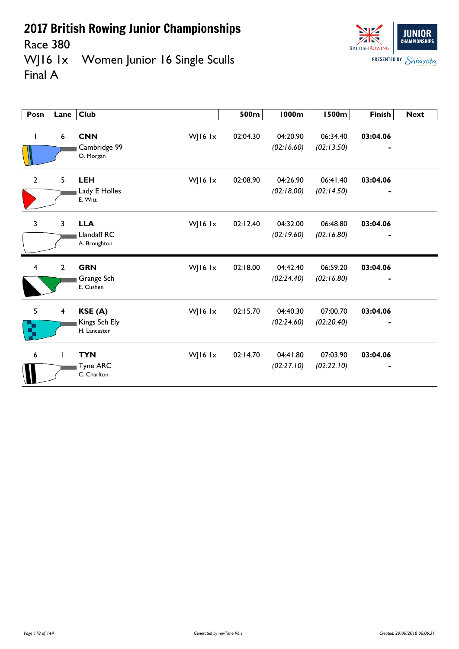

**JUNIOR CHAMPIONSHIPS BRITISH ROWING PRESENTED BY Sarasota** 

Race 380<br>WJ16 1x Women Junior 16 Single Sculls Final A

| Posn           | Lane                    | <b>Club</b>                                          | 500m     | 1000m                  | <b>1500m</b>           | <b>Finish</b> | <b>Next</b> |
|----------------|-------------------------|------------------------------------------------------|----------|------------------------|------------------------|---------------|-------------|
| L              | 6                       | <b>CNN</b><br>WJ16 lx<br>Cambridge 99<br>O. Morgan   | 02:04.30 | 04:20.90<br>(02:16.60) | 06:34.40<br>(02:13.50) | 03:04.06      |             |
| $\overline{2}$ | 5                       | <b>LEH</b><br>WJ16 lx<br>Lady E Holles<br>E. Witt    | 02:08.90 | 04:26.90<br>(02:18.00) | 06:41.40<br>(02:14.50) | 03:04.06      |             |
| $\overline{3}$ | 3                       | <b>LLA</b><br>WJ16 lx<br>Llandaff RC<br>A. Broughton | 02:12.40 | 04:32.00<br>(02:19.60) | 06:48.80<br>(02:16.80) | 03:04.06      |             |
| $\overline{4}$ | $\overline{2}$          | <b>GRN</b><br>WJ16 lx<br>Grange Sch<br>E. Cushen     | 02:18.00 | 04:42.40<br>(02:24.40) | 06:59.20<br>(02:16.80) | 03:04.06      |             |
| 5<br>ç,        | $\overline{\mathbf{4}}$ | WJ16 lx<br>KSE (A)<br>Kings Sch Ely<br>H. Lancaster  | 02:15.70 | 04:40.30<br>(02:24.60) | 07:00.70<br>(02:20.40) | 03:04.06      |             |
| 6              | $\mathbf{I}$            | <b>TYN</b><br>WJ16 lx<br>Tyne ARC<br>C. Charlton     | 02:14.70 | 04:41.80<br>(02:27.10) | 07:03.90<br>(02:22.10) | 03:04.06      |             |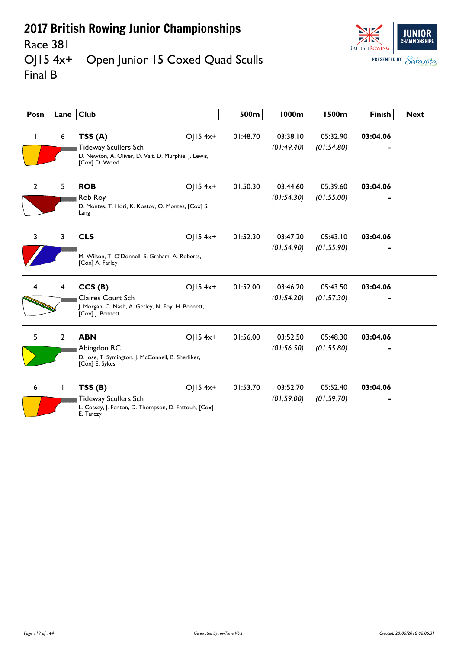

## Race 381<br>OJ15 4x+ Open Junior 15 Coxed Quad Sculls Final B

| Posn         | Lane                    | <b>Club</b>                                                                                                                  | 500m     | 1000m                  | <b>1500m</b>           | <b>Finish</b> | <b>Next</b> |
|--------------|-------------------------|------------------------------------------------------------------------------------------------------------------------------|----------|------------------------|------------------------|---------------|-------------|
| L            | 6                       | TSS(A)<br>$OJ15$ 4x+<br><b>Tideway Scullers Sch</b><br>D. Newton, A. Oliver, D. Valt, D. Murphie, J. Lewis,<br>[Cox] D. Wood | 01:48.70 | 03:38.10<br>(01:49.40) | 05:32.90<br>(01:54.80) | 03:04.06      |             |
| $\mathbf{2}$ | 5                       | <b>ROB</b><br>$OJ15$ 4x+<br>Rob Roy<br>D. Montes, T. Hori, K. Kostov, O. Montes, [Cox] S.<br>Lang                            | 01:50.30 | 03:44.60<br>(01:54.30) | 05:39.60<br>(01:55.00) | 03:04.06      |             |
| 3            | 3                       | <b>CLS</b><br>$O  5 4x+$<br>M. Wilson, T. O'Donnell, S. Graham, A. Roberts,<br>[Cox] A. Farley                               | 01:52.30 | 03:47.20<br>(01:54.90) | 05:43.10<br>(01:55.90) | 03:04.06      |             |
|              | $\overline{\mathbf{4}}$ | CCS(B)<br>$O  5 4x+$<br>Claires Court Sch<br>J. Morgan, C. Nash, A. Getley, N. Foy, H. Bennett,<br>[Cox] J. Bennett          | 01:52.00 | 03:46.20<br>(01:54.20) | 05:43.50<br>(01:57.30) | 03:04.06      |             |
| 5.           | $\overline{2}$          | <b>ABN</b><br>$O  5 4x+$<br>Abingdon RC<br>D. Jose, T. Symington, J. McConnell, B. Sherliker,<br>[Cox] E. Sykes              | 01:56.00 | 03:52.50<br>(01:56.50) | 05:48.30<br>(01:55.80) | 03:04.06      |             |
| 6            |                         | $O  5 4x+$<br>TSS(B)<br><b>Tideway Scullers Sch</b><br>L. Cossey, J. Fenton, D. Thompson, D. Fattouh, [Cox]<br>E. Tarczy     | 01:53.70 | 03:52.70<br>(01:59.00) | 05:52.40<br>(01:59.70) | 03:04.06      |             |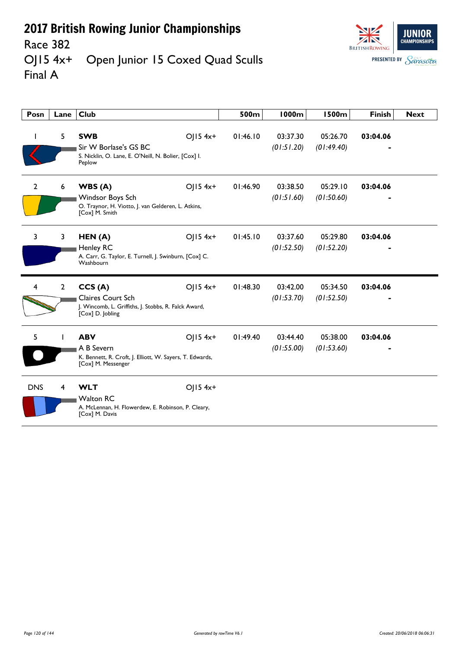

#### Race 382<br>OJ15 4x+ Open Junior 15 Coxed Quad Sculls Final A

| Posn         | Lane           | Club                                                                                                       |            | 500m     | <b>1000m</b>           | <b>1500m</b>           | <b>Finish</b> | <b>Next</b> |
|--------------|----------------|------------------------------------------------------------------------------------------------------------|------------|----------|------------------------|------------------------|---------------|-------------|
|              | 5              | <b>SWB</b><br>Sir W Borlase's GS BC<br>S. Nicklin, O. Lane, E. O'Neill, N. Bolier, [Cox] I.<br>Peplow      | OJ15 4x+   | 01:46.10 | 03:37.30<br>(01:51.20) | 05:26.70<br>(01:49.40) | 03:04.06      |             |
| $\mathbf{2}$ | 6              | WBS(A)<br>Windsor Boys Sch<br>O. Traynor, H. Viotto, J. van Gelderen, L. Atkins,<br>[Cox] M. Smith         | OJ15 4x+   | 01:46.90 | 03:38.50<br>(01:51.60) | 05:29.10<br>(01:50.60) | 03:04.06      |             |
| 3            | 3              | HEN(A)<br><b>Henley RC</b><br>A. Carr, G. Taylor, E. Turnell, J. Swinburn, [Cox] C.<br>Washbourn           | $OJ15$ 4x+ | 01:45.10 | 03:37.60<br>(01:52.50) | 05:29.80<br>(01:52.20) | 03:04.06      |             |
| 4            | $\overline{2}$ | CCS(A)<br>Claires Court Sch<br>J. Wincomb, L. Griffiths, J. Stobbs, R. Falck Award,<br>[Cox] D. Jobling    | $O  5 4x+$ | 01:48.30 | 03:42.00<br>(01:53.70) | 05:34.50<br>(01:52.50) | 03:04.06      |             |
| 5            |                | <b>ABV</b><br>A B Severn<br>K. Bennett, R. Croft, J. Elliott, W. Sayers, T. Edwards,<br>[Cox] M. Messenger | $O  5 4x+$ | 01:49.40 | 03:44.40<br>(01:55.00) | 05:38.00<br>(01:53.60) | 03:04.06      |             |
| <b>DNS</b>   | 4              | <b>WLT</b><br><b>Walton RC</b><br>A. McLennan, H. Flowerdew, E. Robinson, P. Cleary,<br>[Cox] M. Davis     | OJ15 4x+   |          |                        |                        |               |             |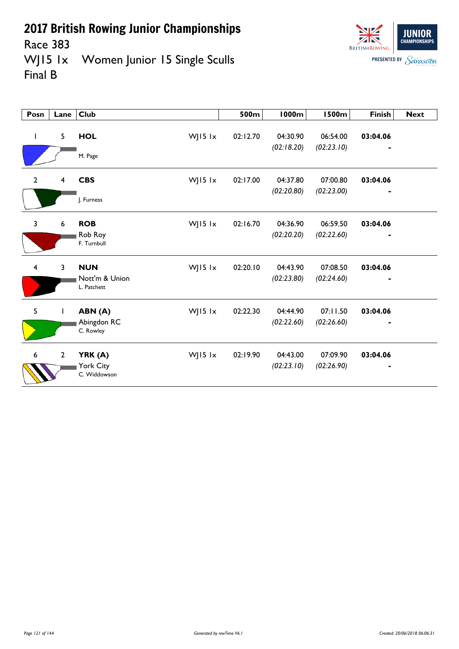

Race 383<br>WJ15 1x Women Junior 15 Single Sculls Final B

| Posn                    | Lane           | <b>Club</b>                           |         | 500m     | 1000m                  | <b>1500m</b>           | <b>Finish</b> | <b>Next</b> |
|-------------------------|----------------|---------------------------------------|---------|----------|------------------------|------------------------|---------------|-------------|
| $\mathbf{I}$            | 5              | <b>HOL</b><br>M. Page                 | WJ15 lx | 02:12.70 | 04:30.90<br>(02:18.20) | 06:54.00<br>(02:23.10) | 03:04.06      |             |
| $\overline{2}$          | 4              | <b>CBS</b><br>J. Furness              | WJ15 lx | 02:17.00 | 04:37.80<br>(02:20.80) | 07:00.80<br>(02:23.00) | 03:04.06      |             |
| $\overline{\mathbf{3}}$ | 6              | <b>ROB</b><br>Rob Roy<br>F. Turnbull  | WJ15 lx | 02:16.70 | 04:36.90<br>(02:20.20) | 06:59.50<br>(02:22.60) | 03:04.06      |             |
| $\overline{\mathbf{4}}$ | 3              | <b>NUN</b><br>Nott'm & Union          | WJ15 lx | 02:20.10 | 04:43.90<br>(02:23.80) | 07:08.50<br>(02:24.60) | 03:04.06      |             |
| 5                       |                | L. Patchett<br>ABN (A)<br>Abingdon RC | WJ15 lx | 02:22.30 | 04:44.90<br>(02:22.60) | 07:11.50<br>(02:26.60) | 03:04.06      |             |
| $\boldsymbol{6}$        | $\overline{2}$ | C. Rowley<br>YRK (A)                  | WJ15 lx | 02:19.90 | 04:43.00               | 07:09.90               | 03:04.06      |             |
|                         |                | York City<br>C. Widdowson             |         |          | (02:23.10)             | (02:26.90)             |               |             |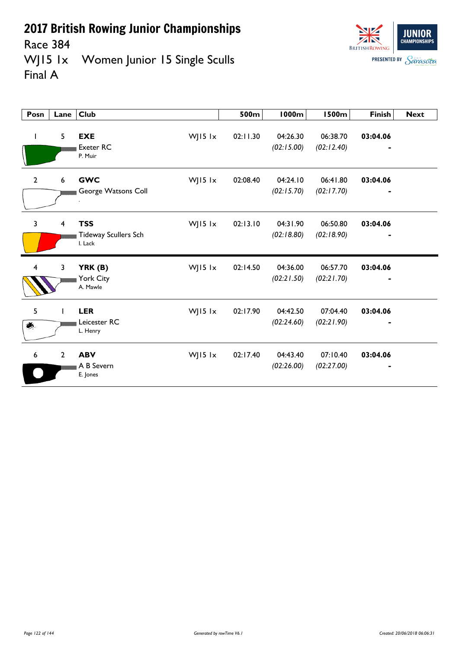

Race 384<br>WJ15 1x Women Junior 15 Single Sculls Final A

| Posn           | Lane           | <b>Club</b>                                                       | 500m     | 1000m                  | <b>1500m</b>           | <b>Finish</b>              | <b>Next</b> |
|----------------|----------------|-------------------------------------------------------------------|----------|------------------------|------------------------|----------------------------|-------------|
| L              | 5              | <b>EXE</b><br>WJ15 lx<br><b>Exeter RC</b><br>P. Muir              | 02:11.30 | 04:26.30<br>(02:15.00) | 06:38.70<br>(02:12.40) | 03:04.06                   |             |
| $\overline{2}$ | 6              | <b>GWC</b><br>WJ15 lx<br>George Watsons Coll                      | 02:08.40 | 04:24.10<br>(02:15.70) | 06:41.80<br>(02:17.70) | 03:04.06                   |             |
| $\overline{3}$ | $\overline{4}$ | <b>TSS</b><br>WJ15 $1x$<br><b>Tideway Scullers Sch</b><br>I. Lack | 02:13.10 | 04:31.90<br>(02:18.80) | 06:50.80<br>(02:18.90) | 03:04.06<br>$\blacksquare$ |             |
| 4              | 3              | WJ15 lx<br>YRK (B)<br>York City<br>A. Mawle                       | 02:14.50 | 04:36.00<br>(02:21.50) | 06:57.70<br>(02:21.70) | 03:04.06                   |             |
| 5<br>美         |                | <b>LER</b><br>WJ15 lx<br>Leicester RC<br>L. Henry                 | 02:17.90 | 04:42.50<br>(02:24.60) | 07:04.40<br>(02:21.90) | 03:04.06                   |             |
| 6              | $2^{\circ}$    | <b>ABV</b><br>WJ15 lx<br>A B Severn<br>E. Jones                   | 02:17.40 | 04:43.40<br>(02:26.00) | 07:10.40<br>(02:27.00) | 03:04.06                   |             |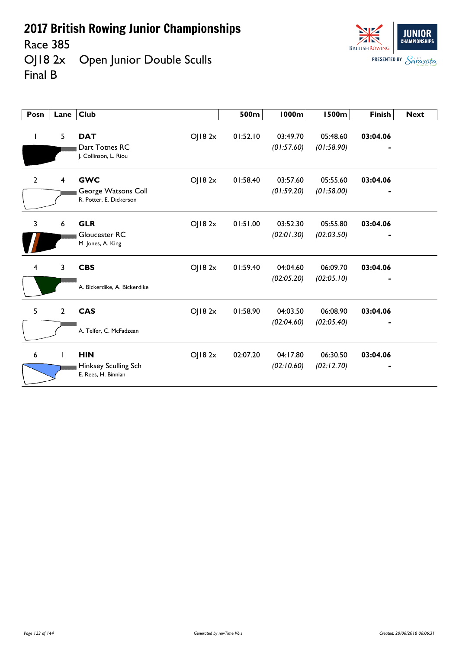Race 385<br>OJ18 2x Open Junior Double Sculls Final B



| Posn           | Lane           | <b>Club</b>                                                  |        | 500m     | <b>1000m</b>           | <b>1500m</b>           | <b>Finish</b> | <b>Next</b> |
|----------------|----------------|--------------------------------------------------------------|--------|----------|------------------------|------------------------|---------------|-------------|
| I.             | 5              | <b>DAT</b><br>Dart Totnes RC<br>J. Collinson, L. Riou        | OJ182x | 01:52.10 | 03:49.70<br>(01:57.60) | 05:48.60<br>(01:58.90) | 03:04.06      |             |
| $\overline{2}$ | 4              | <b>GWC</b><br>George Watsons Coll<br>R. Potter, E. Dickerson | OJ182x | 01:58.40 | 03:57.60<br>(01:59.20) | 05:55.60<br>(01:58.00) | 03:04.06      |             |
| 3              | 6              | <b>GLR</b><br>Gloucester RC<br>M. Jones, A. King             | OJ182x | 01:51.00 | 03:52.30<br>(02:01.30) | 05:55.80<br>(02:03.50) | 03:04.06      |             |
| 4              | 3              | <b>CBS</b>                                                   | OJ182x | 01:59.40 | 04:04.60<br>(02:05.20) | 06:09.70<br>(02:05.10) | 03:04.06      |             |
|                |                | A. Bickerdike, A. Bickerdike                                 |        |          |                        |                        |               |             |
| 5              | $\overline{2}$ | <b>CAS</b>                                                   | OJ182x | 01:58.90 | 04:03.50<br>(02:04.60) | 06:08.90<br>(02:05.40) | 03:04.06      |             |
|                |                | A. Telfer, C. McFadzean                                      |        |          |                        |                        |               |             |
| 6              |                | <b>HIN</b><br>Hinksey Sculling Sch<br>E. Rees, H. Binnian    | OJ182x | 02:07.20 | 04:17.80<br>(02:10.60) | 06:30.50<br>(02:12.70) | 03:04.06      |             |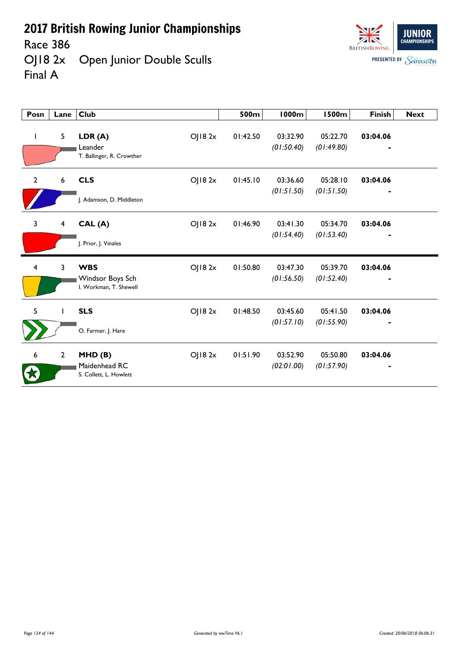Race 386<br>OJ18 2x Open Junior Double Sculls Final A



| Posn           | Lane                    | <b>Club</b>                                                        | 500m     | 1000m                  | <b>1500m</b>           | <b>Finish</b> | <b>Next</b> |
|----------------|-------------------------|--------------------------------------------------------------------|----------|------------------------|------------------------|---------------|-------------|
| ı              | 5                       | LDR(A)<br>OJ182x<br>Leander<br>T. Ballinger, R. Crowther           | 01:42.50 | 03:32.90<br>(01:50.40) | 05:22.70<br>(01:49.80) | 03:04.06      |             |
| $\overline{2}$ | 6                       | <b>CLS</b><br>OJ182x<br>J. Adamson, D. Middleton                   | 01:45.10 | 03:36.60<br>(01:51.50) | 05:28.10<br>(01:51.50) | 03:04.06      |             |
| $\mathbf{3}$   | $\overline{\mathbf{4}}$ | OJ182x<br>CAL (A)<br>J. Prior, J. Vinales                          | 01:46.90 | 03:41.30<br>(01:54.40) | 05:34.70<br>(01:53.40) | 03:04.06      |             |
| $\overline{4}$ | 3                       | <b>WBS</b><br>OJ182x<br>Windsor Boys Sch<br>I. Workman, T. Shewell | 01:50.80 | 03:47.30<br>(01:56.50) | 05:39.70<br>(01:52.40) | 03:04.06      |             |
| 5              |                         | <b>SLS</b><br>OJ182x<br>O. Farmer, J. Hare                         | 01:48.50 | 03:45.60<br>(01:57.10) | 05:41.50<br>(01:55.90) | 03:04.06      |             |
| 6              | $\overline{2}$          | OJ182x<br>MHD(B)<br>Maidenhead RC<br>S. Collett, L. Howlett        | 01:51.90 | 03:52.90<br>(02:01.00) | 05:50.80<br>(01:57.90) | 03:04.06      |             |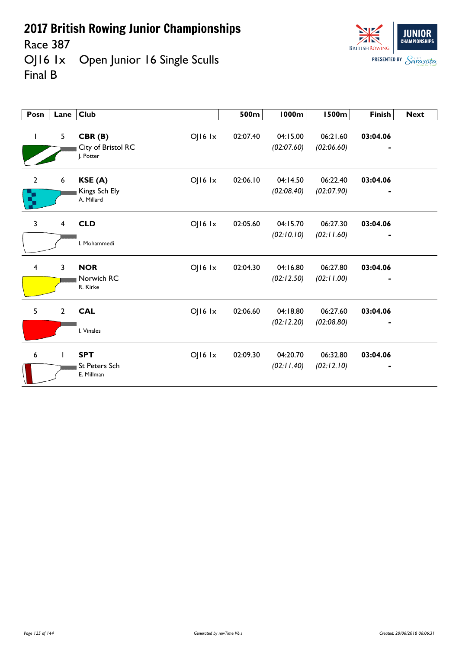Race 387<br>OJ16 1x Open Junior 16 Single Sculls Final B



| $\mathbf{I}$         | 5              | CBR(B)<br>City of Bristol RC<br>I. Potter        | $OJI6$ $1x$     | 02:07.40 | 04:15.00<br>(02:07.60) | 06:21.60<br>(02:06.60) | 03:04.06 |  |
|----------------------|----------------|--------------------------------------------------|-----------------|----------|------------------------|------------------------|----------|--|
| $\overline{2}$<br>R, | 6              | KSE (A)<br>Kings Sch Ely<br>A. Millard           | $O$   $16$ $1x$ | 02:06.10 | 04:14.50<br>(02:08.40) | 06:22.40<br>(02:07.90) | 03:04.06 |  |
| $\overline{3}$       | 4              | <b>CLD</b><br>I. Mohammedi                       | $O$   $16$ $1x$ | 02:05.60 | 04:15.70<br>(02:10.10) | 06:27.30<br>(02:11.60) | 03:04.06 |  |
| $\overline{4}$       | 3              | <b>NOR</b><br>Norwich RC<br>R. Kirke             | $O$   $16$ $1x$ | 02:04.30 | 04:16.80<br>(02:12.50) | 06:27.80<br>(02:11.00) | 03:04.06 |  |
| 5                    | $\overline{2}$ | <b>CAL</b><br>I. Vinales                         | $O$   $16$ $1x$ | 02:06.60 | 04:18.80<br>(02:12.20) | 06:27.60<br>(02:08.80) | 03:04.06 |  |
| 6                    | $\mathbf{I}$   | <b>SPT</b><br><b>St Peters Sch</b><br>E. Millman | $O$   $16$ $1x$ | 02:09.30 | 04:20.70<br>(02:11.40) | 06:32.80<br>(02:12.10) | 03:04.06 |  |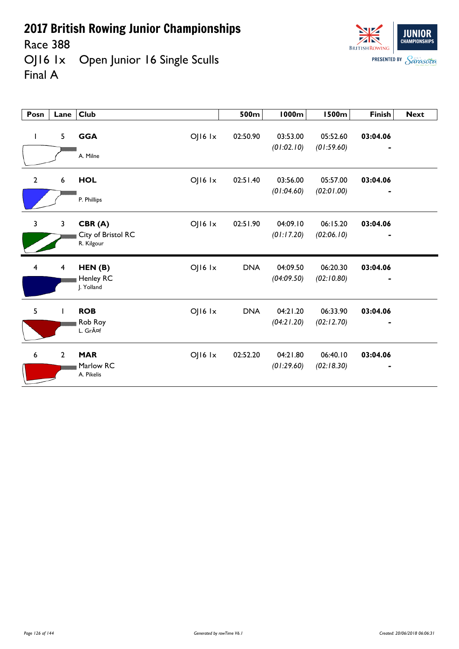Race 388

OJ16 1x Open Junior 16 Single Sculls Final A



| Posn             | Lane                    | <b>Club</b>                                           | 500m       | 1000m                  | <b>1500m</b>           | <b>Finish</b> | <b>Next</b> |
|------------------|-------------------------|-------------------------------------------------------|------------|------------------------|------------------------|---------------|-------------|
| $\mathbf{I}$     | 5                       | <b>GGA</b><br>$OJI6$ $1x$<br>A. Milne                 | 02:50.90   | 03:53.00<br>(01:02.10) | 05:52.60<br>(01:59.60) | 03:04.06      |             |
| $\overline{2}$   | 6                       | <b>HOL</b><br>$OJI6$ $1x$<br>P. Phillips              | 02:51.40   | 03:56.00<br>(01:04.60) | 05:57.00<br>(02:01.00) | 03:04.06      |             |
| $\overline{3}$   | 3                       | OJ16 Ix<br>CBR(A)<br>City of Bristol RC<br>R. Kilgour | 02:51.90   | 04:09.10<br>(01:17.20) | 06:15.20<br>(02:06.10) | 03:04.06      |             |
| $\overline{4}$   | $\overline{\mathbf{4}}$ | OJ16 Ix<br>HEN(B)<br>Henley RC<br>J. Yolland          | <b>DNA</b> | 04:09.50<br>(04:09.50) | 06:20.30<br>(02:10.80) | 03:04.06      |             |
| 5                | T                       | <b>ROB</b><br>$O$   $16$ $1x$<br>Rob Roy<br>L. Gräf   | <b>DNA</b> | 04:21.20<br>(04:21.20) | 06:33.90<br>(02:12.70) | 03:04.06      |             |
| $\boldsymbol{6}$ | $\overline{2}$          | <b>MAR</b><br>OJ16 Ix<br>Marlow RC<br>A. Pikelis      | 02:52.20   | 04:21.80<br>(01:29.60) | 06:40.10<br>(02:18.30) | 03:04.06      |             |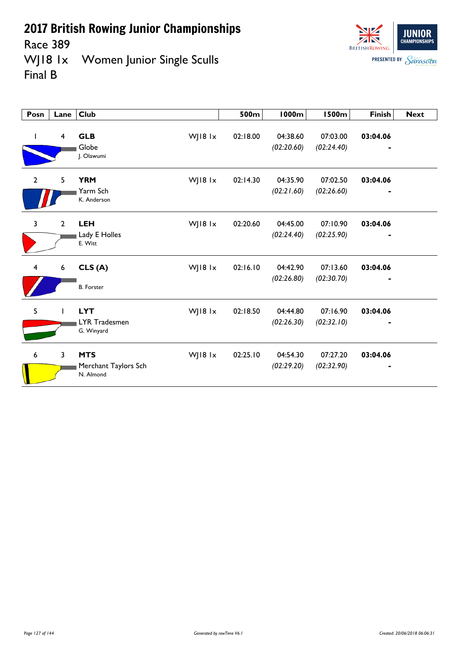Race 389<br>WJ18 1x Women Junior Single Sculls Final B



| Posn           | Lane                    | <b>Club</b>                                     |         | 500m     | <b>1000m</b>           | <b>1500m</b>           | <b>Finish</b> | <b>Next</b> |
|----------------|-------------------------|-------------------------------------------------|---------|----------|------------------------|------------------------|---------------|-------------|
| L              | $\overline{4}$          | <b>GLB</b><br>Globe<br>J. Olawumi               | WJ18 lx | 02:18.00 | 04:38.60<br>(02:20.60) | 07:03.00<br>(02:24.40) | 03:04.06      |             |
| $\overline{2}$ | 5                       | <b>YRM</b><br>Yarm Sch<br>K. Anderson           | WJ18 1x | 02:14.30 | 04:35.90<br>(02:21.60) | 07:02.50<br>(02:26.60) | 03:04.06<br>٠ |             |
| 3              | $\overline{2}$          | <b>LEH</b><br>Lady E Holles<br>E. Witt          | WJ18 1x | 02:20.60 | 04:45.00<br>(02:24.40) | 07:10.90<br>(02:25.90) | 03:04.06      |             |
| 4              | 6                       | CLS(A)<br><b>B.</b> Forster                     | WJ18 lx | 02:16.10 | 04:42.90<br>(02:26.80) | 07:13.60<br>(02:30.70) | 03:04.06      |             |
| 5              |                         | <b>LYT</b><br>LYR Tradesmen<br>G. Winyard       | WJ18 1x | 02:18.50 | 04:44.80<br>(02:26.30) | 07:16.90<br>(02:32.10) | 03:04.06      |             |
| 6              | $\overline{\mathbf{3}}$ | <b>MTS</b><br>Merchant Taylors Sch<br>N. Almond | WJ18 1x | 02:25.10 | 04:54.30<br>(02:29.20) | 07:27.20<br>(02:32.90) | 03:04.06      |             |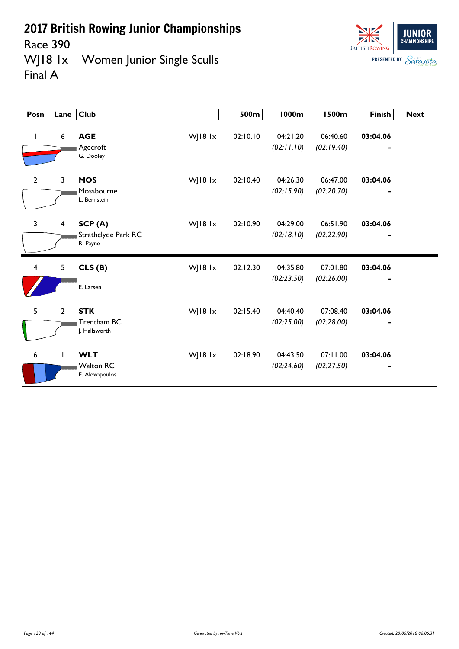Race 390

WJ18 1x Women Junior Single Sculls Final A



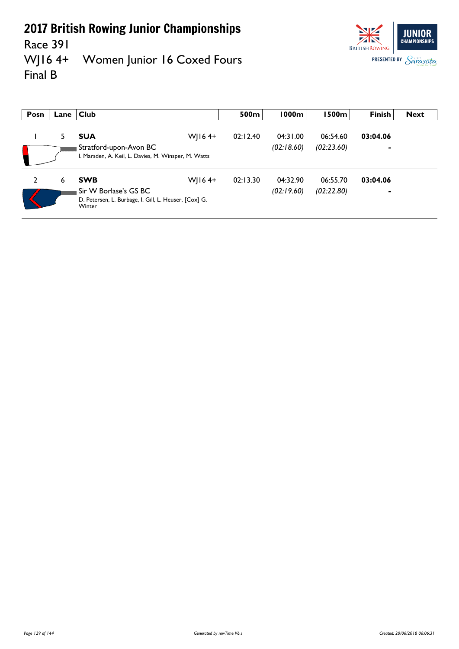### Race 391<br>WJ16 4+ Women Junior 16 Coxed Fours Final B



| Posn | Lane l | <b>Club</b>                                                                                                          | 500m     | 1000m                  | l 500m l               | <b>Finish</b> | <b>Next</b> |
|------|--------|----------------------------------------------------------------------------------------------------------------------|----------|------------------------|------------------------|---------------|-------------|
|      | 5      | $W$   164+<br><b>SUA</b><br>Stratford-upon-Avon BC<br>I. Marsden, A. Keil, L. Davies, M. Winsper, M. Watts           | 02:12.40 | 04:31.00<br>(02:18.60) | 06:54.60<br>(02:23.60) | 03:04.06<br>- |             |
| 2    | 6      | <b>SWB</b><br>$W$   164+<br>Sir W Borlase's GS BC<br>D. Petersen, L. Burbage, I. Gill, L. Heuser, [Cox] G.<br>Winter | 02:13.30 | 04:32.90<br>(02:19.60) | 06:55.70<br>(02:22.80) | 03:04.06      |             |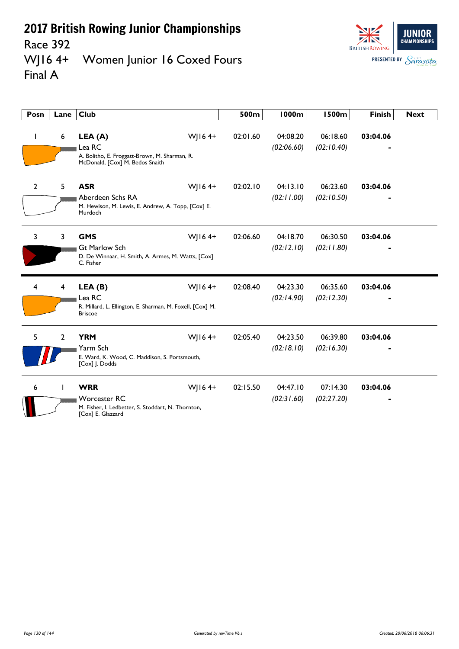### Race 392<br>WJ16 4+ Women Junior 16 Coxed Fours Final A



| Posn           | Lane           | <b>Club</b>                                                                                                            | 500m     | <b>1000m</b>           | <b>1500m</b>           | <b>Finish</b> | <b>Next</b> |
|----------------|----------------|------------------------------------------------------------------------------------------------------------------------|----------|------------------------|------------------------|---------------|-------------|
| J.             | 6              | WJ164+<br>LEA (A)<br>Lea RC<br>A. Bolitho, E. Froggatt-Brown, M. Sharman, R.<br>McDonald, [Cox] M. Bedos Snaith        | 02:01.60 | 04:08.20<br>(02:06.60) | 06:18.60<br>(02:10.40) | 03:04.06      |             |
| $\overline{2}$ | 5              | <b>ASR</b><br>WJ16 $4+$<br>Aberdeen Schs RA<br>M. Hewison, M. Lewis, E. Andrew, A. Topp, [Cox] E.<br>Murdoch           | 02:02.10 | 04:13.10<br>(02:11.00) | 06:23.60<br>(02:10.50) | 03:04.06      |             |
| 3              | 3              | WJ164+<br><b>GMS</b><br><b>Gt Marlow Sch</b><br>D. De Winnaar, H. Smith, A. Armes, M. Watts, [Cox]<br>C. Fisher        | 02:06.60 | 04:18.70<br>(02:12.10) | 06:30.50<br>(02:11.80) | 03:04.06      |             |
| 4              | 4              | WJ164+<br>LEA(B)<br>Lea RC<br>R. Millard, L. Ellington, E. Sharman, M. Foxell, [Cox] M.<br><b>Briscoe</b>              | 02:08.40 | 04:23.30<br>(02:14.90) | 06:35.60<br>(02:12.30) | 03:04.06      |             |
| 5              | $\overline{2}$ | <b>YRM</b><br>WJ164+<br>Yarm Sch<br>E. Ward, K. Wood, C. Maddison, S. Portsmouth,<br>[Cox] J. Dodds                    | 02:05.40 | 04:23.50<br>(02:18.10) | 06:39.80<br>(02:16.30) | 03:04.06      |             |
| 6              |                | W 164+<br><b>WRR</b><br><b>Worcester RC</b><br>M. Fisher, I. Ledbetter, S. Stoddart, N. Thornton,<br>[Cox] E. Glazzard | 02:15.50 | 04:47.10<br>(02:31.60) | 07:14.30<br>(02:27.20) | 03:04.06      |             |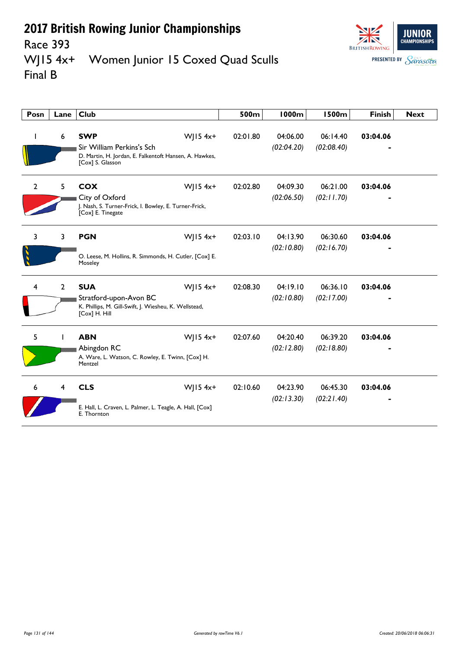

### Race 393<br>WJ15 4x+ Women Junior 15 Coxed Quad Sculls Final B

| Posn         | Lane           | <b>Club</b>                                                                                                                         | 500m     | <b>1000m</b>           | <b>1500m</b>           | <b>Finish</b> | <b>Next</b> |
|--------------|----------------|-------------------------------------------------------------------------------------------------------------------------------------|----------|------------------------|------------------------|---------------|-------------|
| L            | 6              | <b>SWP</b><br>WJ15 $4x+$<br>Sir William Perkins's Sch<br>D. Martin, H. Jordan, E. Falkentoft Hansen, A. Hawkes,<br>[Cox] S. Glasson | 02:01.80 | 04:06.00<br>(02:04.20) | 06:14.40<br>(02:08.40) | 03:04.06      |             |
| $\mathbf{2}$ | 5              | <b>COX</b><br>$W$   15 4x+<br>City of Oxford<br>J. Nash, S. Turner-Frick, I. Bowley, E. Turner-Frick,<br>[Cox] E. Tinegate          | 02:02.80 | 04:09.30<br>(02:06.50) | 06:21.00<br>(02:11.70) | 03:04.06      |             |
| 3            | $\overline{3}$ | <b>PGN</b><br>WJ15 $4x+$<br>O. Leese, M. Hollins, R. Simmonds, H. Cutler, [Cox] E.<br>Moseley                                       | 02:03.10 | 04:13.90<br>(02:10.80) | 06:30.60<br>(02:16.70) | 03:04.06      |             |
| 4            | $\overline{2}$ | <b>SUA</b><br>WJ15 $4x+$<br>Stratford-upon-Avon BC<br>K. Phillips, M. Gill-Swift, J. Wiesheu, K. Wellstead,<br>[Cox] H. Hill        | 02:08.30 | 04:19.10<br>(02:10.80) | 06:36.10<br>(02:17.00) | 03:04.06      |             |
| 5.           |                | $W$   15 4x+<br><b>ABN</b><br>Abingdon RC<br>A. Ware, L. Watson, C. Rowley, E. Twinn, [Cox] H.<br>Mentzel                           | 02:07.60 | 04:20.40<br>(02:12.80) | 06:39.20<br>(02:18.80) | 03:04.06      |             |
| 6            | 4              | <b>CLS</b><br>WJ15 $4x+$<br>E. Hall, L. Craven, L. Palmer, L. Teagle, A. Hall, [Cox]<br>E. Thornton                                 | 02:10.60 | 04:23.90<br>(02:13.30) | 06:45.30<br>(02:21.40) | 03:04.06      |             |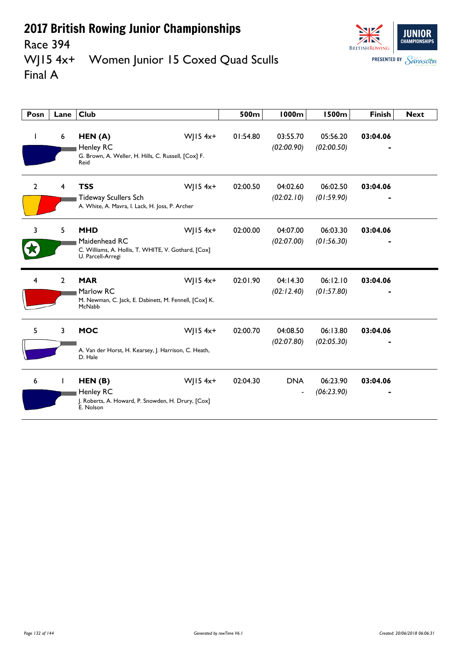

## Race 394<br>WJ15 4x+ Women Junior 15 Coxed Quad Sculls Final A

| Posn           | Lane           | <b>Club</b>                                                                                                           | 500m     | <b>1000m</b>                  | <b>1500m</b>           | <b>Finish</b> | <b>Next</b> |
|----------------|----------------|-----------------------------------------------------------------------------------------------------------------------|----------|-------------------------------|------------------------|---------------|-------------|
| ı              | 6              | HEN(A)<br>WJ15 $4x+$<br>Henley RC<br>G. Brown, A. Weller, H. Hills, C. Russell, [Cox] F.<br>Reid                      | 01:54.80 | 03:55.70<br>(02:00.90)        | 05:56.20<br>(02:00.50) | 03:04.06      |             |
| $\overline{2}$ | $\overline{4}$ | <b>TSS</b><br>WJ15 $4x+$<br><b>Tideway Scullers Sch</b><br>A. White, A. Mavra, I. Lack, H. Joss, P. Archer            | 02:00.50 | 04:02.60<br>(02:02.10)        | 06:02.50<br>(01:59.90) | 03:04.06      |             |
| 3              | 5              | <b>MHD</b><br>WJ15 $4x+$<br>Maidenhead RC<br>C. Williams, A. Hollis, T. WHITE, V. Gothard, [Cox]<br>U. Parcell-Arregi | 02:00.00 | 04:07.00<br>(02:07.00)        | 06:03.30<br>(01:56.30) | 03:04.06      |             |
| 4              | $\overline{2}$ | <b>MAR</b><br>$W$   15 4x+<br>Marlow RC<br>M. Newman, C. Jack, E. Dabinett, M. Fennell, [Cox] K.<br>McNabb            | 02:01.90 | 04:14.30<br>(02:12.40)        | 06:12.10<br>(01:57.80) | 03:04.06      |             |
| 5              | 3              | <b>MOC</b><br>$W$   15 4x+<br>A. Van der Horst, H. Kearsey, J. Harrison, C. Heath,<br>D. Hale                         | 02:00.70 | 04:08.50<br>(02:07.80)        | 06:13.80<br>(02:05.30) | 03:04.06      |             |
| 6              |                | WJ15 $4x+$<br>HEN(B)<br>Henley RC<br>J. Roberts, A. Howard, P. Snowden, H. Drury, [Cox]<br>E. Nolson                  | 02:04.30 | <b>DNA</b><br>$\qquad \qquad$ | 06:23.90<br>(06:23.90) | 03:04.06      |             |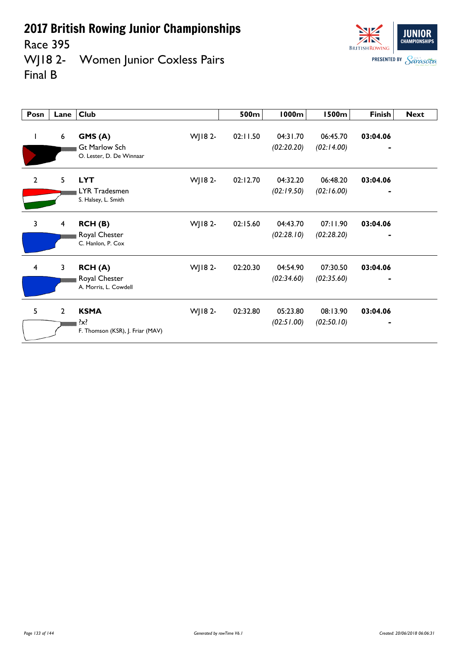Race 395<br>WJ18 2-Women Junior Coxless Pairs Final B

| Posn                    | Lane                    | <b>Club</b>                                                |         | 500m     | <b>1000m</b>           | <b>1500m</b>           | <b>Finish</b>              | <b>Next</b> |
|-------------------------|-------------------------|------------------------------------------------------------|---------|----------|------------------------|------------------------|----------------------------|-------------|
| I                       | 6                       | GMS(A)<br><b>Gt Marlow Sch</b><br>O. Lester, D. De Winnaar | WJ18 2- | 02:11.50 | 04:31.70<br>(02:20.20) | 06:45.70<br>(02:14.00) | 03:04.06<br>$\blacksquare$ |             |
| $\overline{2}$          | 5                       | <b>LYT</b><br>LYR Tradesmen<br>S. Halsey, L. Smith         | WJ18 2- | 02:12.70 | 04:32.20<br>(02:19.50) | 06:48.20<br>(02:16.00) | 03:04.06                   |             |
| $\overline{\mathbf{3}}$ | $\overline{\mathbf{4}}$ | RCH (B)<br>Royal Chester<br>C. Hanlon, P. Cox              | WJ18 2- | 02:15.60 | 04:43.70<br>(02:28.10) | 07:11.90<br>(02:28.20) | 03:04.06<br>-              |             |
| $\overline{4}$          | 3                       | <b>RCH(A)</b><br>Royal Chester<br>A. Morris, L. Cowdell    | WJ18 2- | 02:20.30 | 04:54.90<br>(02:34.60) | 07:30.50<br>(02:35.60) | 03:04.06                   |             |
| 5                       | $\mathbf{2}$            | <b>KSMA</b><br>?x?<br>F. Thomson (KSR), J. Friar (MAV)     | WJ18 2- | 02:32.80 | 05:23.80<br>(02:51.00) | 08:13.90<br>(02:50.10) | 03:04.06                   |             |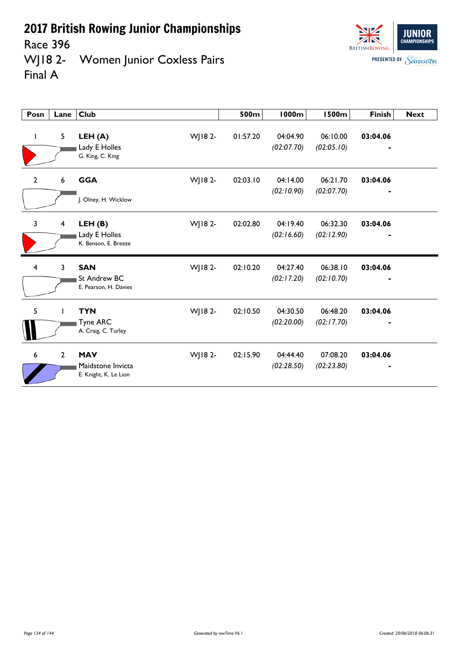Race 396

WJ18 2- Women Junior Coxless Pairs Final A

| Posn         | Lane                    | Club                                                       |         | 500m<br>1000m                      | 1500m                  | <b>Finish</b> | <b>Next</b> |
|--------------|-------------------------|------------------------------------------------------------|---------|------------------------------------|------------------------|---------------|-------------|
| J.           | 5                       | LEH(A)<br>Lady E Holles<br>G. King, C. King                | WJ18 2- | 01:57.20<br>04:04.90<br>(02:07.70) | 06:10.00<br>(02:05.10) | 03:04.06      |             |
| $\mathbf{2}$ | 6                       | <b>GGA</b><br>J. Olney, H. Wicklow                         | WJ18 2- | 02:03.10<br>04:14.00<br>(02:10.90) | 06:21.70<br>(02:07.70) | 03:04.06      |             |
| $\mathbf{3}$ | $\overline{\mathbf{4}}$ | LEH(B)<br>Lady E Holles<br>K. Benson, E. Breeze            | WJ18 2- | 02:02.80<br>04:19.40<br>(02:16.60) | 06:32.30<br>(02:12.90) | 03:04.06      |             |
| 4            | 3                       | <b>SAN</b><br><b>St Andrew BC</b><br>E. Pearson, H. Davies | WJ18 2- | 04:27.40<br>02:10.20<br>(02:17.20) | 06:38.10<br>(02:10.70) | 03:04.06      |             |
| 5            |                         | <b>TYN</b><br>Tyne ARC<br>A. Craig, C. Turley              | WJ18 2- | 02:10.50<br>04:30.50<br>(02:20.00) | 06:48.20<br>(02:17.70) | 03:04.06      |             |
| 6            | 2                       | <b>MAV</b><br>Maidstone Invicta<br>E. Knight, K. Le Lion   | WJ18 2- | 04:44.40<br>02:15.90<br>(02:28.50) | 07:08.20<br>(02:23.80) | 03:04.06      |             |

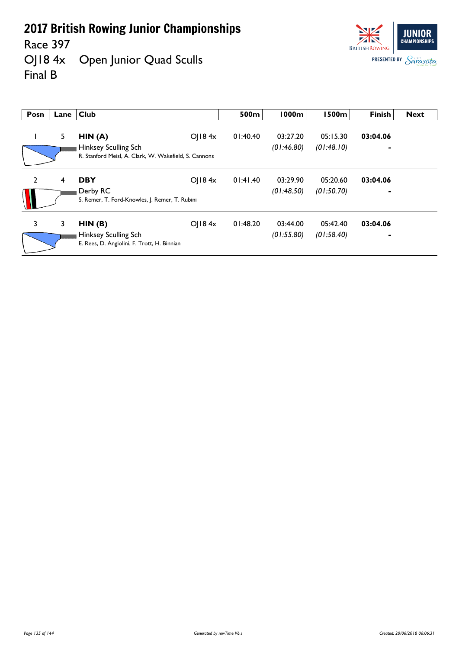Race 397<br>OJ18 4x Open Junior Quad Sculls Final B



| Posn           | Lane | Club                                                                                    |        | 500m     | <b>1000m</b>           | <b>1500m</b>           | <b>Finish</b>              | <b>Next</b> |
|----------------|------|-----------------------------------------------------------------------------------------|--------|----------|------------------------|------------------------|----------------------------|-------------|
|                | 5    | HIN(A)<br>Hinksey Sculling Sch<br>R. Stanford Meisl, A. Clark, W. Wakefield, S. Cannons | O 184x | 01:40.40 | 03:27.20<br>(01:46.80) | 05:15.30<br>(01:48.10) | 03:04.06<br>$\blacksquare$ |             |
| $\overline{2}$ | 4    | <b>DBY</b><br>Derby RC                                                                  | OJ184x | 01:41.40 | 03:29.90<br>(01:48.50) | 05:20.60<br>(01:50.70) | 03:04.06                   |             |
| 3              | 3    | S. Remer, T. Ford-Knowles, J. Remer, T. Rubini<br>HIN(B)                                | O 184x | 01:48.20 | 03:44.00               | 05:42.40               | 03:04.06                   |             |
|                |      | Hinksey Sculling Sch<br>E. Rees, D. Angiolini, F. Trott, H. Binnian                     |        |          | (01:55.80)             | (01:58.40)             | $\blacksquare$             |             |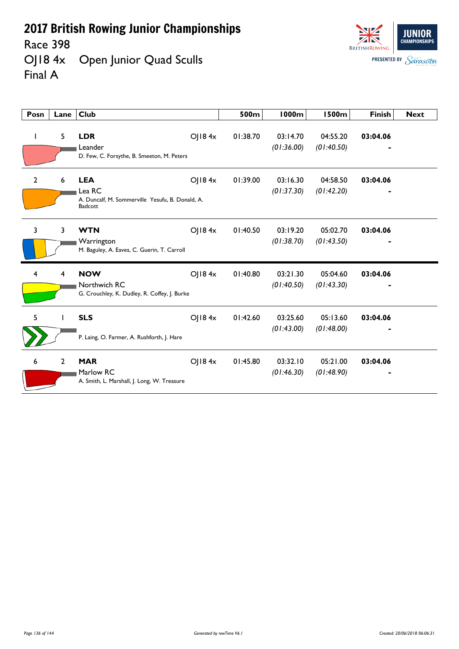Race 398<br>OJ18 4x Open Junior Quad Sculls Final A



| Posn         | Lane           | <b>Club</b>                                                                         |        | 500m     | 1000m                  | <b>1500m</b>           | <b>Finish</b> | <b>Next</b> |
|--------------|----------------|-------------------------------------------------------------------------------------|--------|----------|------------------------|------------------------|---------------|-------------|
|              | 5              | <b>LDR</b><br>Leander<br>D. Few, C. Forsythe, B. Smeeton, M. Peters                 | OJ184x | 01:38.70 | 03:14.70<br>(01:36.00) | 04:55.20<br>(01:40.50) | 03:04.06      |             |
| $\mathbf{2}$ | 6              | <b>LEA</b><br>Lea RC<br>A. Duncalf, M. Sommerville Yesufu, B. Donald, A.<br>Badcott | OJ184x | 01:39.00 | 03:16.30<br>(01:37.30) | 04:58.50<br>(01:42.20) | 03:04.06      |             |
| 3            | $\overline{3}$ | <b>WTN</b><br>Warrington<br>M. Baguley, A. Eaves, C. Guerin, T. Carroll             | O  84x | 01:40.50 | 03:19.20<br>(01:38.70) | 05:02.70<br>(01:43.50) | 03:04.06      |             |
| 4            | 4              | <b>NOW</b><br>Northwich RC<br>G. Crouchley, K. Dudley, R. Coffey, J. Burke          | OJ184x | 01:40.80 | 03:21.30<br>(01:40.50) | 05:04.60<br>(01:43.30) | 03:04.06      |             |
| 5            |                | <b>SLS</b><br>P. Laing, O. Farmer, A. Rushforth, J. Hare                            | OJ184x | 01:42.60 | 03:25.60<br>(01:43.00) | 05:13.60<br>(01:48.00) | 03:04.06      |             |
| 6            | $\overline{2}$ | <b>MAR</b><br>Marlow RC<br>A. Smith, L. Marshall, J. Long, W. Treasure              | OJ184x | 01:45.80 | 03:32.10<br>(01:46.30) | 05:21.00<br>(01:48.90) | 03:04.06      |             |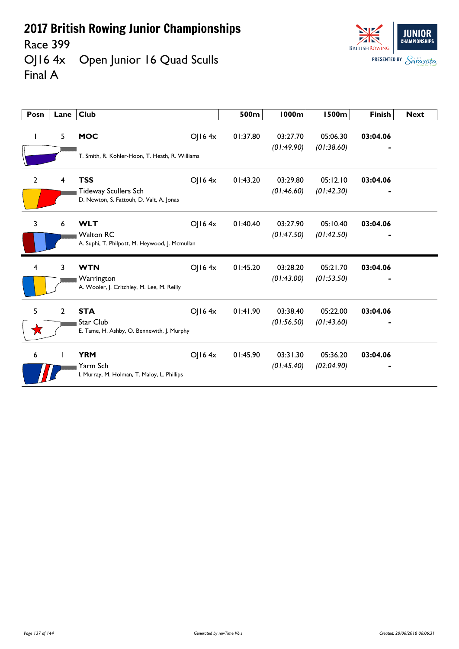Race 399

**JUNIOR BRITISH ROWING PRESENTED BY Sarasota** 

OJ16 4x Open Junior 16 Quad Sculls Final A

| Posn           | Lane           | <b>Club</b>                                                                           |             | 500m     | <b>1000m</b>           | <b>1500m</b>           | <b>Finish</b> | <b>Next</b> |
|----------------|----------------|---------------------------------------------------------------------------------------|-------------|----------|------------------------|------------------------|---------------|-------------|
|                | 5              | <b>MOC</b><br>T. Smith, R. Kohler-Hoon, T. Heath, R. Williams                         | $O$   16 4x | 01:37.80 | 03:27.70<br>(01:49.90) | 05:06.30<br>(01:38.60) | 03:04.06      |             |
| $\overline{2}$ | 4              | <b>TSS</b><br><b>Tideway Scullers Sch</b><br>D. Newton, S. Fattouh, D. Valt, A. Jonas | O 164x      | 01:43.20 | 03:29.80<br>(01:46.60) | 05:12.10<br>(01:42.30) | 03:04.06      |             |
| 3              | 6              | <b>WLT</b><br><b>Walton RC</b><br>A. Suphi, T. Philpott, M. Heywood, J. Mcmullan      | $O$   16 4x | 01:40.40 | 03:27.90<br>(01:47.50) | 05:10.40<br>(01:42.50) | 03:04.06      |             |
| 4              | 3              | <b>WTN</b><br>Warrington<br>A. Wooler, J. Critchley, M. Lee, M. Reilly                | $O$   16 4x | 01:45.20 | 03:28.20<br>(01:43.00) | 05:21.70<br>(01:53.50) | 03:04.06      |             |
| 5              | $\overline{2}$ | <b>STA</b><br>Star Club<br>E. Tame, H. Ashby, O. Bennewith, J. Murphy                 | OJ164x      | 01:41.90 | 03:38.40<br>(01:56.50) | 05:22.00<br>(01:43.60) | 03:04.06      |             |
| 6              |                | <b>YRM</b><br>Yarm Sch<br>I. Murray, M. Holman, T. Maloy, L. Phillips                 | $O$   16 4x | 01:45.90 | 03:31.30<br>(01:45.40) | 05:36.20<br>(02:04.90) | 03:04.06      |             |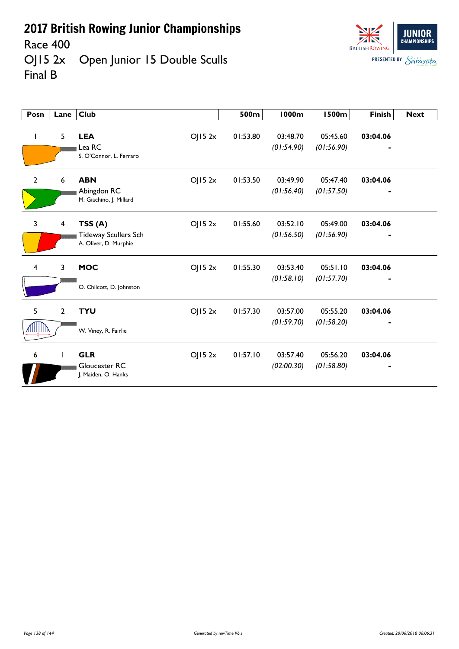Race 400<br>OJ15 2x Open Junior 15 Double Sculls Final B



| Posn           | Lane                    | <b>Club</b>                                                              | 500m     | <b>1000m</b>           | <b>1500m</b>           | <b>Finish</b> | <b>Next</b> |
|----------------|-------------------------|--------------------------------------------------------------------------|----------|------------------------|------------------------|---------------|-------------|
| ı              | 5                       | <b>LEA</b><br>OJ152x<br>Lea RC<br>S. O'Connor, L. Ferraro                | 01:53.80 | 03:48.70<br>(01:54.90) | 05:45.60<br>(01:56.90) | 03:04.06      |             |
| $\overline{2}$ | 6                       | <b>ABN</b><br>OJ152x<br>Abingdon RC<br>M. Giachino, J. Millard           | 01:53.50 | 03:49.90<br>(01:56.40) | 05:47.40<br>(01:57.50) | 03:04.06<br>٠ |             |
| 3              | $\overline{\mathbf{4}}$ | TSS(A)<br>OJ152x<br><b>Tideway Scullers Sch</b><br>A. Oliver, D. Murphie | 01:55.60 | 03:52.10<br>(01:56.50) | 05:49.00<br>(01:56.90) | 03:04.06      |             |
| $\overline{4}$ | $\overline{3}$          | <b>MOC</b><br>OJ152x<br>O. Chilcott, D. Johnston                         | 01:55.30 | 03:53.40<br>(01:58.10) | 05:51.10<br>(01:57.70) | 03:04.06      |             |
| 5<br>шшв       | $\overline{2}$          | <b>TYU</b><br>OJ152x<br>W. Viney, R. Fairlie                             | 01:57.30 | 03:57.00<br>(01:59.70) | 05:55.20<br>(01:58.20) | 03:04.06      |             |
| 6              | $\mathbf{I}$            | <b>GLR</b><br>OJ152x<br>Gloucester RC<br>J. Maiden, O. Hanks             | 01:57.10 | 03:57.40<br>(02:00.30) | 05:56.20<br>(01:58.80) | 03:04.06      |             |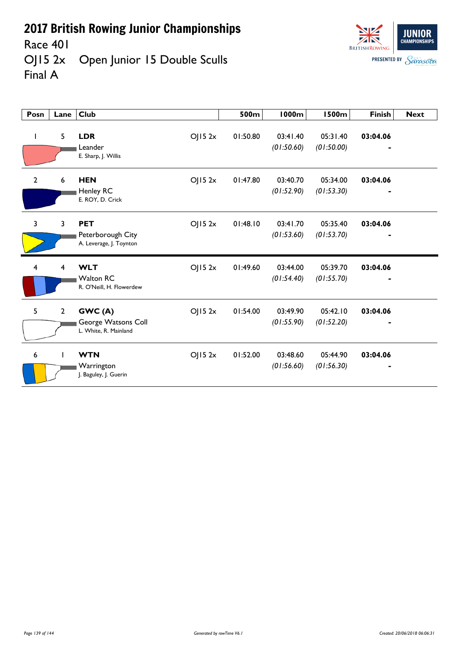Race 401

OJ15 2x Open Junior 15 Double Sculls Final A



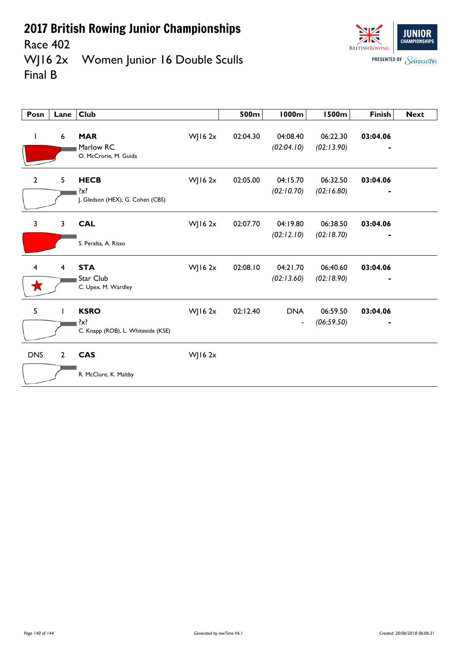

## Race 402<br>WJ16 2x Women Junior 16 Double Sculls Final B

| Posn           | Lane           | <b>Club</b>                                                  |              | 500m     | <b>1000m</b>                           | <b>1500m</b>           | <b>Finish</b> | <b>Next</b> |
|----------------|----------------|--------------------------------------------------------------|--------------|----------|----------------------------------------|------------------------|---------------|-------------|
| L              | 6              | <b>MAR</b><br>Marlow RC<br>O. McCrorie, M. Guida             | WJ16 2x      | 02:04.30 | 04:08.40<br>(02:04.10)                 | 06:22.30<br>(02:13.90) | 03:04.06      |             |
| $\mathbf{2}$   | 5              | <b>HECB</b><br>$\{x\}$<br>J. Gledson (HEX), G. Cohen (CBS)   | WJ16 2x      | 02:05.00 | 04:15.70<br>(02:10.70)                 | 06:32.50<br>(02:16.80) | 03:04.06      |             |
| 3              | $\mathbf{3}$   | <b>CAL</b><br>S. Peralta, A. Risso                           | $W$ J 16 2x  | 02:07.70 | 04:19.80<br>(02:12.10)                 | 06:38.50<br>(02:18.70) | 03:04.06      |             |
| $\overline{4}$ | $\overline{4}$ | <b>STA</b><br>Star Club<br>C. Upex, M. Wardley               | WJ16 2x      | 02:08.10 | 04:21.70<br>(02:13.60)                 | 06:40.60<br>(02:18.90) | 03:04.06      |             |
| 5              | $\mathbf{I}$   | <b>KSRO</b><br>$\{x\}$<br>C. Knapp (ROB), L. Whiteside (KSE) | WJ16 2x      | 02:12.40 | <b>DNA</b><br>$\overline{\phantom{a}}$ | 06:59.50<br>(06:59.50) | 03:04.06      |             |
| <b>DNS</b>     | $\overline{2}$ | <b>CAS</b><br>R. McClure, K. Maltby                          | $W$ JI6 $2x$ |          |                                        |                        |               |             |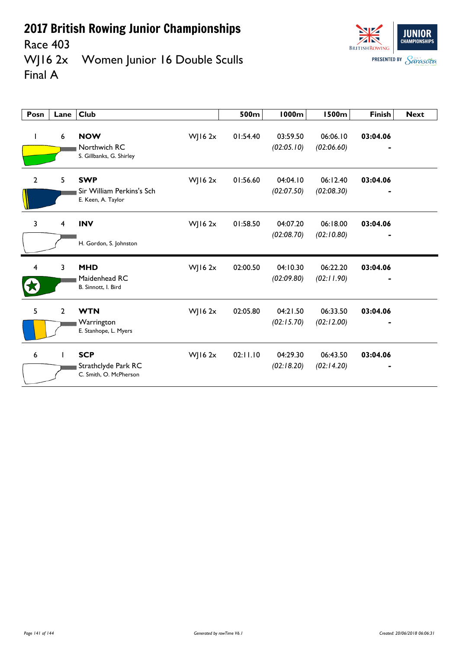



Race 403<br>WJ16 2x Women Junior 16 Double Sculls Final A

| Posn           | Lane           | <b>Club</b>                                                   |             | 500m     | <b>1000m</b>           | <b>1500m</b>           | <b>Finish</b> | <b>Next</b> |
|----------------|----------------|---------------------------------------------------------------|-------------|----------|------------------------|------------------------|---------------|-------------|
|                | 6              | <b>NOW</b><br>Northwich RC<br>S. Gillbanks, G. Shirley        | $W$ ] 16 2x | 01:54.40 | 03:59.50<br>(02:05.10) | 06:06.10<br>(02:06.60) | 03:04.06      |             |
| $\overline{2}$ | 5              | <b>SWP</b><br>Sir William Perkins's Sch<br>E. Keen, A. Taylor | WJ16 $2x$   | 01:56.60 | 04:04.10<br>(02:07.50) | 06:12.40<br>(02:08.30) | 03:04.06      |             |
| 3              | 4              | <b>INV</b>                                                    | $W$ J 16 2x | 01:58.50 | 04:07.20               | 06:18.00               | 03:04.06      |             |
|                |                | H. Gordon, S. Johnston                                        |             |          | (02:08.70)             | (02:10.80)             |               |             |
| 4              | 3              | <b>MHD</b><br>Maidenhead RC<br>B. Sinnott, I. Bird            | $W$ J 16 2x | 02:00.50 | 04:10.30<br>(02:09.80) | 06:22.20<br>(02:11.90) | 03:04.06      |             |
| 5              | $\overline{2}$ | <b>WTN</b><br>Warrington<br>E. Stanhope, L. Myers             | WJ16 $2x$   | 02:05.80 | 04:21.50<br>(02:15.70) | 06:33.50<br>(02:12.00) | 03:04.06      |             |
| 6              | ı              | <b>SCP</b><br>Strathclyde Park RC<br>C. Smith, O. McPherson   | $W$ J 16 2x | 02:11.10 | 04:29.30<br>(02:18.20) | 06:43.50<br>(02:14.20) | 03:04.06      |             |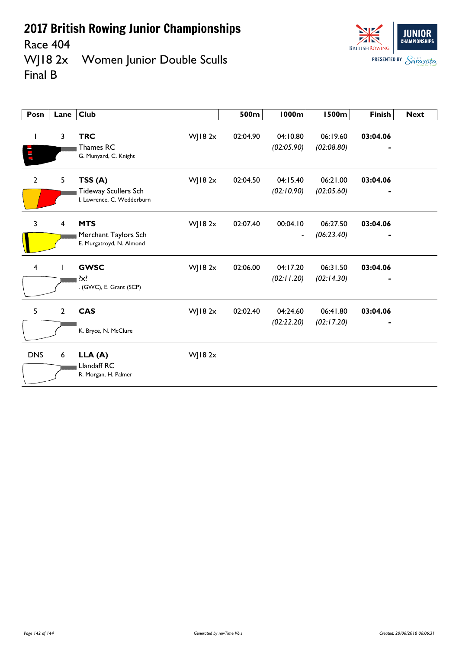Race 404<br>WJ18 2x Women Junior Double Sculls Final B

| Posn                    | Lane           | <b>Club</b>                                                                    | 500m     | 1000m                      | <b>1500m</b>           | <b>Finish</b> | <b>Next</b> |
|-------------------------|----------------|--------------------------------------------------------------------------------|----------|----------------------------|------------------------|---------------|-------------|
| ı                       | 3              | <b>TRC</b><br>WJ18 2x<br>Thames RC<br>G. Munyard, C. Knight                    | 02:04.90 | 04:10.80<br>(02:05.90)     | 06:19.60<br>(02:08.80) | 03:04.06      |             |
| $\mathbf{2}$            | 5              | WJ18 2x<br>TSS(A)<br><b>Tideway Scullers Sch</b><br>I. Lawrence, C. Wedderburn | 02:04.50 | 04:15.40<br>(02:10.90)     | 06:21.00<br>(02:05.60) | 03:04.06      |             |
| 3                       | 4              | <b>MTS</b><br>WJ18 2x<br>Merchant Taylors Sch<br>E. Murgatroyd, N. Almond      | 02:07.40 | 00:04.10<br>$\overline{a}$ | 06:27.50<br>(06:23.40) | 03:04.06      |             |
| $\overline{\mathbf{4}}$ | $\mathbf{I}$   | <b>GWSC</b><br>WJ18 2x<br>$\{x\}$<br>. (GWC), E. Grant (SCP)                   | 02:06.00 | 04:17.20<br>(02:11.20)     | 06:31.50<br>(02:14.30) | 03:04.06      |             |
| 5                       | $\overline{2}$ | <b>CAS</b><br>WJ18 2x<br>K. Bryce, N. McClure                                  | 02:02.40 | 04:24.60<br>(02:22.20)     | 06:41.80<br>(02:17.20) | 03:04.06      |             |
| <b>DNS</b>              | 6              | LLA(A)<br>WJ18 2x<br>Llandaff RC<br>R. Morgan, H. Palmer                       |          |                            |                        |               |             |

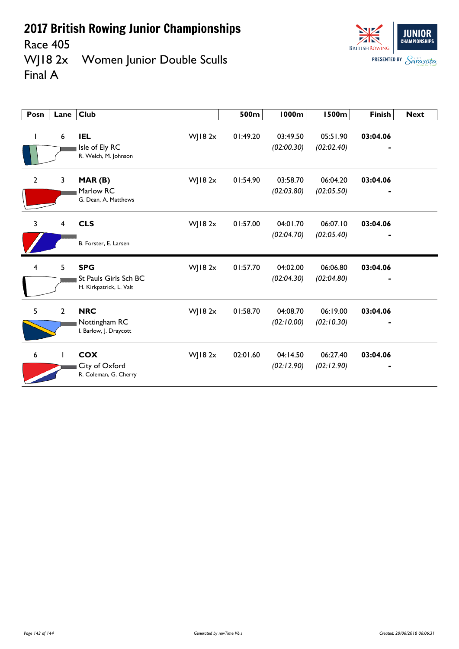Race 405

WJ18 2x Women Junior Double Sculls Final A

| Posn                    | Lane           | Club                                                                      | 500m     | 1000m                  | 1500m                  | <b>Finish</b> | <b>Next</b> |
|-------------------------|----------------|---------------------------------------------------------------------------|----------|------------------------|------------------------|---------------|-------------|
| I                       | 6              | <b>IEL</b><br>WJ18 2x<br>Isle of Ely RC<br>R. Welch, M. Johnson           | 01:49.20 | 03:49.50<br>(02:00.30) | 05:51.90<br>(02:02.40) | 03:04.06      |             |
| $\mathbf{2}$            | 3              | WJ18 2x<br>MAR(B)<br>Marlow RC<br>G. Dean, A. Matthews                    | 01:54.90 | 03:58.70<br>(02:03.80) | 06:04.20<br>(02:05.50) | 03:04.06      |             |
| 3                       | 4              | <b>CLS</b><br>WJ18 2x<br>B. Forster, E. Larsen                            | 01:57.00 | 04:01.70<br>(02:04.70) | 06:07.10<br>(02:05.40) | 03:04.06      |             |
| $\overline{\mathbf{4}}$ | 5              | <b>SPG</b><br>WJ18 2x<br>St Pauls Girls Sch BC<br>H. Kirkpatrick, L. Valt | 01:57.70 | 04:02.00<br>(02:04.30) | 06:06.80<br>(02:04.80) | 03:04.06      |             |
| 5                       | $\overline{2}$ | <b>NRC</b><br>WJ18 2x<br>Nottingham RC<br>I. Barlow, J. Draycott          | 01:58.70 | 04:08.70<br>(02:10.00) | 06:19.00<br>(02:10.30) | 03:04.06      |             |
| $\boldsymbol{6}$        |                | <b>COX</b><br>WJ18 2x<br>City of Oxford<br>R. Coleman, G. Cherry          | 02:01.60 | 04:14.50<br>(02:12.90) | 06:27.40<br>(02:12.90) | 03:04.06      |             |